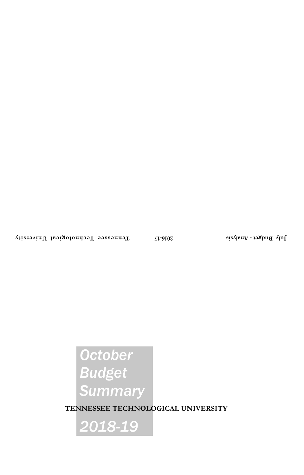# *October Budget Summary*

**TENNESSEE TECHNOLOGICAL UNIVERSITY**

*2018-19*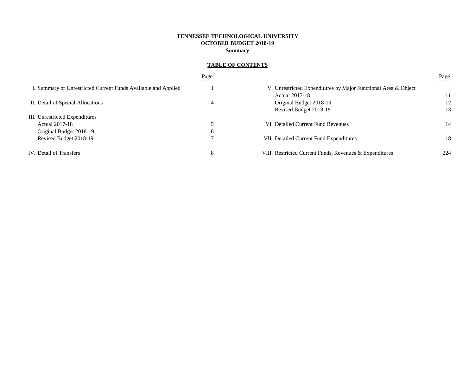# **TENNESSEE TECHNOLOGICAL UNIVERSITY OCTOBER BUDGET 2018-19 Summary**

# **TABLE OF CONTENTS**

|                                                                | Page        |                                                                | Page |
|----------------------------------------------------------------|-------------|----------------------------------------------------------------|------|
| I. Summary of Unrestricted Current Funds Available and Applied |             | V. Unrestricted Expenditures by Major Functional Area & Object |      |
|                                                                |             | <b>Actual 2017-18</b>                                          | 11   |
| II. Detail of Special Allocations                              | 4           | Original Budget 2018-19                                        | 12   |
|                                                                |             | Revised Budget 2018-19                                         | 13   |
| III. Unrestricted Expenditures                                 |             |                                                                |      |
| Actual 2017-18                                                 |             | VI. Detailed Current Fund Revenues                             | 14   |
| Original Budget 2018-19                                        | $\mathbf b$ |                                                                |      |
| Revised Budget 2018-19                                         |             | VII. Detailed Current Fund Expenditures                        | 18   |
| IV. Detail of Transfers                                        | 8           | VIII. Restricted Current Funds, Revenues & Expenditures        | 224  |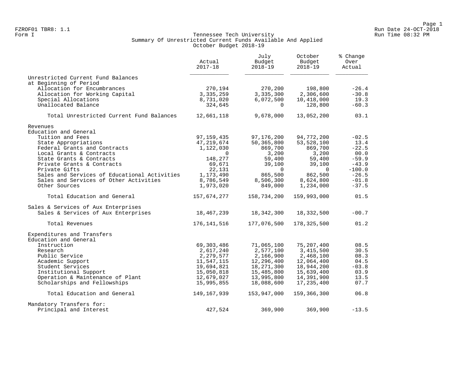#### Form I Georgian Communication of the Communication of Tennessee Tech University Communication Run Time 08:32 PM Summary Of Unrestricted Current Funds Available And Applied October Budget 2018-19

|                                              | Actual<br>$2017 - 18$ | July<br>Budget<br>$2018 - 19$ | October<br>Budget<br>$2018 - 19$ | % Change<br>Over<br>Actual |  |
|----------------------------------------------|-----------------------|-------------------------------|----------------------------------|----------------------------|--|
| Unrestricted Current Fund Balances           |                       |                               |                                  |                            |  |
| at Beginning of Period                       |                       |                               |                                  |                            |  |
| Allocation for Encumbrances                  | 270,194               | 270,200                       | 198,800                          | $-26.4$                    |  |
| Allocation for Working Capital               | 3,335,259             | 3,335,300                     | 2,306,600                        | $-30.8$<br>19.3            |  |
| Special Allocations<br>Unallocated Balance   | 8,731,020<br>324,645  | 6,072,500<br>$\Omega$         | 10,418,000<br>128,800            | $-60.3$                    |  |
| Total Unrestricted Current Fund Balances     | 12,661,118            | 9,678,000                     | 13,052,200                       | 03.1                       |  |
| Revenues                                     |                       |                               |                                  |                            |  |
| Education and General                        |                       |                               |                                  |                            |  |
| Tuition and Fees                             | 97, 159, 435          | 97,176,200                    | 94,772,200                       | $-02.5$                    |  |
| State Appropriations                         | 47,219,674            | 50,365,800                    | 53,528,100                       | 13.4                       |  |
| Federal Grants and Contracts                 | 1,122,030             | 869,700                       | 869,700                          | $-22.5$                    |  |
| Local Grants & Contracts                     | $\Omega$              | 3,200                         | 3,200                            | 00.0                       |  |
| State Grants & Contracts                     | 148,277               | 59,400                        | 59,400                           | $-59.9$                    |  |
| Private Grants & Contracts                   | 69,671                | 39,100                        | 39,100                           | $-43.9$                    |  |
| Private Gifts                                | 22,131                | $\Omega$                      | $\Omega$                         | $-100.0$                   |  |
| Sales and Services of Educational Activities | 1,173,490             | 865,500                       | 862,500                          | $-26.5$                    |  |
| Sales and Services of Other Activities       | 8,786,549             | 8,506,300                     | 8,624,800                        | $-01.8$                    |  |
| Other Sources                                | 1,973,020             | 849,000                       | 1,234,000                        | $-37.5$                    |  |
| Total Education and General                  | 157,674,277           | 158,734,200                   | 159,993,000                      | 01.5                       |  |
| Sales & Services of Aux Enterprises          |                       |                               |                                  |                            |  |
| Sales & Services of Aux Enterprises          | 18,467,239            | 18,342,300                    | 18,332,500                       | $-00.7$                    |  |
| Total Revenues                               | 176, 141, 516         | 177,076,500                   | 178,325,500                      | 01.2                       |  |
| Expenditures and Transfers                   |                       |                               |                                  |                            |  |
| Education and General                        |                       |                               |                                  |                            |  |
| Instruction                                  | 69, 303, 486          | 71,065,100                    | 75,207,400                       | 08.5                       |  |
| Research                                     | 2,617,240             | 2,577,100                     | 3,415,500                        | 30.5                       |  |
| Public Service                               | 2,279,577             | 2,166,900                     | 2,468,100                        | 08.3                       |  |
| Academic Support                             | 11,547,115            | 12,296,400                    | 12,064,400                       | 04.5                       |  |
| Student Services                             | 19,694,821            | 18,271,300                    | 18,944,200                       | $-03.8$                    |  |
| Institutional Support                        | 15,050,818            | 15,485,800                    | 15,639,400                       | 03.9                       |  |
| Operation & Maintenance of Plant             | 12,679,027            | 13,995,800                    | 14,391,900                       | 13.5                       |  |
| Scholarships and Fellowships                 | 15,995,855            | 18,088,600                    | 17, 235, 400                     | 07.7                       |  |
| Total Education and General                  | 149, 167, 939         | 153,947,000                   | 159,366,300                      | 06.8                       |  |
| Mandatory Transfers for:                     |                       |                               |                                  |                            |  |
| Principal and Interest                       | 427,524               | 369,900                       | 369,900                          | $-13.5$                    |  |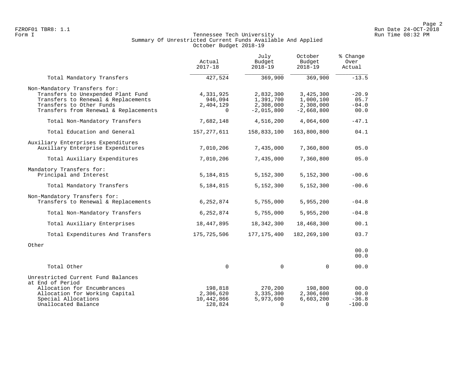#### Form I Georgian Communication of the Communication of Tennessee Tech University Communication Run Time 08:32 PM Summary Of Unrestricted Current Funds Available And Applied October Budget 2018-19

|                                                                                                                                                                                | Actual<br>$2017 - 18$                         | July<br>Budget<br>$2018 - 19$                       | October<br>Budget<br>$2018 - 19$                    | % Change<br>Over<br>Actual         |  |
|--------------------------------------------------------------------------------------------------------------------------------------------------------------------------------|-----------------------------------------------|-----------------------------------------------------|-----------------------------------------------------|------------------------------------|--|
| Total Mandatory Transfers                                                                                                                                                      | 427,524                                       | 369,900                                             | 369,900                                             | $-13.5$                            |  |
| Non-Mandatory Transfers for:<br>Transfers to Unexpended Plant Fund<br>Transfers to Renewal & Replacements<br>Transfers to Other Funds<br>Transfers from Renewal & Replacements | 4,331,925<br>946,094<br>2,404,129<br>$\Omega$ | 2,832,300<br>1,391,700<br>2,308,000<br>$-2,015,800$ | 3,425,300<br>1,000,100<br>2,308,000<br>$-2,668,800$ | $-20.9$<br>05.7<br>$-04.0$<br>00.0 |  |
| Total Non-Mandatory Transfers                                                                                                                                                  | 7,682,148                                     | 4,516,200                                           | 4,064,600                                           | $-47.1$                            |  |
| Total Education and General                                                                                                                                                    | 157,277,611                                   | 158,833,100                                         | 163,800,800                                         | 04.1                               |  |
| Auxiliary Enterprises Expenditures<br>Auxiliary Enterprise Expenditures                                                                                                        | 7,010,206                                     | 7,435,000<br>7,435,000                              | 7,360,800<br>7,360,800                              | 05.0<br>05.0                       |  |
| Total Auxiliary Expenditures                                                                                                                                                   | 7,010,206                                     |                                                     |                                                     |                                    |  |
| Mandatory Transfers for:<br>Principal and Interest                                                                                                                             | 5,184,815                                     | 5,152,300                                           | 5,152,300                                           | $-00.6$                            |  |
| Total Mandatory Transfers                                                                                                                                                      | 5,184,815                                     | 5,152,300                                           | 5,152,300                                           | $-00.6$                            |  |
| Non-Mandatory Transfers for:<br>Transfers to Renewal & Replacements                                                                                                            | 6,252,874                                     | 5,755,000                                           | 5,955,200                                           | $-04.8$                            |  |
| Total Non-Mandatory Transfers                                                                                                                                                  | 6,252,874                                     | 5,755,000                                           | 5,955,200                                           | $-04.8$                            |  |
| Total Auxiliary Enterprises                                                                                                                                                    | 18,447,895                                    | 18,342,300                                          | 18,468,300                                          | 00.1                               |  |
| Total Expenditures And Transfers                                                                                                                                               | 175,725,506                                   | 177, 175, 400                                       | 182, 269, 100                                       | 03.7                               |  |
| Other                                                                                                                                                                          |                                               |                                                     |                                                     | 00.0<br>00.0                       |  |
| Total Other                                                                                                                                                                    | $\mathbf 0$                                   | 0                                                   | $\mathbf 0$                                         | 00.0                               |  |
| Unrestricted Current Fund Balances<br>at End of Period<br>Allocation for Encumbrances                                                                                          | 198,818                                       | 270,200                                             | 198,800                                             | 00.0                               |  |
| Allocation for Working Capital<br>Special Allocations<br>Unallocated Balance                                                                                                   | 2,306,620<br>10,442,866<br>128,824            | 3,335,300<br>5,973,600<br>$\Omega$                  | 2,306,600<br>6,603,200<br>$\Omega$                  | 00.0<br>$-36.8$<br>$-100.0$        |  |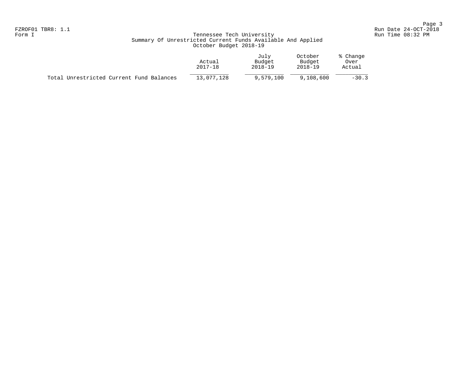# Form I Georgian Communication of the Communication of Tennessee Tech University Communication Run Time 08:32 PM Summary Of Unrestricted Current Funds Available And Applied October Budget 2018-19

|                                          | Actual<br>2017-18 | July<br>Budget<br>$2018 - 19$ | October<br>Budget<br>2018-19 | % Change<br>Over<br>Actual |
|------------------------------------------|-------------------|-------------------------------|------------------------------|----------------------------|
| Total Unrestricted Current Fund Balances | 13,077,128        | 9,579,100                     | 9,108,600                    | $-30.3$                    |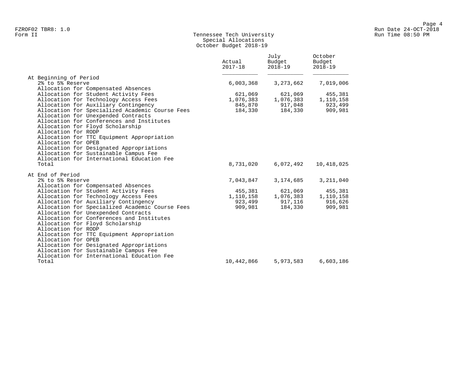# Form II Tennessee Tech University Run Time 08:50 PM Special Allocations October Budget 2018-19

|                                                                                                                                                                                                                                                                                                                                                                                                                 | Actual<br>$2017 - 18$ | July<br>Budget<br>$2018 - 19$ | October<br>Budget<br>$2018 - 19$ |
|-----------------------------------------------------------------------------------------------------------------------------------------------------------------------------------------------------------------------------------------------------------------------------------------------------------------------------------------------------------------------------------------------------------------|-----------------------|-------------------------------|----------------------------------|
| At Beginning of Period                                                                                                                                                                                                                                                                                                                                                                                          |                       |                               |                                  |
| 2% to 5% Reserve<br>Allocation for Compensated Absences                                                                                                                                                                                                                                                                                                                                                         | 6,003,368             | 3, 273, 662                   | 7,019,006                        |
| Allocation for Student Activity Fees                                                                                                                                                                                                                                                                                                                                                                            | 621,069               | 621,069                       | 455,381                          |
| Allocation for Technology Access Fees                                                                                                                                                                                                                                                                                                                                                                           | 1,076,383             | 1,076,383                     | 1,110,158                        |
| Allocation for Auxiliary Contingency                                                                                                                                                                                                                                                                                                                                                                            | 845,870               | 917,048                       | 923,499                          |
| Allocation for Specialized Academic Course Fees<br>Allocation for Unexpended Contracts<br>Allocation for Conferences and Institutes<br>Allocation for Floyd Scholarship<br>Allocation for RODP<br>Allocation for TTC Equipment Appropriation<br>Allocation for OPEB<br>Allocation for Designated Appropriations<br>Allocation for Sustainable Campus Fee<br>Allocation for International Education Fee<br>Total | 184,330<br>8,731,020  | 184,330<br>6,072,492          | 909,981<br>10,418,025            |
| At End of Period                                                                                                                                                                                                                                                                                                                                                                                                |                       |                               |                                  |
| 2% to 5% Reserve                                                                                                                                                                                                                                                                                                                                                                                                | 7,043,847             | 3,174,685                     | 3, 211, 040                      |
| Allocation for Compensated Absences                                                                                                                                                                                                                                                                                                                                                                             |                       |                               |                                  |
| Allocation for Student Activity Fees                                                                                                                                                                                                                                                                                                                                                                            | 455,381               | 621,069                       | 455,381                          |
| Allocation for Technology Access Fees                                                                                                                                                                                                                                                                                                                                                                           | 1,110,158             | 1,076,383                     | 1,110,158                        |
| Allocation for Auxiliary Contingency                                                                                                                                                                                                                                                                                                                                                                            | 923,499               | 917,116                       | 916,626                          |
| Allocation for Specialized Academic Course Fees<br>Allocation for Unexpended Contracts<br>Allocation for Conferences and Institutes<br>Allocation for Floyd Scholarship<br>Allocation for RODP<br>Allocation for TTC Equipment Appropriation<br>Allocation for OPEB<br>Allocation for Designated Appropriations<br>Allocation for Sustainable Campus Fee<br>Allocation for International Education Fee          | 909,981               | 184,330                       | 909,981                          |
| Total                                                                                                                                                                                                                                                                                                                                                                                                           | 10,442,866            | 5,973,583                     | 6,603,186                        |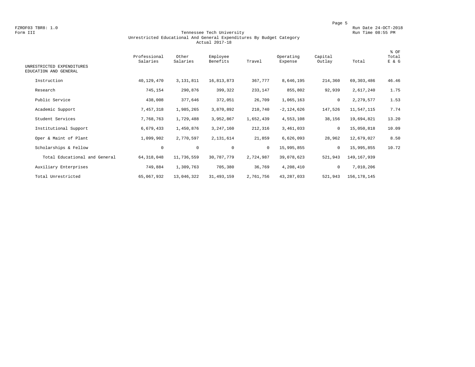FZROF03 TBR8: 1.0<br>Form III Run Date 24-OCT-2018 Tennessee Tech University Form III Run Time 08:55 PM

#### Form III Tennessee Tech University Run Time 08:55 PM Unrestricted Educational And General Expenditures By Budget Category Actual 2017-18

| UNRESTRICTED EXPENDITURES<br>EDUCATION AND GENERAL | Professional<br>Salaries | Other<br>Salaries | Employee<br>Benefits | Travel    | Operating<br>Expense | Capital<br>Outlay | Total         | % OF<br>Total<br>E & G |
|----------------------------------------------------|--------------------------|-------------------|----------------------|-----------|----------------------|-------------------|---------------|------------------------|
| Instruction                                        | 40,129,470               | 3, 131, 811       | 16,813,873           | 367,777   | 8,646,195            | 214,360           | 69, 303, 486  | 46.46                  |
| Research                                           |                          |                   |                      |           |                      |                   |               | 1.75                   |
|                                                    | 745,154                  | 290,876           | 399,322              | 233,147   | 855,802              | 92,939            | 2,617,240     |                        |
| Public Service                                     | 438,008                  | 377,646           | 372,051              | 26,709    | 1,065,163            | $\mathbf 0$       | 2,279,577     | 1.53                   |
| Academic Support                                   | 7,457,318                | 1,985,265         | 3,870,892            | 210,740   | $-2, 124, 626$       | 147,526           | 11,547,115    | 7.74                   |
| Student Services                                   | 7,768,763                | 1,729,488         | 3,952,867            | 1,652,439 | 4,553,108            | 38,156            | 19,694,821    | 13.20                  |
| Institutional Support                              | 6,679,433                | 1,450,876         | 3,247,160            | 212,316   | 3,461,033            | 0                 | 15,050,818    | 10.09                  |
| Oper & Maint of Plant                              | 1,099,902                | 2,770,597         | 2,131,614            | 21,859    | 6,626,093            | 28,962            | 12,679,027    | 8.50                   |
| Scholarships & Fellow                              | $\circ$                  | $\circ$           | $\mathbf 0$          | $\circ$   | 15,995,855           | 0                 | 15,995,855    | 10.72                  |
| Total Educational and General                      | 64, 318, 048             | 11,736,559        | 30,787,779           | 2,724,987 | 39,078,623           | 521,943           | 149, 167, 939 |                        |
| Auxiliary Enterprises                              | 749,884                  | 1,309,763         | 705,380              | 36,769    | 4,208,410            | $\circ$           | 7,010,206     |                        |
| Total Unrestricted                                 | 65,067,932               | 13,046,322        | 31, 493, 159         | 2,761,756 | 43, 287, 033         | 521,943           | 156, 178, 145 |                        |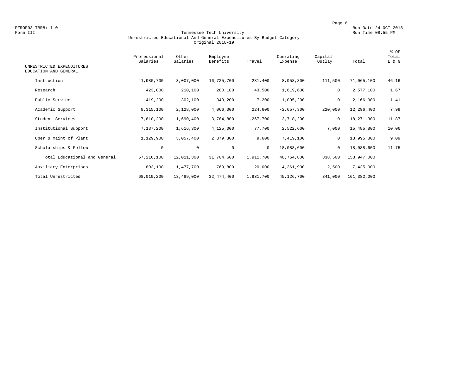FZROF03 TBR8: 1.0<br>Form III Run Date 24-OCT-2018<br>Form III Run Time 08:55 PM

#### Form III Tennessee Tech University Run Time 08:55 PM Unrestricted Educational And General Expenditures By Budget Category Original 2018-19

| UNRESTRICTED EXPENDITURES<br>EDUCATION AND GENERAL | Professional<br>Salaries | Other<br>Salaries | Employee<br>Benefits | Travel    | Operating<br>Expense | Capital<br>Outlay | Total       | % OF<br>Total<br>E & G |
|----------------------------------------------------|--------------------------|-------------------|----------------------|-----------|----------------------|-------------------|-------------|------------------------|
| Instruction                                        | 41,980,700               | 3,007,000         | 16,725,700           | 281,400   | 8,958,800            | 111,500           | 71,065,100  | 46.16                  |
| Research                                           | 423,800                  | 210,100           | 280,100              | 43,500    | 1,619,600            | 0                 | 2,577,100   | 1.67                   |
| Public Service                                     | 419,200                  | 302,100           | 343,200              | 7,200     | 1,095,200            | 0                 | 2,166,900   | 1.41                   |
| Academic Support                                   | 8,315,100                | 2,128,000         | 4,066,000            | 224,600   | $-2,657,300$         | 220,000           | 12,296,400  | 7.99                   |
| Student Services                                   | 7,810,200                | 1,690,400         | 3,784,800            | 1,267,700 | 3,718,200            | $\mathbf 0$       | 18,271,300  | 11.87                  |
| Institutional Support                              | 7,137,200                | 1,616,300         | 4,125,000            | 77,700    | 2,522,600            | 7,000             | 15,485,800  | 10.06                  |
| Oper & Maint of Plant                              | 1,129,900                | 3,057,400         | 2,379,800            | 9,600     | 7,419,100            | $\mathbf 0$       | 13,995,800  | 9.09                   |
| Scholarships & Fellow                              | 0                        | $\circ$           | $\mathbf 0$          | $\circ$   | 18,088,600           | 0                 | 18,088,600  | 11.75                  |
| Total Educational and General                      | 67, 216, 100             | 12,011,300        | 31,704,600           | 1,911,700 | 40,764,800           | 338,500           | 153,947,000 |                        |
| Auxiliary Enterprises                              | 803,100                  | 1,477,700         | 769,800              | 20,000    | 4,361,900            | 2,500             | 7,435,000   |                        |
| Total Unrestricted                                 | 68,019,200               | 13,489,000        | 32, 474, 400         | 1,931,700 | 45,126,700           | 341,000           | 161,382,000 |                        |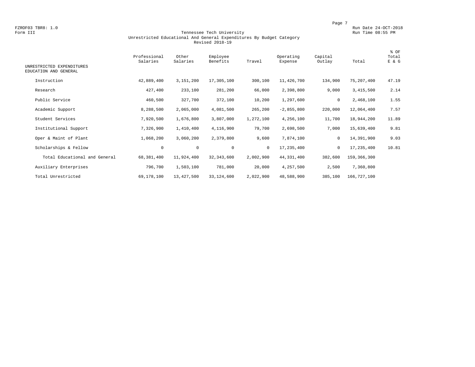FZROF03 TBR8: 1.0<br>Form III Run Date 24-OCT-2018 (Run Date 24-OCT-2018) Run Date 24-OCT-2018<br>Form III Run Time 08:55 PM

#### Form III Tennessee Tech University Run Time 08:55 PM Unrestricted Educational And General Expenditures By Budget Category Revised 2018-19

| UNRESTRICTED EXPENDITURES<br>EDUCATION AND GENERAL | Professional<br>Salaries | Other<br>Salaries | Employee<br>Benefits | Travel    | Operating<br>Expense | Capital<br>Outlay | Total       | % OF<br>Total<br>E & G |
|----------------------------------------------------|--------------------------|-------------------|----------------------|-----------|----------------------|-------------------|-------------|------------------------|
| Instruction                                        | 42,889,400               | 3,151,200         | 17,305,100           | 300,100   | 11,426,700           | 134,900           | 75,207,400  | 47.19                  |
| Research                                           | 427,400                  | 233,100           | 281,200              | 66,000    | 2,398,800            | 9,000             | 3,415,500   | 2.14                   |
| Public Service                                     | 460,500                  | 327,700           | 372,100              | 10,200    | 1,297,600            | $\mathbf 0$       | 2,468,100   | 1.55                   |
| Academic Support                                   | 8,288,500                | 2,065,000         | 4,081,500            | 265,200   | $-2,855,800$         | 220,000           | 12,064,400  | 7.57                   |
| Student Services                                   | 7,920,500                | 1,676,800         | 3,807,000            | 1,272,100 | 4,256,100            | 11,700            | 18,944,200  | 11.89                  |
| Institutional Support                              | 7,326,900                | 1,410,400         | 4,116,900            | 79,700    | 2,698,500            | 7,000             | 15,639,400  | 9.81                   |
| Oper & Maint of Plant                              | 1,068,200                | 3,060,200         | 2,379,800            | 9,600     | 7,874,100            | 0                 | 14,391,900  | 9.03                   |
| Scholarships & Fellow                              | 0                        | 0                 | $\mathbf{0}$         | $\circ$   | 17,235,400           | $\mathbf 0$       | 17,235,400  | 10.81                  |
| Total Educational and General                      | 68,381,400               | 11,924,400        | 32, 343, 600         | 2,002,900 | 44,331,400           | 382,600           | 159,366,300 |                        |
| Auxiliary Enterprises                              | 796,700                  | 1,503,100         | 781,000              | 20,000    | 4,257,500            | 2,500             | 7,360,800   |                        |
| Total Unrestricted                                 | 69,178,100               | 13,427,500        | 33,124,600           | 2,022,900 | 48,588,900           | 385,100           | 166,727,100 |                        |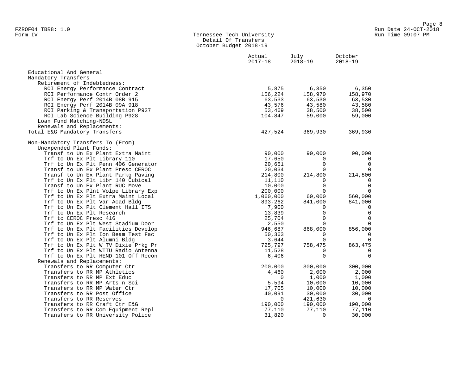#### Form IV Tennessee Tech University Run Time 09:07 PM Detail Of Transfers October Budget 2018-19

|                                     | Actual<br>$2017 - 18$ | July<br>$2018 - 19$ | October<br>$2018 - 19$   |
|-------------------------------------|-----------------------|---------------------|--------------------------|
| Educational And General             |                       |                     |                          |
| Mandatory Transfers                 |                       |                     |                          |
| Retirement of Indebtedness:         |                       |                     |                          |
| ROI Energy Performance Contract     | 5,875                 | 6,350               | 6,350                    |
| ROI Performance Contr Order 2       | 156,224               | 158,970             | 158,970                  |
| ROI Energy Perf 2014B 08B 915       | 63,533                | 63,530              | 63,530                   |
| ROI Energy Perf 2014B 09A 918       | 43,576                | 43,580              | 43,580                   |
| ROI Parking & Transportation P927   | 53,469                | 38,500              | 38,500                   |
| ROI Lab Science Building P928       | 104,847               | 59,000              | 59,000                   |
| Loan Fund Matching-NDSL             |                       |                     |                          |
| Renewals and Replacements:          |                       |                     |                          |
| Total E&G Mandatory Transfers       | 427,524               | 369,930             | 369,930                  |
| Non-Mandatory Transfers To (From)   |                       |                     |                          |
| Unexpended Plant Funds:             |                       |                     |                          |
| Transf to Un Ex Plant Extra Maint   | 90,000                | 90,000              | 90,000                   |
| Trf to Un Ex Plt Library 110        | 17,650                | $\mathbf{0}$        | 0                        |
| Trf to Un Ex Plt Penn 406 Generator | 20,651                | $\Omega$            | $\mathbf 0$              |
| Transf to Un Ex Plant Presc CEROC   | 20,034                | $\Omega$            | $\mathbf 0$              |
| Transf to Un Ex Plant Parkg Paving  | 214,800               | 214,800             | 214,800                  |
| Trf to Un Ex Plt Libr 140 Cubical   | 11,110                | $\Omega$            | $\overline{0}$           |
| Transf to Un Ex Plant RUC Move      | 10,000                | $\mathbf 0$         | $\overline{0}$           |
| Trf to Un Ex Plnt Volpe Library Exp | 200,000               | $\Omega$            | $\Omega$                 |
| Trf to Un Ex Plt Extra Maint Local  | 1,060,000             | 60,000              | 560,000                  |
| Trf to Un Ex Plt Var Acad Bldg      | 893,262               | 841,000             | 841,000                  |
| Trf to Un Ex Plt Clement Hall ITS   | 7,900                 | $\Omega$            | $\overline{\phantom{0}}$ |
| Trf to Un Ex Plt Research           | 13,839                | $\mathbf 0$         | $\overline{0}$           |
| Trf to CEROC Presc 416              | 25,704                | 0                   | $\overline{0}$           |
| Trf to Un Ex Plt West Stadium Door  | 2,550                 | $\Omega$            | $\mathbf 0$              |
| Trf to Un Ex Plt Facilities Develop | 946,687               | 868,000             | 856,000                  |
| Trf to Un Ex Plt Ion Beam Test Fac  | 50,363                | $\Omega$            | 0                        |
| Trf to Un Ex Plt Alumni Bldg        | 3,644                 | $\mathbf 0$         | $\mathbf 0$              |
| Trf to Un Ex Plt W TV Dixie Prkg Pr | 725,797               | 758,475             | 863,475                  |
| Trf to Un Ex Plt WTTU Radio Antenna | 11,528                | $\Omega$            | $\mathbf 0$              |
| Trf to Un Ex Plt HEND 101 Off Recon | 6,406                 | $\Omega$            | $\mathbf 0$              |
| Renewals and Replacements:          |                       |                     |                          |
| Transfers to RR Computer Ctr        | 200,000               | 300,000             | 300,000                  |
| Transfers to RR MP Athletics        | 4,460                 | 2,000               | 2,000                    |
| Transfers to RR MP Ext Educ         | - 0                   | 1,000               | 1,000                    |
| Transfers to RR MP Arts n Sci       | 5,594                 | 10,000              | 10,000                   |
| Transfers to RR MP Water Ctr        | 17,705                | 10,000              | 10,000                   |
| Transfers to RR Post Office         | 40,091                | 30,000              | 30,000                   |
| Transfers to RR Reserves            | $\overline{0}$        | 421,630             | $\overline{\phantom{0}}$ |
| Transfers to RR Craft Ctr E&G       | 190,000               | 190,000             | 190,000                  |
| Transfers to RR Com Equipment Repl  | 77,110                | 77,110              | 77,110                   |
| Transfers to RR University Police   | 31,820                | $\Omega$            | 30,000                   |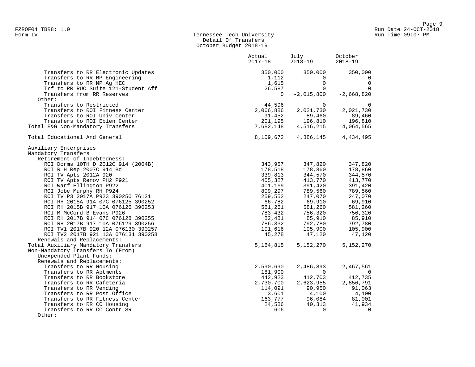# Form IV Tennessee Tech University Run Time 09:07 PM Detail Of Transfers October Budget 2018-19

|                                                                                                   | Actual<br>$2017 - 18$     | July<br>2018-19                     | October<br>$2018 - 19$   |
|---------------------------------------------------------------------------------------------------|---------------------------|-------------------------------------|--------------------------|
| Transfers to RR Electronic Updates<br>Transfers to RR MP Engineering<br>Transfers to RR MP Ag HEC | 350,000<br>1,112<br>1,615 | 350,000<br>$\mathbf{0}$<br>$\Omega$ | 350,000<br>0<br>$\Omega$ |
| Trf to RR RUC Suite 121-Student Aff<br>Transfers from RR Reserves<br>Other:                       | 26,587<br>$\overline{0}$  | $\Omega$<br>$-2,015,800$            | $\Omega$<br>$-2,668,820$ |
| Transfers to Restricted                                                                           | 44,596                    | $\overline{0}$                      | $\mathbf 0$              |
| Transfers to ROI Fitness Center                                                                   | 2,066,886                 | 2,021,730                           | 2,021,730                |
| Transfers to ROI Univ Center                                                                      | 91,452                    |                                     | 89,460                   |
| Transfers to ROI Eblen Center                                                                     | 201,195                   | 89,460<br>196,810                   | 196,810                  |
| Total E&G Non-Mandatory Transfers                                                                 | 7,682,148                 | 4,516,215                           | 4,064,565                |
| Total Educational And General                                                                     | 8,109,672                 | 4,886,145                           | 4,434,495                |
| Auxiliary Enterprises                                                                             |                           |                                     |                          |
| Mandatory Transfers                                                                               |                           |                                     |                          |
| Retirement of Indebtedness:                                                                       |                           |                                     |                          |
| ROI Dorms 10TH D 2012C 914 (2004B)                                                                | 343,957                   | 347,820                             | 347,820                  |
| ROI R H Rep 2007C 914 Bd                                                                          | 178,518                   | 178,860                             | 178,860                  |
| ROI TV Apts 2012A 920                                                                             | 339,813                   | 344,570                             | 344,570                  |
| ROI TV Apts Renov PH2 P921                                                                        | 405,327                   | 413,770                             | 413,770                  |
| ROI Warf Ellington P922                                                                           | 401,169                   | 391,420                             | 391,420                  |
| ROI Jobe Murphy RH P924                                                                           | 809,297                   | 789,560                             | 789,560                  |
| ROI TV P3 2017A P923 390250 76121                                                                 | 259,552                   | 247,070                             | 247,070                  |
| ROI RH 2015A 914 07C 076125 390252                                                                | 66,782                    | 69,910                              | 69,910                   |
| ROI RH 2015B 917 10A 076126 390253                                                                | 581,261                   | 581,260                             | 581,260                  |
| ROI M McCord B Evans P926                                                                         | 783,432                   | 756,320                             | 756,320                  |
| ROI RH 2017B 914 07C 076128 390255                                                                | 82,481                    | 85,910                              | 85,910                   |
| ROI RH 2017B 917 10A 076129 390256                                                                | 786,332                   | 792,780                             | 792,780                  |
| ROI TV1 2017B 920 12A 076130 390257                                                               | 101,616                   | 105,900                             | 105,900                  |
| ROI TV2 2017B 921 13A 076131 390258<br>Renewals and Replacements:                                 | 45,278                    | 47,120                              | 47,120                   |
| Total Auxiliary Mandatory Transfers                                                               | 5,184,815                 | 5,152,270                           | 5,152,270                |
| Non-Mandatory Transfers To (From)                                                                 |                           |                                     |                          |
| Unexpended Plant Funds:                                                                           |                           |                                     |                          |
| Renewals and Replacements:                                                                        |                           |                                     |                          |
| Transfers to RR Housing                                                                           | 2,590,690                 | 2,486,893                           | 2,467,561                |
| Transfers to RR Aptments                                                                          | 181,900                   | $\Omega$                            | $\overline{0}$           |
| Transfers to RR Bookstore                                                                         | 442,923                   | 412,703                             | 412,735                  |
| Transfers to RR Cafeteria                                                                         | 2,730,700                 | 2,623,955                           | 2,856,791                |
| Transfers to RR Vending                                                                           | 114,091                   | 90,950                              | 91,063                   |
| Transfers to RR Post Office                                                                       | 3,601                     | 4,100                               | 4,100                    |
| Transfers to RR Fitness Center                                                                    | 163,777                   | 96,084                              | 81,001                   |
| Transfers to RR CC Housing                                                                        | 24,586                    | 40,313                              | 41,934                   |
| Transfers to RR CC Contr SR                                                                       | 606                       | $\Omega$                            | $\overline{0}$           |
| Other:                                                                                            |                           |                                     |                          |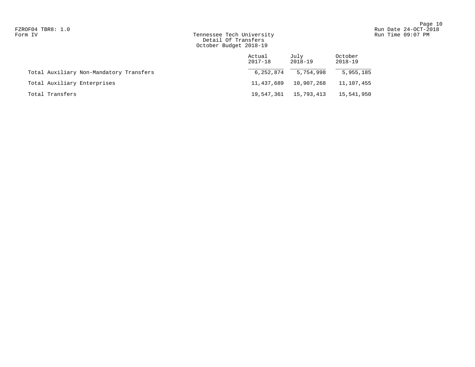# Form IV Tennessee Tech University Run Time 09:07 PM Detail Of Transfers October Budget 2018-19

|                                         | Actual<br>$2017 - 18$ | July<br>2018-19 | October<br>2018-19 |
|-----------------------------------------|-----------------------|-----------------|--------------------|
| Total Auxiliary Non-Mandatory Transfers | 6,252,874             | 5,754,998       | 5,955,185          |
| Total Auxiliary Enterprises             | 11,437,689            | 10,907,268      | 11,107,455         |
| Total Transfers                         | 19,547,361            | 15,793,413      | 15,541,950         |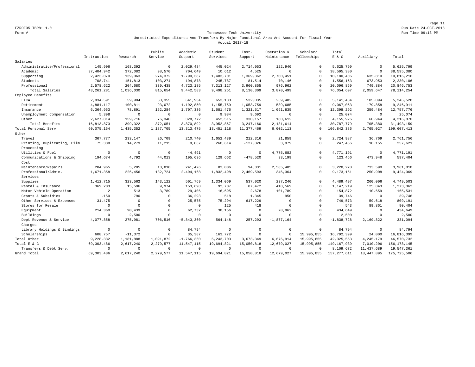Page 11 FZROF05 TBR8: 1.0 Run Date 24-OCT-2018

#### Form V Tennessee Tech University Run Time 09:13 PM Unrestricted Expenditures And Transfers By Major Functional Area And Account For Fiscal Year Actual 2017-18

|                             |              |              | Public       | Academic     | Student      | Inst.        | Operation &  | Scholar/    | Total         |              |               |
|-----------------------------|--------------|--------------|--------------|--------------|--------------|--------------|--------------|-------------|---------------|--------------|---------------|
|                             | Instruction  | Research     | Service      | Support      | Services     | Support      | Maintenance  | Fellowships | $E$ & $G$     | Auxiliary    | Total         |
| Salaries                    |              |              |              |              |              |              |              |             |               |              |               |
| Administrative/Professional | 145,906      | 168,392      | $\mathbf{0}$ | 2,029,484    | 445,024      | 2,714,053    | 122,940      | $\mathbf 0$ | 5,625,799     | $\mathbb O$  | 5,625,799     |
| Academic                    | 37, 404, 942 | 372,082      | 98,570       | 704,649      | 10,612       | 4,525        | $\mathbf{0}$ | $\Omega$    | 38,595,380    | $\circ$      | 38,595,380    |
| Supporting                  | 2,423,070    | 139,063      | 274,372      | 1,790,387    | 1,483,701    | 1,369,362    | 2,700,451    | $\Omega$    | 10,180,406    | 635,810      | 10,816,216    |
| Students                    | 708,741      | 151,813      | 103,274      | 194,878      | 245,787      | 81,514       | 70,146       | $\Omega$    | 1,556,153     | 673,953      | 2,230,106     |
| Professional                | 2,578,622    | 204,680      | 339,438      | 4,723,185    | 7, 313, 127  | 3,960,855    | 976,962      | $\Omega$    | 20,096,869    | 749,884      | 20,846,753    |
| Total Salaries              | 43, 261, 281 | 1,036,030    | 815,654      | 9,442,583    | 9,498,251    | 8,130,309    | 3,870,499    | $\Omega$    | 76,054,607    | 2,059,647    | 78, 114, 254  |
| Employee Benefits           |              |              |              |              |              |              |              |             |               |              |               |
| FICA                        | 2,934,591    | 59,904       | 50,355       | 641,934      | 653,133      | 532,035      | 269,482      | $\Omega$    | 5, 141, 434   | 105,094      | 5,246,528     |
| Retirement                  | 4,881,117    | 100,811      | 93,072       | 1,192,850    | 1,155,759    | 1,053,759    | 589,685      | $\Omega$    | 9,067,053     | 179,858      | 9,246,911     |
| Insurance                   | 6,364,953    | 78,891       | 152,284      | 1,707,336    | 1,681,476    | 1,321,517    | 1,091,835    | $\Omega$    | 12,398,292    | 359,484      | 12,757,776    |
| Unemployment Compensation   | 5,398        | $\mathbf 0$  | $\mathbf{0}$ | $\mathbf 0$  | 9,984        | 9,692        | $\mathbf{0}$ | $\Omega$    | 25.074        | $\circ$      | 25,074        |
| Other                       | 2,627,814    | 159,716      | 76,340       | 328,772      | 452,515      | 330,157      | 180,612      | $\Omega$    | 4,155,926     | 60,944       | 4,216,870     |
| Total Benefits              | 16,813,873   | 399,322      | 372,051      | 3,870,892    | 3,952,867    | 3,247,160    | 2,131,614    | $\Omega$    | 30,787,779    | 705,380      | 31, 493, 159  |
| Total Personal Serv.        | 60,075,154   | 1,435,352    | 1,187,705    | 13, 313, 475 | 13, 451, 118 | 11, 377, 469 | 6,002,113    | $\Omega$    | 106,842,386   | 2,765,027    | 109,607,413   |
| Other                       |              |              |              |              |              |              |              |             |               |              |               |
| Travel                      | 367,777      | 233,147      | 26,709       | 210,740      | 1,652,439    | 212,316      | 21,859       | $\Omega$    | 2,724,987     | 36,769       | 2,761,756     |
| Printing, Duplicating, Film | 75,338       | 14,279       | 11,215       | 9,867        | 260,614      | $-127,826$   | 3,979        | $\Omega$    | 247,466       | 10,155       | 257,621       |
| Processing                  |              |              |              |              |              |              |              |             |               |              |               |
| Utilities & Fuel            | $\circ$      | $\mathbf 0$  | $\mathbf{0}$ | $-4.491$     | $\mathbf 0$  | $\circ$      | 4,775,682    | $\mathbf 0$ | 4.771.191     | $\circ$      | 4,771,191     |
| Communications & Shipping   | 194,674      | 4,792        | 44,013       | 195,636      | 129,662      | $-478,520$   | 33,199       | $\mathbf 0$ | 123,456       | 473,948      | 597,404       |
| Cost                        |              |              |              |              |              |              |              |             |               |              |               |
| Maintenance/Repairs         | 204,965      | 5,205        | 13,810       | 241,426      | 83,006       | 94,331       | 2,585,485    | $\mathbf 0$ | 3,228,228     | 733,590      | 3,961,818     |
| Professional/Admin.         | 1,671,358    | 226,456      | 132,724      | 2,494,168    | 1,832,498    | 2,469,593    | 346,364      | $\Omega$    | 9,173,161     | 250,908      | 9,424,069     |
| Services                    |              |              |              |              |              |              |              |             |               |              |               |
| Supplies                    | 1, 412, 715  | 323,562      | 143,122      | 501,769      | 1,334,069    | 537,020      | 237.240      | $\Omega$    | 4,489,497     | 260,006      | 4,749,503     |
| Rental & Insurance          | 369,203      | 15,596       | 9,974        | 153,698      | 92,707       | 87.472       | 418.569      | $\circ$     | 1,147,219     | 125.843      | 1,273,062     |
| Motor Vehicle Operation     | 2            | 513          | 3,789        | 29,406       | 16,695       | 2,678        | 101,789      | $\mathbf 0$ | 154,872       | 10,659       | 165,531       |
| Grants & Subsidies          | $-150$       | 790          | $\Omega$     | 36,293       | 518          | 1,345        | 950          | $\mathbf 0$ | 39,746        | $\circ$      | 39,746        |
| Other Services & Expenses   | 31,475       | $\mathbf 0$  | $\Omega$     | 25,575       | 75,294       | 617,229      | $\mathbf{0}$ | $\mathbf 0$ | 749,573       | 59,618       | 809,191       |
| Stores for Resale           | $\mathbf 0$  | $\Omega$     | $\Omega$     | $\mathbf 0$  | 125          | 418          | $\mathbf{0}$ | $\mathbf 0$ | 543           | 89,861       | 90,404        |
| Equipment                   | 214,360      | 90,439       | $\Omega$     | 62,732       | 38,156       | $^{\circ}$   | 28,962       | $\Omega$    | 434,649       | $\mathbf{0}$ | 434,649       |
| Buildings                   | $\mathbf 0$  | 2,500        | $\Omega$     | $\Omega$     | $\circ$      | $\mathbf 0$  | $\mathbf{0}$ | $\Omega$    | 2,500         | $\mathbf{0}$ | 2,500         |
| Dept Revenue & Service      | 4,077,858    | 275,981      | 706,516      | $-5,843,360$ | 564,148      | 257,293      | $-1,877,164$ | $\mathbf 0$ | $-1,838,728$  | 2,169,822    | 331,094       |
| Charges                     |              |              |              |              |              |              |              |             |               |              |               |
| Library Holdings & Bindings | $\mathbf 0$  | $\mathbf{0}$ | $\Omega$     | 84,794       | $\mathbf 0$  | $\circ$      | $\mathbf{0}$ | $\mathbf 0$ | 84,794        | $\mathbb O$  | 84,794        |
| Scholarships                | 608,757      | $-11,372$    | $\Omega$     | 35,387       | 163,772      | $\mathbf 0$  | $\mathbf{0}$ | 15,995,855  | 16,792,399    | 24,000       | 16,816,399    |
| Total Other                 | 9,228,332    | 1,181,888    | 1,091,872    | $-1,766,360$ | 6, 243, 703  | 3,673,349    | 6,676,914    | 15,995,855  | 42, 325, 553  | 4, 245, 179  | 46,570,732    |
| Total E & G                 | 69, 303, 486 | 2,617,240    | 2,279,577    | 11,547,115   | 19,694,821   | 15,050,818   | 12,679,027   | 15,995,855  | 149, 167, 939 | 7,010,206    | 156, 178, 145 |
| Transfers & Debt Serv.      | $\mathbf 0$  | $\mathbf{0}$ | $\Omega$     | $\mathbb O$  | $\mathbf 0$  | $\circ$      | $\mathbf{0}$ | $\Omega$    | 8,109,672     | 11, 437, 689 | 19,547,361    |
| Grand Total                 | 69, 303, 486 | 2,617,240    | 2,279,577    | 11,547,115   | 19,694,821   | 15,050,818   | 12,679,027   | 15,995,855  | 157, 277, 611 | 18, 447, 895 | 175, 725, 506 |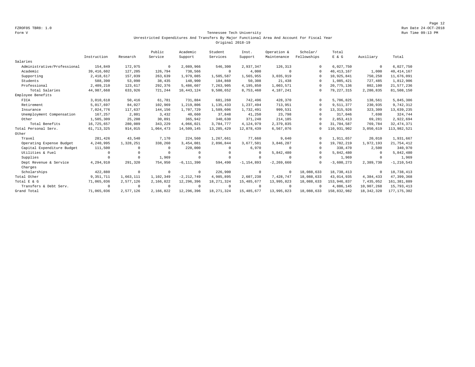Page 12 FZROF05 TBR8: 1.0 Run Date 24-OCT-2018

#### Form V Tennessee Tech University Run Time 09:13 PM Unrestricted Expenditures And Transfers By Major Functional Area And Account For Fiscal Year Original 2018-19

|                             |              |            | Public     | Academic       | Student      | Inst.          | Operation &    | Scholar/    | Total        |             |                |
|-----------------------------|--------------|------------|------------|----------------|--------------|----------------|----------------|-------------|--------------|-------------|----------------|
|                             | Instruction  | Research   | Service    | Support        | Services     | Support        | Maintenance    | Fellowships | E & G        | Auxiliary   | Total          |
| Salaries                    |              |            |            |                |              |                |                |             |              |             |                |
| Administrative/Professional | 154,849      | 172,975    | $^{\circ}$ | 2,089,966      | 546,300      | 2,937,347      | 126,313        | $\Omega$    | 6.027.750    | $\mathbf 0$ | 6,027,750      |
| Academic                    | 39, 416, 602 | 127,205    | 126,794    | 738,566        | $^{\circ}$   | 4,000          | $\Omega$       | $\Omega$    | 40, 413, 167 | 1,000       | 40, 414, 167   |
| Supporting                  | 2,418,617    | 157,039    | 263,639    | 1,979,085      | 1,505,587    | 1,565,955      | 3,035,919      | $\Omega$    | 10,925,841   | 750,250     | 11,676,091     |
| Students                    | 588,390      | 53,090     | 38,435     | 148,900        | 184,860      | 50,308         | 21,438         | $\Omega$    | 1,085,421    | 727,485     | 1,812,906      |
| Professional                | 2,409,210    | 123,617    | 292,376    | 5,486,607      | 7,263,905    | 4,195,850      | 1,003,571      | $\Omega$    | 20,775,136   | 802,100     | 21, 577, 236   |
| Total Salaries              | 44,987,668   | 633,926    | 721,244    | 10,443,124     | 9,500,652    | 8,753,460      | 4,187,241      | $\Omega$    | 79, 227, 315 | 2,280,835   | 81,508,150     |
| Employee Benefits           |              |            |            |                |              |                |                |             |              |             |                |
| FICA                        | 3,010,618    | 50,416     | 61,781     | 731,884        | 681,260      | 742,496        | 428,370        | $\Omega$    | 5,706,825    | 138,561     | 5,845,386      |
| Retirement                  | 5,017,697    | 84,027     | 102,969    | 1,219,806      | 1, 135, 433  | 1,237,494      | 713,951        | $\Omega$    | 9,511,377    | 230,935     | 9,742,312      |
| Insurance                   | 7,024,776    | 117,637    | 144,156    | 1,707,729      | 1,589,606    | 1,732,491      | 999,531        | $\Omega$    | 13, 315, 926 | 323,309     | 13,639,235     |
| Unemployment Compensation   | 167,257      | 2,801      | 3,432      | 40,660         | 37.848       | 41,250         | 23,798         | $\cap$      | 317,046      | 7,698       | 324,744        |
| Other                       | 1,505,309    | 25,208     | 30,891     | 365,942        | 340,630      | 371,248        | 214,185        | $\Omega$    | 2,853,413    | 69,281      | 2,922,694      |
| Total Benefits              | 16,725,657   | 280,089    | 343,229    | 4,066,021      | 3,784,777    | 4,124,979      | 2,379,835      | $\Omega$    | 31,704,587   | 769,784     | 32, 474, 371   |
| Total Personal Serv.        | 61, 713, 325 | 914,015    | 1,064,473  | 14,509,145     | 13, 285, 429 | 12,878,439     | 6,567,076      | $\Omega$    | 110,931,902  | 3,050,619   | 113,982,521    |
| Other                       |              |            |            |                |              |                |                |             |              |             |                |
| Travel                      | 281,426      | 43,540     | 7,170      | 224,560        | 1,267,661    | 77,660         | 9,640          | $\Omega$    | 1,911,657    | 20,010      | 1,931,667      |
| Operating Expense Budget    | 4,240,995    | 1,328,251  | 338,260    | 3,454,081      | 2,896,844    | 3,677,501      | 3,846,287      | $\Omega$    | 19,782,219   | 1,972,193   | 21,754,412     |
| Capital Expenditure Budget  | 111,500      | $\Omega$   | $\Omega$   | 220,000        | $\Omega$     | 6,970          | $\Omega$       | $\Omega$    | 338,470      | 2,500       | 340,970        |
| Utilities & Fuel            | $\Omega$     | $^{\circ}$ | $\Omega$   | $\Omega$       | $\mathbf 0$  | $\Omega$       | 5,842,480      | $\Omega$    | 5,842,480    | $^{\circ}$  | 5,842,480      |
| Supplies                    | $\Omega$     | $\Omega$   | 1,969      | $^{\circ}$     | $\mathbf 0$  | $\Omega$       | $\Omega$       | $\Omega$    | 1,969        | $^{\circ}$  | 1,969          |
| Dept Revenue & Service      | 4,294,910    | 291,320    | 754,950    | $-6, 111, 390$ | 594,490      | $-1, 154, 893$ | $-2, 269, 660$ | $\cap$      | $-3,600,273$ | 2,389,730   | $-1, 210, 543$ |
| Charges                     |              |            |            |                |              |                |                |             |              |             |                |
| Scholarships                | 422,880      | $^{\circ}$ | $^{\circ}$ | $\mathbf 0$    | 226,900      | $^{\circ}$     | $^{\circ}$     | 18,088,633  | 18,738,413   | $^{\circ}$  | 18,738,413     |
| Total Other                 | 9,351,711    | 1,663,111  | 1,102,349  | $-2, 212, 749$ | 4,985,895    | 2,607,238      | 7,428,747      | 18,088,633  | 43,014,935   | 4,384,433   | 47,399,368     |
| Total E & G                 | 71,065,036   | 2,577,126  | 2,166,822  | 12,296,396     | 18, 271, 324 | 15, 485, 677   | 13,995,823     | 18,088,633  | 153,946,837  | 7,435,052   | 161, 381, 889  |
| Transfers & Debt Serv.      | $\Omega$     | $^{\circ}$ | $\Omega$   | $^{\circ}$     | $^{\circ}$   | $\Omega$       | $\Omega$       | $\Omega$    | 4,886,145    | 10,907,268  | 15,793,413     |
| Grand Total                 | 71,065,036   | 2,577,126  | 2,166,822  | 12,296,396     | 18, 271, 324 | 15, 485, 677   | 13,995,823     | 18,088,633  | 158,832,982  | 18,342,320  | 177, 175, 302  |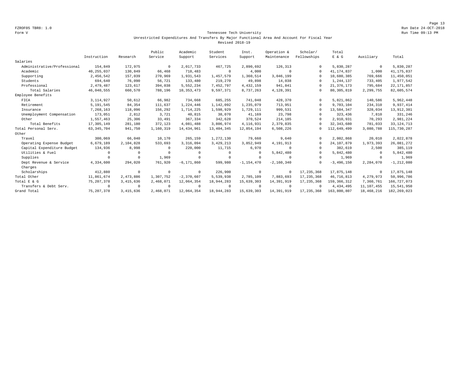Page 13 FZROF05 TBR8: 1.0 Run Date 24-OCT-2018

#### Form V Tennessee Tech University Run Time 09:13 PM Unrestricted Expenditures And Transfers By Major Functional Area And Account For Fiscal Year Revised 2018-19

|                             |              |             | Public     | Academic       | Student      | Inst.          | Operation &  | Scholar/     | Total         |             |                |
|-----------------------------|--------------|-------------|------------|----------------|--------------|----------------|--------------|--------------|---------------|-------------|----------------|
|                             | Instruction  | Research    | Service    | Support        | Services     | Support        | Maintenance  | Fellowships  | E & G         | Auxiliary   | Total          |
| Salaries                    |              |             |            |                |              |                |              |              |               |             |                |
| Administrative/Professional | 154,849      | 172,975     | $^{\circ}$ | 2,017,733      | 467,725      | 2,890,692      | 126,313      | $\Omega$     | 5,830,287     | $\mathbf 0$ | 5,830,287      |
| Academic                    | 40,255,037   | 130,849     | 66,468     | 718,483        | $^{\circ}$   | 4,000          | $\Omega$     | $\Omega$     | 41, 174, 837  | 1,000       | 41, 175, 837   |
| Supporting                  | 2,456,542    | 157,039     | 270,969    | 1,931,543      | 1,457,579    | 1,360,514      | 3,046,199    | $\Omega$     | 10,680,385    | 769,666     | 11,450,051     |
| Students                    | 694,640      | 76,090      | 56,721     | 133,480        | 219,270      | 49,898         | 14,038       | $\Omega$     | 1,244,137     | 733,405     | 1,977,542      |
| Professional                | 2,479,487    | 123,617     | 394,038    | 5,552,234      | 7,452,797    | 4, 432, 159    | 941,841      | $\Omega$     | 21, 376, 173  | 795,684     | 22, 171, 857   |
| Total Salaries              | 46,040,555   | 660,570     | 788,196    | 10, 353, 473   | 9,597,371    | 8,737,263      | 4,128,391    | $\Omega$     | 80, 305, 819  | 2,299,755   | 82,605,574     |
| Employee Benefits           |              |             |            |                |              |                |              |              |               |             |                |
| FICA                        | 3, 114, 927  | 50,612      | 66,982     | 734,668        | 685,255      | 741,048        | 428,370      | $\Omega$     | 5,821,862     | 140,586     | 5,962,448      |
| Retirement                  | 5,191,545    | 84,354      | 111,637    | 1,224,446      | 1,142,092    | 1,235,079      | 713,951      | $\Omega$     | 9,703,104     | 234,310     | 9,937,414      |
| Insurance                   | 7,268,163    | 118,096     | 156,292    | 1,714,225      | 1,598,929    | 1,729,111      | 999,531      | $\Omega$     | 13,584,347    | 328,034     | 13,912,381     |
| Unemployment Compensation   | 173,051      | 2,812       | 3,721      | 40,815         | 38,070       | 41,169         | 23,798       | $\cap$       | 323,436       | 7,810       | 331,246        |
| Other                       | 1,557,463    | 25,306      | 33,491     | 367,334        | 342,628      | 370,524        | 214,185      | $\Omega$     | 2,910,931     | 70,293      | 2,981,224      |
| Total Benefits              | 17,305,149   | 281,180     | 372,123    | 4,081,488      | 3,806,974    | 4, 116, 931    | 2,379,835    | $\Omega$     | 32, 343, 680  | 781,033     | 33, 124, 713   |
| Total Personal Serv.        | 63, 345, 704 | 941,750     | 1,160,319  | 14, 434, 961   | 13, 404, 345 | 12,854,194     | 6,508,226    | $\Omega$     | 112,649,499   | 3,080,788   | 115,730,287    |
| Other                       |              |             |            |                |              |                |              |              |               |             |                |
| Travel                      | 300,069      | 66,040      | 10,170     | 265,159        | 1,272,130    | 79,660         | 9,640        | $\Omega$     | 2,002,868     | 20,010      | 2,022,878      |
| Operating Expense Budget    | 6,679,189    | 2,104,828   | 533,693    | 3,316,094      | 3,429,213    | 3,852,949      | 4,191,913    | $\Omega$     | 24,107,879    | 1,973,393   | 26,081,272     |
| Capital Expenditure Budget  | 134,936      | 8,998       | $\Omega$   | 220,000        | 11,715       | 6,970          | $\Omega$     | $\Omega$     | 382,619       | 2,500       | 385,119        |
| Utilities & Fuel            | $\Omega$     | $^{\circ}$  | $\Omega$   | $\Omega$       | $\mathbf 0$  | $\Omega$       | 5,842,480    | $\Omega$     | 5,842,480     | $^{\circ}$  | 5,842,480      |
| Supplies                    | $\Omega$     | $^{\circ}$  | 1,969      | $^{\circ}$     | $^{\circ}$   | $\Omega$       | $\Omega$     | $\Omega$     | 1,969         | $^{\circ}$  | 1,969          |
| Dept Revenue & Service      | 4,334,600    | 294,020     | 761.920    | $-6, 171, 860$ | 599,980      | $-1, 154, 470$ | $-2,160,340$ | $\Omega$     | $-3,496,150$  | 2,284,070   | $-1, 212, 080$ |
| Charges                     |              |             |            |                |              |                |              |              |               |             |                |
| Scholarships                | 412,880      | $\circ$     | $^{\circ}$ | $\mathbf 0$    | 226,900      | $^{\circ}$     | $^{\circ}$   | 17, 235, 368 | 17,875,148    | $^{\circ}$  | 17,875,148     |
| Total Other                 | 11,861,674   | 2,473,886   | 1,307,752  | $-2,370,607$   | 5,539,938    | 2,785,109      | 7,883,693    | 17, 235, 368 | 46,716,813    | 4,279,973   | 50,996,786     |
| Total E & G                 | 75, 207, 378 | 3, 415, 636 | 2,468,071  | 12,064,354     | 18,944,283   | 15,639,303     | 14,391,919   | 17,235,368   | 159, 366, 312 | 7,360,761   | 166, 727, 073  |
| Transfers & Debt Serv.      | $\Omega$     | $^{\circ}$  | $\Omega$   | $^{\circ}$     | $^{\circ}$   | $\Omega$       | $\Omega$     | $\Omega$     | 4,434,495     | 11,107,455  | 15,541,950     |
| Grand Total                 | 75, 207, 378 | 3, 415, 636 | 2,468,071  | 12,064,354     | 18,944,283   | 15,639,303     | 14,391,919   | 17, 235, 368 | 163,800,807   | 18,468,216  | 182, 269, 023  |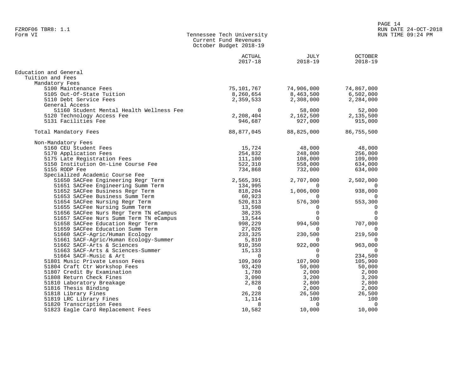| Form VI | Tennessee Tech University |
|---------|---------------------------|
|         | Current Fund Revenues     |
|         | October Budget 2018-19    |
|         |                           |

|                                          | <b>ACTUAL</b><br>$2017 - 18$ | JULY<br>$2018 - 19$ | <b>OCTOBER</b><br>2018-19 |
|------------------------------------------|------------------------------|---------------------|---------------------------|
| Education and General                    |                              |                     |                           |
| Tuition and Fees                         |                              |                     |                           |
| Mandatory Fees                           |                              |                     |                           |
| 5100 Maintenance Fees                    | 75,101,767                   | 74,906,000          | 74,867,000                |
| 5105 Out-Of-State Tuition                | 8,260,654                    | 8,463,500           | 6,502,000                 |
| 5110 Debt Service Fees                   | 2,359,533                    | 2,308,000           | 2,284,000                 |
| General Access                           |                              |                     |                           |
| 51160 Student Mental Health Wellness Fee | $\Omega$                     | 58,000              | 52,000                    |
| 5120 Technology Access Fee               | 2,208,404                    | 2,162,500           | 2,135,500                 |
| 5131 Facilities Fee                      | 946,687                      | 927,000             | 915,000                   |
| Total Mandatory Fees                     | 88,877,045                   | 88,825,000          | 86,755,500                |
|                                          |                              |                     |                           |
| Non-Mandatory Fees                       |                              |                     |                           |
| 5160 CEU Student Fees                    | 15,724                       | 48,000              | 48,000                    |
| 5170 Application Fees                    | 254,832                      | 248,000             | 256,000                   |
| 5175 Late Registration Fees              | 111,100                      | 108,000             | 109,000                   |
| 5150 Institution On-Line Course Fee      | 522,310                      | 558,000             | 634,000                   |
| 5155 RODP Fee                            | 734,868                      | 732,000             | 634,000                   |
| Specialized Academic Course Fee          |                              |                     |                           |
| 51650 SACFee Engineering Regr Term       | 2,565,391                    | 2,707,000           | 2,502,000                 |
| 51651 SACFee Engineering Summ Term       | 134,995                      | $\Omega$            |                           |
| 51652 SACFee Business Regr Term          | 818,204                      | 1,006,000           | 938,000                   |
| 51653 SACFee Business Summ Term          | 60,923                       | $\Omega$            |                           |
| 51654 SACFee Nursing Regr Term           | 520,813                      | 576,300             | 553,300                   |
| 51655 SACFee Nursing Summ Term           | 13,598                       | $\Omega$            | $\Omega$                  |
| 51656 SACFee Nurs Regr Term TN eCampus   | 38,235                       | $\Omega$            | $\mathbf 0$               |
| 51657 SACFee Nurs Summ Term TN eCampus   | 13,544                       | $\Omega$            | $\Omega$                  |
| 51658 SACFee Education Regr Term         | 998,229                      | 994,500             | 707,000                   |
| 51659 SACFee Education Summ Term         | 27,026                       | $\Omega$            |                           |
| 51660 SACF-Agric/Human Ecology           | 233,325                      | 230,500             | 219,500                   |
| 51661 SACF-Agric/Human Ecology-Summer    | 5,810                        | $\Omega$            | $\Omega$                  |
| 51662 SACF-Arts & Sciences               | 910,350                      | 922,000             | 963,000                   |
| 51663 SACF-Arts & Sciences-Summer        | 15,133                       | $\overline{0}$      | $\Omega$                  |
| 51664 SACF-Music & Art                   | $\Omega$                     | $\Omega$            | 234,500                   |
| 51801 Music Private Lesson Fees          | 109,369                      | 107,900             | 105,900                   |
| 51804 Craft Ctr Workshop Fees            | 93,420                       | 50,000              | 50,000                    |
| 51807 Credit By Examination              | 1,780                        | 2,000               | 2,000                     |
| 51808 Return Check Fines                 | 3,090                        | 3,200               | 3,200                     |
| 51810 Laboratory Breakage                | 2,828                        | 2,800               | 2,800                     |
| 51816 Thesis Binding                     | $\Omega$                     | 2,000               | 2,000                     |
| 51818 Library Fines                      | 26,228                       | 26,500              | 26,500                    |
| 51819 LRC Library Fines                  | 1,114                        | 100                 | 100                       |
| 51820 Transcription Fees                 | 8                            | 0                   | $\overline{0}$            |
| 51823 Eagle Card Replacement Fees        | 10,582                       | 10,000              | 10,000                    |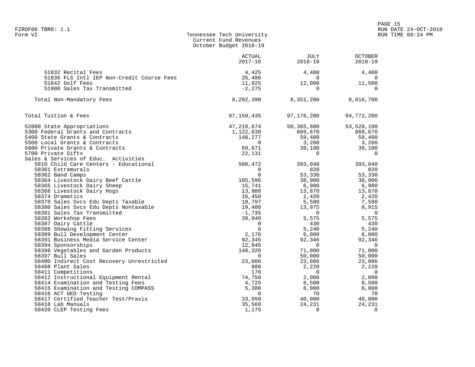| Form VI                                            | Tennessee Tech University<br>Current Fund Revenues<br>October Budget 2018-19 |                     | R                         |
|----------------------------------------------------|------------------------------------------------------------------------------|---------------------|---------------------------|
|                                                    | ACTUAL<br>$2017 - 18$                                                        | JULY<br>$2018 - 19$ | <b>OCTOBER</b><br>2018-19 |
| 51832 Recital Fees                                 | 4,425                                                                        | 4,400               | 4,400                     |
| 51836 FLS Intl IEP Non-Credit Course Fees          | 25,486                                                                       | $\sim$ 0            | $\overline{0}$            |
| 51842 Golf Fees                                    | 11,925                                                                       | 12,000              | 11,500                    |
| 51900 Sales Tax Transmitted                        | $-2,275$                                                                     | $\overline{0}$      | $\overline{0}$            |
| Total Non-Mandatory Fees                           | 8,282,390                                                                    | 8,351,200           | 8,016,700                 |
| Total Tuition & Fees                               | 97,159,435                                                                   | 97,176,200          | 94,772,200                |
| 52000 State Appropriations                         | 47,219,674                                                                   | 50,365,800          | 53,528,100                |
| 5300 Federal Grants and Contracts                  | 1,122,030                                                                    | 869,670             | 869,670                   |
| 5400 State Grants & Contracts                      | 148,277                                                                      | 59,400              | 59,400                    |
| 5500 Local Grants & Contracts                      | $\overline{0}$                                                               | 3,200               | 3,200                     |
| 5600 Private Grants & Contracts                    | 69,671                                                                       | 39,100              | 39,100                    |
| 5700 Private Gifts                                 | 22,131                                                                       | $\overline{0}$      | $\overline{0}$            |
| Sales & Services of Educ. Activities               |                                                                              |                     |                           |
| 5810 Child Care Centers - Educational              | 508,472                                                                      | 393,040             | 393,040                   |
| 58361 Extramurals                                  | $\Omega$                                                                     | 820                 | 820                       |
| 58362 Band Camps                                   | $\overline{0}$                                                               | 53,330<br>38,900    | 53,330                    |
| 58364 Livestock Dairy Beef Cattle                  | 105,596                                                                      |                     | 38,900                    |
| 58365 Livestock Dairy Sheep                        | 15,741                                                                       | 6,900               | 6,900                     |
| 58366 Livestock Dairy Hogs                         | 13,908                                                                       | 13,870              | 13,870                    |
| 58374 Dramatics                                    | 16,450                                                                       | 2,420               | 2,420                     |
| 58379 Sales Svcs Edu Depts Taxable                 | 18,797                                                                       | 5,580               | 7,580                     |
| 58380 Sales Svcs Edu Depts Nontaxable              | 19,408                                                                       | 13,975<br>$\sim$ 0  | 8,915<br>$\overline{0}$   |
| 58381 Sales Tax Transmitted<br>58382 Workshop Fees | $-1,735$<br>39,949                                                           | 5,575               | 5,575                     |
| 58387 Dairy Cattle                                 | $\overline{0}$                                                               | 430                 | 430                       |
| 58388 Showing Fitting Services                     | $\overline{0}$                                                               | 5,240               | 5,240                     |
| 58389 Bull Development Center                      | 2,176                                                                        | 6,000               | 6,000                     |
| 58391 Business Media Service Center                | 92,345                                                                       | 92,346              | 92,346                    |
| 58394 Sponsorships                                 | 12,945                                                                       | $\overline{0}$      | $\overline{\phantom{0}}$  |
| 58396 Vegetables and Garden Products               | 148,320                                                                      | 71,000              | 71,000                    |
| 58397 Bull Sales                                   | $\overline{0}$                                                               | 50,000              | 50,000                    |
| 58400 Indirect Cost Recovery Unrestricted          | 23,086                                                                       | 23,086              | 23,086                    |
| 58408 Plant Sales                                  | 980                                                                          | 2,220               | 2,220                     |
| 58411 Competitions                                 | 176                                                                          | $\overline{0}$      | $\overline{0}$            |
| 58412 Instructional Equipment Rental               | 74,750                                                                       | 2,000               | 2,000                     |
| 58414 Examination and Testing Fees                 | 4,725                                                                        | 8,500               | 8,500                     |
| 58415 Examination and Testing COMPASS              | 5,300                                                                        | 6,000               | 6,000                     |
| 58416 ACT GED Testing                              | - 0                                                                          | 70                  | - 70                      |
| 58417 Certified Teacher Test/Praxis                | 33,950                                                                       | 40,000              | 40,000                    |
| 58418 Lab Manuals                                  | 35,568                                                                       | 24,231              | 24,231                    |

58420 CLEP Testing Fees 1,175 0 0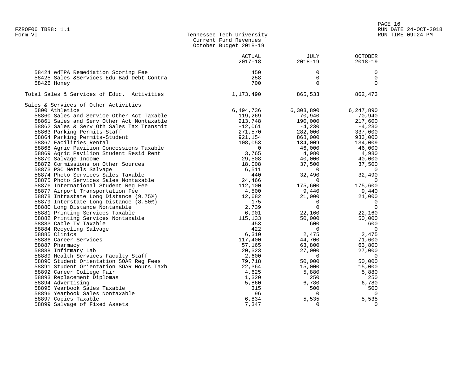| Form VI | Tennessee Tech University |
|---------|---------------------------|
|         | Current Fund Revenues     |
|         | October Budget 2018-19    |

|                                            | <b>ACTUAL</b><br>$2017 - 18$ | <b>JULY</b><br>$2018 - 19$ | <b>OCTOBER</b><br>$2018 - 19$ |
|--------------------------------------------|------------------------------|----------------------------|-------------------------------|
|                                            |                              |                            |                               |
| 58424 edTPA Remediation Scoring Fee        | 450                          | 0                          | 0                             |
| 58425 Sales & Services Edu Bad Debt Contra | 258                          | 0                          | $\mathbf 0$                   |
| 58426 Honey                                | 700                          | $\Omega$                   | $\Omega$                      |
| Total Sales & Services of Educ. Activities | 1,173,490                    | 865,533                    | 862,473                       |
| Sales & Services of Other Activities       |                              |                            |                               |
| 5800 Athletics                             | 6,494,736                    | 6,303,890                  | 6,247,890                     |
| 58860 Sales and Service Other Act Taxable  | 119,269                      | 70,940                     | 70,940                        |
| 58861 Sales and Serv Other Act Nontaxable  | 213,748                      | 190,000                    | 217,600                       |
| 58862 Sales & Serv Oth Sales Tax Transmit  | $-12,061$                    | $-4,230$                   | $-4,230$                      |
| 58863 Parking Permits-Staff                | 271,570                      | 282,000                    | 337,000                       |
| 58864 Parking Permits-Student              | 921,154                      | 868,000                    | 933,000                       |
| 58867 Facilities Rental                    | 108,053                      | 134,009                    | 134,009                       |
| 58868 Agric Pavilion Concessions Taxable   | $\overline{0}$               | 46,000                     | 46,000                        |
| 58869 Agric Pavilion Student Resid Rent    | 3,765                        | 4,980                      | 4,980                         |
| 58870 Salvage Income                       | 29,508                       | 40,000                     | 40,000                        |
| 58872 Commissions on Other Sources         | 18,008                       | 37,500                     | 37,500                        |
| 58873 PSC Metals Salvage                   | 6,511                        | $\overline{0}$             | $\Omega$                      |
| 58874 Photo Services Sales Taxable         | 440                          | 32,490                     | 32,490                        |
| 58875 Photo Services Sales Nontaxable      | 24,466                       | $\overline{0}$             | $\Omega$                      |
| 58876 International Student Req Fee        | 112,100                      | 175,600                    | 175,600                       |
| 58877 Airport Transportation Fee           | 4,500                        | 9,440                      | 9,440                         |
| 58878 Intrastate Long Distance (9.75%)     | 12,682                       | 21,000                     | 21,000                        |
| 58879 Interstate Long Distance (8.50%)     | 175                          | $\Omega$                   | 0                             |
| 58880 Long Distance Nontaxable             | 2,739                        | $\Omega$                   | $\Omega$                      |
| 58881 Printing Services Taxable            | 6,901                        | 22,160                     | 22,160                        |
| 58882 Printing Services Nontaxable         | 115,133                      | 50,000                     | 50,000                        |
| 58883 Cable TV Taxable                     | 453                          | 600                        | 600                           |
| 58884 Recycling Salvage                    | 422                          | $\overline{0}$             | $\mathbf 0$                   |
| 58885 Clinics                              | 6,310                        | 2,475                      | 2,475                         |
| 58886 Career Services                      | 117,400                      | 44,700                     | 71,600                        |
| 58887 Pharmacy                             | 57,165                       | 63,800                     | 63,800                        |
| 58888 Infirmary Lab                        | 20,323                       | 27,000                     | 27,000                        |
| 58889 Health Services Faculty Staff        | 2,600                        | $\bigcirc$                 | $\Omega$                      |
| 58890 Student Orientation SOAR Reg Fees    | 79,718                       | 50,000                     | 50,000                        |
| 58891 Student Orientation SOAR Hours Taxb  | 22,364                       | 15,000                     | 15,000                        |
| 58892 Career College Fair                  | 4,625                        | 5,880                      | 5,880                         |
| 58893 Replacement Diplomas                 | 1,320                        | 250                        | 250                           |
| 58894 Advertising                          | 5,860                        | 6,780                      | 6,780                         |
| 58895 Yearbook Sales Taxable               | 315                          | 500                        | 500                           |
| 58896 Yearbook Sales Nontaxable            | 96                           | $\Omega$                   | $\Omega$                      |
| 58897 Copies Taxable                       | 6,834                        | 5,535                      | 5,535                         |
| 58899 Salvage of Fixed Assets              | 7,347                        | $\Omega$                   | $\Omega$                      |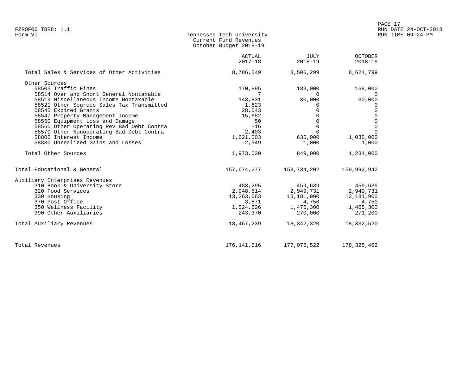| Form VI | Tennessee Tech University |
|---------|---------------------------|
|         | Current Fund Revenues     |
|         | October Budget 2018-19    |

|                                            | ACTUAL<br>$2017 - 18$ | JULY<br>2018-19                        | <b>OCTOBER</b><br>$2018 - 19$ |
|--------------------------------------------|-----------------------|----------------------------------------|-------------------------------|
| Total Sales & Services of Other Activities | 8,786,549             | 8,506,299                              | 8,624,799                     |
| Other Sources                              |                       |                                        |                               |
| 58505 Traffic Fines                        | 170,895               | 183,000                                | 168,000                       |
| 58514 Over and Short General Nontaxable    |                       | $\Omega$                               | - 0                           |
| 58519 Miscellaneous Income Nontaxable      | 143,831               | 30,000                                 | 30,000                        |
| 58521 Other Sources Sales Tax Transmitted  | $-1,623$              | 0                                      | 0                             |
| 58545 Expired Grants                       | 28,043                | 0                                      | 0                             |
| 58547 Property Management Income           | 15,682                | 0                                      | $\Omega$                      |
| 58550 Equipment Loss and Damage            | 50                    | $\Omega$                               | $\Omega$                      |
| 58560 Other Operating Rev Bad Debt Contra  | $-16$                 | $\Omega$                               | $\Omega$                      |
| 58570 Other Nonoperating Bad Debt Contra   | $-2,403$              | $\Omega$                               | $\Omega$                      |
| 58805 Interest Income                      | 1,621,503             | 635,000                                | 1,035,000                     |
| 58830 Unrealized Gains and Losses          | -2,949                | 1,000                                  | 1,000                         |
| Total Other Sources                        | 1,973,020             | 849,000                                | 1,234,000                     |
| Total Educational & General                |                       | 157,674,277 158,734,202                | 159,992,942                   |
| Auxiliary Enterprises Revenues             |                       |                                        |                               |
| 310 Book & University Store                | 483,295               | 459,639                                | 459,639                       |
| 320 Food Services                          |                       | 2,948,514 2,949,731 2,949,731          |                               |
| 330 Housing                                |                       | 13, 263, 663 13, 181, 900 13, 181, 900 |                               |
| 370 Post Office                            | 3,871                 | 4,750                                  | 4,750                         |
| 350 Wellness Facility                      |                       | 1,524,526 1,476,300 1,465,300          |                               |
| 390 Other Auxiliaries                      | 243,370               | 270,000                                | 271,200                       |
| Total Auxiliary Revenues                   | 18,467,239            | 18,342,320                             | 18,332,520                    |
| Total Revenues                             | 176,141,516           | 177,076,522                            | 178,325,462                   |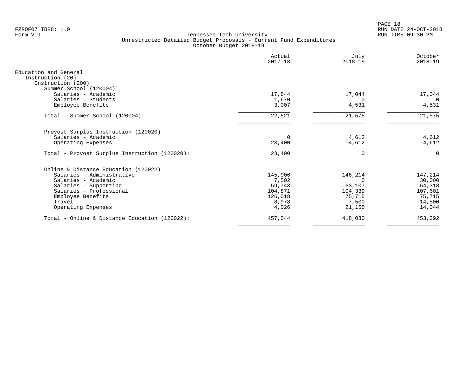PAGE 18 FZROF07 TBR8: 1.0 RUN DATE 24-OCT-2018

|                                                                                          | Actual<br>$2017 - 18$ | July<br>$2018 - 19$ | October<br>$2018 - 19$ |
|------------------------------------------------------------------------------------------|-----------------------|---------------------|------------------------|
| Education and General<br>Instruction (20)<br>Instruction (200)<br>Summer School (120004) |                       |                     |                        |
| Salaries - Academic                                                                      | 17,844                | 17,044              | 17,044                 |
| Salaries - Students                                                                      | 1,670                 | $\Omega$            | $\Omega$               |
| Employee Benefits                                                                        | 3,007                 | 4,531               | 4,531                  |
| Total - Summer School (120004):                                                          | 22,521                | 21,575              | 21,575                 |
| Provost Surplus Instruction (120020)                                                     |                       |                     |                        |
| Salaries - Academic                                                                      | $\Omega$              | 4,612               | 4,612                  |
| Operating Expenses                                                                       | 23,400                | $-4,612$            | $-4,612$               |
| Total - Provost Surplus Instruction (120020):                                            | 23,400                |                     | 0                      |
| Online & Distance Education (120022)                                                     |                       |                     |                        |
| Salaries - Administrative                                                                | 145,906               | 146,214             | 147,214                |
| Salaries - Academic                                                                      | 7,502                 |                     | 30,000                 |
| Salaries - Supporting                                                                    | 59,743                | 63,107              | 64,318                 |
| Salaries - Professional                                                                  | 104,871               | 104,339             | 107,601                |
| Employee Benefits                                                                        | 126,018               | 75,715              | 75,715                 |
| Travel                                                                                   | 8,978                 | 7,500               | 14,500                 |
| Operating Expenses                                                                       | 4,026                 | 21,155              | 14,044                 |
| Total - Online & Distance Education (120022):                                            | 457,044               | 418,030             | 453,392                |
|                                                                                          |                       |                     |                        |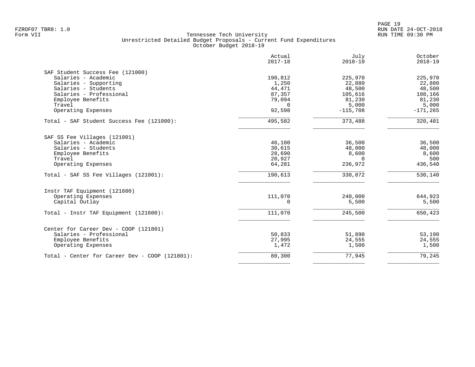| 190,812<br>1,250<br>44,471<br>87,357<br>79,094<br>$\mathbf 0$<br>92,598<br>495,582<br>46,100<br>30,615 | 225,970<br>22,880<br>48,500<br>105,616<br>81,230<br>5,000<br>$-115,708$<br>373,488<br>36,500 | 225,970<br>22,880<br>48,500<br>108,166<br>81,230<br>5,000<br>$-171, 265$<br>320,481<br>36,500 |
|--------------------------------------------------------------------------------------------------------|----------------------------------------------------------------------------------------------|-----------------------------------------------------------------------------------------------|
|                                                                                                        |                                                                                              |                                                                                               |
|                                                                                                        |                                                                                              |                                                                                               |
|                                                                                                        |                                                                                              |                                                                                               |
|                                                                                                        |                                                                                              |                                                                                               |
|                                                                                                        |                                                                                              |                                                                                               |
|                                                                                                        |                                                                                              |                                                                                               |
|                                                                                                        |                                                                                              |                                                                                               |
|                                                                                                        |                                                                                              |                                                                                               |
|                                                                                                        |                                                                                              |                                                                                               |
|                                                                                                        |                                                                                              |                                                                                               |
|                                                                                                        |                                                                                              |                                                                                               |
|                                                                                                        |                                                                                              | 48,000                                                                                        |
| 28,690                                                                                                 | 8,600                                                                                        | 8,600                                                                                         |
| 20,927                                                                                                 | $\Omega$                                                                                     | 500                                                                                           |
| 64,281                                                                                                 | 236,972                                                                                      | 436,540                                                                                       |
| 190,613                                                                                                | 330,072                                                                                      | 530,140                                                                                       |
|                                                                                                        |                                                                                              |                                                                                               |
| 111,070                                                                                                | 240,000                                                                                      | 644,923                                                                                       |
| $\Omega$                                                                                               | 5,500                                                                                        | 5,500                                                                                         |
| 111,070                                                                                                | 245,500                                                                                      | 650,423                                                                                       |
|                                                                                                        |                                                                                              |                                                                                               |
|                                                                                                        |                                                                                              | 53,190                                                                                        |
|                                                                                                        |                                                                                              | 24,555                                                                                        |
| 1,472                                                                                                  | 1,500                                                                                        | 1,500                                                                                         |
| 80,300                                                                                                 | 77,945                                                                                       | 79,245                                                                                        |
|                                                                                                        | 50,833<br>27,995                                                                             | 48,000<br>51,890<br>24,555                                                                    |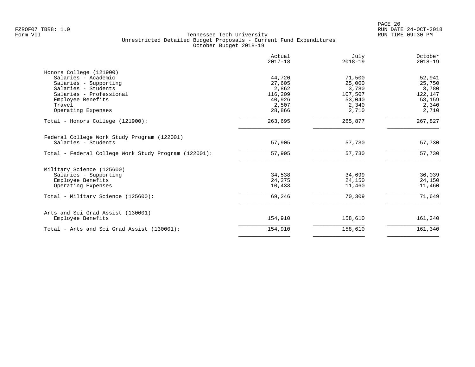|                                                      | Actual<br>$2017 - 18$ | July<br>$2018 - 19$ | October<br>$2018 - 19$ |
|------------------------------------------------------|-----------------------|---------------------|------------------------|
| Honors College (121900)                              |                       |                     |                        |
| Salaries - Academic                                  | 44,720                | 71,500              | 52,941                 |
| Salaries - Supporting                                | 27,605                | 25,000              | 25,750                 |
| Salaries - Students                                  | 2,862                 | 3,780               | 3,780                  |
| Salaries - Professional                              | 116,209               | 107,507             | 122,147                |
| Employee Benefits                                    | 40,926                | 53,040              | 58,159                 |
| Travel                                               | 2,507                 | 2,340               | 2,340                  |
| Operating Expenses                                   | 28,866                | 2,710               | 2,710                  |
| Total - Honors College (121900):                     | 263,695               | 265,877             | 267,827                |
| Federal College Work Study Program (122001)          |                       |                     |                        |
| Salaries - Students                                  | 57,905                | 57,730              | 57,730                 |
| Total - Federal College Work Study Program (122001): | 57,905                | 57,730              | 57,730                 |
| Military Science (125600)                            |                       |                     |                        |
| Salaries - Supporting                                | 34,538                | 34,699              | 36,039                 |
| Employee Benefits                                    | 24,275                | 24,150              | 24,150                 |
| Operating Expenses                                   | 10,433                | 11,460              | 11,460                 |
| Total - Military Science (125600):                   | 69,246                | 70,309              | 71,649                 |
| Arts and Sci Grad Assist (130001)                    |                       |                     |                        |
| Employee Benefits                                    | 154,910               | 158,610             | 161,340                |
| Total - Arts and Sci Grad Assist (130001):           | 154,910               | 158,610             | 161,340                |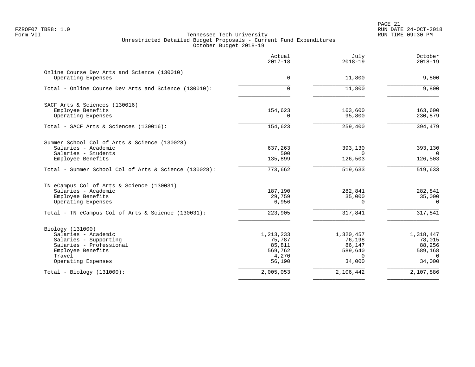|                                                                   | Actual<br>$2017 - 18$ | July<br>$2018 - 19$ | October<br>$2018 - 19$ |
|-------------------------------------------------------------------|-----------------------|---------------------|------------------------|
| Online Course Dev Arts and Science (130010)<br>Operating Expenses | $\Omega$              | 11,800              | 9,800                  |
| Total - Online Course Dev Arts and Science (130010):              | 0                     | 11,800              | 9,800                  |
| SACF Arts & Sciences (130016)                                     |                       |                     |                        |
| Employee Benefits<br>Operating Expenses                           | 154,623<br>$\Omega$   | 163,600<br>95,800   | 163,600<br>230,879     |
| Total - SACF Arts & Sciences (130016):                            | 154,623               | 259,400             | 394,479                |
| Summer School Col of Arts & Science (130028)                      |                       |                     |                        |
| Salaries - Academic                                               | 637,263               | 393,130             | 393,130                |
| Salaries - Students<br>Employee Benefits                          | 500<br>135,899        | $\Omega$<br>126,503 | $\Omega$<br>126,503    |
| Total - Summer School Col of Arts & Science (130028):             | 773,662               | 519,633             | 519,633                |
| TN eCampus Col of Arts & Science (130031)                         |                       |                     |                        |
| Salaries - Academic                                               | 187,190               | 282,841             | 282,841                |
| Employee Benefits<br>Operating Expenses                           | 29,759<br>6,956       | 35,000<br>$\Omega$  | 35,000<br>$\Omega$     |
| Total - TN eCampus Col of Arts & Science (130031):                | 223,905               | 317,841             | 317,841                |
| Biology (131000)                                                  |                       |                     |                        |
| Salaries - Academic                                               | 1, 213, 233           | 1,320,457           | 1,318,447              |
| Salaries - Supporting<br>Salaries - Professional                  | 75,787                | 76,198              | 78,015                 |
| Employee Benefits                                                 | 85,811<br>569,762     | 86,147<br>589,640   | 88,256<br>589,168      |
| Travel                                                            | 4,270                 | $\Omega$            | $\Omega$               |
| Operating Expenses                                                | 56,190                | 34,000              | 34,000                 |
| $Total - Biology (131000):$                                       | 2,005,053             | 2,106,442           | 2,107,886              |
|                                                                   |                       |                     |                        |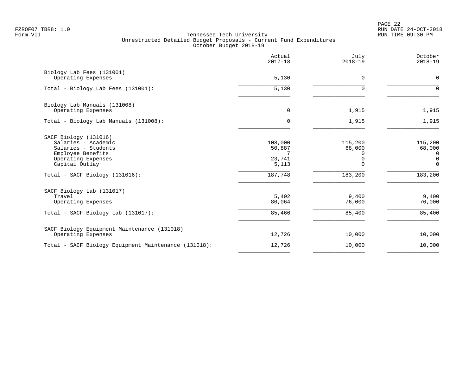PAGE 22 FZROF07 TBR8: 1.0 RUN DATE 24-OCT-2018

|                                                                                                                                                                    |                                                      | $2018 - 19$                                           | $2018 - 19$                                                        |
|--------------------------------------------------------------------------------------------------------------------------------------------------------------------|------------------------------------------------------|-------------------------------------------------------|--------------------------------------------------------------------|
| Biology Lab Fees (131001)<br>Operating Expenses                                                                                                                    | 5,130                                                | 0                                                     | 0                                                                  |
| Total - Biology Lab Fees (131001):                                                                                                                                 | 5,130                                                | 0                                                     | $\mathbf 0$                                                        |
| Biology Lab Manuals (131008)<br>Operating Expenses                                                                                                                 | $\mathbf 0$                                          | 1,915                                                 | 1,915                                                              |
| Total - Biology Lab Manuals (131008):                                                                                                                              | $\mathbf 0$                                          | 1,915                                                 | 1,915                                                              |
| SACF Biology (131016)<br>Salaries - Academic<br>Salaries - Students<br>Employee Benefits<br>Operating Expenses<br>Capital Outlay<br>Total - SACF Biology (131016): | 108,000<br>50,887<br>7<br>23,741<br>5,113<br>187,748 | 115,200<br>68,000<br>0<br>0<br>$\mathbf 0$<br>183,200 | 115,200<br>68,000<br>0<br>$\overline{0}$<br>$\mathbf 0$<br>183,200 |
| SACF Biology Lab (131017)<br>Travel<br>Operating Expenses<br>Total - SACF Biology Lab (131017):                                                                    | 5,402<br>80,064<br>85,466                            | 9,400<br>76,000<br>85,400                             | 9,400<br>76,000<br>85,400                                          |
| SACF Biology Equipment Maintenance (131018)<br>Operating Expenses                                                                                                  | 12,726                                               | 10,000                                                | 10,000                                                             |
| Total - SACF Biology Equipment Maintenance (131018):                                                                                                               | 12,726                                               | 10,000                                                | 10,000                                                             |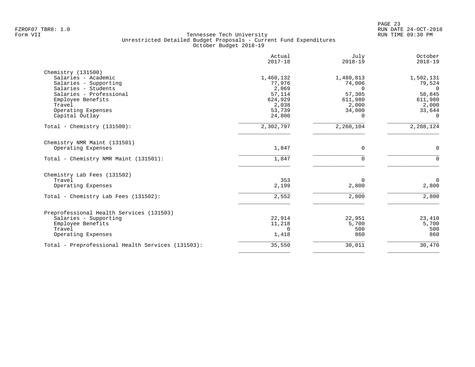|                                                   | Actual<br>$2017 - 18$ | July<br>$2018 - 19$ | October<br>$2018 - 19$ |
|---------------------------------------------------|-----------------------|---------------------|------------------------|
| Chemistry (131500)                                |                       |                     |                        |
| Salaries - Academic                               | 1,460,132             | 1,480,813           | 1,502,131              |
| Salaries - Supporting                             | 77,976                | 74,006              | 79,524                 |
| Salaries - Students                               | 2,069                 | $\Omega$            | $\Omega$               |
| Salaries - Professional                           | 57,114                | 57,305              | 58,845                 |
| Employee Benefits                                 | 624,929               | 611,980             | 611,980                |
| Travel                                            | 2,038                 | 2,000               | 2,000                  |
| Operating Expenses                                | 53,739                | 34,000              | 33,644                 |
| Capital Outlay                                    | 24,800                | $\Omega$            | 0                      |
| Total - Chemistry $(131500)$ :                    | 2,302,797             | 2,260,104           | 2,288,124              |
| Chemistry NMR Maint (131501)                      |                       |                     |                        |
| Operating Expenses                                | 1,847                 | $\mathbf 0$         | $\mathbf 0$            |
| Total - Chemistry NMR Maint (131501):             | 1,847                 | 0                   | $\mathbf{0}$           |
| Chemistry Lab Fees (131502)                       |                       |                     |                        |
| Travel                                            | 353                   | $\Omega$            | $\overline{0}$         |
| Operating Expenses                                | 2,199                 | 2,800               | 2,800                  |
| Total - Chemistry Lab Fees (131502):              | 2,552                 | 2,800               | 2,800                  |
|                                                   |                       |                     |                        |
| Preprofessional Health Services (131503)          |                       |                     |                        |
| Salaries - Supporting                             | 22,914                | 22,951              | 23,410                 |
| Employee Benefits                                 | 11,218                | 5,700               | 5,700                  |
| Travel                                            | $\Omega$              | 500<br>860          | 500<br>860             |
| Operating Expenses                                | 1,418                 |                     |                        |
| Total - Preprofessional Health Services (131503): | 35,550                | 30,011              | 30,470                 |
|                                                   |                       |                     |                        |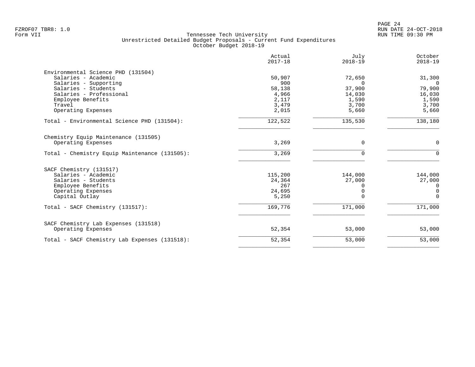| Actual<br>$2017 - 18$ | July<br>$2018 - 19$                         | October<br>$2018 - 19$     |
|-----------------------|---------------------------------------------|----------------------------|
|                       |                                             |                            |
| 50,907                | 72,650                                      | 31,300                     |
| 900                   | $\Omega$                                    | $\overline{0}$             |
| 58,138                | 37,900                                      | 79,900                     |
| 4,966                 | 14,030                                      | 16,030                     |
| 2,117                 | 1,590                                       | 1,590                      |
|                       |                                             | 3,700                      |
| 2,015                 | 5,660                                       | 5,660                      |
| 122,522               | 135,530                                     | 138,180                    |
|                       |                                             |                            |
| 3,269                 | 0                                           | 0                          |
| 3,269                 | $\Omega$                                    | $\Omega$                   |
|                       |                                             |                            |
|                       |                                             | 144,000                    |
|                       |                                             | 27,000                     |
|                       |                                             | $\mathbf 0$                |
|                       |                                             | $\mathbf 0$                |
| 5,250                 | $\cap$                                      | $\Omega$                   |
| 169,776               | 171,000                                     | 171,000                    |
|                       |                                             |                            |
| 52,354                | 53,000                                      | 53,000                     |
| 52,354                | 53,000                                      | 53,000                     |
|                       | 3,479<br>115,200<br>24,364<br>267<br>24,695 | 3,700<br>144,000<br>27,000 |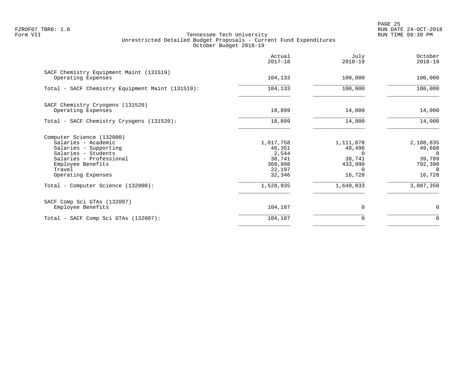PAGE 25 FZROF07 TBR8: 1.0 RUN DATE 24-OCT-2018

|                                                                                                                                                                                                                        | Actual<br>$2017 - 18$                                                              | July<br>$2018 - 19$                                                                     | October<br>$2018 - 19$                                                                  |
|------------------------------------------------------------------------------------------------------------------------------------------------------------------------------------------------------------------------|------------------------------------------------------------------------------------|-----------------------------------------------------------------------------------------|-----------------------------------------------------------------------------------------|
| SACF Chemistry Equipment Maint (131519)<br>Operating Expenses                                                                                                                                                          | 104,133                                                                            | 100,000                                                                                 | 100,000                                                                                 |
| Total - SACF Chemistry Equipment Maint (131519):                                                                                                                                                                       | 104,133                                                                            | 100,000                                                                                 | 100,000                                                                                 |
| SACF Chemistry Cryogens (131520)<br>Operating Expenses                                                                                                                                                                 | 18,899                                                                             | 14,000                                                                                  | 14,000                                                                                  |
| Total - SACF Chemistry Cryogens (131520):                                                                                                                                                                              | 18,899                                                                             | 14,000                                                                                  | 14,000                                                                                  |
| Computer Science (132000)<br>Salaries - Academic<br>Salaries - Supporting<br>Salaries - Students<br>Salaries - Professional<br>Employee Benefits<br>Travel<br>Operating Expenses<br>Total - Computer Science (132000): | 1,017,758<br>46,351<br>2,544<br>38,741<br>368,998<br>22,197<br>32,346<br>1,528,935 | 1,111,878<br>48,496<br>$\Omega$<br>38,741<br>433,990<br>$\Omega$<br>16,728<br>1,649,833 | 2,188,835<br>49,688<br>$\Omega$<br>39,709<br>792,390<br>$\Omega$<br>16,728<br>3,087,350 |
| SACF Comp Sci GTAs (132007)<br>Employee Benefits                                                                                                                                                                       | 104,187                                                                            | $\Omega$                                                                                | 0                                                                                       |
| Total - SACF Comp Sci GTAs (132007):                                                                                                                                                                                   | 104,187                                                                            | 0                                                                                       | $\Omega$                                                                                |
|                                                                                                                                                                                                                        |                                                                                    |                                                                                         |                                                                                         |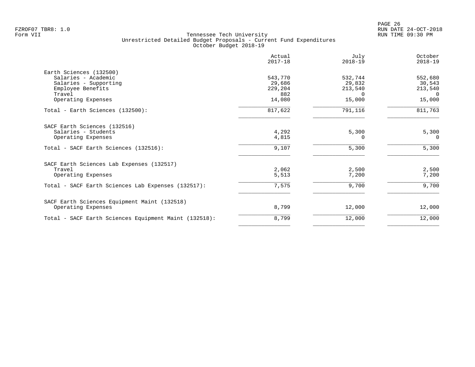|                                                       | Actual<br>$2017 - 18$ | July<br>$2018 - 19$ | October<br>$2018 - 19$ |
|-------------------------------------------------------|-----------------------|---------------------|------------------------|
| Earth Sciences (132500)                               |                       |                     |                        |
| Salaries - Academic                                   | 543,770               | 532,744             | 552,680                |
| Salaries - Supporting                                 | 29,686                | 29,832              | 30,543                 |
| Employee Benefits                                     | 229,204               | 213,540             | 213,540                |
| Travel                                                | 882                   | $\Omega$            | $\Omega$               |
| Operating Expenses                                    | 14,080                | 15,000              | 15,000                 |
| Total - Earth Sciences (132500):                      | 817,622               | 791,116             | 811,763                |
| SACF Earth Sciences (132516)                          |                       |                     |                        |
| Salaries - Students                                   | 4,292                 | 5,300               | 5,300                  |
| Operating Expenses                                    | 4,815                 | $\Omega$            | $\Omega$               |
| Total - SACF Earth Sciences (132516):                 | 9,107                 | 5,300               | 5,300                  |
| SACF Earth Sciences Lab Expenses (132517)             |                       |                     |                        |
| Travel                                                | 2,062                 | 2,500               | 2,500                  |
| Operating Expenses                                    | 5,513                 | 7,200               | 7,200                  |
| Total - SACF Earth Sciences Lab Expenses (132517):    | 7,575                 | 9,700               | 9,700                  |
| SACF Earth Sciences Equipment Maint (132518)          |                       |                     |                        |
| Operating Expenses                                    | 8,799                 | 12,000              | 12,000                 |
| Total - SACF Earth Sciences Equipment Maint (132518): | 8,799                 | 12,000              | 12,000                 |
|                                                       |                       |                     |                        |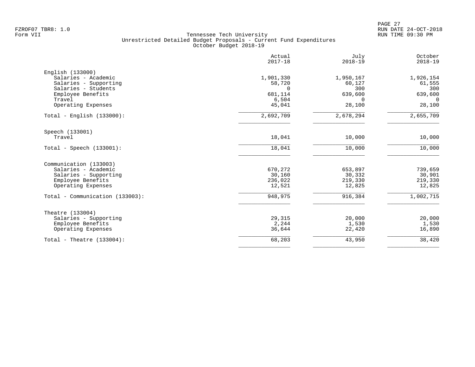|                                                                                                                                              | Actual<br>$2017 - 18$                                         | July<br>$2018 - 19$                                         | October<br>$2018 - 19$                                      |
|----------------------------------------------------------------------------------------------------------------------------------------------|---------------------------------------------------------------|-------------------------------------------------------------|-------------------------------------------------------------|
| English (133000)<br>Salaries - Academic<br>Salaries - Supporting<br>Salaries - Students<br>Employee Benefits<br>Travel<br>Operating Expenses | 1,901,330<br>58,720<br>$\Omega$<br>681,114<br>6,504<br>45,041 | 1,950,167<br>60,127<br>300<br>639,600<br>$\Omega$<br>28,100 | 1,926,154<br>61,555<br>300<br>639,600<br>$\Omega$<br>28,100 |
| $Total - English (133000):$                                                                                                                  | 2,692,709                                                     | 2,678,294                                                   | 2,655,709                                                   |
| Speech (133001)<br>Travel                                                                                                                    | 18,041                                                        | 10,000                                                      | 10,000                                                      |
| $Total - Speech (133001):$                                                                                                                   | 18,041                                                        | 10,000                                                      | 10,000                                                      |
| Communication (133003)<br>Salaries - Academic<br>Salaries - Supporting<br>Employee Benefits<br>Operating Expenses                            | 670,272<br>30,160<br>236,022<br>12,521                        | 653,897<br>30,332<br>219,330<br>12,825                      | 739,659<br>30,901<br>219,330<br>12,825                      |
| Total - Communication (133003):                                                                                                              | 948,975                                                       | 916,384                                                     | 1,002,715                                                   |
| Theatre (133004)<br>Salaries - Supporting<br>Employee Benefits<br>Operating Expenses                                                         | 29,315<br>2,244<br>36,644                                     | 20,000<br>1,530<br>22,420                                   | 20,000<br>1,530<br>16,890                                   |
| Total - Theatre $(133004)$ :                                                                                                                 | 68,203                                                        | 43,950                                                      | 38,420                                                      |
|                                                                                                                                              |                                                               |                                                             |                                                             |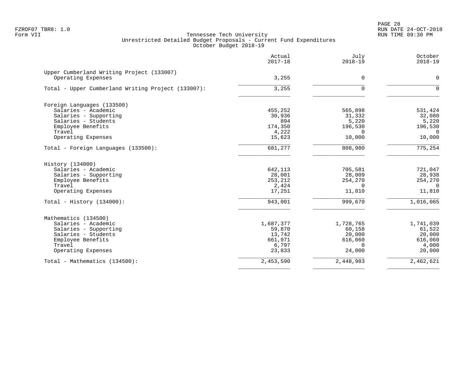PAGE 28 FZROF07 TBR8: 1.0 RUN DATE 24-OCT-2018

|                                                                 | Actual<br>$2017 - 18$ | July<br>$2018 - 19$ | October<br>$2018 - 19$ |
|-----------------------------------------------------------------|-----------------------|---------------------|------------------------|
| Upper Cumberland Writing Project (133007)<br>Operating Expenses | 3,255                 | $\mathbf 0$         | $\mathbf 0$            |
|                                                                 |                       |                     |                        |
| Total - Upper Cumberland Writing Project (133007):              | 3,255                 | $\Omega$            | $\Omega$               |
| Foreign Languages (133500)                                      |                       |                     |                        |
| Salaries - Academic                                             | 455,252               | 565,898             | 531,424                |
| Salaries - Supporting                                           | 30,936                | 31,332              | 32,080                 |
| Salaries - Students                                             | 894                   | 5,220               | 5,220                  |
| Employee Benefits                                               | 174,350               | 196,530             | 196,530                |
| Travel                                                          | 4,222                 |                     | $\Omega$               |
| Operating Expenses                                              | 15,623                | 10,000              | 10,000                 |
| Total - Foreign Languages (133500):                             | 681,277               | 808,980             | 775, 254               |
| History (134000)                                                |                       |                     |                        |
| Salaries - Academic                                             | 642,113               | 705,581             | 721,047                |
| Salaries - Supporting                                           | 28,001                | 28,009              | 28,938                 |
| Employee Benefits                                               | 253,212               | 254,270             | 254,270                |
| Travel                                                          | 2,424                 | $\Omega$            | $\Omega$               |
| Operating Expenses                                              | 17,251                | 11,810              | 11,810                 |
| Total - History $(134000)$ :                                    | 943,001               | 999,670             | 1,016,065              |
| Mathematics (134500)                                            |                       |                     |                        |
| Salaries - Academic                                             | 1,687,377             | 1,728,765           | 1,741,039              |
| Salaries - Supporting                                           | 59,870                | 60,158              | 61,522                 |
| Salaries - Students                                             | 13,742                | 20,000              | 20,000                 |
| Employee Benefits                                               | 661,971               | 616,060             | 616,060                |
| Travel                                                          | 6,797                 | $\Omega$            | 4,000                  |
| Operating Expenses                                              | 23,833                | 24,000              | 20,000                 |
| Total - Mathematics (134500):                                   | 2,453,590             | 2,448,983           | 2,462,621              |
|                                                                 |                       |                     |                        |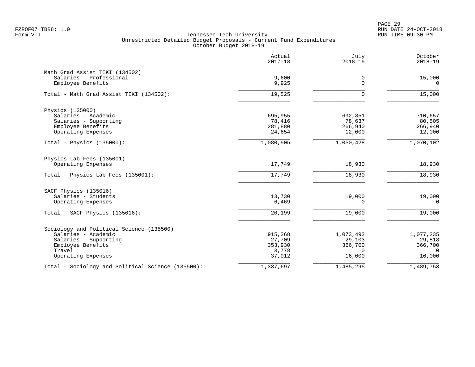PAGE 29 FZROF07 TBR8: 1.0 RUN DATE 24-OCT-2018

|                                                   | Actual<br>$2017 - 18$ | July<br>$2018 - 19$ | October<br>$2018 - 19$ |
|---------------------------------------------------|-----------------------|---------------------|------------------------|
| Math Grad Assist TIKI (134502)                    |                       |                     |                        |
| Salaries - Professional                           | 9,600                 | 0                   | 15,000                 |
| Employee Benefits                                 | 9,925                 | $\mathbf 0$         | $\mathbf 0$            |
| Total - Math Grad Assist TIKI (134502):           | 19,525                | 0                   | 15,000                 |
| Physics (135000)                                  |                       |                     |                        |
| Salaries - Academic                               | 695,955               | 692,851             | 710,657                |
| Salaries - Supporting<br>Employee Benefits        | 78,416                | 78,637              | 80,505                 |
| Operating Expenses                                | 281,880<br>24,654     | 266,940<br>12,000   | 266,940<br>12,000      |
| Total - Physics (135000):                         | 1,080,905             | 1,050,428           | 1,070,102              |
| Physics Lab Fees (135001)                         |                       |                     |                        |
| Operating Expenses                                | 17,749                | 18,930              | 18,930                 |
| Total - Physics Lab Fees (135001):                | 17,749                | 18,930              | 18,930                 |
| SACF Physics (135016)                             |                       |                     |                        |
| Salaries - Students                               | 13,730                | 19,000              | 19,000                 |
| Operating Expenses                                | 6,469                 | $\Omega$            | $\Omega$               |
| Total - SACF Physics (135016):                    | 20,199                | 19,000              | 19,000                 |
| Sociology and Political Science (135500)          |                       |                     |                        |
| Salaries - Academic                               | 915,268               | 1,073,492           | 1,077,235              |
| Salaries - Supporting                             | 27,709                | 29,103              | 29,818                 |
| Employee Benefits<br>Travel                       | 353,930<br>3,778      | 366,700<br>$\Omega$ | 366,700<br>$\Omega$    |
| Operating Expenses                                | 37,012                | 16,000              | 16,000                 |
| Total - Sociology and Political Science (135500): | 1,337,697             | 1,485,295           | 1,489,753              |
|                                                   |                       |                     |                        |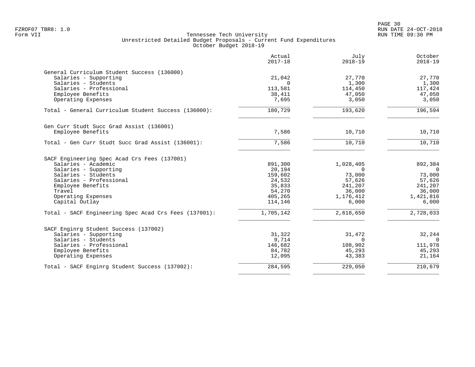|                                                       | Actual<br>$2017 - 18$ | July<br>$2018 - 19$ | October<br>$2018 - 19$ |
|-------------------------------------------------------|-----------------------|---------------------|------------------------|
| General Curriculum Student Success (136000)           |                       |                     |                        |
| Salaries - Supporting                                 | 21,042                | 27,770              | 27,770                 |
| Salaries - Students                                   | $\Omega$              | 1,300               | 1,300                  |
| Salaries - Professional                               | 113,581               | 114,450             | 117,424                |
| Employee Benefits                                     | 38,411                | 47,050              | 47,050                 |
| Operating Expenses                                    | 7,695                 | 3,050               | 3,050                  |
| Total - General Curriculum Student Success (136000):  | 180,729               | 193,620             | 196,594                |
| Gen Curr Studt Succ Grad Assist (136001)              |                       |                     |                        |
| Employee Benefits                                     | 7,586                 | 10,710              | 10,710                 |
| Total - Gen Curr Studt Succ Grad Assist (136001):     | 7,586                 | 10,710              | 10,710                 |
| SACF Engineering Spec Acad Crs Fees (137001)          |                       |                     |                        |
| Salaries - Academic                                   | 891,300               | 1,028,405           | 892,384                |
| Salaries - Supporting                                 | 20,194                | $\Omega$            | $\Omega$               |
| Salaries - Students                                   | 159,602               | 73,000              | 73,000                 |
| Salaries - Professional                               | 24,532                | 57,626              | 57,626                 |
| Employee Benefits                                     | 35,833                | 241,207             | 241,207                |
| Travel                                                | 54,270                | 36,000              | 36,000                 |
| Operating Expenses                                    | 405,265               | 1,176,412           | 1,421,816              |
| Capital Outlay                                        | 114,146               | 6,000               | 6,000                  |
| Total - SACF Engineering Spec Acad Crs Fees (137001): | 1,705,142             | 2,618,650           | 2,728,033              |
| SACF Enginrg Student Success (137002)                 |                       |                     |                        |
| Salaries - Supporting                                 | 31,322                | 31,472              | 32,244                 |
| Salaries - Students                                   | 9,714                 | $\Omega$            | $\Omega$               |
| Salaries - Professional                               | 146,682               | 108,902             | 111,978                |
| Employee Benefits                                     | 84,782                | 45,293              | 45,293                 |
| Operating Expenses                                    | 12,095                | 43,383              | 21,164                 |
| Total - SACF Enginrg Student Success (137002):        | 284,595               | 229,050             | 210,679                |
|                                                       |                       |                     |                        |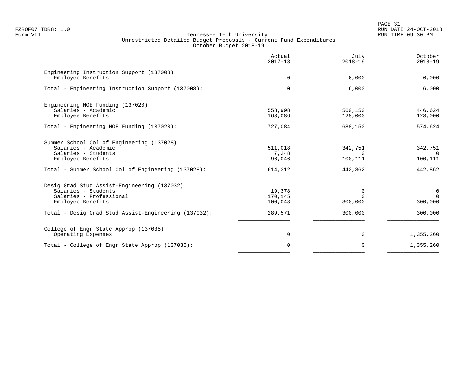PAGE 31 FZROF07 TBR8: 1.0 RUN DATE 24-OCT-2018

|                                                                                                                    | Actual<br>$2017 - 18$        | July<br>$2018 - 19$            | October<br>$2018 - 19$             |
|--------------------------------------------------------------------------------------------------------------------|------------------------------|--------------------------------|------------------------------------|
| Engineering Instruction Support (137008)<br>Employee Benefits                                                      | 0                            | 6,000                          | 6,000                              |
| Total - Engineering Instruction Support (137008):                                                                  | 0                            | 6,000                          | 6,000                              |
| Engineering MOE Funding (137020)<br>Salaries - Academic<br>Employee Benefits                                       | 558,998<br>168,086           | 560,150<br>128,000             | 446,624<br>128,000                 |
| Total - Engineering MOE Funding (137020):                                                                          | 727,084                      | 688,150                        | 574,624                            |
| Summer School Col of Engineering (137028)<br>Salaries - Academic<br>Salaries - Students<br>Employee Benefits       | 511,018<br>7,248<br>96,046   | 342,751<br>$\Omega$<br>100,111 | 342,751<br>$\Omega$<br>100,111     |
| Total - Summer School Col of Engineering (137028):                                                                 | 614,312                      | 442,862                        | 442,862                            |
| Desig Grad Stud Assist-Engineering (137032)<br>Salaries - Students<br>Salaries - Professional<br>Employee Benefits | 19,378<br>170,145<br>100,048 | 0<br>$\Omega$<br>300,000       | $\mathbf 0$<br>$\Omega$<br>300,000 |
| Total - Desig Grad Stud Assist-Engineering (137032):                                                               | 289,571                      | 300,000                        | 300,000                            |
| College of Engr State Approp (137035)<br>Operating Expenses                                                        | 0                            | $\mathbf 0$                    | 1,355,260                          |
| Total - College of Engr State Approp (137035):                                                                     | $\mathbf 0$                  | $\mathbf 0$                    | 1,355,260                          |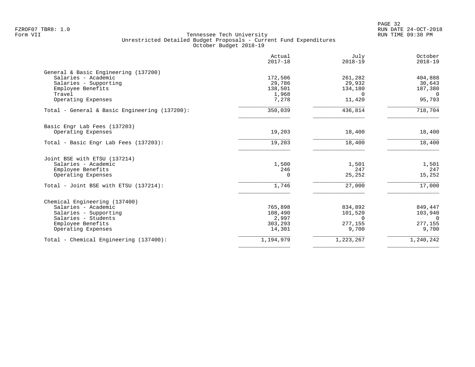|                                               | Actual<br>$2017 - 18$ | July<br>$2018 - 19$ | October<br>$2018 - 19$ |
|-----------------------------------------------|-----------------------|---------------------|------------------------|
| General & Basic Engineering (137200)          |                       |                     |                        |
| Salaries - Academic                           | 172,506               | 261,282             | 404,888                |
| Salaries - Supporting                         | 29,786                | 29,932              | 30,643                 |
| Employee Benefits                             | 138,501               | 134,180             | 187,380                |
| Travel                                        | 1,968                 | $\Omega$            | $\overline{0}$         |
| Operating Expenses                            | 7,278                 | 11,420              | 95,793                 |
| Total - General & Basic Engineering (137200): | 350,039               | 436,814             | 718,704                |
| Basic Engr Lab Fees (137203)                  |                       |                     |                        |
| Operating Expenses                            | 19,203                | 18,400              | 18,400                 |
| Total - Basic Engr Lab Fees (137203):         | 19,203                | 18,400              | 18,400                 |
| Joint BSE with ETSU (137214)                  |                       |                     |                        |
| Salaries - Academic                           | 1,500                 | 1,501               | 1,501                  |
| Employee Benefits                             | 246                   | 247                 | 247                    |
| Operating Expenses                            | $\Omega$              | 25,252              | 15,252                 |
| Total - Joint BSE with ETSU (137214):         | 1,746                 | 27,000              | 17,000                 |
| Chemical Engineering (137400)                 |                       |                     |                        |
| Salaries - Academic                           | 765,898               | 834,892             | 849,447                |
| Salaries - Supporting                         | 108,490               | 101,520             | 103,940                |
| Salaries - Students                           | 2,997                 | $\Omega$            | $\Omega$               |
| Employee Benefits                             | 303,293               | 277,155             | 277,155                |
| Operating Expenses                            | 14,301                | 9,700               | 9,700                  |
| Total - Chemical Engineering (137400):        | 1,194,979             | 1,223,267           | 1,240,242              |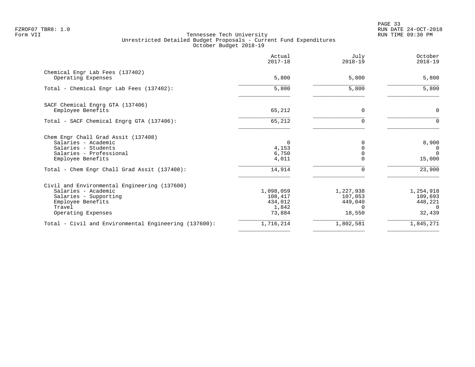PAGE 33 FZROF07 TBR8: 1.0 RUN DATE 24-OCT-2018

|                                                                                                                                                   | Actual<br>$2017 - 18$                              | July<br>$2018 - 19$                                   | October<br>$2018 - 19$                                |
|---------------------------------------------------------------------------------------------------------------------------------------------------|----------------------------------------------------|-------------------------------------------------------|-------------------------------------------------------|
| Chemical Engr Lab Fees (137402)<br>Operating Expenses                                                                                             | 5,800                                              | 5,800                                                 | 5,800                                                 |
| Total - Chemical Engr Lab Fees (137402):                                                                                                          | 5,800                                              | 5,800                                                 | 5,800                                                 |
| SACF Chemical Engrg GTA (137406)<br>Employee Benefits                                                                                             | 65,212                                             | $\Omega$                                              | $\mathbf 0$                                           |
| Total - SACF Chemical Engrg GTA (137406):                                                                                                         | 65,212                                             | $\Omega$                                              | $\Omega$                                              |
| Chem Engr Chall Grad Assit (137408)<br>Salaries - Academic<br>Salaries - Students<br>Salaries - Professional<br>Employee Benefits                 | $\Omega$<br>4,153<br>6,750<br>4,011                |                                                       | 8,900<br>$\Omega$<br>$\Omega$<br>15,000               |
| Total - Chem Engr Chall Grad Assit (137408):                                                                                                      | 14,914                                             |                                                       | 23,900                                                |
| Civil and Environmental Engineering (137600)<br>Salaries - Academic<br>Salaries - Supporting<br>Employee Benefits<br>Travel<br>Operating Expenses | 1,098,059<br>108,417<br>434,012<br>1,842<br>73,884 | 1,227,938<br>107,053<br>449,040<br>$\Omega$<br>18,550 | 1,254,918<br>109,693<br>448,221<br>$\Omega$<br>32,439 |
| Total - Civil and Environmental Engineering (137600):                                                                                             | 1,716,214                                          | 1,802,581                                             | 1,845,271                                             |
|                                                                                                                                                   |                                                    |                                                       |                                                       |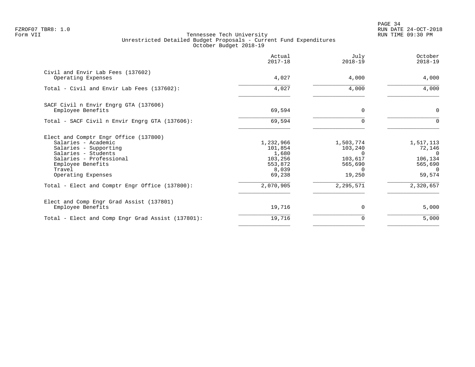PAGE 34 FZROF07 TBR8: 1.0 RUN DATE 24-OCT-2018

|                                                                                                                                                                                              | Actual<br>$2017 - 18$                                                  | July<br>$2018 - 19$                                                   | October<br>$2018 - 19$                                                    |
|----------------------------------------------------------------------------------------------------------------------------------------------------------------------------------------------|------------------------------------------------------------------------|-----------------------------------------------------------------------|---------------------------------------------------------------------------|
| Civil and Envir Lab Fees (137602)<br>Operating Expenses                                                                                                                                      | 4,027                                                                  | 4,000                                                                 | 4,000                                                                     |
| Total - Civil and Envir Lab Fees (137602):                                                                                                                                                   | 4,027                                                                  | 4,000                                                                 | 4,000                                                                     |
| SACF Civil n Envir Engrg GTA (137606)<br>Employee Benefits                                                                                                                                   | 69,594                                                                 | $\Omega$                                                              | $\mathbf 0$                                                               |
| Total - SACF Civil n Envir Engrg GTA (137606):                                                                                                                                               | 69,594                                                                 |                                                                       | $\Omega$                                                                  |
| Elect and Comptr Engr Office (137800)<br>Salaries - Academic<br>Salaries - Supporting<br>Salaries - Students<br>Salaries - Professional<br>Employee Benefits<br>Travel<br>Operating Expenses | 1,232,966<br>101,854<br>1,680<br>103,256<br>553,872<br>8,039<br>69,238 | 1,503,774<br>103,240<br>$\Omega$<br>103,617<br>565,690<br>0<br>19,250 | 1,517,113<br>72,146<br>$\cap$<br>106,134<br>565,690<br>$\Omega$<br>59,574 |
| Total - Elect and Comptr Engr Office (137800):                                                                                                                                               | 2,070,905                                                              | 2, 295, 571                                                           | 2,320,657                                                                 |
| Elect and Comp Engr Grad Assist (137801)<br>Employee Benefits                                                                                                                                | 19,716                                                                 | $\Omega$                                                              | 5,000                                                                     |
| Total - Elect and Comp Engr Grad Assist (137801):                                                                                                                                            | 19,716                                                                 | 0                                                                     | 5,000                                                                     |
|                                                                                                                                                                                              |                                                                        |                                                                       |                                                                           |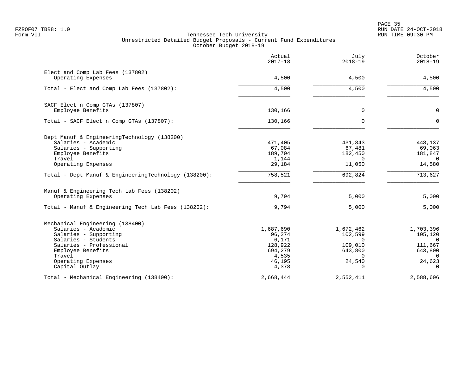en and the state of the state of the state of the state of the state of the state of the state of the state of the state of the state of the state of the state of the state of the state of the state of the state of the sta FZROF07 TBR8: 1.0 RUN DATE 24-OCT-2018

|                                                      | Actual<br>$2017 - 18$ | July<br>$2018 - 19$    | October<br>$2018 - 19$ |
|------------------------------------------------------|-----------------------|------------------------|------------------------|
| Elect and Comp Lab Fees (137802)                     |                       |                        |                        |
| Operating Expenses                                   | 4,500                 | 4,500                  | 4,500                  |
| Total - Elect and Comp Lab Fees (137802):            | 4,500                 | 4,500                  | 4,500                  |
| SACF Elect n Comp GTAs (137807)                      |                       |                        |                        |
| Employee Benefits                                    | 130,166               | $\mathbf 0$            | $\mathbf 0$            |
| Total - SACF Elect n Comp GTAs (137807):             | 130, 166              | $\Omega$               | $\Omega$               |
| Dept Manuf & EngineeringTechnology (138200)          |                       |                        |                        |
| Salaries - Academic                                  | 471,405               | 431,843                | 448,137                |
| Salaries - Supporting<br>Employee Benefits           | 67,084<br>189,704     | 67,481<br>182,450      | 69,063<br>181,847      |
| Travel                                               | 1,144                 | $\Omega$               | $\Omega$               |
| Operating Expenses                                   | 29,184                | 11,050                 | 14,580                 |
| Total - Dept Manuf & EngineeringTechnology (138200): | 758,521               | 692,824                | 713,627                |
| Manuf & Engineering Tech Lab Fees (138202)           |                       |                        |                        |
| Operating Expenses                                   | 9,794                 | 5,000                  | 5,000                  |
| Total - Manuf & Engineering Tech Lab Fees (138202):  | 9,794                 | 5,000                  | 5,000                  |
| Mechanical Engineering (138400)                      |                       |                        |                        |
| Salaries - Academic                                  | 1,687,690             | 1,672,462              | 1,703,396              |
| Salaries - Supporting<br>Salaries - Students         | 96,274<br>6,171       | 102,599<br>$\Omega$    | 105,120<br>$\Omega$    |
| Salaries - Professional                              | 128,922               | 109,010                | 111,667                |
| Employee Benefits                                    | 694,279               | 643,800                | 643,800                |
| Travel                                               | 4,535                 |                        | $\Omega$               |
| Operating Expenses<br>Capital Outlay                 | 46,195<br>4,378       | 24,540<br><sup>n</sup> | 24,623<br>$\Omega$     |
| Total - Mechanical Engineering (138400):             | 2,668,444             | 2,552,411              | 2,588,606              |
|                                                      |                       |                        |                        |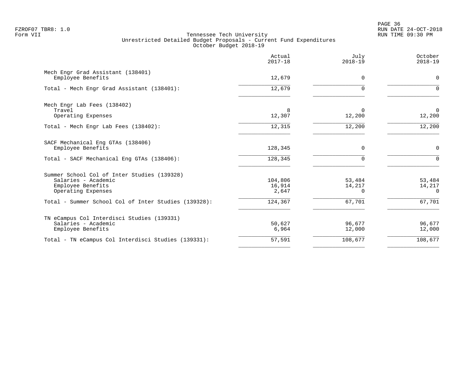en and the state of the state of the state of the state of the state of the state of the state of the state of the state of the state of the state of the state of the state of the state of the state of the state of the sta FZROF07 TBR8: 1.0 RUN DATE 24-OCT-2018

|                                                                                                               | Actual<br>$2017 - 18$      | July<br>$2018 - 19$          | October<br>$2018 - 19$       |
|---------------------------------------------------------------------------------------------------------------|----------------------------|------------------------------|------------------------------|
| Mech Engr Grad Assistant (138401)<br>Employee Benefits                                                        | 12,679                     | $\mathbf 0$                  | $\mathbf 0$                  |
| Total - Mech Engr Grad Assistant (138401):                                                                    | 12,679                     | $\Omega$                     | $\Omega$                     |
| Mech Engr Lab Fees (138402)<br>Travel<br>Operating Expenses                                                   | 8<br>12,307                | 0<br>12,200                  | $\mathbf 0$<br>12,200        |
| Total - Mech Engr Lab Fees (138402):                                                                          | 12,315                     | 12,200                       | 12,200                       |
| SACF Mechanical Eng GTAs (138406)<br>Employee Benefits                                                        | 128,345                    | 0                            | $\mathbf 0$                  |
| Total - SACF Mechanical Eng GTAs (138406):                                                                    | 128,345                    | $\Omega$                     | $\Omega$                     |
| Summer School Col of Inter Studies (139328)<br>Salaries - Academic<br>Employee Benefits<br>Operating Expenses | 104,806<br>16,914<br>2,647 | 53,484<br>14,217<br>$\Omega$ | 53,484<br>14,217<br>$\Omega$ |
| Total - Summer School Col of Inter Studies (139328):                                                          | 124,367                    | 67,701                       | 67,701                       |
| TN eCampus Col Interdisci Studies (139331)<br>Salaries - Academic<br>Employee Benefits                        | 50,627<br>6,964            | 96,677<br>12,000             | 96,677<br>12,000             |
| Total - TN eCampus Col Interdisci Studies (139331):                                                           | 57,591                     | 108,677                      | 108,677                      |
|                                                                                                               |                            |                              |                              |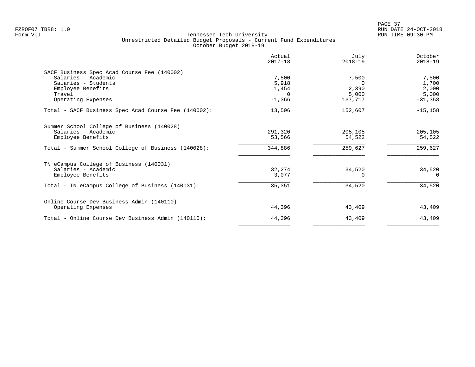|                                                      | Actual<br>$2017 - 18$ | July<br>$2018 - 19$ | October<br>$2018 - 19$ |
|------------------------------------------------------|-----------------------|---------------------|------------------------|
| SACF Business Spec Acad Course Fee (140002)          |                       |                     |                        |
| Salaries - Academic                                  | 7,500                 | 7,500               | 7,500                  |
| Salaries - Students                                  | 5,918                 | $\Omega$            | 1,700                  |
| Employee Benefits                                    | 1,454                 | 2,390               | 2,000                  |
| Travel                                               | $\Omega$              | 5,000               | 5,000                  |
| Operating Expenses                                   | $-1,366$              | 137,717             | $-31,358$              |
| Total - SACF Business Spec Acad Course Fee (140002): | 13,506                | 152,607             | $-15, 158$             |
| Summer School College of Business (140028)           |                       |                     |                        |
| Salaries - Academic                                  | 291,320               | 205,105             | 205,105                |
| Employee Benefits                                    | 53,566                | 54,522              | 54,522                 |
| Total - Summer School College of Business (140028):  | 344,886               | 259,627             | 259,627                |
| TN eCampus College of Business (140031)              |                       |                     |                        |
| Salaries - Academic                                  | 32,274                | 34,520              | 34,520                 |
| Employee Benefits                                    | 3,077                 |                     | $\Omega$               |
| Total - TN eCampus College of Business (140031):     | 35,351                | 34,520              | 34,520                 |
| Online Course Dev Business Admin (140110)            |                       |                     |                        |
| Operating Expenses                                   | 44,396                | 43,409              | 43,409                 |
| Total - Online Course Dev Business Admin (140110):   | 44,396                | 43,409              | 43,409                 |
|                                                      |                       |                     |                        |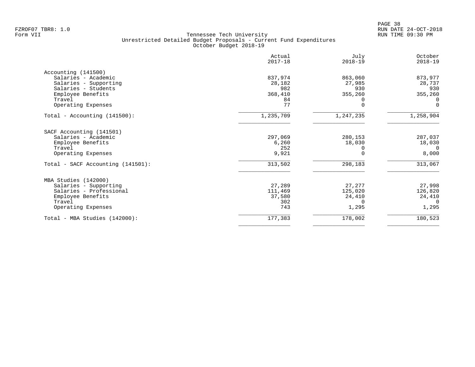|                                                 | Actual<br>$2017 - 18$ | July<br>$2018 - 19$ | October<br>$2018 - 19$ |
|-------------------------------------------------|-----------------------|---------------------|------------------------|
| Accounting (141500)                             |                       |                     |                        |
| Salaries - Academic                             | 837,974               | 863,060             | 873,977                |
| Salaries - Supporting                           | 28,182                | 27,985              | 28,737                 |
| Salaries - Students                             | 982                   | 930                 | 930                    |
| Employee Benefits                               | 368,410               | 355,260             | 355,260                |
| Travel                                          | 84                    |                     | 0                      |
| Operating Expenses                              | 77                    | U                   | $\Omega$               |
| Total - Accounting $(141500)$ :                 | 1,235,709             | 1,247,235           | 1,258,904              |
|                                                 |                       |                     |                        |
| SACF Accounting (141501)<br>Salaries - Academic |                       |                     |                        |
|                                                 | 297,069<br>6,260      | 280,153<br>18,030   | 287,037                |
| Employee Benefits<br>Travel                     | 252                   |                     | 18,030<br>$\cap$       |
| Operating Expenses                              | 9,921                 |                     | 8,000                  |
|                                                 |                       |                     |                        |
| Total - SACF Accounting $(141501)$ :            | 313,502               | 298,183             | 313,067                |
| MBA Studies (142000)                            |                       |                     |                        |
| Salaries - Supporting                           | 27,289                | 27,277              | 27,998                 |
| Salaries - Professional                         | 111,469               | 125,020             | 126,820                |
| Employee Benefits                               | 37,580                | 24,410              | 24,410                 |
| Travel                                          | 302                   | $\Omega$            | $\Omega$               |
| Operating Expenses                              | 743                   | 1,295               | 1,295                  |
| Total - MBA Studies (142000):                   | 177,383               | 178,002             | 180,523                |
|                                                 |                       |                     |                        |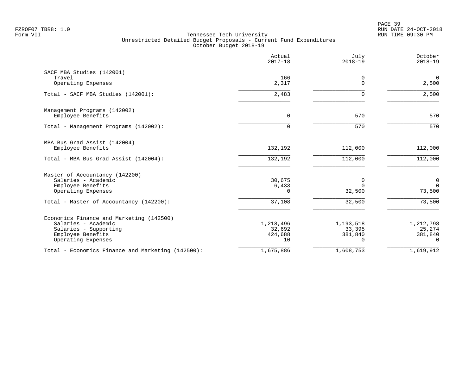|                                                   | Actual<br>$2017 - 18$ | July<br>$2018 - 19$ | October<br>$2018 - 19$  |
|---------------------------------------------------|-----------------------|---------------------|-------------------------|
| SACF MBA Studies (142001)                         |                       |                     |                         |
| Travel<br>Operating Expenses                      | 166<br>2,317          | 0<br>$\Omega$       | $\overline{0}$<br>2,500 |
| Total - SACF MBA Studies (142001):                | 2,483                 | $\Omega$            | 2,500                   |
| Management Programs (142002)                      |                       |                     |                         |
| Employee Benefits                                 | 0                     | 570                 | 570                     |
| Total - Management Programs (142002):             | 0                     | 570                 | 570                     |
| MBA Bus Grad Assist (142004)                      |                       |                     |                         |
| Employee Benefits                                 | 132,192               | 112,000             | 112,000                 |
| Total - MBA Bus Grad Assist (142004):             | 132,192               | 112,000             | 112,000                 |
| Master of Accountancy (142200)                    |                       |                     |                         |
| Salaries - Academic                               | 30,675                | 0                   | 0                       |
| Employee Benefits<br>Operating Expenses           | 6,433<br>0            | $\Omega$<br>32,500  | $\mathbf 0$<br>73,500   |
| Total - Master of Accountancy (142200):           | 37,108                | 32,500              | 73,500                  |
| Economics Finance and Marketing (142500)          |                       |                     |                         |
| Salaries - Academic                               | 1,218,496             | 1,193,518           | 1,212,798               |
| Salaries - Supporting<br>Employee Benefits        | 32,692<br>424,688     | 33,395<br>381,840   | 25,274<br>381,840       |
| Operating Expenses                                | 10                    | $\Omega$            | $\Omega$                |
| Total - Economics Finance and Marketing (142500): | 1,675,886             | 1,608,753           | 1,619,912               |
|                                                   |                       |                     |                         |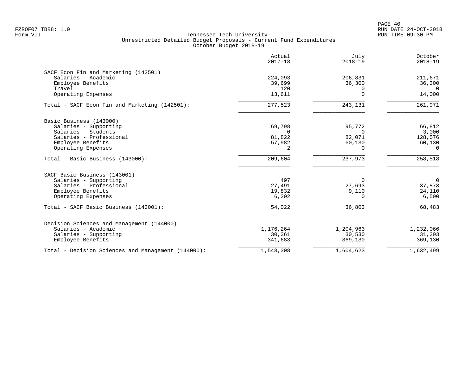|                                                    | Actual<br>$2017 - 18$ | July<br>$2018 - 19$ | October<br>$2018 - 19$ |
|----------------------------------------------------|-----------------------|---------------------|------------------------|
| SACF Econ Fin and Marketing (142501)               |                       |                     |                        |
| Salaries - Academic                                | 224,093               | 206,831             | 211,671                |
| Employee Benefits                                  | 39,699                | 36,300              | 36,300                 |
| Travel                                             | 120                   | $\Omega$            | $\Omega$               |
| Operating Expenses                                 | 13,611                | $\Omega$            | 14,000                 |
| Total - SACF Econ Fin and Marketing (142501):      | 277,523               | 243,131             | 261,971                |
| Basic Business (143000)                            |                       |                     |                        |
| Salaries - Supporting                              | 69,798                | 95,772              | 66,812                 |
| Salaries - Students                                | $\Omega$              | $\Omega$            | 3,000                  |
| Salaries - Professional                            | 81,822                | 82,071              | 128,576                |
| Employee Benefits                                  | 57,982                | 60,130              | 60,130                 |
| Operating Expenses                                 | 2                     | $\Omega$            | $\Omega$               |
| Total - Basic Business (143000):                   | 209,604               | 237,973             | 258,518                |
| SACF Basic Business (143001)                       |                       |                     |                        |
| Salaries - Supporting                              | 497                   | $\overline{0}$      | $\overline{0}$         |
| Salaries - Professional                            | 27,491                | 27,693              | 37,873                 |
| Employee Benefits                                  | 19,832                | 9,110               | 24,110                 |
| Operating Expenses                                 | 6,202                 | $\Omega$            | 6,500                  |
| Total - SACF Basic Business (143001):              | 54,022                | 36,803              | 68,483                 |
| Decision Sciences and Management (144000)          |                       |                     |                        |
| Salaries - Academic                                | 1,176,264             | 1,204,963           | 1,232,066              |
| Salaries - Supporting                              | 30,361                | 30,530              | 31,303                 |
| Employee Benefits                                  | 341,683               | 369,130             | 369,130                |
| Total - Decision Sciences and Management (144000): | 1,548,308             | 1,604,623           | 1,632,499              |
|                                                    |                       |                     |                        |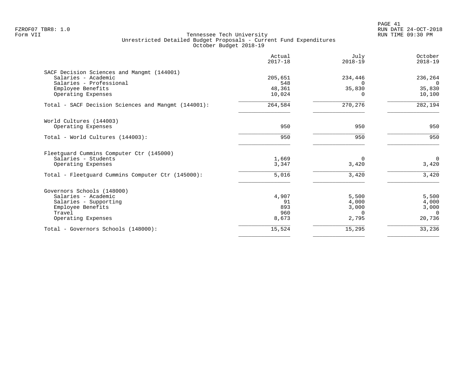| Actual<br>$2017 - 18$ | July<br>$2018 - 19$ | October<br>$2018 - 19$ |
|-----------------------|---------------------|------------------------|
|                       |                     |                        |
| 205,651               | 234,446             | 236,264                |
| 548                   | $\Omega$            | $\Omega$               |
| 48,361                |                     | 35,830                 |
| 10,024                | $\Omega$            | 10,100                 |
| 264,584               | 270,276             | 282,194                |
|                       |                     |                        |
| 950                   | 950                 | 950                    |
| 950                   | 950                 | 950                    |
|                       |                     |                        |
| 1,669                 | 0                   | $\overline{0}$         |
| 3,347                 | 3,420               | 3,420                  |
| 5,016                 | 3,420               | 3,420                  |
|                       |                     |                        |
|                       |                     | 5,500                  |
| 91                    | 4,000               | 4,000                  |
| 893                   | 3,000               | 3,000                  |
| 960                   | $\Omega$            | $\Omega$               |
| 8,673                 | 2,795               | 20,736                 |
| 15,524                | 15,295              | 33,236                 |
|                       | 4,907               | 35,830<br>5,500        |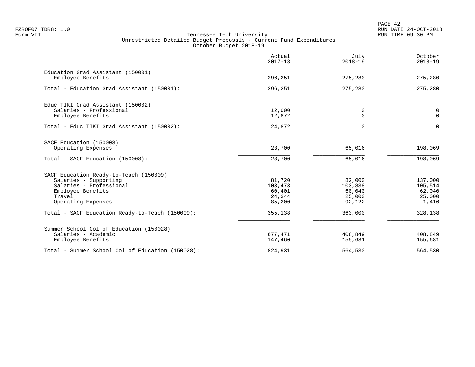|                                                        | Actual<br>$2017 - 18$ | July<br>$2018 - 19$ | October<br>$2018 - 19$ |
|--------------------------------------------------------|-----------------------|---------------------|------------------------|
| Education Grad Assistant (150001)<br>Employee Benefits | 296,251               | 275,280             | 275,280                |
| Total - Education Grad Assistant (150001):             | 296,251               | 275,280             | 275,280                |
|                                                        |                       |                     |                        |
| Educ TIKI Grad Assistant (150002)                      |                       |                     |                        |
| Salaries - Professional                                | 12,000                | 0                   | 0                      |
| Employee Benefits                                      | 12,872                | $\mathbf 0$         | $\Omega$               |
| Total - Educ TIKI Grad Assistant (150002):             | 24,872                | $\Omega$            | $\Omega$               |
| SACF Education (150008)                                |                       |                     |                        |
| Operating Expenses                                     | 23,700                | 65,016              | 198,069                |
| Total - SACF Education (150008):                       | 23,700                | 65,016              | 198,069                |
| SACF Education Ready-to-Teach (150009)                 |                       |                     |                        |
| Salaries - Supporting                                  | 81,720                | 82,000              | 137,000                |
| Salaries - Professional                                | 103,473               | 103,838             | 105,514                |
| Employee Benefits                                      | 60,401                | 60,040              | 62,040                 |
| Travel                                                 | 24,344                | 25,000              | 25,000                 |
| Operating Expenses                                     | 85,200                | 92,122              | $-1,416$               |
| Total - SACF Education Ready-to-Teach (150009):        | 355,138               | 363,000             | 328,138                |
| Summer School Col of Education (150028)                |                       |                     |                        |
| Salaries - Academic                                    | 677,471               | 408,849             | 408,849                |
| Employee Benefits                                      | 147,460               | 155,681             | 155,681                |
| Total - Summer School Col of Education (150028):       | 824,931               | 564,530             | 564,530                |
|                                                        |                       |                     |                        |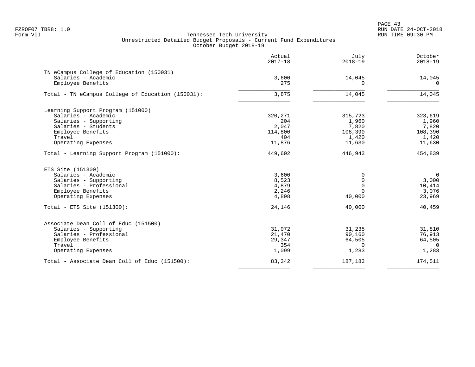PAGE 43 FZROF07 TBR8: 1.0 RUN DATE 24-OCT-2018

|                                                                 | Actual<br>$2017 - 18$ | July<br>$2018 - 19$ | October<br>$2018 - 19$ |
|-----------------------------------------------------------------|-----------------------|---------------------|------------------------|
| TN eCampus College of Education (150031)<br>Salaries - Academic | 3,600                 | 14,045              | 14,045                 |
| Employee Benefits                                               | 275                   | $\Omega$            | $\Omega$               |
| Total - TN eCampus College of Education (150031):               | 3,875                 | 14,045              | 14,045                 |
| Learning Support Program (151000)                               |                       |                     |                        |
| Salaries - Academic                                             | 320,271               | 315,723             | 323,619                |
| Salaries - Supporting                                           | 204                   | 1,960               | 1,960                  |
| Salaries - Students                                             | 2,047                 | 7,820               | 7,820                  |
| Employee Benefits                                               | 114,800               | 108,390             | 108,390                |
| Travel                                                          | 404                   | 1,420               | 1,420                  |
| Operating Expenses                                              | 11,876                | 11,630              | 11,630                 |
| Total - Learning Support Program (151000):                      | 449,602               | 446,943             | 454,839                |
| ETS Site (151300)                                               |                       |                     |                        |
| Salaries - Academic                                             | 3,600                 | $\Omega$            | $\mathbf 0$            |
| Salaries - Supporting                                           | 8,523                 | $\Omega$            | 3,000                  |
| Salaries - Professional                                         | 4,879                 | $\Omega$            | 10,414                 |
| Employee Benefits                                               | 2,246                 | $\Omega$            | 3,076                  |
| Operating Expenses                                              | 4,898                 | 40,000              | 23,969                 |
| Total - ETS Site $(151300)$ :                                   | 24,146                | 40,000              | 40,459                 |
| Associate Dean Coll of Educ (151500)                            |                       |                     |                        |
| Salaries - Supporting                                           | 31,072                | 31,235              | 31,810                 |
| Salaries - Professional                                         | 21,470                | 90,160              | 76,913                 |
| Employee Benefits                                               | 29,347                | 64,505              | 64,505                 |
| Travel                                                          | 354                   | $\Omega$            | $\Omega$               |
| Operating Expenses                                              | 1,099                 | 1,283               | 1,283                  |
| Total - Associate Dean Coll of Educ (151500):                   | 83,342                | 187,183             | 174,511                |
|                                                                 |                       |                     |                        |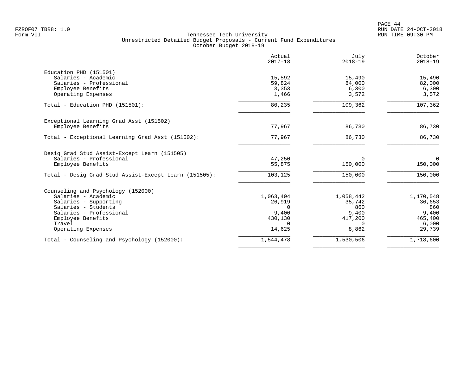PAGE 44 FZROF07 TBR8: 1.0 RUN DATE 24-OCT-2018

|                                                       | Actual<br>$2017 - 18$ | July<br>$2018 - 19$ | October<br>$2018 - 19$ |
|-------------------------------------------------------|-----------------------|---------------------|------------------------|
| Education PHD (151501)                                |                       |                     |                        |
| Salaries - Academic                                   | 15,592                | 15,490              | 15,490                 |
| Salaries - Professional                               | 59,824                | 84,000              | 82,000                 |
| Employee Benefits                                     | 3,353                 | 6,300               | 6,300                  |
| Operating Expenses                                    | 1,466                 | 3,572               | 3,572                  |
| Total - Education PHD (151501):                       | 80,235                | 109,362             | 107,362                |
| Exceptional Learning Grad Asst (151502)               |                       |                     |                        |
| Employee Benefits                                     | 77,967                | 86,730              | 86,730                 |
| Total - Exceptional Learning Grad Asst (151502):      | 77,967                | 86,730              | 86,730                 |
| Desig Grad Stud Assist-Except Learn (151505)          |                       |                     |                        |
| Salaries - Professional                               | 47,250                | $\Omega$            | $\Omega$               |
| Employee Benefits                                     | 55,875                | 150,000             | 150,000                |
| Total - Desig Grad Stud Assist-Except Learn (151505): | 103,125               | 150,000             | 150,000                |
| Counseling and Psychology (152000)                    |                       |                     |                        |
| Salaries - Academic                                   | 1,063,404             | 1,058,442           | 1,170,548              |
| Salaries - Supporting                                 | 26,919                | 35,742              | 36,653                 |
| Salaries - Students                                   | $\Omega$              | 860                 | 860                    |
| Salaries - Professional                               | 9,400                 | 9,400               | 9,400                  |
| Employee Benefits                                     | 430,130               | 417,200             | 465,400                |
| Travel                                                | $\Omega$              | $\Omega$            | 6,000                  |
| Operating Expenses                                    | 14,625                | 8,862               | 29,739                 |
| Total - Counseling and Psychology (152000):           | 1,544,478             | 1,530,506           | 1,718,600              |
|                                                       |                       |                     |                        |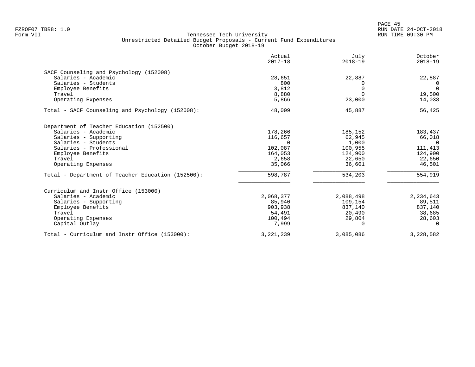| Actual<br>$2017 - 18$ | July<br>$2018 - 19$                   | October<br>$2018 - 19$                   |
|-----------------------|---------------------------------------|------------------------------------------|
|                       |                                       |                                          |
|                       |                                       | 22,887                                   |
| 800                   |                                       | 0                                        |
| 3,812                 |                                       | $\Omega$                                 |
| 8,880                 | $\Omega$                              | 19,500                                   |
| 5,866                 | 23,000                                | 14,038                                   |
| 48,009                | 45,887                                | 56,425                                   |
|                       |                                       |                                          |
|                       |                                       | 183,437                                  |
|                       |                                       | 66,018                                   |
| $\Omega$              | 1,000                                 | $\Omega$                                 |
| 102,087               | 100,955                               | 111,413                                  |
| 164,053               | 124,900                               | 124,900                                  |
| 2,658                 | 22,650                                | 22,650                                   |
| 35,066                | 36,601                                | 46,501                                   |
| 598,787               | 534,203                               | 554,919                                  |
|                       |                                       |                                          |
| 2,068,377             |                                       | 2,234,643                                |
| 85,940                | 109,154                               | 89,511                                   |
| 903,938               | 837,140                               | 837,140                                  |
| 54,491                | 20,490                                | 38,685                                   |
| 100,494               | 29,804                                | 28,603                                   |
|                       | $\Omega$                              | 0                                        |
| 3, 221, 239           | 3,085,086                             | 3,228,582                                |
|                       | 28,651<br>178,266<br>116,657<br>7,999 | 22,887<br>185,152<br>62,945<br>2,088,498 |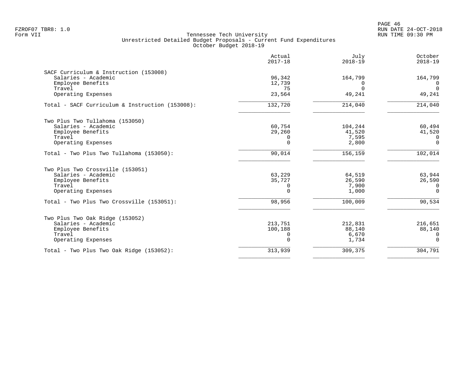PAGE 46 FZROF07 TBR8: 1.0 RUN DATE 24-OCT-2018

|                                                 | Actual<br>$2017 - 18$ | July<br>$2018 - 19$ | October<br>$2018 - 19$ |
|-------------------------------------------------|-----------------------|---------------------|------------------------|
| SACF Curriculum & Instruction (153008)          |                       |                     |                        |
| Salaries - Academic                             | 96,342                | 164,799             | 164,799                |
| Employee Benefits<br>Travel                     | 12,739<br>75          | $\Omega$            | 0<br>$\Omega$          |
| Operating Expenses                              | 23,564                | 49,241              | 49,241                 |
| Total - SACF Curriculum & Instruction (153008): | 132,720               | 214,040             | 214,040                |
| Two Plus Two Tullahoma (153050)                 |                       |                     |                        |
| Salaries - Academic                             | 60,754                | 104,244             | 60,494                 |
| Employee Benefits<br>Travel                     | 29,260<br>$\Omega$    | 41,520              | 41,520<br>$\Omega$     |
| Operating Expenses                              | $\Omega$              | 7,595<br>2,800      | $\mathbf 0$            |
| Total - Two Plus Two Tullahoma (153050):        | 90,014                | 156,159             | 102,014                |
| Two Plus Two Crossville (153051)                |                       |                     |                        |
| Salaries - Academic                             | 63,229                | 64,519              | 63,944                 |
| Employee Benefits                               | 35,727                | 26,590              | 26,590                 |
| Travel                                          | 0                     | 7,900               | 0                      |
| Operating Expenses                              | 0                     | 1,000               | $\Omega$               |
| Total - Two Plus Two Crossville (153051):       | 98,956                | 100,009             | 90,534                 |
| Two Plus Two Oak Ridge (153052)                 |                       |                     |                        |
| Salaries - Academic                             | 213,751               | 212,831             | 216,651                |
| Employee Benefits                               | 100,188               | 88,140              | 88,140                 |
| Travel                                          | 0                     | 6,670               | $\Omega$               |
| Operating Expenses                              | $\Omega$              | 1,734               | $\Omega$               |
| Total - Two Plus Two Oak Ridge (153052):        | 313,939               | 309,375             | 304,791                |
|                                                 |                       |                     |                        |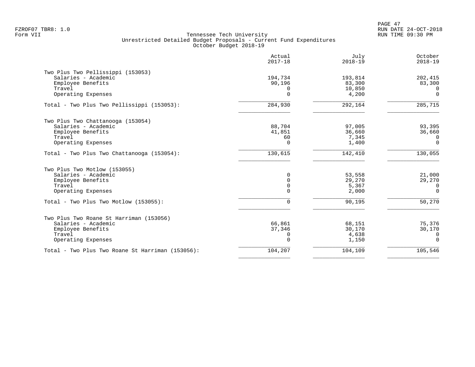| 194,734     |                                                                              |                                                                          |
|-------------|------------------------------------------------------------------------------|--------------------------------------------------------------------------|
| 90,196<br>O | 193,814<br>83,300<br>10,850                                                  | 202,415<br>83,300<br>$\Omega$                                            |
|             |                                                                              | $\Omega$                                                                 |
| 284,930     | 292,164                                                                      | 285,715                                                                  |
|             |                                                                              |                                                                          |
|             |                                                                              | 93,395                                                                   |
|             |                                                                              | 36,660<br>0                                                              |
| $\Omega$    | 1,400                                                                        | $\Omega$                                                                 |
| 130,615     | 142,410                                                                      | 130,055                                                                  |
|             |                                                                              |                                                                          |
| 0           | 53,558                                                                       | 21,000                                                                   |
|             |                                                                              | 29,270<br>0                                                              |
| $\Omega$    | 2,000                                                                        | $\Omega$                                                                 |
| $\Omega$    | 90,195                                                                       | 50,270                                                                   |
|             |                                                                              |                                                                          |
| 66,861      | 68,151                                                                       | 75,376                                                                   |
|             |                                                                              | 30,170                                                                   |
| $\Omega$    | 1,150                                                                        | 0<br>$\Omega$                                                            |
| 104,207     | 104,109                                                                      | 105,546                                                                  |
|             | $\Omega$<br>88,704<br>41,851<br>60<br>$\Omega$<br>$\mathbf 0$<br>37,346<br>0 | 4,200<br>97,005<br>36,660<br>7,345<br>29,270<br>5,367<br>30,170<br>4,638 |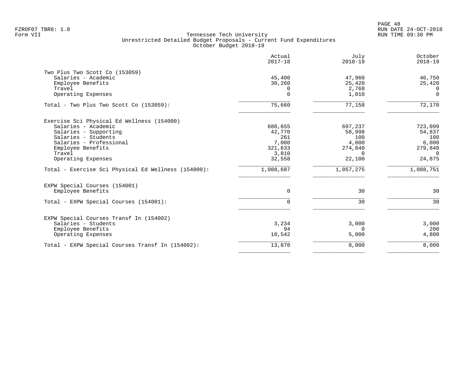|                                                     | Actual<br>$2017 - 18$ | July<br>$2018 - 19$ | October<br>$2018 - 19$ |
|-----------------------------------------------------|-----------------------|---------------------|------------------------|
| Two Plus Two Scott Co (153059)                      |                       |                     |                        |
| Salaries - Academic                                 | 45,400                | 47,960              | 46,750                 |
| Employee Benefits                                   | 30,260                | 25,420              | 25,420                 |
| Travel                                              | 0                     | 2,768               | $\Omega$               |
| Operating Expenses                                  | $\Omega$              | 1,010               | $\mathbf 0$            |
| Total - Two Plus Two Scott Co (153059):             | 75,660                | 77,158              | 72,170                 |
| Exercise Sci Physical Ed Wellness (154000)          |                       |                     |                        |
| Salaries - Academic                                 | 680,655               | 697,237             | 723,099                |
| Salaries - Supporting                               | 42,770                | 58,998              | 54,837                 |
| Salaries - Students                                 | 261                   | 100                 | 100                    |
| Salaries - Professional                             | 7,000                 | 4,000               | 6,000                  |
| Employee Benefits                                   | 321,633               | 274,840             | 279,840                |
| Travel                                              | 3,810                 | $\Omega$            | $\Omega$               |
| Operating Expenses                                  | 32,558                | 22,100              | 24,875                 |
| Total - Exercise Sci Physical Ed Wellness (154000): | 1,088,687             | 1,057,275           | 1,088,751              |
| EXPW Special Courses (154001)                       |                       |                     |                        |
| Employee Benefits                                   | 0                     | 30                  | 30                     |
| Total - EXPW Special Courses (154001):              | $\Omega$              | 30                  | 30                     |
| EXPW Special Courses Transf In (154002)             |                       |                     |                        |
| Salaries - Students                                 | 3,234                 | 3,000               | 3,000                  |
| Employee Benefits                                   | 94                    | $\Omega$            | 200                    |
| Operating Expenses                                  | 10,542                | 5,000               | 4,800                  |
| Total - EXPW Special Courses Transf In (154002):    | 13,870                | 8,000               | 8,000                  |
|                                                     |                       |                     |                        |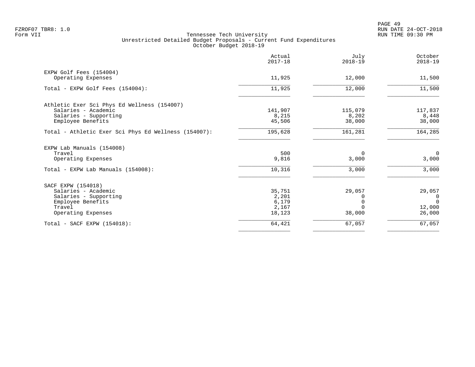|                                                      | Actual<br>$2017 - 18$ | July<br>$2018 - 19$ | October<br>$2018 - 19$ |
|------------------------------------------------------|-----------------------|---------------------|------------------------|
| EXPW Golf Fees (154004)                              |                       |                     |                        |
| Operating Expenses                                   | 11,925                | 12,000              | 11,500                 |
| Total - EXPW Golf Fees (154004):                     | 11,925                | 12,000              | 11,500                 |
| Athletic Exer Sci Phys Ed Wellness (154007)          |                       |                     |                        |
| Salaries - Academic                                  | 141,907               | 115,079             | 117,837                |
| Salaries - Supporting                                | 8,215                 | 8,202               | 8,448                  |
| Employee Benefits                                    | 45,506                | 38,000              | 38,000                 |
| Total - Athletic Exer Sci Phys Ed Wellness (154007): | 195,628               | 161,281             | 164,285                |
| EXPW Lab Manuals (154008)                            |                       |                     |                        |
| Travel                                               | 500                   | 0                   | $\overline{0}$         |
| Operating Expenses                                   | 9,816                 | 3,000               | 3,000                  |
| Total - EXPW Lab Manuals (154008):                   | 10,316                | 3,000               | 3,000                  |
| SACF EXPW (154018)                                   |                       |                     |                        |
| Salaries - Academic                                  | 35,751                | 29,057              | 29,057                 |
| Salaries - Supporting                                | 2,201                 |                     | $\Omega$               |
| Employee Benefits                                    | 6,179                 |                     | $\Omega$               |
| Travel                                               | 2,167                 |                     | 12,000                 |
| Operating Expenses                                   | 18,123                | 38,000              | 26,000                 |
| Total - SACF EXPW (154018):                          | 64,421                | 67,057              | 67,057                 |
|                                                      |                       |                     |                        |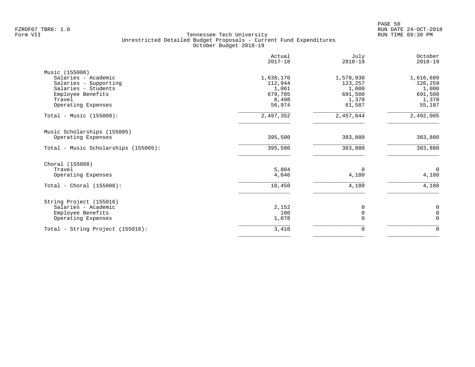|                                                                                                                                            | Actual<br>$2017 - 18$                                       | July<br>$2018 - 19$                                         | October<br>$2018 - 19$                                      |
|--------------------------------------------------------------------------------------------------------------------------------------------|-------------------------------------------------------------|-------------------------------------------------------------|-------------------------------------------------------------|
| Music (155000)<br>Salaries - Academic<br>Salaries - Supporting<br>Salaries - Students<br>Employee Benefits<br>Travel<br>Operating Expenses | 1,638,170<br>112,944<br>1,061<br>679,705<br>8,498<br>56,974 | 1,578,930<br>123,257<br>1,000<br>691,500<br>1,370<br>61,587 | 1,616,689<br>126,259<br>1,000<br>691,500<br>1,370<br>55,187 |
| Total - Music (155000):                                                                                                                    | 2,497,352                                                   | 2,457,644                                                   | 2,492,005                                                   |
| Music Scholarships (155005)<br>Operating Expenses<br>Total - Music Scholarships (155005):                                                  | 395,500<br>395,500                                          | 383,880<br>383,880                                          | 383,880<br>383,880                                          |
| Choral (155008)<br>Travel<br>Operating Expenses<br>Total - Choral $(155008)$ :                                                             | 5,804<br>4,646<br>10,450                                    | $\Omega$<br>4,180<br>4,180                                  | $\overline{0}$<br>4,180<br>4,180                            |
| String Project (155016)<br>Salaries - Academic<br>Employee Benefits<br>Operating Expenses                                                  | 2,152<br>180<br>1,078                                       | 0<br>$\mathsf 0$<br>$\Omega$                                | 0<br>$\mathbf 0$<br>$\mathbf 0$                             |
| Total - String Project (155016):                                                                                                           | 3,410                                                       | 0                                                           | $\mathbf 0$                                                 |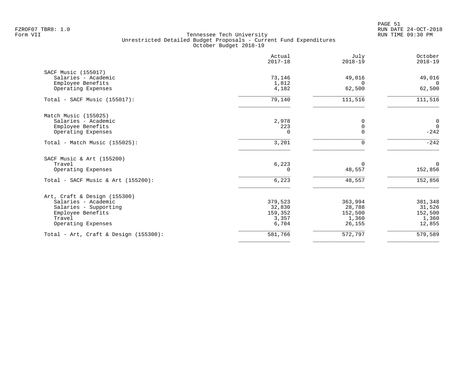|                                          | Actual<br>$2017 - 18$ | July<br>$2018 - 19$ | October<br>$2018 - 19$ |
|------------------------------------------|-----------------------|---------------------|------------------------|
| SACF Music (155017)                      |                       |                     |                        |
| Salaries - Academic                      | 73,146                | 49,016              | 49,016                 |
| Employee Benefits<br>Operating Expenses  | 1,812<br>4,182        | $\Omega$<br>62,500  | $\Omega$<br>62,500     |
| Total - SACF Music $(155017)$ :          | 79,140                | 111,516             | 111,516                |
| Match Music (155025)                     |                       |                     |                        |
| Salaries - Academic                      | 2,978                 | 0                   | $\overline{0}$         |
| Employee Benefits                        | 223                   | 0                   | $\overline{0}$         |
| Operating Expenses                       | $\Omega$              | $\Omega$            | $-242$                 |
| Total - Match Music (155025):            | 3,201                 | U                   | $-242$                 |
| SACF Music & Art (155200)                |                       |                     |                        |
| Travel                                   | 6,223                 | $\Omega$            | $\mathbf 0$            |
| Operating Expenses                       | $\Omega$              | 48,557              | 152,856                |
| Total - SACF Music & Art (155200):       | 6,223                 | 48,557              | 152,856                |
| Art, Craft & Design (155300)             |                       |                     |                        |
| Salaries - Academic                      | 379,523               | 363,994             | 381,348                |
| Salaries - Supporting                    | 32,830                | 28,788              | 31,526                 |
| Employee Benefits                        | 159,352               | 152,500             | 152,500                |
| Travel                                   | 3,357                 | 1,360               | 1,360                  |
| Operating Expenses                       | 6,704                 | 26,155              | 12,855                 |
| Total - Art, Craft & Design $(155300)$ : | 581,766               | 572,797             | 579,589                |
|                                          |                       |                     |                        |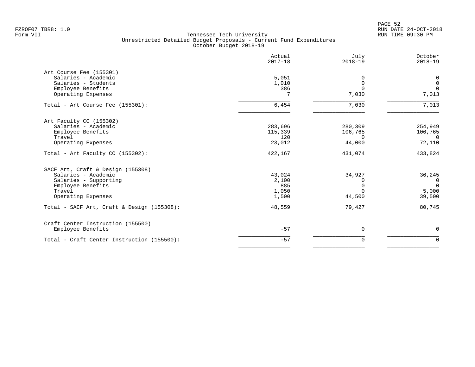|                                            | Actual<br>$2017 - 18$ | July<br>$2018 - 19$ | October<br>$2018 - 19$ |
|--------------------------------------------|-----------------------|---------------------|------------------------|
| Art Course Fee (155301)                    |                       |                     |                        |
| Salaries - Academic                        | 5,051                 | $\Omega$            | 0                      |
| Salaries - Students                        | 1,010                 | $\mathbf 0$         | $\mathbf 0$            |
| Employee Benefits                          | 386                   | $\Omega$            | $\mathbf{0}$           |
| Operating Expenses                         | 7                     | 7,030               | 7,013                  |
| Total - Art Course Fee (155301):           | 6,454                 | 7,030               | 7,013                  |
| Art Faculty CC (155302)                    |                       |                     |                        |
| Salaries - Academic                        | 283,696               | 280,309             | 254,949                |
| Employee Benefits                          | 115,339               | 106,765             | 106,765                |
| Travel                                     | 120                   | $\Omega$            | $\Omega$               |
| Operating Expenses                         | 23,012                | 44,000              | 72,110                 |
| Total - Art Faculty CC (155302):           | 422,167               | 431,074             | 433,824                |
| SACF Art, Craft & Design (155308)          |                       |                     |                        |
| Salaries - Academic                        | 43,024                | 34,927              | 36,245                 |
| Salaries - Supporting                      | 2,100                 |                     | $\mathbf{0}$           |
| Employee Benefits                          | 885                   | $\Omega$            | $\Omega$               |
| Travel                                     | 1,050                 | $\Omega$            | 5,000                  |
| Operating Expenses                         | 1,500                 | 44,500              | 39,500                 |
| Total - SACF Art, Craft & Design (155308): | 48,559                | 79,427              | 80,745                 |
| Craft Center Instruction (155500)          |                       |                     |                        |
| Employee Benefits                          | $-57$                 | $\mathbf 0$         | 0                      |
| Total - Craft Center Instruction (155500): | $-57$                 | $\mathbf 0$         | $\mathbf 0$            |
|                                            |                       |                     |                        |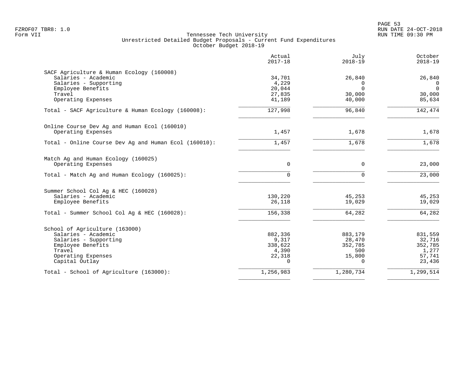|                                                       | Actual<br>$2017 - 18$ | July<br>$2018 - 19$ | October<br>$2018 - 19$ |
|-------------------------------------------------------|-----------------------|---------------------|------------------------|
| SACF Agriculture & Human Ecology (160008)             |                       |                     |                        |
| Salaries - Academic                                   | 34,701                | 26,840              | 26,840                 |
| Salaries - Supporting                                 | 4,229                 | $\Omega$            | $\Omega$               |
| Employee Benefits                                     | 20,044                | $\Omega$            | $\mathbf 0$            |
| Travel                                                | 27,835                | 30,000              | 30,000                 |
| Operating Expenses                                    | 41,189                | 40,000              | 85,634                 |
| Total - SACF Agriculture & Human Ecology (160008):    | 127,998               | 96,840              | 142,474                |
| Online Course Dev Ag and Human Ecol (160010)          |                       |                     |                        |
| Operating Expenses                                    | 1,457                 | 1,678               | 1,678                  |
| Total - Online Course Dev Ag and Human Ecol (160010): | 1,457                 | 1,678               | 1,678                  |
| Match Ag and Human Ecology (160025)                   |                       |                     |                        |
| Operating Expenses                                    | $\Omega$              | $\Omega$            | 23,000                 |
| Total - Match Ag and Human Ecology (160025):          | $\Omega$              | $\Omega$            | 23,000                 |
| Summer School Col Aq & HEC (160028)                   |                       |                     |                        |
| Salaries - Academic                                   | 130,220               | 45,253              | 45,253                 |
| Employee Benefits                                     | 26,118                | 19,029              | 19,029                 |
| Total - Summer School Col Ag & HEC (160028):          | 156,338               | 64,282              | 64,282                 |
| School of Agriculture (163000)                        |                       |                     |                        |
| Salaries - Academic                                   | 882,336               | 883,179             | 831,559                |
| Salaries - Supporting                                 | 9,317                 | 28,470              | 32,716                 |
| Employee Benefits                                     | 338,622               | 352,785             | 352,785                |
| Travel                                                | 4,390                 | 500                 | 1,277                  |
| Operating Expenses                                    | 22,318                | 15,800              | 57,741                 |
| Capital Outlay                                        | $\Omega$              | $\Omega$            | 23,436                 |
| Total - School of Agriculture (163000):               | 1,256,983             | 1,280,734           | 1,299,514              |
|                                                       |                       |                     |                        |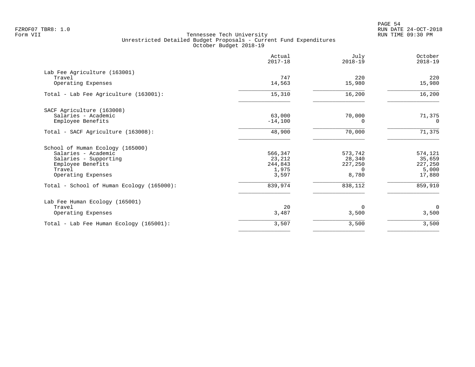|                                                              | Actual<br>$2017 - 18$ | July<br>$2018 - 19$ | October<br>$2018 - 19$ |
|--------------------------------------------------------------|-----------------------|---------------------|------------------------|
| Lab Fee Agriculture (163001)<br>Travel<br>Operating Expenses | 747<br>14,563         | 220<br>15,980       | 220<br>15,980          |
|                                                              |                       |                     |                        |
| Total - Lab Fee Agriculture (163001):                        | 15,310                | 16,200              | 16,200                 |
| SACF Agriculture (163008)                                    |                       |                     |                        |
| Salaries - Academic                                          | 63,000                | 70,000              | 71,375                 |
| Employee Benefits                                            | $-14,100$             | $\Omega$            | $\Omega$               |
| Total - SACF Agriculture (163008):                           | 48,900                | 70,000              | 71,375                 |
| School of Human Ecology (165000)                             |                       |                     |                        |
| Salaries - Academic                                          | 566,347               | 573,742             | 574,121                |
| Salaries - Supporting                                        | 23,212                | 28,340              | 35,659                 |
| Employee Benefits                                            | 244,843               | 227,250             | 227,250                |
| Travel<br>Operating Expenses                                 | 1,975<br>3,597        | $\Omega$<br>8,780   | 5,000<br>17,880        |
| Total - School of Human Ecology (165000):                    | 839,974               | 838,112             | 859,910                |
| Lab Fee Human Ecology (165001)                               |                       |                     |                        |
| Travel                                                       | 20                    | $\Omega$            | $\mathbf 0$            |
| Operating Expenses                                           | 3,487                 | 3,500               | 3,500                  |
| Total - Lab Fee Human Ecology (165001):                      | 3,507                 | 3,500               | 3,500                  |
|                                                              |                       |                     |                        |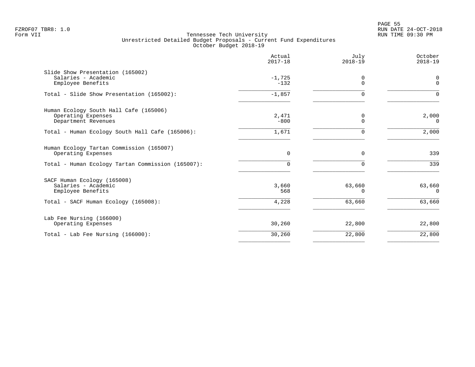|                                                                                     | Actual<br>$2017 - 18$ | July<br>$2018 - 19$ | October<br>$2018 - 19$ |
|-------------------------------------------------------------------------------------|-----------------------|---------------------|------------------------|
| Slide Show Presentation (165002)<br>Salaries - Academic<br>Employee Benefits        | $-1,725$<br>$-132$    | 0<br>$\mathbf 0$    | 0<br>$\mathbf{0}$      |
| Total - Slide Show Presentation (165002):                                           | $-1,857$              | $\Omega$            | $\Omega$               |
| Human Ecology South Hall Cafe (165006)<br>Operating Expenses<br>Department Revenues | 2,471<br>$-800$       | 0<br>$\Omega$       | 2,000<br>$\Omega$      |
| Total - Human Ecology South Hall Cafe (165006):                                     | 1,671                 | 0                   | 2,000                  |
| Human Ecology Tartan Commission (165007)<br>Operating Expenses                      | $\mathbf 0$           | 0                   | 339                    |
| Total - Human Ecology Tartan Commission (165007):                                   | 0                     | $\Omega$            | 339                    |
| SACF Human Ecology (165008)<br>Salaries - Academic<br>Employee Benefits             | 3,660<br>568          | 63,660<br>∩         | 63,660<br>$\Omega$     |
| Total - SACF Human Ecology (165008):                                                | 4,228                 | 63,660              | 63,660                 |
| Lab Fee Nursing (166000)<br>Operating Expenses                                      | 30,260                | 22,800              | 22,800                 |
| Total - Lab Fee Nursing $(166000)$ :                                                | 30,260                | 22,800              | 22,800                 |
|                                                                                     |                       |                     |                        |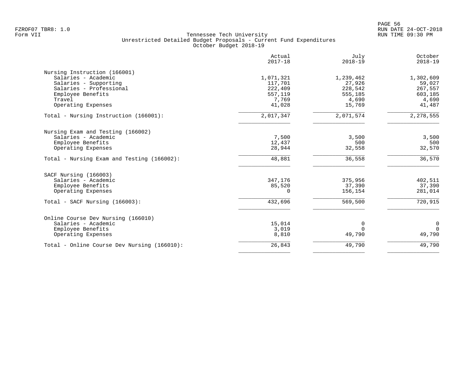|                                             | Actual<br>$2017 - 18$ | July<br>$2018 - 19$ | October<br>$2018 - 19$ |
|---------------------------------------------|-----------------------|---------------------|------------------------|
| Nursing Instruction (166001)                |                       |                     |                        |
| Salaries - Academic                         | 1,071,321             | 1,239,462           | 1,302,609              |
| Salaries - Supporting                       | 117,701               | 27,926              | 59,027                 |
| Salaries - Professional                     | 222,409               | 228,542             | 267,557                |
| Employee Benefits                           | 557,119               | 555,185             | 603,185                |
| Travel                                      | 7,769                 | 4,690               | 4,690                  |
| Operating Expenses                          | 41,028                | 15,769              | 41,487                 |
| Total - Nursing Instruction (166001):       | 2,017,347             | 2,071,574           | 2, 278, 555            |
| Nursing Exam and Testing (166002)           |                       |                     |                        |
| Salaries - Academic                         | 7,500                 | 3,500               | 3,500                  |
| Employee Benefits                           | 12,437                | 500                 | 500                    |
| Operating Expenses                          | 28,944                | 32,558              | 32,570                 |
| Total - Nursing Exam and Testing (166002):  | 48,881                | 36,558              | 36,570                 |
| SACF Nursing (166003)                       |                       |                     |                        |
| Salaries - Academic                         | 347,176               | 375,956             | 402,511                |
| Employee Benefits                           | 85,520                | 37,390              | 37,390                 |
| Operating Expenses                          | $\Omega$              | 156,154             | 281,014                |
| Total - SACF Nursing (166003):              | 432,696               | 569,500             | 720,915                |
| Online Course Dev Nursing (166010)          |                       |                     |                        |
| Salaries - Academic                         | 15,014                | 0                   | 0                      |
| Employee Benefits                           | 3,019                 | $\Omega$            | $\Omega$               |
| Operating Expenses                          | 8,810                 | 49,790              | 49,790                 |
| Total - Online Course Dev Nursing (166010): | 26,843                | 49,790              | 49,790                 |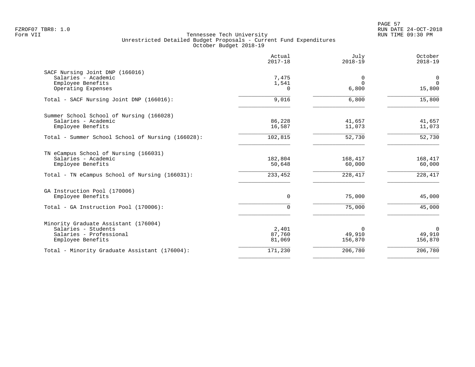|                                                                                                                                     | Actual<br>$2017 - 18$        | July<br>$2018 - 19$           | October<br>$2018 - 19$                  |
|-------------------------------------------------------------------------------------------------------------------------------------|------------------------------|-------------------------------|-----------------------------------------|
| SACF Nursing Joint DNP (166016)<br>Salaries - Academic<br>Employee Benefits<br>Operating Expenses                                   | 7,475<br>1,541<br>0          | $\Omega$<br>$\Omega$<br>6,800 | $\mathbf 0$<br>$\overline{0}$<br>15,800 |
| Total - SACF Nursing Joint DNP (166016):                                                                                            | 9,016                        | 6,800                         | 15,800                                  |
| Summer School School of Nursing (166028)<br>Salaries - Academic<br>Employee Benefits                                                | 86,228<br>16,587             | 41,657<br>11,073              | 41,657<br>11,073                        |
| Total - Summer School School of Nursing (166028):                                                                                   | 102,815                      | 52,730                        | 52,730                                  |
| TN eCampus School of Nursing (166031)<br>Salaries - Academic<br>Employee Benefits<br>Total - TN eCampus School of Nursing (166031): | 182,804<br>50,648<br>233,452 | 168,417<br>60,000<br>228,417  | 168,417<br>60,000<br>228,417            |
| GA Instruction Pool (170006)<br>Employee Benefits                                                                                   | 0                            | 75,000                        | 45,000                                  |
| Total - GA Instruction Pool (170006):                                                                                               | $\Omega$                     | 75,000                        | 45,000                                  |
| Minority Graduate Assistant (176004)<br>Salaries - Students<br>Salaries - Professional<br>Employee Benefits                         | 2,401<br>87,760<br>81,069    | $\Omega$<br>49,910<br>156,870 | $\mathbf 0$<br>49,910<br>156,870        |
| Total - Minority Graduate Assistant (176004):                                                                                       | 171,230                      | 206,780                       | 206,780                                 |
|                                                                                                                                     |                              |                               |                                         |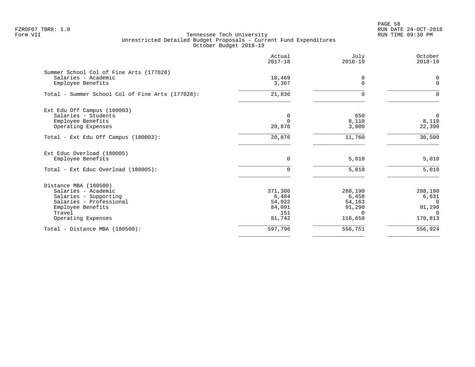PAGE 58 FZROF07 TBR8: 1.0 RUN DATE 24-OCT-2018

|                                                                                                                                                       | Actual<br>$2017 - 18$                                 | July<br>$2018 - 19$                                         | October<br>$2018 - 19$                                        |
|-------------------------------------------------------------------------------------------------------------------------------------------------------|-------------------------------------------------------|-------------------------------------------------------------|---------------------------------------------------------------|
| Summer School Col of Fine Arts (177028)<br>Salaries - Academic<br>Employee Benefits                                                                   | 18,469<br>3,367                                       | 0<br>$\Omega$                                               | 0<br>$\mathbf{0}$                                             |
| Total - Summer School Col of Fine Arts (177028):                                                                                                      | 21,836                                                | $\Omega$                                                    |                                                               |
| Ext Edu Off Campus (180003)<br>Salaries - Students<br>Employee Benefits<br>Operating Expenses                                                         | 0<br>$\Omega$<br>20,876                               | 650<br>8,110<br>3,000                                       | $\mathbf 0$<br>8,110<br>22,390                                |
| Total - Ext Edu Off Campus (180003):                                                                                                                  | 20,876                                                | 11,760                                                      | 30,500                                                        |
| Ext Educ Overload (180005)<br>Employee Benefits<br>Total - Ext Educ Overload (180005):                                                                | $\mathbf 0$<br>0                                      | 5,010<br>5,010                                              | $5,010$<br>5,010                                              |
| Distance MBA (180500)<br>Salaries - Academic<br>Salaries - Supporting<br>Salaries - Professional<br>Employee Benefits<br>Travel<br>Operating Expenses | 371,306<br>6,484<br>54,022<br>84,091<br>151<br>81,742 | 288,190<br>6,458<br>54,163<br>91,290<br>$\Omega$<br>116,650 | 288,190<br>6,631<br>$\Omega$<br>91,290<br>$\Omega$<br>170,813 |
| Total - Distance MBA (180500):                                                                                                                        | 597,796                                               | 556,751                                                     | 556,924                                                       |
|                                                                                                                                                       |                                                       |                                                             |                                                               |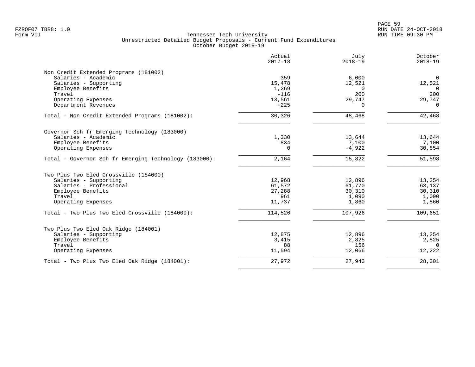| Actual<br>$2017 - 18$ | July<br>$2018 - 19$                                                 | October<br>$2018 - 19$                                                           |
|-----------------------|---------------------------------------------------------------------|----------------------------------------------------------------------------------|
|                       |                                                                     |                                                                                  |
| 359                   | 6,000                                                               | $\overline{0}$                                                                   |
| 15,478                | 12,521                                                              | 12,521                                                                           |
| 1,269                 | $\Omega$                                                            | $\Omega$                                                                         |
| $-116$                | 200                                                                 | 200                                                                              |
| 13,561                | 29,747                                                              | 29,747                                                                           |
| $-225$                | $\Omega$                                                            | $\Omega$                                                                         |
| 30,326                | 48,468                                                              | 42,468                                                                           |
|                       |                                                                     |                                                                                  |
|                       |                                                                     | 13,644                                                                           |
|                       |                                                                     | 7,100                                                                            |
| $\Omega$              | $-4,922$                                                            | 30,854                                                                           |
| 2,164                 | 15,822                                                              | 51,598                                                                           |
|                       |                                                                     |                                                                                  |
|                       |                                                                     | 13,254                                                                           |
|                       |                                                                     | 63,137                                                                           |
|                       |                                                                     | 30,310                                                                           |
| 961                   |                                                                     | 1,090                                                                            |
| 11,737                | 1,860                                                               | 1,860                                                                            |
| 114,526               | 107,926                                                             | 109,651                                                                          |
|                       |                                                                     |                                                                                  |
|                       |                                                                     | 13,254                                                                           |
|                       |                                                                     | 2,825                                                                            |
|                       |                                                                     | $\Omega$                                                                         |
| 11,594                | 12,066                                                              | 12,222                                                                           |
| 27,972                | 27,943                                                              | 28,301                                                                           |
|                       | 1,330<br>834<br>12,968<br>61,572<br>27,288<br>12,875<br>3,415<br>88 | 13,644<br>7,100<br>12,896<br>61,770<br>30,310<br>1,090<br>12,896<br>2,825<br>156 |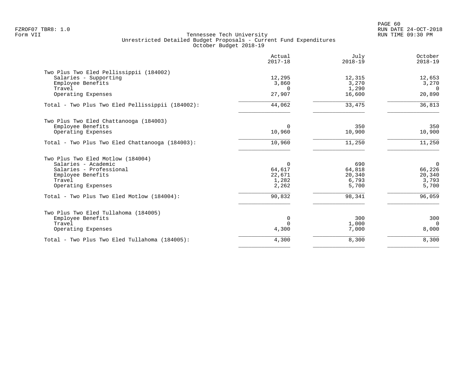|                                                  | Actual<br>$2017 - 18$ | July<br>$2018 - 19$ | October<br>$2018 - 19$ |
|--------------------------------------------------|-----------------------|---------------------|------------------------|
| Two Plus Two Eled Pellissippii (184002)          |                       |                     |                        |
| Salaries - Supporting                            | 12,295                | 12,315              | 12,653                 |
| Employee Benefits                                | 3,860                 | 3,270               | 3,270                  |
| Travel                                           | $\Omega$              | 1,290               | $\Omega$               |
| Operating Expenses                               | 27,907                | 16,600              | 20,890                 |
| Total - Two Plus Two Eled Pellissippii (184002): | 44,062                | 33,475              | 36,813                 |
| Two Plus Two Eled Chattanooga (184003)           |                       |                     |                        |
| Employee Benefits                                | $\Omega$              | 350                 | 350                    |
| Operating Expenses                               | 10,960                | 10,900              | 10,900                 |
| Total - Two Plus Two Eled Chattanooga (184003):  | 10,960                | 11,250              | 11,250                 |
| Two Plus Two Eled Motlow (184004)                |                       |                     |                        |
| Salaries - Academic                              | $\mathbf 0$           | 690                 | $\overline{0}$         |
| Salaries - Professional                          | 64,617                | 64,818              | 66,226                 |
| Employee Benefits                                | 22,671                | 20,340              | 20,340                 |
| Travel                                           | 1,282                 | 6,793               | 3,793                  |
| Operating Expenses                               | 2,262                 | 5,700               | 5,700                  |
| Total - Two Plus Two Eled Motlow (184004):       | 90,832                | 98,341              | 96,059                 |
| Two Plus Two Eled Tullahoma (184005)             |                       |                     |                        |
| Employee Benefits                                | 0                     | 300                 | 300                    |
| Travel                                           | $\Omega$              | 1,000               | $\Omega$               |
| Operating Expenses                               | 4,300                 | 7,000               | 8,000                  |
| Total - Two Plus Two Eled Tullahoma (184005):    | 4,300                 | 8,300               | 8,300                  |
|                                                  |                       |                     |                        |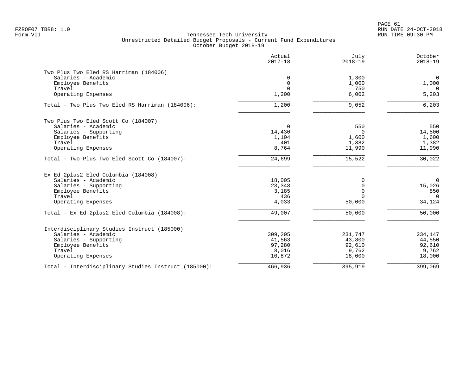PAGE 61 FZROF07 TBR8: 1.0 RUN DATE 24-OCT-2018

|                                                      | Actual<br>$2017 - 18$ | July<br>$2018 - 19$ | October<br>$2018 - 19$ |
|------------------------------------------------------|-----------------------|---------------------|------------------------|
| Two Plus Two Eled RS Harriman (184006)               |                       |                     |                        |
| Salaries - Academic                                  | 0                     | 1,300               | $\overline{0}$         |
| Employee Benefits                                    | 0                     | 1,000               | 1,000                  |
| Travel                                               | $\Omega$              | 750                 | 0                      |
| Operating Expenses                                   | 1,200                 | 6,002               | 5,203                  |
| Total - Two Plus Two Eled RS Harriman (184006):      | 1,200                 | 9,052               | 6,203                  |
| Two Plus Two Eled Scott Co (184007)                  |                       |                     |                        |
| Salaries - Academic                                  | 0                     | 550                 | 550                    |
| Salaries - Supporting                                | 14,430                | $\mathbf 0$         | 14,500                 |
| Employee Benefits                                    | 1,104                 | 1,600               | 1,600                  |
| Travel                                               | 401                   | 1,382               | 1,382                  |
| Operating Expenses                                   | 8,764                 | 11,990              | 11,990                 |
| Total - Two Plus Two Eled Scott Co (184007):         | 24,699                | 15,522              | 30,022                 |
| Ex Ed 2plus2 Eled Columbia (184008)                  |                       |                     |                        |
| Salaries - Academic                                  | 18,005                | 0                   | $\mathbf 0$            |
| Salaries - Supporting                                | 23,348                | $\mathbf 0$         | 15,026                 |
| Employee Benefits                                    | 3,185                 | $\mathbf 0$         | 850                    |
| Travel                                               | 436                   | $\Omega$            | $\Omega$               |
| Operating Expenses                                   | 4,033                 | 50,000              | 34,124                 |
| Total - Ex Ed 2plus2 Eled Columbia (184008):         | 49,007                | 50,000              | 50,000                 |
| Interdisciplinary Studies Instruct (185000)          |                       |                     |                        |
| Salaries - Academic                                  | 309,205               | 231,747             | 234,147                |
| Salaries - Supporting                                | 41,563                | 43,800              | 44,550                 |
| Employee Benefits                                    | 97,280                | 92,610              | 92,610                 |
| Travel                                               | 8,016                 | 9,762               | 9,762                  |
| Operating Expenses                                   | 10,872                | 18,000              | 18,000                 |
| Total - Interdisciplinary Studies Instruct (185000): | 466,936               | 395,919             | 399,069                |
|                                                      |                       |                     |                        |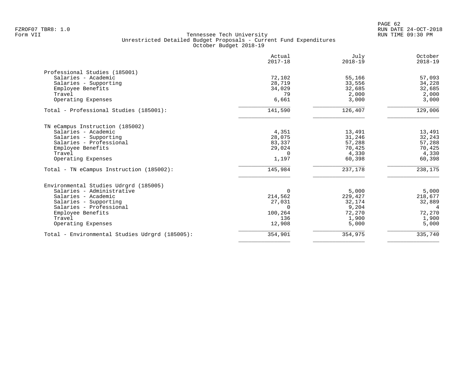|                                                | Actual<br>$2017 - 18$ | July<br>$2018 - 19$ | October<br>$2018 - 19$ |
|------------------------------------------------|-----------------------|---------------------|------------------------|
| Professional Studies (185001)                  |                       |                     |                        |
| Salaries - Academic                            | 72,102                | 55,166              | 57,093                 |
| Salaries - Supporting                          | 28,719                | 33,556              | 34,228                 |
| Employee Benefits                              | 34,029                | 32,685              | 32,685                 |
| Travel                                         | 79                    | 2,000               | 2,000                  |
| Operating Expenses                             | 6,661                 | 3,000               | 3,000                  |
| Total - Professional Studies (185001):         | 141,590               | 126,407             | 129,006                |
| TN eCampus Instruction (185002)                |                       |                     |                        |
| Salaries - Academic                            | 4,351                 | 13,491              | 13,491                 |
| Salaries - Supporting                          | 28,075                | 31,246              | 32,243                 |
| Salaries - Professional                        | 83,337                | 57,288              | 57,288                 |
| Employee Benefits                              | 29,024                | 70,425              | 70,425                 |
| Travel                                         | $\Omega$              | 4,330               | 4,330                  |
| Operating Expenses                             | 1,197                 | 60,398              | 60,398                 |
| Total - TN eCampus Instruction (185002):       | 145,984               | 237,178             | 238,175                |
| Environmental Studies Udrgrd (185005)          |                       |                     |                        |
| Salaries - Administrative                      | $\Omega$              | 5,000               | 5,000                  |
| Salaries - Academic                            | 214,562               | 229,427             | 218,677                |
| Salaries - Supporting                          | 27,031                | 32,174              | 32,889                 |
| Salaries - Professional                        | $\Omega$              | 9,204               | $\overline{4}$         |
| Employee Benefits                              | 100,264               | 72,270              | 72,270                 |
| Travel                                         | 136                   | 1,900               | 1,900                  |
| Operating Expenses                             | 12,908                | 5,000               | 5,000                  |
| Total - Environmental Studies Udrgrd (185005): | 354,901               | 354,975             | 335,740                |
|                                                |                       |                     |                        |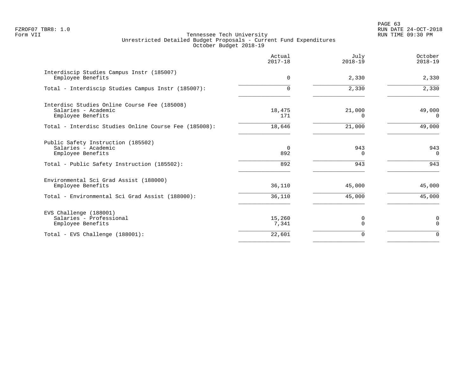PAGE 63 FZROF07 TBR8: 1.0 RUN DATE 24-OCT-2018

|                                                                                          | Actual<br>$2017 - 18$ | July<br>$2018 - 19$ | October<br>$2018 - 19$ |
|------------------------------------------------------------------------------------------|-----------------------|---------------------|------------------------|
| Interdiscip Studies Campus Instr (185007)<br>Employee Benefits                           | 0                     | 2,330               | 2,330                  |
| Total - Interdiscip Studies Campus Instr (185007):                                       | $\Omega$              | 2,330               | 2,330                  |
| Interdisc Studies Online Course Fee (185008)<br>Salaries - Academic<br>Employee Benefits | 18,475<br>171         | 21,000<br>$\Omega$  | 49,000<br>$\Omega$     |
| Total - Interdisc Studies Online Course Fee (185008):                                    | 18,646                | 21,000              | 49,000                 |
| Public Safety Instruction (185502)<br>Salaries - Academic<br>Employee Benefits           | $\overline{0}$<br>892 | 943<br>0            | 943<br>$\Omega$        |
| Total - Public Safety Instruction (185502):                                              | 892                   | 943                 | 943                    |
| Environmental Sci Grad Assist (188000)<br>Employee Benefits                              | 36,110                | 45,000              | 45,000                 |
| Total - Environmental Sci Grad Assist (188000):                                          | 36,110                | 45,000              | 45,000                 |
| EVS Challenge (188001)<br>Salaries - Professional<br>Employee Benefits                   | 15,260<br>7,341       | 0<br>$\Omega$       | 0<br>$\mathbf 0$       |
| Total - EVS Challenge (188001):                                                          | 22,601                | $\Omega$            | $\Omega$               |
|                                                                                          |                       |                     |                        |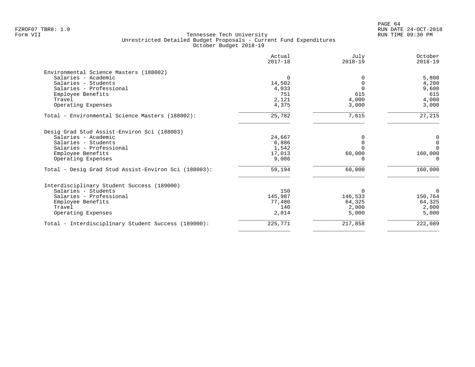|                                                      | Actual<br>$2017 - 18$ | July<br>$2018 - 19$ | October<br>$2018 - 19$ |
|------------------------------------------------------|-----------------------|---------------------|------------------------|
| Environmental Science Masters (188002)               |                       |                     |                        |
| Salaries - Academic                                  | $\Omega$              |                     | 5,800                  |
| Salaries - Students                                  | 14,502                | $\Omega$            | 4,200                  |
| Salaries - Professional                              | 4,033                 |                     | 9,600                  |
| Employee Benefits                                    | 751                   | 615                 | 615                    |
| Travel                                               | 2,121                 | 4,000               | 4,000                  |
| Operating Expenses                                   | 4,375                 | 3,000               | 3,000                  |
| Total - Environmental Science Masters (188002):      | 25,782                | 7,615               | 27,215                 |
| Desig Grad Stud Assist-Environ Sci (188003)          |                       |                     |                        |
| Salaries - Academic                                  | 24,667                |                     | 0                      |
| Salaries - Students                                  | 6,886                 |                     | $\mathbf 0$            |
| Salaries - Professional                              | 1,542                 |                     | $\Omega$               |
| Employee Benefits                                    | 17,013                | 60,000              | 160,000                |
| Operating Expenses                                   | 9,086                 |                     | $\Omega$               |
| Total - Desig Grad Stud Assist-Environ Sci (188003): | 59,194                | 60,000              | 160,000                |
| Interdisciplinary Student Success (189000)           |                       |                     |                        |
| Salaries - Students                                  | 150                   | $\Omega$            | 0                      |
| Salaries - Professional                              | 145,987               | 146,533             | 150,764                |
| Employee Benefits                                    | 77,480                | 64,325              | 64,325                 |
| Travel                                               | 140                   | 2,000               | 2,000                  |
| Operating Expenses                                   | 2,014                 | 5,000               | 5,000                  |
| Total - Interdisciplinary Student Success (189000):  | 225,771               | 217,858             | 222,089                |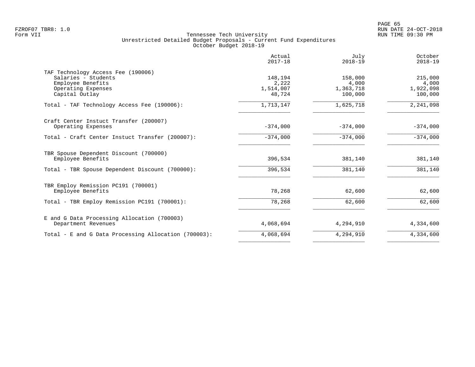|                                                                                                      | Actual<br>$2017 - 18$         | July<br>$2018 - 19$           | October<br>$2018 - 19$        |
|------------------------------------------------------------------------------------------------------|-------------------------------|-------------------------------|-------------------------------|
| TAF Technology Access Fee (190006)<br>Salaries - Students<br>Employee Benefits<br>Operating Expenses | 148,194<br>2,222<br>1,514,007 | 158,000<br>4,000<br>1,363,718 | 215,000<br>4,000<br>1,922,098 |
| Capital Outlay                                                                                       | 48,724                        | 100,000                       | 100,000                       |
| Total - TAF Technology Access Fee (190006):                                                          | 1,713,147                     | 1,625,718                     | 2, 241, 098                   |
| Craft Center Instuct Transfer (200007)<br>Operating Expenses                                         | $-374,000$                    | $-374,000$                    | $-374,000$                    |
| Total - Craft Center Instuct Transfer (200007):                                                      | $-374,000$                    | $-374.000$                    | $-374,000$                    |
| TBR Spouse Dependent Discount (700000)<br>Employee Benefits                                          | 396,534                       | 381,140                       | 381,140                       |
| Total - TBR Spouse Dependent Discount (700000):                                                      | 396,534                       | 381,140                       | 381,140                       |
| TBR Employ Remission PC191 (700001)<br>Employee Benefits                                             | 78,268                        | 62,600                        | 62,600                        |
| Total - TBR Employ Remission PC191 (700001):                                                         | 78,268                        | 62,600                        | 62,600                        |
| E and G Data Processing Allocation (700003)<br>Department Revenues                                   | 4,068,694                     | 4,294,910                     | 4,334,600                     |
| Total - E and G Data Processing Allocation (700003):                                                 | 4,068,694                     | 4,294,910                     | 4,334,600                     |
|                                                                                                      |                               |                               |                               |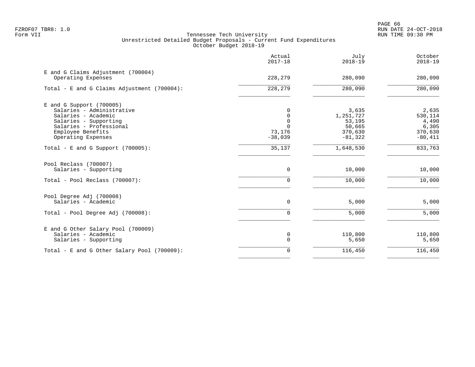PAGE 66 FZROF07 TBR8: 1.0 RUN DATE 24-OCT-2018

|                                                          | Actual<br>$2017 - 18$ | July<br>$2018 - 19$ | October<br>$2018 - 19$ |
|----------------------------------------------------------|-----------------------|---------------------|------------------------|
| E and G Claims Adjustment (700004)<br>Operating Expenses | 228,279               | 280,090             | 280,090                |
| Total - E and G Claims Adjustment $(700004)$ :           | 228,279               | 280,090             | 280,090                |
| $E$ and G Support (700005)                               |                       |                     |                        |
| Salaries - Administrative<br>Salaries - Academic         | 0                     | 3,635<br>1,251,727  | 2,635<br>530,114       |
| Salaries - Supporting                                    | $\Omega$              | 53,195              | 4,490                  |
| Salaries - Professional                                  | $\Omega$              | 50,665              | 6,305                  |
| Employee Benefits                                        | 73,176                | 370,630             | 370,630                |
| Operating Expenses                                       | $-38,039$             | $-81,322$           | $-80,411$              |
| Total - E and G Support $(700005)$ :                     | 35,137                | 1,648,530           | 833,763                |
| Pool Reclass (700007)<br>Salaries - Supporting           | 0                     | 10,000              | 10,000                 |
| Total - Pool Reclass (700007):                           | U                     | 10,000              | 10,000                 |
| Pool Degree Adj (700008)                                 |                       |                     |                        |
| Salaries - Academic                                      | 0                     | 5,000               | 5,000                  |
| Total - Pool Degree Adj (700008):                        | $\Omega$              | 5,000               | 5,000                  |
| E and G Other Salary Pool (700009)                       |                       |                     |                        |
| Salaries - Academic<br>Salaries - Supporting             | 0<br>$\Omega$         | 110,800<br>5,650    | 110,800<br>5,650       |
| Total - E and G Other Salary Pool (700009):              | 0                     | 116,450             | 116,450                |
|                                                          |                       |                     |                        |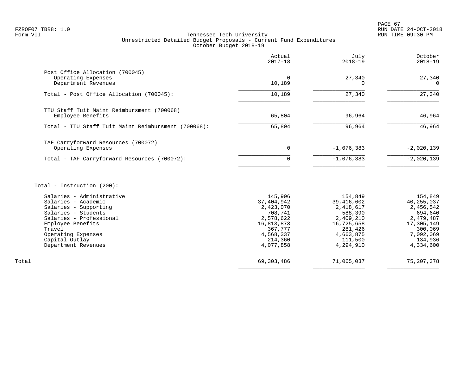# FZROF07 TBR8: 1.0 RUN DATE 24-OCT-2018 Tennessee Tech University Unrestricted Detailed Budget Proposals - Current Fund Expenditures October Budget 2018-19

|                                                                              | Actual<br>$2017 - 18$ | July<br>$2018 - 19$ | October<br>$2018 - 19$ |
|------------------------------------------------------------------------------|-----------------------|---------------------|------------------------|
| Post Office Allocation (700045)<br>Operating Expenses<br>Department Revenues | 0<br>10,189           | 27,340              | 27,340<br>$\Omega$     |
| Total - Post Office Allocation (700045):                                     | 10,189                | 27,340              | 27,340                 |
| TTU Staff Tuit Maint Reimbursment (700068)<br>Employee Benefits              | 65,804                | 96,964              | 46,964                 |
| Total - TTU Staff Tuit Maint Reimbursment (700068):                          | 65,804                | 96,964              | 46,964                 |
| TAF Carryforward Resources (700072)<br>Operating Expenses                    | 0                     | $-1,076,383$        | $-2,020,139$           |
| Total - TAF Carryforward Resources (700072):                                 | $\Omega$              | $-1,076,383$        | $-2,020,139$           |
|                                                                              |                       |                     |                        |

# Total - Instruction (200):

|       | Salaries - Administrative | 145,906    | 154,849    | 154,849      |
|-------|---------------------------|------------|------------|--------------|
|       | Salaries - Academic       | 37,404,942 | 39,416,602 | 40,255,037   |
|       | Salaries - Supporting     | 2,423,070  | 2,418,617  | 2,456,542    |
|       | Salaries - Students       | 708,741    | 588,390    | 694,640      |
|       | Salaries - Professional   | 2,578,622  | 2,409,210  | 2,479,487    |
|       | Employee Benefits         | 16,813,873 | 16,725,658 | 17,305,149   |
|       | Travel                    | 367,777    | 281,426    | 300,069      |
|       | Operating Expenses        | 4,568,337  | 4,663,875  | 7,092,069    |
|       | Capital Outlay            | 214,360    | 111,500    | 134,936      |
|       | Department Revenues       | 4,077,858  | 4,294,910  | 4,334,600    |
|       |                           |            |            |              |
| Total |                           | 69,303,486 | 71,065,037 | 75, 207, 378 |
|       |                           |            |            |              |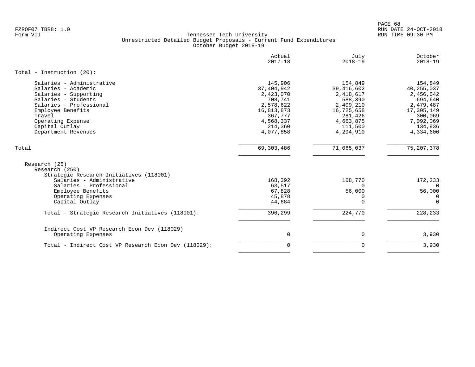PAGE 68 FZROF07 TBR8: 1.0 RUN DATE 24-OCT-2018

|                                                                                                                                                                                                                          | Actual<br>$2017 - 18$                                                                                                      | July<br>$2018 - 19$                                                                                                        | October<br>$2018 - 19$                                                                                                     |
|--------------------------------------------------------------------------------------------------------------------------------------------------------------------------------------------------------------------------|----------------------------------------------------------------------------------------------------------------------------|----------------------------------------------------------------------------------------------------------------------------|----------------------------------------------------------------------------------------------------------------------------|
| Total - Instruction $(20)$ :                                                                                                                                                                                             |                                                                                                                            |                                                                                                                            |                                                                                                                            |
| Salaries - Administrative<br>Salaries - Academic<br>Salaries - Supporting<br>Salaries - Students<br>Salaries - Professional<br>Employee Benefits<br>Travel<br>Operating Expense<br>Capital Outlay<br>Department Revenues | 145,906<br>37, 404, 942<br>2,423,070<br>708,741<br>2,578,622<br>16,813,873<br>367,777<br>4,568,337<br>214,360<br>4,077,858 | 154,849<br>39, 416, 602<br>2,418,617<br>588,390<br>2,409,210<br>16,725,658<br>281,426<br>4,663,875<br>111,500<br>4,294,910 | 154,849<br>40, 255, 037<br>2,456,542<br>694,640<br>2,479,487<br>17,305,149<br>300,069<br>7,092,069<br>134,936<br>4,334,600 |
| Total                                                                                                                                                                                                                    | 69, 303, 486                                                                                                               | 71,065,037                                                                                                                 | 75, 207, 378                                                                                                               |
| Research (25)<br>Research (250)<br>Strategic Research Initiatives (118001)<br>Salaries - Administrative<br>Salaries - Professional<br>Employee Benefits<br>Operating Expenses<br>Capital Outlay                          | 168,392<br>63,517<br>67,828<br>45,878<br>44,684                                                                            | 168,770<br>$\Omega$<br>56,000<br>0<br>0                                                                                    | 172,233<br>$\Omega$<br>56,000<br>0<br>$\Omega$                                                                             |
| Total - Strategic Research Initiatives (118001):                                                                                                                                                                         | 390,299                                                                                                                    | 224,770                                                                                                                    | 228, 233                                                                                                                   |
| Indirect Cost VP Research Econ Dev (118029)<br>Operating Expenses                                                                                                                                                        | $\mathbf 0$                                                                                                                | $\mathbf 0$                                                                                                                | 3,930                                                                                                                      |
| Total - Indirect Cost VP Research Econ Dev (118029):                                                                                                                                                                     | $\mathbf 0$                                                                                                                | $\mathbf 0$                                                                                                                | 3,930                                                                                                                      |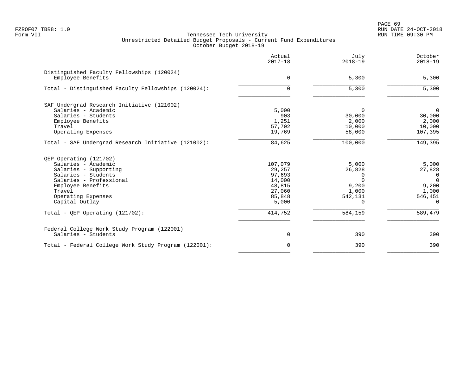PAGE 69 FZROF07 TBR8: 1.0 RUN DATE 24-OCT-2018

|                                                                                                                                                                                                 | Actual<br>$2017 - 18$                                                        | July<br>$2018 - 19$                                                       | October<br>$2018 - 19$                                                                 |
|-------------------------------------------------------------------------------------------------------------------------------------------------------------------------------------------------|------------------------------------------------------------------------------|---------------------------------------------------------------------------|----------------------------------------------------------------------------------------|
| Distinguished Faculty Fellowships (120024)<br>Employee Benefits                                                                                                                                 | $\Omega$                                                                     | 5,300                                                                     | 5,300                                                                                  |
| Total - Distinguished Faculty Fellowships (120024):                                                                                                                                             | $\Omega$                                                                     | 5,300                                                                     | 5,300                                                                                  |
| SAF Undergrad Research Initiative (121002)<br>Salaries - Academic<br>Salaries - Students<br>Employee Benefits<br>Travel<br>Operating Expenses                                                   | 5,000<br>903<br>1,251<br>57,702<br>19,769                                    | 0<br>30,000<br>2,000<br>10,000<br>58,000                                  | $\mathbf 0$<br>30,000<br>2,000<br>10,000<br>107,395                                    |
| Total - SAF Undergrad Research Initiative (121002):                                                                                                                                             | 84,625                                                                       | 100,000                                                                   | 149,395                                                                                |
| QEP Operating (121702)<br>Salaries - Academic<br>Salaries - Supporting<br>Salaries - Students<br>Salaries - Professional<br>Employee Benefits<br>Travel<br>Operating Expenses<br>Capital Outlay | 107,079<br>29,257<br>97,693<br>14,000<br>48,815<br>27,060<br>85,848<br>5,000 | 5,000<br>26,828<br>0<br>$\Omega$<br>9,200<br>1,000<br>542,131<br>$\Omega$ | 5,000<br>27,828<br>$\overline{0}$<br>$\Omega$<br>9,200<br>1,000<br>546,451<br>$\Omega$ |
| Total - QEP Operating $(121702)$ :                                                                                                                                                              | 414,752                                                                      | 584,159                                                                   | 589,479                                                                                |
| Federal College Work Study Program (122001)<br>Salaries - Students                                                                                                                              | $\mathbf 0$                                                                  | 390                                                                       | 390                                                                                    |
| Total - Federal College Work Study Program (122001):                                                                                                                                            | 0                                                                            | 390                                                                       | 390                                                                                    |
|                                                                                                                                                                                                 |                                                                              |                                                                           |                                                                                        |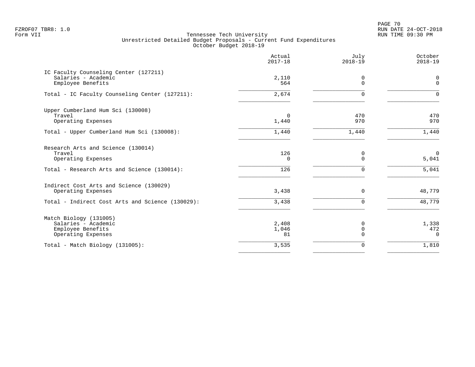PAGE 70 FZROF07 TBR8: 1.0 RUN DATE 24-OCT-2018

|                                                                                          | Actual<br>$2017 - 18$ | July<br>$2018 - 19$          | October<br>$2018 - 19$   |
|------------------------------------------------------------------------------------------|-----------------------|------------------------------|--------------------------|
| IC Faculty Counseling Center (127211)<br>Salaries - Academic<br>Employee Benefits        | 2,110<br>564          | 0<br>$\Omega$                | 0<br>$\mathbf 0$         |
| Total - IC Faculty Counseling Center (127211):                                           | 2,674                 | $\Omega$                     | $\Omega$                 |
| Upper Cumberland Hum Sci (130008)<br>Travel<br>Operating Expenses                        | $\mathbf 0$<br>1,440  | 470<br>970                   | 470<br>970               |
| Total - Upper Cumberland Hum Sci (130008):                                               | 1,440                 | 1,440                        | 1,440                    |
| Research Arts and Science (130014)<br>Travel<br>Operating Expenses                       | 126<br>$\Omega$       | 0<br>$\Omega$                | $\mathbf 0$<br>5,041     |
| Total - Research Arts and Science (130014):                                              | 126                   | $\mathbf 0$                  | 5,041                    |
| Indirect Cost Arts and Science (130029)<br>Operating Expenses                            | 3,438                 | 0                            | 48,779                   |
| Total - Indirect Cost Arts and Science (130029):                                         | 3,438                 | $\mathbf 0$                  | 48,779                   |
| Match Biology (131005)<br>Salaries - Academic<br>Employee Benefits<br>Operating Expenses | 2,408<br>1,046<br>81  | 0<br>$\mathbf 0$<br>$\Omega$ | 1,338<br>472<br>$\Omega$ |
| Total - Match Biology (131005):                                                          | 3,535                 | $\mathbf 0$                  | 1,810                    |
|                                                                                          |                       |                              |                          |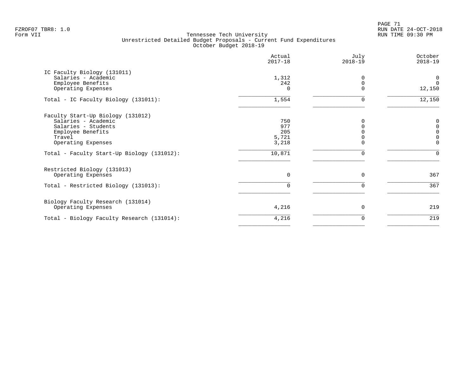PAGE 71 FZROF07 TBR8: 1.0 RUN DATE 24-OCT-2018

|                                            | Actual<br>$2017 - 18$ | July<br>$2018 - 19$ | October<br>$2018 - 19$ |
|--------------------------------------------|-----------------------|---------------------|------------------------|
| IC Faculty Biology (131011)                |                       |                     |                        |
| Salaries - Academic                        | 1,312                 | <sup>0</sup>        | 0                      |
| Employee Benefits                          | 242                   | $\Omega$            | $\Omega$               |
| Operating Expenses                         | $\Omega$              | $\Omega$            | 12,150                 |
| Total - IC Faculty Biology (131011):       | 1,554                 | $\Omega$            | 12,150                 |
| Faculty Start-Up Biology (131012)          |                       |                     |                        |
| Salaries - Academic                        | 750                   |                     | $\Omega$               |
| Salaries - Students                        | 977                   | $\Omega$            | $\Omega$               |
| Employee Benefits                          | 205                   |                     | $\Omega$               |
| Travel                                     | 5,721                 |                     | 0                      |
| Operating Expenses                         | 3,218                 | $\Omega$            | $\Omega$               |
| Total - Faculty Start-Up Biology (131012): | 10,871                | $\mathbf 0$         | $\Omega$               |
| Restricted Biology (131013)                |                       |                     |                        |
| Operating Expenses                         | $\Omega$              | $\Omega$            | 367                    |
| Total - Restricted Biology (131013):       | $\Omega$              | 0                   | 367                    |
| Biology Faculty Research (131014)          |                       |                     |                        |
| Operating Expenses                         | 4,216                 | $\mathbf 0$         | 219                    |
| Total - Biology Faculty Research (131014): | 4,216                 | 0                   | 219                    |
|                                            |                       |                     |                        |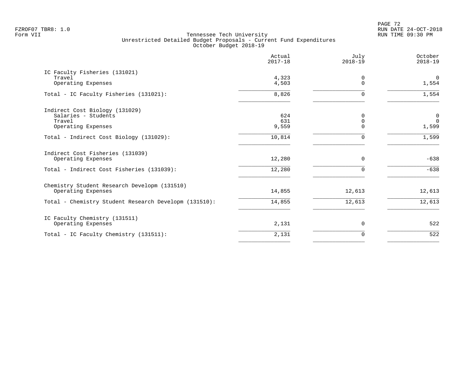|                                                                                                     | Actual<br>$2017 - 18$ | July<br>$2018 - 19$                 | October<br>$2018 - 19$                 |
|-----------------------------------------------------------------------------------------------------|-----------------------|-------------------------------------|----------------------------------------|
| IC Faculty Fisheries (131021)<br>Travel<br>Operating Expenses                                       | 4,323<br>4,503        | 0<br>$\Omega$                       | $\mathbf 0$<br>1,554                   |
| Total - IC Faculty Fisheries (131021):                                                              | 8,826                 | $\Omega$                            | 1,554                                  |
| Indirect Cost Biology (131029)<br>Salaries - Students<br>Travel<br>Operating Expenses               | 624<br>631<br>9,559   | $\Omega$<br>$\mathbf 0$<br>$\Omega$ | $\mathbf 0$<br>$\overline{0}$<br>1,599 |
| Total - Indirect Cost Biology (131029):                                                             | 10,814                | $\Omega$                            | 1,599                                  |
| Indirect Cost Fisheries (131039)<br>Operating Expenses<br>Total - Indirect Cost Fisheries (131039): | 12,280<br>12,280      | $\mathbf 0$<br>$\Omega$             | $-638$<br>$-638$                       |
| Chemistry Student Research Developm (131510)<br>Operating Expenses                                  | 14,855                | 12,613                              | 12,613                                 |
| Total - Chemistry Student Research Developm (131510):                                               | 14,855                | 12,613                              | 12,613                                 |
| IC Faculty Chemistry (131511)<br>Operating Expenses                                                 | 2,131                 | 0                                   | 522                                    |
| Total - IC Faculty Chemistry (131511):                                                              | 2,131                 | $\Omega$                            | 522                                    |
|                                                                                                     |                       |                                     |                                        |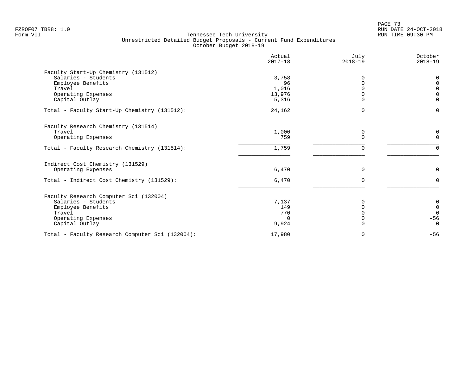PAGE 73 FZROF07 TBR8: 1.0 RUN DATE 24-OCT-2018

| Actual<br>$2017 - 18$ | July<br>$2018 - 19$                               | October<br>$2018 - 19$               |
|-----------------------|---------------------------------------------------|--------------------------------------|
|                       |                                                   |                                      |
|                       | <sup>0</sup>                                      | $\Omega$                             |
|                       |                                                   | $\Omega$                             |
|                       |                                                   | $\Omega$<br>$\Omega$                 |
| 5,316                 | $\Omega$                                          | $\Omega$                             |
| 24,162                | $\Omega$                                          | $\Omega$                             |
|                       |                                                   |                                      |
| 1,000                 | 0                                                 | 0                                    |
| 759                   | $\Omega$                                          | $\mathbf 0$                          |
| 1,759                 | $\mathbf 0$                                       | $\Omega$                             |
|                       |                                                   |                                      |
| 6,470                 | $\Omega$                                          | $\Omega$                             |
| 6,470                 | $\Omega$                                          | $\Omega$                             |
|                       |                                                   |                                      |
| 7,137                 |                                                   | 0                                    |
| 149                   | $\Omega$                                          | $\begin{matrix} 0 \\ 0 \end{matrix}$ |
|                       |                                                   |                                      |
| 9,924                 | $\Omega$                                          | $-56$<br>$\mathbf 0$                 |
| 17,980                | $\mathbf 0$                                       | $-56$                                |
|                       | 3,758<br>96<br>1,016<br>13,976<br>770<br>$\Omega$ | $\Omega$<br>$\Omega$                 |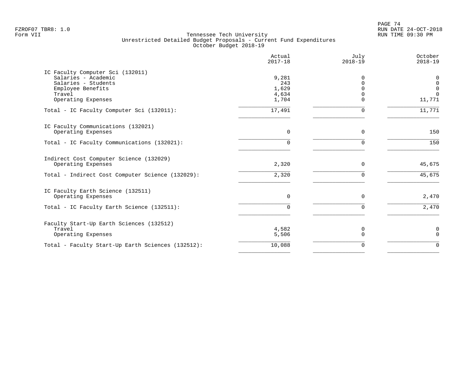|                                                   | Actual<br>$2017 - 18$ | July<br>$2018 - 19$ | October<br>$2018 - 19$ |
|---------------------------------------------------|-----------------------|---------------------|------------------------|
| IC Faculty Computer Sci (132011)                  |                       |                     |                        |
| Salaries - Academic<br>Salaries - Students        | 9,281<br>243          | $\Omega$<br>0       | 0<br>$\mathbf 0$       |
| Employee Benefits                                 | 1,629                 | $\Omega$            | $\mathbf 0$            |
| Travel                                            | 4,634                 | $\Omega$            | $\Omega$               |
| Operating Expenses                                | 1,704                 | $\Omega$            | 11,771                 |
| Total - IC Faculty Computer Sci (132011):         | 17,491                | 0                   | 11,771                 |
| IC Faculty Communications (132021)                |                       |                     |                        |
| Operating Expenses                                | $\mathbf 0$           | 0                   | 150                    |
| Total - IC Faculty Communications (132021):       | 0                     | $\Omega$            | 150                    |
| Indirect Cost Computer Science (132029)           |                       |                     |                        |
| Operating Expenses                                | 2,320                 | $\mathbf 0$         | 45,675                 |
| Total - Indirect Cost Computer Science (132029):  | 2,320                 | $\mathbf 0$         | 45,675                 |
| IC Faculty Earth Science (132511)                 |                       |                     |                        |
| Operating Expenses                                | $\mathbf 0$           | $\mathbf 0$         | 2,470                  |
| Total - IC Faculty Earth Science (132511):        | $\Omega$              | $\mathbf 0$         | 2,470                  |
| Faculty Start-Up Earth Sciences (132512)          |                       |                     |                        |
| Travel<br>Operating Expenses                      | 4,582<br>5,506        | 0<br>$\mathbf 0$    | 0<br>$\mathbf 0$       |
|                                                   |                       |                     | $\Omega$               |
| Total - Faculty Start-Up Earth Sciences (132512): | 10,088                | $\mathbf 0$         |                        |
|                                                   |                       |                     |                        |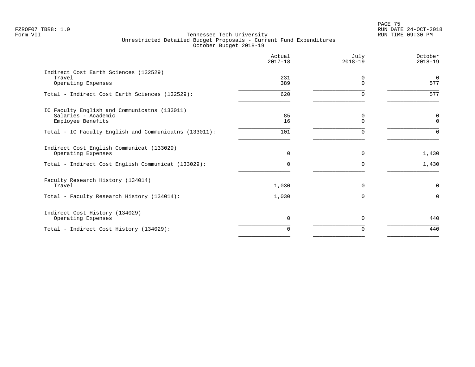en and the set of the set of the set of the set of the set of the set of the set of the set of the set of the set of the set of the set of the set of the set of the set of the set of the set of the set of the set of the se FZROF07 TBR8: 1.0 RUN DATE 24-OCT-2018

|                                                                                          | Actual<br>$2017 - 18$ | July<br>$2018 - 19$  | October<br>$2018 - 19$     |
|------------------------------------------------------------------------------------------|-----------------------|----------------------|----------------------------|
| Indirect Cost Earth Sciences (132529)<br>Travel<br>Operating Expenses                    | 231<br>389            | $\Omega$<br>$\Omega$ | $\mathbf 0$<br>577         |
| Total - Indirect Cost Earth Sciences (132529):                                           | 620                   | $\Omega$             | 577                        |
| IC Faculty English and Communicatns (133011)<br>Salaries - Academic<br>Employee Benefits | 85<br>16              | 0<br>$\Omega$        | $\mathbf 0$<br>$\mathbf 0$ |
| Total - IC Faculty English and Communicatns (133011):                                    | 101                   | $\Omega$             | $\Omega$                   |
| Indirect Cost English Communicat (133029)<br>Operating Expenses                          | $\Omega$              | $\Omega$             | 1,430                      |
| Total - Indirect Cost English Communicat (133029):                                       | 0                     | $\Omega$             | 1,430                      |
| Faculty Research History (134014)<br>Travel                                              | 1,030                 | $\Omega$             | $\mathbf 0$                |
| Total - Faculty Research History (134014):                                               | 1,030                 | $\Omega$             | $\Omega$                   |
| Indirect Cost History (134029)<br>Operating Expenses                                     | $\Omega$              | $\Omega$             | 440                        |
| Total - Indirect Cost History (134029):                                                  | 0                     | $\Omega$             | 440                        |
|                                                                                          |                       |                      |                            |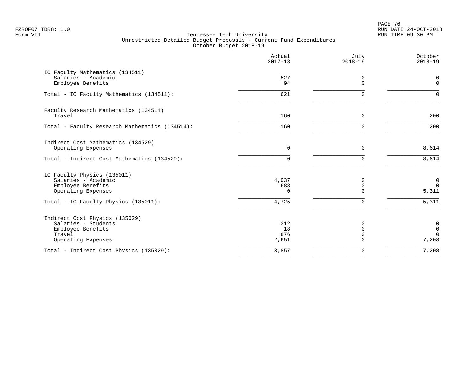en and the set of the set of the set of the set of the set of the set of the set of the set of the set of the set of the set of the set of the set of the set of the set of the set of the set of the set of the set of the se FZROF07 TBR8: 1.0 RUN DATE 24-OCT-2018

|                                                                                                            | Actual<br>$2017 - 18$     | July<br>$2018 - 19$                         | October<br>$2018 - 19$                          |
|------------------------------------------------------------------------------------------------------------|---------------------------|---------------------------------------------|-------------------------------------------------|
| IC Faculty Mathematics (134511)<br>Salaries - Academic<br>Employee Benefits                                | 527<br>94                 | 0<br>$\Omega$                               | $\mathbf 0$<br>$\Omega$                         |
| Total - IC Faculty Mathematics (134511):                                                                   | 621                       | $\Omega$                                    | $\Omega$                                        |
| Faculty Research Mathematics (134514)<br>Travel                                                            | 160                       | $\Omega$                                    | 200                                             |
| Total - Faculty Research Mathematics (134514):                                                             | 160                       | $\Omega$                                    | 200                                             |
| Indirect Cost Mathematics (134529)<br>Operating Expenses<br>Total - Indirect Cost Mathematics (134529):    | $\mathbf 0$<br>0          | $\mathbf 0$<br>$\Omega$                     | 8,614<br>8,614                                  |
| IC Faculty Physics (135011)<br>Salaries - Academic<br>Employee Benefits<br>Operating Expenses              | 4,037<br>688<br>$\Omega$  | 0<br>$\overline{0}$<br>$\Omega$             | 0<br>$\mathbf 0$<br>5,311                       |
| Total - IC Faculty Physics (135011):                                                                       | 4,725                     | $\Omega$                                    | 5,311                                           |
| Indirect Cost Physics (135029)<br>Salaries - Students<br>Employee Benefits<br>Travel<br>Operating Expenses | 312<br>18<br>876<br>2,651 | 0<br>$\mathbf 0$<br>$\mathbf 0$<br>$\Omega$ | $\mathbf 0$<br>$\mathbf 0$<br>$\Omega$<br>7,208 |
| Total - Indirect Cost Physics (135029):                                                                    | 3,857                     | 0                                           | 7,208                                           |
|                                                                                                            |                           |                                             |                                                 |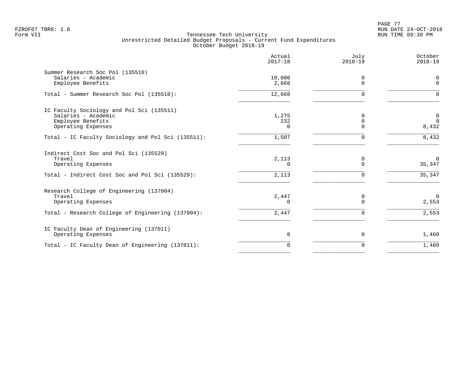PAGE 77 FZROF07 TBR8: 1.0 RUN DATE 24-OCT-2018

|                                                                                                                           | Actual<br>$2017 - 18$ | July<br>$2018 - 19$     | October<br>$2018 - 19$                 |
|---------------------------------------------------------------------------------------------------------------------------|-----------------------|-------------------------|----------------------------------------|
| Summer Research Soc Pol (135510)<br>Salaries - Academic<br>Employee Benefits                                              | 10,000<br>2,668       | 0<br>$\Omega$           | 0<br>$\mathbf 0$                       |
| Total - Summer Research Soc Pol (135510):                                                                                 | 12,668                | ∩                       | $\Omega$                               |
| IC Faculty Sociology and Pol Sci (135511)<br>Salaries - Academic<br>Employee Benefits<br>Operating Expenses               | 1,275<br>232<br>0     | ∩                       | $\mathbf 0$<br>$\overline{0}$<br>8,432 |
| Total - IC Faculty Sociology and Pol Sci (135511):                                                                        | 1,507                 | $\Omega$                | 8,432                                  |
| Indirect Cost Soc and Pol Sci (135529)<br>Travel<br>Operating Expenses<br>Total - Indirect Cost Soc and Pol Sci (135529): | 2,113<br>0<br>2,113   | 0<br>$\Omega$<br>0      | $\mathbf 0$<br>35,347<br>35,347        |
| Research College of Engineering (137004)<br>Travel<br>Operating Expenses                                                  | 2,447<br>0            | $\mathbf 0$<br>$\Omega$ | $\overline{0}$<br>2,553                |
| Total - Research College of Engineering (137004):                                                                         | 2,447                 | $\mathbf 0$             | 2,553                                  |
| IC Faculty Dean of Engineering (137011)<br>Operating Expenses                                                             | 0                     | $\mathbf 0$             | 1,460                                  |
| Total - IC Faculty Dean of Engineering (137011):                                                                          | $\Omega$              | $\Omega$                | 1,460                                  |
|                                                                                                                           |                       |                         |                                        |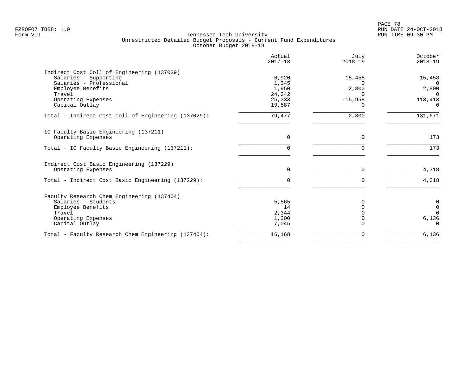PAGE 78 FZROF07 TBR8: 1.0 RUN DATE 24-OCT-2018

|                                                     | Actual<br>$2017 - 18$ | July<br>$2018 - 19$ | October<br>$2018 - 19$ |
|-----------------------------------------------------|-----------------------|---------------------|------------------------|
| Indirect Cost Coll of Engineering (137029)          |                       |                     |                        |
| Salaries - Supporting                               | 6,920                 | 15,458              | 15,458                 |
| Salaries - Professional<br>Employee Benefits        | 1,345<br>1,950        | $\Omega$<br>2,800   | $\Omega$<br>2,800      |
| Travel                                              | 24,342                | n                   | $\Omega$               |
| Operating Expenses                                  | 25,333                | $-15,958$           | 113,413                |
| Capital Outlay                                      | 19,587                |                     | $\Omega$               |
| Total - Indirect Cost Coll of Engineering (137029): | 79,477                | 2,300               | 131,671                |
| IC Faculty Basic Engineering (137211)               |                       |                     |                        |
| Operating Expenses                                  | $\Omega$              | $\Omega$            | 173                    |
| Total - IC Faculty Basic Engineering (137211):      | $\Omega$              | $\Omega$            | $\frac{173}{}$         |
| Indirect Cost Basic Engineering (137229)            |                       |                     |                        |
| Operating Expenses                                  | $\Omega$              | $\Omega$            | 4,318                  |
| Total - Indirect Cost Basic Engineering (137229):   | $\Omega$              | ∩                   | 4,318                  |
| Faculty Research Chem Engineering (137404)          |                       |                     |                        |
| Salaries - Students                                 | 5,565                 |                     | $\boldsymbol{0}$       |
| Employee Benefits                                   | 14                    |                     | $\mathbf 0$            |
| Travel                                              | 2,344                 |                     | $\Omega$               |
| Operating Expenses<br>Capital Outlay                | 1,200<br>7,045        |                     | 6,136<br>$\Omega$      |
| Total - Faculty Research Chem Engineering (137404): | 16,168                | $\Omega$            | 6,136                  |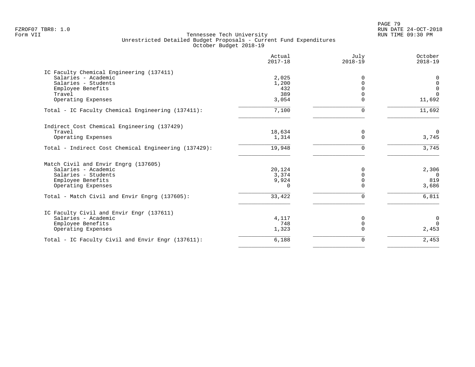PAGE 79 FZROF07 TBR8: 1.0 RUN DATE 24-OCT-2018

|                                                      | Actual<br>$2017 - 18$ | July<br>$2018 - 19$ | October<br>$2018 - 19$ |
|------------------------------------------------------|-----------------------|---------------------|------------------------|
| IC Faculty Chemical Engineering (137411)             |                       |                     |                        |
| Salaries - Academic                                  | 2,025                 | $\Omega$            | 0                      |
| Salaries - Students                                  | 1,200                 | $\Omega$            | $\mathbf 0$            |
| Employee Benefits                                    | 432                   |                     | $\mathbf 0$            |
| Travel                                               | 389                   |                     | $\Omega$               |
| Operating Expenses                                   | 3,054                 | $\Omega$            | 11,692                 |
| Total - IC Faculty Chemical Engineering (137411):    | 7,100                 | $\Omega$            | 11,692                 |
| Indirect Cost Chemical Engineering (137429)          |                       |                     |                        |
| Travel                                               | 18,634                | 0                   | $\Omega$               |
| Operating Expenses                                   | 1,314                 | $\Omega$            | 3,745                  |
| Total - Indirect Cost Chemical Engineering (137429): | 19,948                | $\Omega$            | 3,745                  |
| Match Civil and Envir Engrg (137605)                 |                       |                     |                        |
| Salaries - Academic                                  | 20,124                | $\Omega$            | 2,306                  |
| Salaries - Students                                  | 3,374                 | $\Omega$            | $\overline{0}$         |
| Employee Benefits                                    | 9,924                 | $\Omega$            | 819                    |
| Operating Expenses                                   | 0                     | $\cap$              | 3,686                  |
| Total - Match Civil and Envir Engrg (137605):        | 33,422                | $\Omega$            | 6,811                  |
| IC Faculty Civil and Envir Engr (137611)             |                       |                     |                        |
| Salaries - Academic                                  | 4,117                 | 0                   | $\mathbf 0$            |
| Employee Benefits                                    | 748                   | $\Omega$            | $\Omega$               |
| Operating Expenses                                   | 1,323                 | $\Omega$            | 2,453                  |
| Total - IC Faculty Civil and Envir Engr (137611):    | 6,188                 | 0                   | 2,453                  |
|                                                      |                       |                     |                        |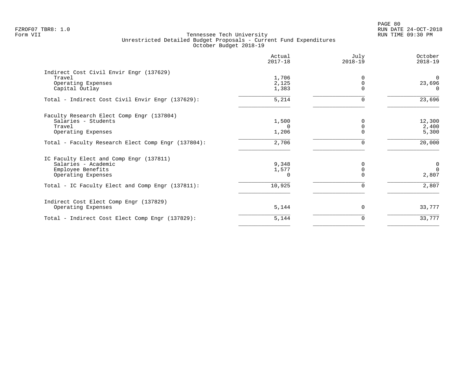PAGE 80 FZROF07 TBR8: 1.0 RUN DATE 24-OCT-2018

|                                                    | Actual<br>$2017 - 18$ | July<br>$2018 - 19$ | October<br>$2018 - 19$ |
|----------------------------------------------------|-----------------------|---------------------|------------------------|
| Indirect Cost Civil Envir Engr (137629)            |                       |                     |                        |
| Travel                                             | 1,706                 |                     | $\Omega$               |
| Operating Expenses                                 | 2,125                 | 0                   | 23,696                 |
| Capital Outlay                                     | 1,383                 | $\Omega$            | $\Omega$               |
| Total - Indirect Cost Civil Envir Engr (137629):   | 5,214                 | $\Omega$            | 23,696                 |
| Faculty Research Elect Comp Engr (137804)          |                       |                     |                        |
| Salaries - Students                                | 1,500                 |                     | 12,300                 |
| Travel                                             | $\Omega$              | $\Omega$            | 2,400                  |
| Operating Expenses                                 | 1,206                 |                     | 5,300                  |
| Total - Faculty Research Elect Comp Engr (137804): | 2,706                 | $\Omega$            | 20,000                 |
| IC Faculty Elect and Comp Engr (137811)            |                       |                     |                        |
| Salaries - Academic                                | 9,348                 | O                   | $\mathbf 0$            |
| Employee Benefits                                  | 1,577                 |                     | $\Omega$               |
| Operating Expenses                                 | O                     |                     | 2,807                  |
| Total - IC Faculty Elect and Comp Engr (137811):   | 10,925                | 0                   | 2,807                  |
| Indirect Cost Elect Comp Engr (137829)             |                       |                     |                        |
| Operating Expenses                                 | 5,144                 | $\Omega$            | 33,777                 |
| Total - Indirect Cost Elect Comp Engr (137829):    | 5,144                 | $\Omega$            | 33,777                 |
|                                                    |                       |                     |                        |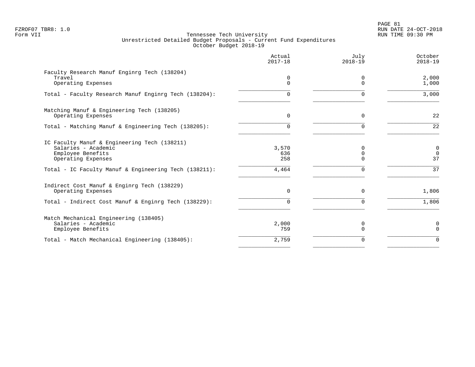PAGE 81 FZROF07 TBR8: 1.0 RUN DATE 24-OCT-2018

|                                                                                                                                                                         | Actual<br>$2017 - 18$        | July<br>$2018 - 19$                   | October<br>$2018 - 19$       |
|-------------------------------------------------------------------------------------------------------------------------------------------------------------------------|------------------------------|---------------------------------------|------------------------------|
| Faculty Research Manuf Enginrg Tech (138204)<br>Travel<br>Operating Expenses                                                                                            | $\mathbf 0$<br>$\Omega$      | 0<br>$\Omega$                         | 2,000<br>1,000               |
| Total - Faculty Research Manuf Enginrg Tech (138204):                                                                                                                   | 0                            |                                       | 3,000                        |
| Matching Manuf & Engineering Tech (138205)<br>Operating Expenses                                                                                                        | $\Omega$                     | $\Omega$                              | 22                           |
| Total - Matching Manuf & Engineering Tech (138205):                                                                                                                     | $\Omega$                     | $\Omega$                              | 22                           |
| IC Faculty Manuf & Engineering Tech (138211)<br>Salaries - Academic<br>Employee Benefits<br>Operating Expenses<br>Total - IC Faculty Manuf & Engineering Tech (138211): | 3,570<br>636<br>258<br>4,464 | $\Omega$<br>0<br>$\Omega$<br>$\Omega$ | 0<br>$\mathbf 0$<br>37<br>37 |
| Indirect Cost Manuf & Enginrg Tech (138229)<br>Operating Expenses                                                                                                       | $\Omega$                     | $\Omega$                              | 1,806                        |
| Total - Indirect Cost Manuf & Enginrg Tech (138229):                                                                                                                    | 0                            | $\Omega$                              | 1,806                        |
| Match Mechanical Engineering (138405)<br>Salaries - Academic<br>Employee Benefits                                                                                       | 2,000<br>759                 | 0<br>$\Omega$                         | 0<br>$\Omega$                |
| Total - Match Mechanical Engineering (138405):                                                                                                                          | 2,759                        | $\Omega$                              | $\Omega$                     |
|                                                                                                                                                                         |                              |                                       |                              |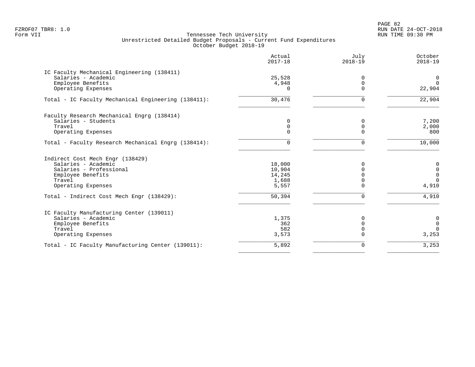PAGE 82 FZROF07 TBR8: 1.0 RUN DATE 24-OCT-2018

|                                                                   | Actual<br>$2017 - 18$ | July<br>$2018 - 19$ | October<br>$2018 - 19$ |
|-------------------------------------------------------------------|-----------------------|---------------------|------------------------|
| IC Faculty Mechanical Engineering (138411)<br>Salaries - Academic | 25,528                | $\Omega$            | 0                      |
| Employee Benefits                                                 | 4,948                 | $\mathbf 0$         | $\Omega$               |
| Operating Expenses                                                | $\Omega$              | $\Omega$            | 22,904                 |
| Total - IC Faculty Mechanical Engineering (138411):               | 30,476                | 0                   | 22,904                 |
| Faculty Research Mechanical Engrg (138414)                        |                       |                     |                        |
| Salaries - Students                                               | 0                     | $\Omega$            | 7,200                  |
| Travel                                                            | 0                     | $\mathbf 0$         | 2,000                  |
| Operating Expenses                                                | 0                     | $\Omega$            | 800                    |
| Total - Faculty Research Mechanical Engrg (138414):               | $\Omega$              | 0                   | 10,000                 |
| Indirect Cost Mech Engr (138429)                                  |                       |                     |                        |
| Salaries - Academic                                               | 18,000                | $\Omega$            | 0                      |
| Salaries - Professional                                           | 10,904                | $\Omega$            | $\mathbf 0$            |
| Employee Benefits                                                 | 14,245                | $\Omega$            | $\mathbf 0$            |
| Travel                                                            | 1,688                 | $\Omega$            | $\Omega$               |
| Operating Expenses                                                | 5,557                 | $\Omega$            | 4,910                  |
| Total - Indirect Cost Mech Engr (138429):                         | $\overline{50, 394}$  | 0                   | 4,910                  |
| IC Faculty Manufacturing Center (139011)                          |                       |                     |                        |
| Salaries - Academic                                               | 1,375                 | 0                   | 0                      |
| Employee Benefits                                                 | 362                   | $\Omega$            | $\overline{0}$         |
| Travel                                                            | 582                   | $\Omega$            | $\Omega$               |
| Operating Expenses                                                | 3,573                 | $\Omega$            | 3,253                  |
| Total - IC Faculty Manufacturing Center (139011):                 | 5,892                 | 0                   | 3,253                  |
|                                                                   |                       |                     |                        |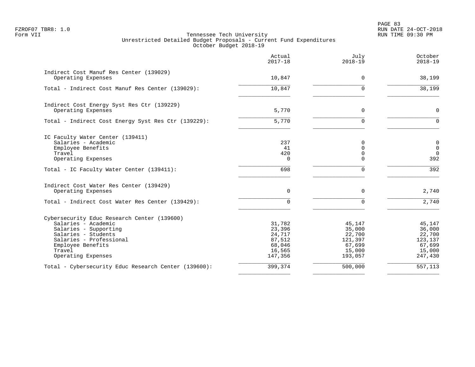PAGE 83 FZROF07 TBR8: 1.0 RUN DATE 24-OCT-2018

|                                                      | Actual<br>$2017 - 18$ | July<br>$2018 - 19$     | October<br>$2018 - 19$  |
|------------------------------------------------------|-----------------------|-------------------------|-------------------------|
| Indirect Cost Manuf Res Center (139029)              |                       |                         |                         |
| Operating Expenses                                   | 10,847                | $\Omega$                | 38,199                  |
| Total - Indirect Cost Manuf Res Center (139029):     | 10,847                | $\Omega$                | 38,199                  |
| Indirect Cost Energy Syst Res Ctr (139229)           |                       |                         |                         |
| Operating Expenses                                   | 5,770                 | $\Omega$                | $\mathbf 0$             |
| Total - Indirect Cost Energy Syst Res Ctr (139229):  | 5,770                 | $\Omega$                | $\Omega$                |
| IC Faculty Water Center (139411)                     |                       |                         |                         |
| Salaries - Academic                                  | 237                   | $\Omega$                | 0                       |
| Employee Benefits<br>Travel                          | 41<br>420             | $\Omega$<br>$\mathbf 0$ | $\mathbf 0$<br>$\Omega$ |
| Operating Expenses                                   | $\Omega$              | $\Omega$                | 392                     |
| Total - IC Faculty Water Center (139411):            | 698                   | $\Omega$                | 392                     |
| Indirect Cost Water Res Center (139429)              |                       |                         |                         |
| Operating Expenses                                   | $\Omega$              | $\Omega$                | 2,740                   |
| Total - Indirect Cost Water Res Center (139429):     | 0                     | $\Omega$                | 2,740                   |
| Cybersecurity Educ Research Center (139600)          |                       |                         |                         |
| Salaries - Academic                                  | 31,782                | 45,147                  | 45,147                  |
| Salaries - Supporting                                | 23,396                | 35,000                  | 36,000                  |
| Salaries - Students                                  | 24,717                | 22,700                  | 22,700                  |
| Salaries - Professional<br>Employee Benefits         | 87,512<br>68,046      | 121,397<br>67,699       | 123,137<br>67,699       |
| Travel                                               | 16,565                | 15,000                  | 15,000                  |
| Operating Expenses                                   | 147,356               | 193,057                 | 247,430                 |
| Total - Cybersecurity Educ Research Center (139600): | 399,374               | 500,000                 | 557,113                 |
|                                                      |                       |                         |                         |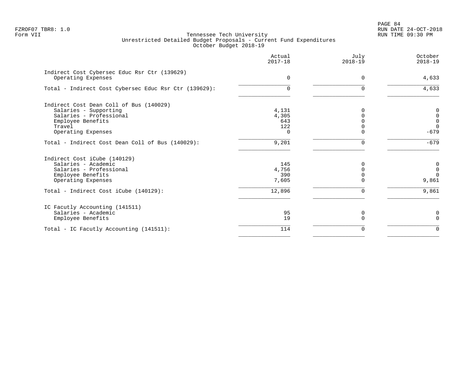|                                                                    | Actual<br>$2017 - 18$ | July<br>$2018 - 19$ | October<br>$2018 - 19$ |
|--------------------------------------------------------------------|-----------------------|---------------------|------------------------|
| Indirect Cost Cybersec Educ Rsr Ctr (139629)<br>Operating Expenses | $\Omega$              | $\Omega$            | 4,633                  |
| Total - Indirect Cost Cybersec Educ Rsr Ctr (139629):              | $\Omega$              | $\Omega$            | 4,633                  |
|                                                                    |                       |                     |                        |
| Indirect Cost Dean Coll of Bus (140029)                            |                       |                     |                        |
| Salaries - Supporting                                              | 4,131                 |                     | 0                      |
| Salaries - Professional                                            | 4,305                 |                     | $\mathbf 0$            |
| Employee Benefits                                                  | 643                   |                     | $\mathbf 0$            |
| Travel                                                             | 122                   |                     | $\Omega$               |
| Operating Expenses                                                 | $\Omega$              |                     | $-679$                 |
| Total - Indirect Cost Dean Coll of Bus (140029):                   | 9,201                 | $\Omega$            | $-679$                 |
| Indirect Cost iCube (140129)                                       |                       |                     |                        |
| Salaries - Academic                                                | 145                   | O                   | 0                      |
| Salaries - Professional                                            | 4,756                 |                     | $\overline{0}$         |
| Employee Benefits                                                  | 390                   |                     | $\Omega$               |
| Operating Expenses                                                 | 7,605                 | O                   | 9,861                  |
| Total - Indirect Cost iCube (140129):                              | 12,896                | $\Omega$            | 9,861                  |
| IC Facutly Accounting (141511)                                     |                       |                     |                        |
| Salaries - Academic                                                | 95                    | 0                   | 0                      |
| Employee Benefits                                                  | 19                    |                     | $\Omega$               |
| Total - IC Facutly Accounting (141511):                            | 114                   | O                   | $\mathbf 0$            |
|                                                                    |                       |                     |                        |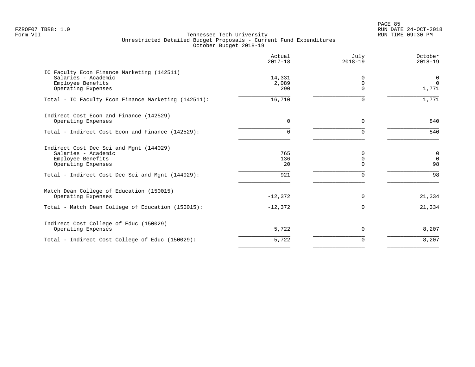PAGE 85 FZROF07 TBR8: 1.0 RUN DATE 24-OCT-2018

|                                                                                                                                                               | Actual<br>$2017 - 18$   | July<br>$2018 - 19$            | October<br>$2018 - 19$               |
|---------------------------------------------------------------------------------------------------------------------------------------------------------------|-------------------------|--------------------------------|--------------------------------------|
| IC Faculty Econ Finance Marketing (142511)<br>Salaries - Academic<br>Employee Benefits<br>Operating Expenses                                                  | 14,331<br>2,089<br>290  | 0<br>$\mathbf 0$<br>$\Omega$   | 0<br>$\mathbf 0$<br>1,771            |
| Total - IC Faculty Econ Finance Marketing (142511):                                                                                                           | 16,710                  | $\Omega$                       | 1,771                                |
| Indirect Cost Econ and Finance (142529)<br>Operating Expenses                                                                                                 | $\Omega$                | 0                              | 840                                  |
| Total - Indirect Cost Econ and Finance (142529):                                                                                                              | $\Omega$                | $\Omega$                       | 840                                  |
| Indirect Cost Dec Sci and Mgnt (144029)<br>Salaries - Academic<br>Employee Benefits<br>Operating Expenses<br>Total - Indirect Cost Dec Sci and Mgnt (144029): | 765<br>136<br>20<br>921 | 0<br>0<br>$\Omega$<br>$\Omega$ | $\mathsf{O}$<br>$\Omega$<br>98<br>98 |
| Match Dean College of Education (150015)<br>Operating Expenses                                                                                                | $-12,372$               | 0                              | 21,334                               |
| Total - Match Dean College of Education (150015):                                                                                                             | $-12,372$               | $\Omega$                       | 21,334                               |
| Indirect Cost College of Educ (150029)<br>Operating Expenses                                                                                                  | 5,722                   | 0                              | 8,207                                |
| Total - Indirect Cost College of Educ (150029):                                                                                                               | 5,722                   | 0                              | 8,207                                |
|                                                                                                                                                               |                         |                                |                                      |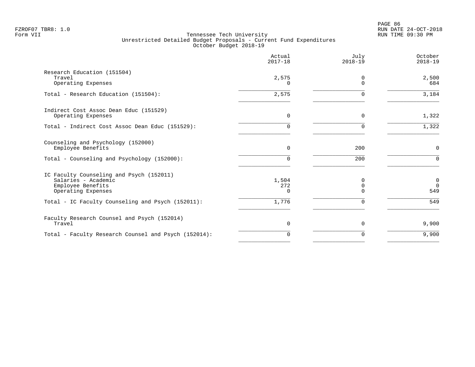|                                                                                                            | Actual<br>$2017 - 18$ | July<br>$2018 - 19$       | October<br>$2018 - 19$         |
|------------------------------------------------------------------------------------------------------------|-----------------------|---------------------------|--------------------------------|
| Research Education (151504)<br>Travel<br>Operating Expenses                                                | 2,575<br>0            | 0<br>$\Omega$             | 2,500<br>684                   |
| Total - Research Education (151504):                                                                       | 2,575                 | $\Omega$                  | 3,184                          |
| Indirect Cost Assoc Dean Educ (151529)<br>Operating Expenses                                               | $\mathbf 0$           | $\Omega$                  | 1,322                          |
| Total - Indirect Cost Assoc Dean Educ (151529):                                                            | 0                     | ∩                         | 1,322                          |
| Counseling and Psychology (152000)<br>Employee Benefits                                                    | $\Omega$              | 200                       | $\mathsf{O}$                   |
| Total - Counseling and Psychology (152000):                                                                | 0                     | 200                       | $\Omega$                       |
| IC Faculty Counseling and Psych (152011)<br>Salaries - Academic<br>Employee Benefits<br>Operating Expenses | 1,504<br>272<br>0     | 0<br>$\Omega$<br>$\Omega$ | $\mathbf 0$<br>$\Omega$<br>549 |
| Total - IC Faculty Counseling and Psych (152011):                                                          | 1,776                 | $\Omega$                  | 549                            |
| Faculty Research Counsel and Psych (152014)<br>Travel                                                      | $\mathbf 0$           | $\Omega$                  | 9,900                          |
| Total - Faculty Research Counsel and Psych (152014):                                                       | $\Omega$              | $\Omega$                  | 9,900                          |
|                                                                                                            |                       |                           |                                |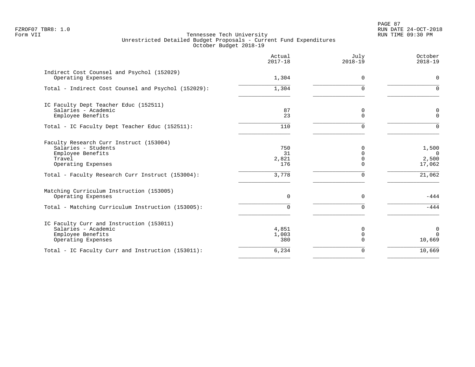PAGE 87 FZROF07 TBR8: 1.0 RUN DATE 24-OCT-2018

|                                                                                                                     | Actual<br>$2017 - 18$     | July<br>$2018 - 19$              | October<br>$2018 - 19$               |
|---------------------------------------------------------------------------------------------------------------------|---------------------------|----------------------------------|--------------------------------------|
| Indirect Cost Counsel and Psychol (152029)<br>Operating Expenses                                                    | 1,304                     | $\Omega$                         | $\Omega$                             |
| Total - Indirect Cost Counsel and Psychol (152029):                                                                 | 1,304                     | $\Omega$                         | $\Omega$                             |
| IC Faculty Dept Teacher Educ (152511)<br>Salaries - Academic<br>Employee Benefits                                   | 87<br>23                  | 0<br>$\Omega$                    | C<br>$\Omega$                        |
| Total - IC Faculty Dept Teacher Educ (152511):                                                                      | 110                       | $\Omega$                         | $\Omega$                             |
| Faculty Research Curr Instruct (153004)<br>Salaries - Students<br>Employee Benefits<br>Travel<br>Operating Expenses | 750<br>31<br>2,821<br>176 | $\Omega$<br>$\Omega$<br>$\Omega$ | 1,500<br>$\Omega$<br>2,500<br>17,062 |
| Total - Faculty Research Curr Instruct (153004):                                                                    | 3,778                     | $\Omega$                         | 21,062                               |
| Matching Curriculum Instruction (153005)<br>Operating Expenses                                                      | $\Omega$                  | $\Omega$                         | $-444$                               |
| Total - Matching Curriculum Instruction (153005):                                                                   | <sup>n</sup>              | $\Omega$                         | $-444$                               |
| IC Faculty Curr and Instruction (153011)<br>Salaries - Academic<br>Employee Benefits<br>Operating Expenses          | 4,851<br>1,003<br>380     | 0<br>$\mathbf 0$<br>$\Omega$     | $\mathbf 0$<br>$\Omega$<br>10,669    |
| Total - IC Faculty Curr and Instruction (153011):                                                                   | 6,234                     | 0                                | 10,669                               |
|                                                                                                                     |                           |                                  |                                      |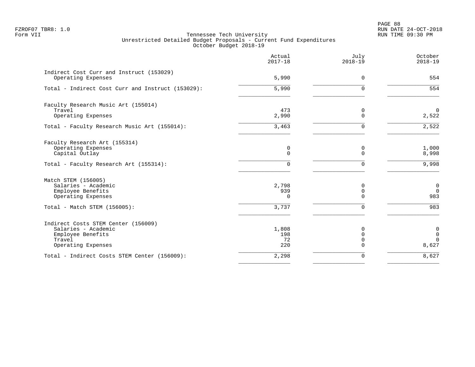PAGE 88 FZROF07 TBR8: 1.0 RUN DATE 24-OCT-2018

|                                                                                                                 | Actual<br>$2017 - 18$     | July<br>$2018 - 19$                      | October<br>$2018 - 19$                                   |
|-----------------------------------------------------------------------------------------------------------------|---------------------------|------------------------------------------|----------------------------------------------------------|
| Indirect Cost Curr and Instruct (153029)<br>Operating Expenses                                                  | 5,990                     | $\mathbf 0$                              | 554                                                      |
| Total - Indirect Cost Curr and Instruct (153029):                                                               | $\overline{5,990}$        | $\Omega$                                 | 554                                                      |
| Faculty Research Music Art (155014)<br>Travel<br>Operating Expenses                                             | 473<br>2,990              | 0<br>$\Omega$                            | $\mathbf 0$<br>2,522                                     |
| Total - Faculty Research Music Art (155014):                                                                    | 3,463                     | $\Omega$                                 | 2,522                                                    |
| Faculty Research Art (155314)<br>Operating Expenses<br>Capital Outlay                                           | 0<br>0                    | 0<br>$\mathbf 0$                         | 1,000<br>8,998                                           |
| Total - Faculty Research Art (155314):                                                                          | 0                         | $\Omega$                                 | 9,998                                                    |
| Match STEM (156005)<br>Salaries - Academic<br>Employee Benefits<br>Operating Expenses                           | 2,798<br>939<br>$\Omega$  | 0<br>0<br>$\Omega$                       | $\mathbf 0$<br>$\overline{0}$<br>983                     |
| Total - Match STEM (156005):                                                                                    | 3,737                     | $\Omega$                                 | 983                                                      |
| Indirect Costs STEM Center (156009)<br>Salaries - Academic<br>Employee Benefits<br>Travel<br>Operating Expenses | 1,808<br>198<br>72<br>220 | 0<br>$\Omega$<br>$\mathbf 0$<br>$\Omega$ | $\mathsf{O}\xspace$<br>$\mathsf{O}$<br>$\Omega$<br>8,627 |
| Total - Indirect Costs STEM Center (156009):                                                                    | 2,298                     | 0                                        | 8,627                                                    |
|                                                                                                                 |                           |                                          |                                                          |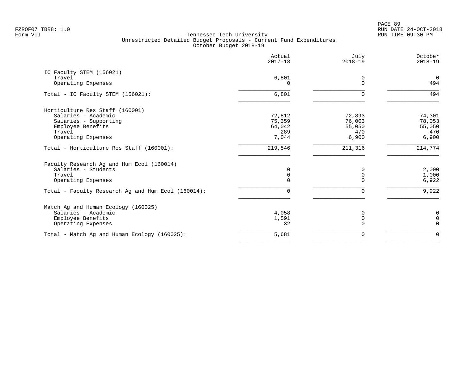PAGE 89 FZROF07 TBR8: 1.0 RUN DATE 24-OCT-2018

|                                                    | Actual<br>$2017 - 18$ | July<br>$2018 - 19$     | October<br>$2018 - 19$  |
|----------------------------------------------------|-----------------------|-------------------------|-------------------------|
| IC Faculty STEM (156021)<br>Travel                 | 6,801                 | 0                       | $\overline{0}$          |
| Operating Expenses                                 | 0                     | $\Omega$                | 494                     |
| Total - IC Faculty STEM (156021):                  | 6,801                 | $\Omega$                | 494                     |
| Horticulture Res Staff (160001)                    |                       |                         |                         |
| Salaries - Academic                                | 72,812                | 72,893                  | 74,301                  |
| Salaries - Supporting<br>Employee Benefits         | 75,359<br>64,042      | 76,003<br>55,050        | 78,053<br>55,050        |
| Travel                                             | 289                   | 470                     | 470                     |
| Operating Expenses                                 | 7,044                 | 6,900                   | 6,900                   |
| Total - Horticulture Res Staff (160001):           | 219,546               | 211,316                 | 214,774                 |
| Faculty Research Ag and Hum Ecol (160014)          |                       |                         |                         |
| Salaries - Students                                | 0                     | $\Omega$                | 2,000                   |
| Travel                                             | 0                     | $\mathbf 0$             | 1,000                   |
| Operating Expenses                                 | 0                     | $\Omega$                | 6,922                   |
| Total - Faculty Research Ag and Hum Ecol (160014): | 0                     | $\Omega$                | 9,922                   |
| Match Ag and Human Ecology (160025)                |                       |                         |                         |
| Salaries - Academic                                | 4,058                 | 0                       | 0                       |
| Employee Benefits                                  | 1,591<br>32           | $\mathbf 0$<br>$\Omega$ | $\Omega$<br>$\mathbf 0$ |
| Operating Expenses                                 |                       |                         |                         |
| Total - Match Ag and Human Ecology (160025):       | 5,681                 | $\Omega$                | $\Omega$                |
|                                                    |                       |                         |                         |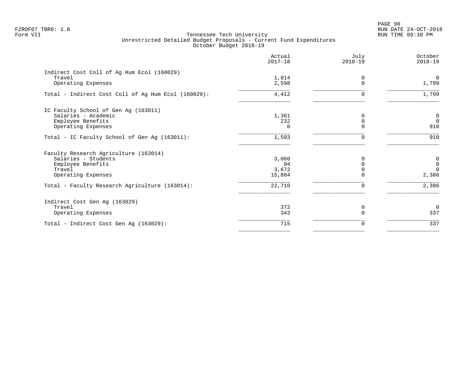PAGE 90 FZROF07 TBR8: 1.0 RUN DATE 24-OCT-2018

|                                                     | Actual<br>$2017 - 18$ | July<br>$2018 - 19$ | October<br>$2018 - 19$  |
|-----------------------------------------------------|-----------------------|---------------------|-------------------------|
| Indirect Cost Coll of Ag Hum Ecol (160029)          |                       |                     |                         |
| Travel<br>Operating Expenses                        | 1,814<br>2,598        | 0<br>$\Omega$       | $\overline{0}$<br>1,799 |
| Total - Indirect Cost Coll of Ag Hum Ecol (160029): | 4,412                 | 0                   | 1,799                   |
| IC Faculty School of Gen Ag (163011)                |                       |                     |                         |
| Salaries - Academic                                 | 1,361                 | $\Omega$            | $\mathbf 0$             |
| Employee Benefits                                   | 232                   | $\Omega$            | $\overline{0}$          |
| Operating Expenses                                  | $\Omega$              | $\Omega$            | 910                     |
| Total - IC Faculty School of Gen Ag (163011):       | 1,593                 | 0                   | 910                     |
| Faculty Research Agriculture (163014)               |                       |                     |                         |
| Salaries - Students                                 | 3,060                 | <sup>0</sup>        | 0                       |
| Employee Benefits                                   | 94                    | $\Omega$            | $\mathbf 0$             |
| Travel                                              | 3,672                 | 0                   | $\Omega$                |
| Operating Expenses                                  | 15,884                | $\Omega$            | 2,386                   |
| Total - Faculty Research Agriculture (163014):      | 22,710                | 0                   | 2,386                   |
| Indirect Cost Gen Ag (163029)                       |                       |                     |                         |
| Travel                                              | 372                   | 0                   | $\overline{0}$          |
| Operating Expenses                                  | 343                   | $\Omega$            | 337                     |
| Total - Indirect Cost Gen Ag (163029):              | 715                   | 0                   | 337                     |
|                                                     |                       |                     |                         |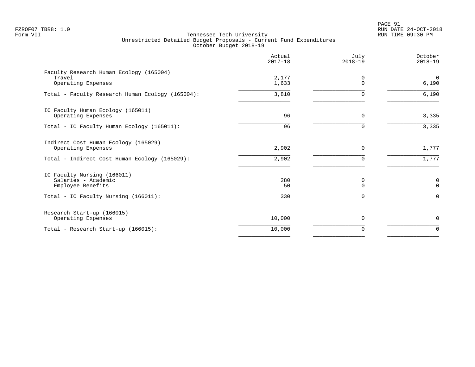PAGE 91 FZROF07 TBR8: 1.0 RUN DATE 24-OCT-2018

|                                                                         | Actual<br>$2017 - 18$ | July<br>$2018 - 19$  | October<br>$2018 - 19$  |
|-------------------------------------------------------------------------|-----------------------|----------------------|-------------------------|
| Faculty Research Human Ecology (165004)<br>Travel<br>Operating Expenses | 2,177<br>1,633        | $\Omega$<br>$\Omega$ | $\overline{0}$<br>6,190 |
| Total - Faculty Research Human Ecology (165004):                        | 3,810                 | $\Omega$             | 6,190                   |
| IC Faculty Human Ecology (165011)<br>Operating Expenses                 | 96                    | $\mathbf 0$          | 3,335                   |
| Total - IC Faculty Human Ecology (165011):                              | 96                    | $\Omega$             | 3,335                   |
| Indirect Cost Human Ecology (165029)<br>Operating Expenses              | 2,902                 | $\Omega$             | 1,777                   |
| Total - Indirect Cost Human Ecology (165029):                           | 2,902                 | $\Omega$             | 1,777                   |
| IC Faculty Nursing (166011)<br>Salaries - Academic<br>Employee Benefits | 280<br>50             | 0<br>$\Omega$        | 0<br>$\Omega$           |
| Total - IC Faculty Nursing (166011):                                    | 330                   | $\Omega$             | $\Omega$                |
| Research Start-up (166015)<br>Operating Expenses                        | 10,000                | 0                    | 0                       |
| Total - Research Start-up (166015):                                     | 10,000                | 0                    | $\mathbf 0$             |
|                                                                         |                       |                      |                         |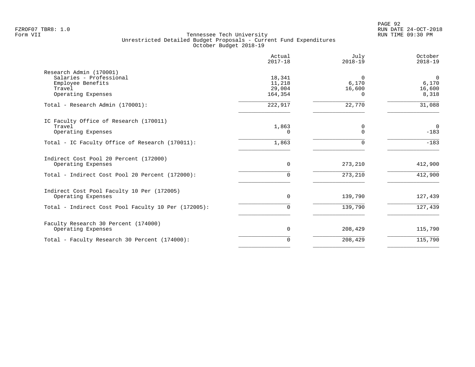|                                                                  | Actual<br>$2017 - 18$       | July<br>$2018 - 19$  | October<br>$2018 - 19$   |
|------------------------------------------------------------------|-----------------------------|----------------------|--------------------------|
| Research Admin (170001)<br>Salaries - Professional               | 18,341                      | $\Omega$             | $\Omega$                 |
| Employee Benefits<br>Travel<br>Operating Expenses                | 11,218<br>29,004<br>164,354 | 6,170<br>16,600<br>0 | 6,170<br>16,600<br>8,318 |
| Total - Research Admin (170001):                                 | 222,917                     | 22,770               | 31,088                   |
| IC Faculty Office of Research (170011)                           |                             |                      |                          |
| Travel<br>Operating Expenses                                     | 1,863<br>0                  | 0<br>$\Omega$        | $\overline{0}$<br>$-183$ |
| Total - IC Faculty Office of Research (170011):                  | 1,863                       | $\Omega$             | $-183$                   |
| Indirect Cost Pool 20 Percent (172000)<br>Operating Expenses     | $\mathbf 0$                 | 273,210              | 412,900                  |
| Total - Indirect Cost Pool 20 Percent (172000):                  | 0                           | 273,210              | 412,900                  |
| Indirect Cost Pool Faculty 10 Per (172005)<br>Operating Expenses | 0                           | 139,790              | 127,439                  |
| Total - Indirect Cost Pool Faculty 10 Per (172005):              | 0                           | 139,790              | 127,439                  |
| Faculty Research 30 Percent (174000)                             |                             |                      |                          |
| Operating Expenses                                               | $\Omega$                    | 208,429              | 115,790                  |
| Total - Faculty Research 30 Percent (174000):                    | $\Omega$                    | 208,429              | 115,790                  |
|                                                                  |                             |                      |                          |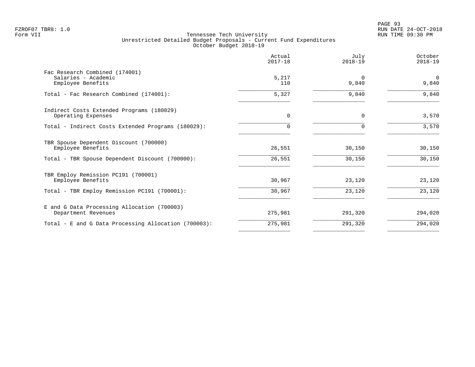|                                                                            | Actual<br>$2017 - 18$ | July<br>$2018 - 19$ | October<br>$2018 - 19$  |
|----------------------------------------------------------------------------|-----------------------|---------------------|-------------------------|
| Fac Research Combined (174001)<br>Salaries - Academic<br>Employee Benefits | 5,217<br>110          | $\Omega$<br>9,840   | $\overline{0}$<br>9,840 |
| Total - Fac Research Combined (174001):                                    | 5,327                 | 9,840               | 9,840                   |
| Indirect Costs Extended Programs (180029)<br>Operating Expenses            | $\Omega$              | $\Omega$            | 3,570                   |
| Total - Indirect Costs Extended Programs (180029):                         | 0                     | $\Omega$            | 3,570                   |
| TBR Spouse Dependent Discount (700000)<br>Employee Benefits                | 26,551                | 30,150              | 30,150                  |
| Total - TBR Spouse Dependent Discount (700000):                            | 26,551                | 30,150              | 30,150                  |
| TBR Employ Remission PC191 (700001)<br>Employee Benefits                   | 30,967                | 23,120              | 23,120                  |
| Total - TBR Employ Remission PC191 (700001):                               | 30,967                | 23,120              | 23,120                  |
| E and G Data Processing Allocation (700003)<br>Department Revenues         | 275,981               | 291,320             | 294,020                 |
| Total - E and G Data Processing Allocation (700003):                       | 275,981               | 291,320             | 294,020                 |
|                                                                            |                       |                     |                         |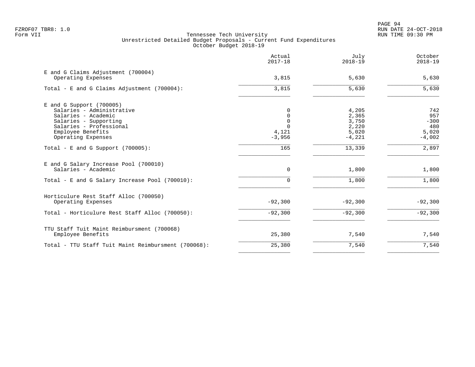|                                                                                                         | Actual<br>$2017 - 18$         | July<br>$2018 - 19$        | October<br>$2018 - 19$   |
|---------------------------------------------------------------------------------------------------------|-------------------------------|----------------------------|--------------------------|
| E and G Claims Adjustment (700004)<br>Operating Expenses                                                | 3,815                         | 5,630                      | 5,630                    |
| Total - E and G Claims Adjustment $(700004)$ :                                                          | 3,815                         | 5,630                      | 5,630                    |
| $E$ and G Support (700005)<br>Salaries - Administrative<br>Salaries - Academic<br>Salaries - Supporting | 0<br>$\mathbf 0$<br>$\Omega$  | 4,205<br>2,365<br>3,750    | 742<br>957<br>$-300$     |
| Salaries - Professional<br>Employee Benefits<br>Operating Expenses                                      | $\Omega$<br>4,121<br>$-3,956$ | 2,220<br>5,020<br>$-4,221$ | 480<br>5,020<br>$-4,002$ |
| Total - E and G Support $(700005)$ :                                                                    | 165                           | 13,339                     | 2,897                    |
| E and G Salary Increase Pool (700010)<br>Salaries - Academic                                            | $\mathbf 0$                   | 1,800                      | 1,800                    |
| Total - E and G Salary Increase Pool (700010):                                                          | $\Omega$                      | 1,800                      | 1,800                    |
| Horticulure Rest Staff Alloc (700050)<br>Operating Expenses                                             | $-92,300$                     | $-92,300$                  | $-92,300$                |
| Total - Horticulure Rest Staff Alloc (700050):                                                          | $-92,300$                     | $-92,300$                  | $-92,300$                |
| TTU Staff Tuit Maint Reimbursment (700068)<br>Employee Benefits                                         | 25,380                        | 7,540                      | 7,540                    |
| Total - TTU Staff Tuit Maint Reimbursment (700068):                                                     | 25,380                        | 7,540                      | 7,540                    |
|                                                                                                         |                               |                            |                          |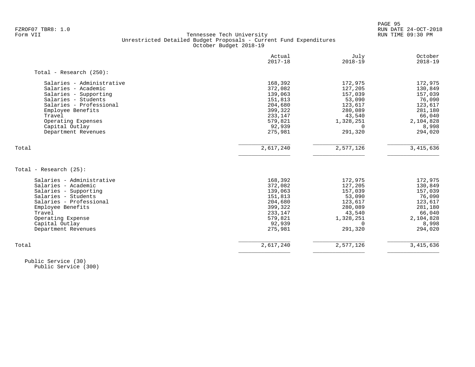PAGE 95 FZROF07 TBR8: 1.0 RUN DATE 24-OCT-2018

#### Form VII Tennessee Tech University RUN TIME 09:30 PM Unrestricted Detailed Budget Proposals - Current Fund Expenditures October Budget 2018-19

|                            | Actual<br>$2017 - 18$ | July<br>$2018 - 19$ | October<br>$2018 - 19$ |
|----------------------------|-----------------------|---------------------|------------------------|
| Total - Research $(250)$ : |                       |                     |                        |
| Salaries - Administrative  | 168,392               | 172,975             | 172,975                |
| Salaries - Academic        | 372,082               | 127,205             | 130,849                |
| Salaries - Supporting      | 139,063               | 157,039             | 157,039                |
| Salaries - Students        | 151,813               | 53,090              | 76,090                 |
| Salaries - Professional    | 204,680               | 123,617             | 123,617                |
| Employee Benefits          | 399,322               | 280,089             | 281,180                |
| Travel                     | 233,147               | 43,540              | 66,040                 |
| Operating Expenses         | 579,821               | 1,328,251           | 2,104,828              |
| Capital Outlay             | 92,939                | 0                   | 8,998                  |
| Department Revenues        | 275,981               | 291,320             | 294,020                |
| Total                      | 2,617,240             | 2,577,126           | 3,415,636              |
| Total - Research (25):     |                       |                     |                        |
| Salaries - Administrative  | 168,392               | 172,975             | 172,975                |
| Salaries - Academic        | 372,082               | 127,205             | 130,849                |
| Salaries - Supporting      | 139,063               | 157,039             | 157,039                |
| Salaries - Students        | 151,813               | 53,090              | 76,090                 |
| Salaries - Professional    | 204,680               | 123,617             | 123,617                |
| Employee Benefits          | 399,322               | 280,089             | 281,180                |
| Travel                     | 233,147               | 43,540              | 66,040                 |
| Operating Expense          | 579,821               | 1,328,251           | 2,104,828              |
| Capital Outlay             | 92,939                | $\Omega$            | 8,998                  |
| Department Revenues        | 275,981               | 291,320             | 294,020                |
|                            |                       |                     |                        |

 Public Service (30) Public Service (300)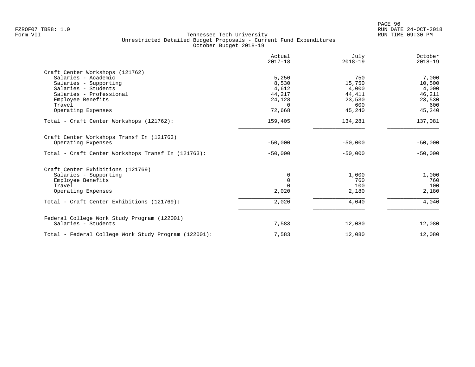|                                                      | Actual<br>$2017 - 18$ | July<br>$2018 - 19$ | October<br>$2018 - 19$ |
|------------------------------------------------------|-----------------------|---------------------|------------------------|
| Craft Center Workshops (121762)                      |                       |                     |                        |
| Salaries - Academic                                  | 5,250                 | 750                 | 7,000                  |
| Salaries - Supporting                                | 8,530                 | 15,750              | 10,500                 |
| Salaries - Students                                  | 4,612                 | 4,000               | 4,000                  |
| Salaries - Professional                              | 44,217                | 44,411              | 46,211                 |
| Employee Benefits                                    | 24,128                | 23,530              | 23,530                 |
| Travel                                               | $\Omega$              | 600                 | 600                    |
| Operating Expenses                                   | 72,668                | 45,240              | 45,240                 |
| Total - Craft Center Workshops (121762):             | 159,405               | 134,281             | 137,081                |
| Craft Center Workshops Transf In (121763)            |                       |                     |                        |
| Operating Expenses                                   | $-50,000$             | $-50,000$           | $-50,000$              |
| Total - Craft Center Workshops Transf In (121763):   | $-50,000$             | $-50,000$           | $-50,000$              |
| Craft Center Exhibitions (121769)                    |                       |                     |                        |
| Salaries - Supporting                                | 0                     | 1,000               | 1,000                  |
| Employee Benefits                                    | $\mathbf 0$           | 760                 | 760                    |
| Travel                                               | $\Omega$              | 100                 | 100                    |
| Operating Expenses                                   | 2,020                 | 2,180               | 2,180                  |
| Total - Craft Center Exhibitions (121769):           | 2,020                 | 4,040               | 4,040                  |
| Federal College Work Study Program (122001)          |                       |                     |                        |
| Salaries - Students                                  | 7,583                 | 12,080              | 12,080                 |
| Total - Federal College Work Study Program (122001): | 7,583                 | 12,080              | 12,080                 |
|                                                      |                       |                     |                        |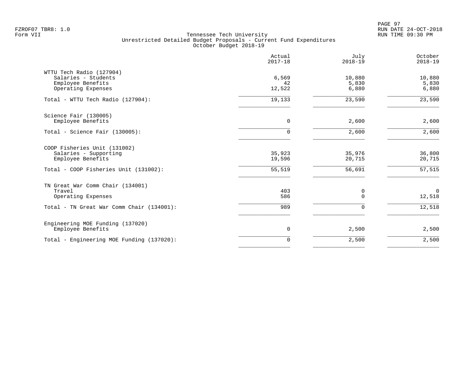PAGE 97 FZROF07 TBR8: 1.0 RUN DATE 24-OCT-2018

|                                                                                                                     | Actual<br>$2017 - 18$      | July<br>$2018 - 19$        | October<br>$2018 - 19$     |
|---------------------------------------------------------------------------------------------------------------------|----------------------------|----------------------------|----------------------------|
| WTTU Tech Radio (127904)<br>Salaries - Students<br>Employee Benefits<br>Operating Expenses                          | 6,569<br>42<br>12,522      | 10,880<br>5,830<br>6,880   | 10,880<br>5,830<br>6,880   |
| Total - WTTU Tech Radio (127904):                                                                                   | 19,133                     | 23,590                     | 23,590                     |
| Science Fair (130005)<br>Employee Benefits                                                                          | 0                          | 2,600                      | 2,600                      |
| Total - Science Fair (130005):                                                                                      | $\Omega$                   | 2,600                      | 2,600                      |
| COOP Fisheries Unit (131002)<br>Salaries - Supporting<br>Employee Benefits<br>Total - COOP Fisheries Unit (131002): | 35,923<br>19,596<br>55,519 | 35,976<br>20,715<br>56,691 | 36,800<br>20,715<br>57,515 |
| TN Great War Comm Chair (134001)<br>Travel<br>Operating Expenses                                                    | 403<br>586                 | 0<br>$\Omega$              | $\overline{0}$<br>12,518   |
| Total - TN Great War Comm Chair (134001):                                                                           | 989                        | 0                          | 12,518                     |
| Engineering MOE Funding (137020)<br>Employee Benefits                                                               | 0                          | 2,500                      | 2,500                      |
| Total - Engineering MOE Funding (137020):                                                                           | $\overline{0}$             | 2,500                      | 2,500                      |
|                                                                                                                     |                            |                            |                            |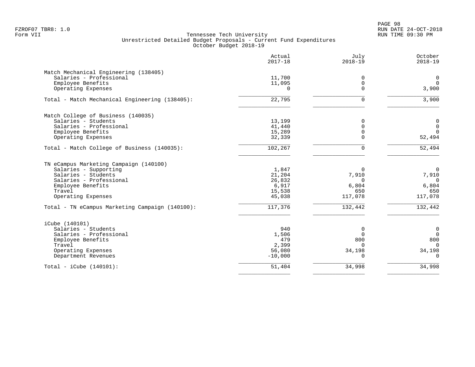PAGE 98 FZROF07 TBR8: 1.0 RUN DATE 24-OCT-2018

|                                                 | Actual<br>$2017 - 18$ | July<br>$2018 - 19$ | October<br>$2018 - 19$ |
|-------------------------------------------------|-----------------------|---------------------|------------------------|
| Match Mechanical Engineering (138405)           |                       |                     |                        |
| Salaries - Professional                         | 11,700                | 0                   | $\mathbf 0$            |
| Employee Benefits                               | 11,095                | 0                   | $\mathbf 0$            |
| Operating Expenses                              | $\Omega$              | $\Omega$            | 3,900                  |
| Total - Match Mechanical Engineering (138405):  | 22,795                | $\Omega$            | 3,900                  |
| Match College of Business (140035)              |                       |                     |                        |
| Salaries - Students                             | 13,199                | 0                   | $\overline{0}$         |
| Salaries - Professional                         | 41,440                | 0                   | $\mathbf 0$            |
| Employee Benefits                               | 15,289                | $\mathbf 0$         | $\Omega$               |
| Operating Expenses                              | 32,339                | $\Omega$            | 52,494                 |
| Total - Match College of Business (140035):     | 102,267               | $\Omega$            | 52,494                 |
| TN eCampus Marketing Campaign (140100)          |                       |                     |                        |
| Salaries - Supporting                           | 1,847                 | $\Omega$            | $\mathbf 0$            |
| Salaries - Students                             | 21,204                | 7,910               | 7,910                  |
| Salaries - Professional                         | 26,832                | $\Omega$            | $\Omega$               |
| Employee Benefits                               | 6,917                 | 6,804               | 6,804                  |
| Travel                                          | 15,538                | 650                 | 650                    |
| Operating Expenses                              | 45,038                | 117,078             | 117,078                |
| Total - TN eCampus Marketing Campaign (140100): | 117,376               | 132,442             | 132,442                |
| iCube (140101)                                  |                       |                     |                        |
| Salaries - Students                             | 940                   | 0                   | $\mathbf 0$            |
| Salaries - Professional                         | 1,506                 | $\Omega$            | $\overline{0}$         |
| Employee Benefits                               | 479                   | 800                 | 800                    |
| Travel                                          | 2,399                 | $\Omega$            | $\Omega$               |
| Operating Expenses                              | 56,080                | 34,198              | 34,198                 |
| Department Revenues                             | $-10,000$             | $\Omega$            | $\Omega$               |
| Total - iCube $(140101)$ :                      | 51,404                | 34,998              | 34,998                 |
|                                                 |                       |                     |                        |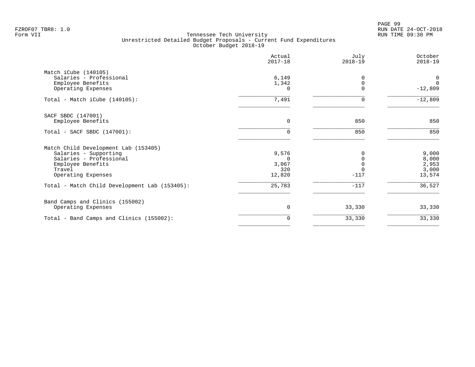PAGE 99 FZROF07 TBR8: 1.0 RUN DATE 24-OCT-2018

|                                               | Actual<br>$2017 - 18$ | July<br>$2018 - 19$ | October<br>$2018 - 19$ |
|-----------------------------------------------|-----------------------|---------------------|------------------------|
| Match iCube (140105)                          |                       |                     |                        |
| Salaries - Professional                       | 6,149                 | $\Omega$            | 0                      |
| Employee Benefits                             | 1,342                 |                     | $\Omega$               |
| Operating Expenses                            | 0                     | $\Omega$            | $-12,809$              |
| Total - Match iCube (140105):                 | 7,491                 | $\Omega$            | $-12,809$              |
| SACF SBDC (147001)                            |                       |                     |                        |
| Employee Benefits                             | $\mathbf 0$           | 850                 | 850                    |
| Total - SACF SBDC (147001):                   | $\Omega$              | 850                 | 850                    |
| Match Child Development Lab (153405)          |                       |                     |                        |
| Salaries - Supporting                         | 9,576                 |                     | 9,000                  |
| Salaries - Professional                       | $\Omega$              |                     | 8,000                  |
| Employee Benefits                             | 3,067                 |                     | 2,953                  |
| Travel                                        | 320                   |                     | 3,000                  |
| Operating Expenses                            | 12,820                | $-117$              | 13,574                 |
| Total - Match Child Development Lab (153405): | 25,783                | $-117$              | 36,527                 |
| Band Camps and Clinics (155002)               |                       |                     |                        |
| Operating Expenses                            | 0                     | 33,330              | 33,330                 |
| Total - Band Camps and Clinics (155002):      | 0                     | 33,330              | 33,330                 |
|                                               |                       |                     |                        |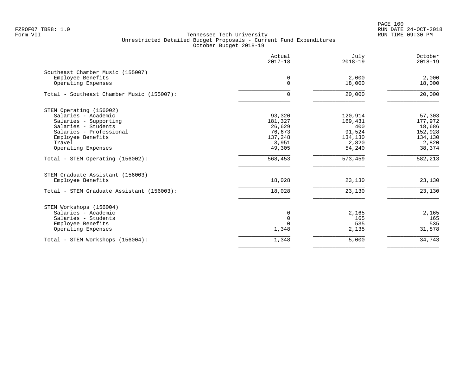|                                           | Actual<br>$2017 - 18$ | July<br>$2018 - 19$ | October<br>$2018 - 19$ |
|-------------------------------------------|-----------------------|---------------------|------------------------|
| Southeast Chamber Music (155007)          |                       |                     |                        |
| Employee Benefits                         | 0                     | 2,000               | 2,000                  |
| Operating Expenses                        | 0                     | 18,000              | 18,000                 |
| Total - Southeast Chamber Music (155007): | 0                     | 20,000              | 20,000                 |
| STEM Operating (156002)                   |                       |                     |                        |
| Salaries - Academic                       | 93,320                | 120,914             | 57,303                 |
| Salaries - Supporting                     | 181,327               | 169,431             | 177,972                |
| Salaries - Students                       | 26,629                | 400                 | 18,686                 |
| Salaries - Professional                   | 76,673                | 91,524              | 152,928                |
| Employee Benefits                         | 137,248               | 134,130             | 134,130                |
| Travel                                    | 3,951                 | 2,820               | 2,820                  |
| Operating Expenses                        | 49,305                | 54,240              | 38,374                 |
| Total - STEM Operating (156002):          | 568,453               | 573,459             | 582,213                |
| STEM Graduate Assistant (156003)          |                       |                     |                        |
| Employee Benefits                         | 18,028                | 23,130              | 23,130                 |
| Total - STEM Graduate Assistant (156003): | 18,028                | 23,130              | 23,130                 |
| STEM Workshops (156004)                   |                       |                     |                        |
| Salaries - Academic                       | 0                     | 2,165               | 2,165                  |
| Salaries - Students                       | $\mathsf 0$           | 165                 | 165                    |
| Employee Benefits                         | $\Omega$              | 535                 | 535                    |
| Operating Expenses                        | 1,348                 | 2,135               | 31,878                 |
| Total - STEM Workshops (156004):          | 1,348                 | 5,000               | 34,743                 |
|                                           |                       |                     |                        |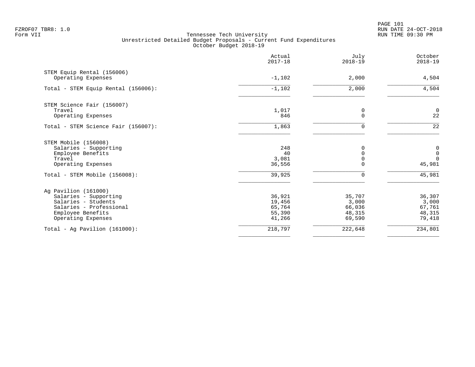PAGE 101 FZROF07 TBR8: 1.0 RUN DATE 24-OCT-2018

|                                                  | Actual<br>$2017 - 18$ | July<br>$2018 - 19$  | October<br>$2018 - 19$  |
|--------------------------------------------------|-----------------------|----------------------|-------------------------|
| STEM Equip Rental (156006)<br>Operating Expenses | $-1,102$              | 2,000                | 4,504                   |
|                                                  |                       |                      |                         |
| Total - STEM Equip Rental (156006):              | $-1,102$              | 2,000                | 4,504                   |
| STEM Science Fair (156007)                       |                       |                      |                         |
| Travel                                           | 1,017<br>846          | 0<br>0               | $\overline{0}$<br>22    |
| Operating Expenses                               |                       |                      |                         |
| Total - STEM Science Fair (156007):              | 1,863                 | $\Omega$             | $\overline{22}$         |
| STEM Mobile (156008)                             |                       |                      |                         |
| Salaries - Supporting                            | 248                   | $\Omega$             | $\boldsymbol{0}$        |
| Employee Benefits<br>Travel                      | 40<br>3,081           | $\Omega$<br>$\Omega$ | $\mathsf 0$<br>$\Omega$ |
| Operating Expenses                               | 36,556                |                      | 45,981                  |
| Total - STEM Mobile (156008):                    | 39,925                | 0                    | $\overline{45,981}$     |
| Ag Pavilion (161000)                             |                       |                      |                         |
| Salaries - Supporting                            | 36,921                | 35,707               | 36,307                  |
| Salaries - Students                              | 19,456                | 3,000                | 3,000                   |
| Salaries - Professional                          | 65,764                | 66,036               | 67,761                  |
| Employee Benefits                                | 55,390                | 48,315               | 48,315                  |
| Operating Expenses                               | 41,266                | 69,590               | 79,418                  |
| Total - Aq Pavilion $(161000)$ :                 | 218,797               | 222,648              | 234,801                 |
|                                                  |                       |                      |                         |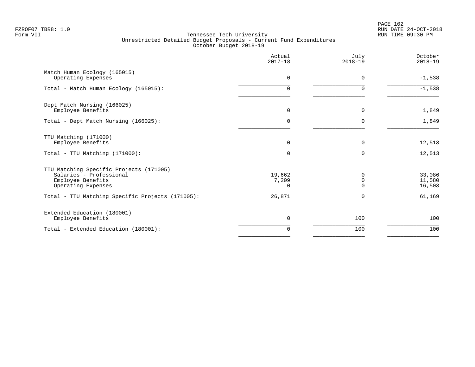PAGE 102 FZROF07 TBR8: 1.0 RUN DATE 24-OCT-2018

|                                                                                                               | Actual<br>$2017 - 18$       | July<br>$2018 - 19$ | October<br>$2018 - 19$     |
|---------------------------------------------------------------------------------------------------------------|-----------------------------|---------------------|----------------------------|
| Match Human Ecology (165015)<br>Operating Expenses                                                            | $\Omega$                    | 0                   | $-1,538$                   |
| Total - Match Human Ecology (165015):                                                                         | $\Omega$                    | U                   | $-1,538$                   |
| Dept Match Nursing (166025)<br>Employee Benefits                                                              | 0                           | $\Omega$            | 1,849                      |
| Total - Dept Match Nursing (166025):                                                                          | $\Omega$                    | U                   | 1,849                      |
| TTU Matching (171000)<br>Employee Benefits                                                                    | $\Omega$                    | $\Omega$            | 12,513                     |
| Total - TTU Matching (171000):                                                                                | $\cap$                      | ∩                   | 12,513                     |
| TTU Matching Specific Projects (171005)<br>Salaries - Professional<br>Employee Benefits<br>Operating Expenses | 19,662<br>7,209<br>$\Omega$ | O<br>0              | 33,086<br>11,580<br>16,503 |
| Total - TTU Matching Specific Projects (171005):                                                              | 26,871                      | $\Omega$            | 61,169                     |
| Extended Education (180001)<br>Employee Benefits                                                              | $\Omega$                    | 100                 | 100                        |
| Total - Extended Education (180001):                                                                          | $\Omega$                    | 100                 | 100                        |
|                                                                                                               |                             |                     |                            |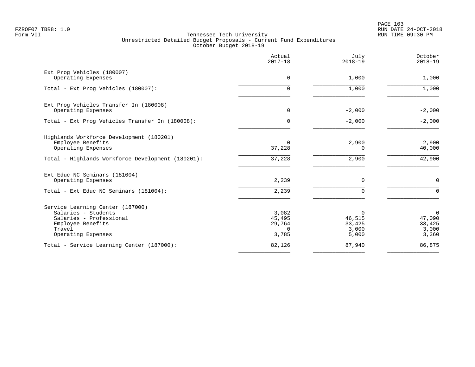PAGE 103 FZROF07 TBR8: 1.0 RUN DATE 24-OCT-2018

|                                                                                                                                         | Actual<br>$2017 - 18$                   | July<br>$2018 - 19$                     | October<br>$2018 - 19$                               |
|-----------------------------------------------------------------------------------------------------------------------------------------|-----------------------------------------|-----------------------------------------|------------------------------------------------------|
| Ext Prog Vehicles (180007)<br>Operating Expenses                                                                                        | 0                                       | 1,000                                   | 1,000                                                |
| Total - Ext Prog Vehicles (180007):                                                                                                     | 0                                       | 1,000                                   | 1,000                                                |
| Ext Prog Vehicles Transfer In (180008)<br>Operating Expenses                                                                            | $\mathbf 0$                             | $-2,000$                                | $-2,000$                                             |
| Total - Ext Prog Vehicles Transfer In (180008):                                                                                         | $\Omega$                                | $-2,000$                                | $-2,000$                                             |
| Highlands Workforce Development (180201)<br>Employee Benefits<br>Operating Expenses                                                     | 0<br>37,228                             | 2,900<br>0                              | 2,900<br>40,000                                      |
| Total - Highlands Workforce Development (180201):                                                                                       | 37,228                                  | 2,900                                   | 42,900                                               |
| Ext Educ NC Seminars (181004)<br>Operating Expenses                                                                                     | 2,239                                   | $\mathbf 0$                             | $\mathbf 0$                                          |
| Total - Ext Educ NC Seminars (181004):                                                                                                  | 2,239                                   | $\mathbf 0$                             | $\Omega$                                             |
| Service Learning Center (187000)<br>Salaries - Students<br>Salaries - Professional<br>Employee Benefits<br>Travel<br>Operating Expenses | 3,082<br>45,495<br>29,764<br>0<br>3,785 | 0<br>46,515<br>33,425<br>3,000<br>5,000 | $\overline{0}$<br>47,090<br>33,425<br>3,000<br>3,360 |
| Total - Service Learning Center (187000):                                                                                               | 82,126                                  | 87,940                                  | 86,875                                               |
|                                                                                                                                         |                                         |                                         |                                                      |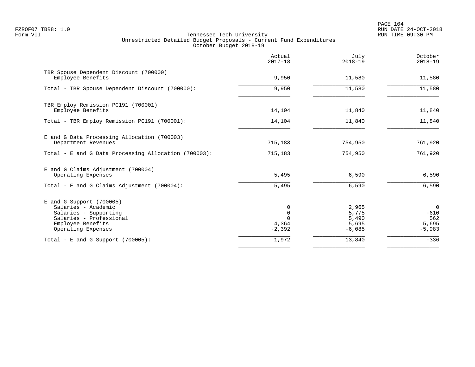PAGE 104 FZROF07 TBR8: 1.0 RUN DATE 24-OCT-2018

|                                                                                                                                                  | Actual<br>$2017 - 18$       | July<br>$2018 - 19$                          | October<br>$2018 - 19$                               |
|--------------------------------------------------------------------------------------------------------------------------------------------------|-----------------------------|----------------------------------------------|------------------------------------------------------|
| TBR Spouse Dependent Discount (700000)<br>Employee Benefits                                                                                      | 9,950                       | 11,580                                       | 11,580                                               |
| Total - TBR Spouse Dependent Discount (700000):                                                                                                  | 9,950                       | 11,580                                       | 11,580                                               |
| TBR Employ Remission PC191 (700001)<br>Employee Benefits                                                                                         | 14,104                      | 11,840                                       | 11,840                                               |
| Total - TBR Employ Remission PC191 (700001):                                                                                                     | 14,104                      | 11,840                                       | 11,840                                               |
| E and G Data Processing Allocation (700003)<br>Department Revenues                                                                               | 715,183                     | 754,950                                      | 761,920                                              |
| Total - E and G Data Processing Allocation (700003):                                                                                             | 715, 183                    | 754,950                                      | 761,920                                              |
| E and G Claims Adjustment (700004)<br>Operating Expenses                                                                                         | 5,495                       | 6,590                                        | 6,590                                                |
| Total - E and G Claims Adjustment $(700004)$ :                                                                                                   | 5,495                       | 6,590                                        | 6,590                                                |
| $E$ and G Support (700005)<br>Salaries - Academic<br>Salaries - Supporting<br>Salaries - Professional<br>Employee Benefits<br>Operating Expenses | 0<br>0<br>4,364<br>$-2,392$ | 2,965<br>5,775<br>5,490<br>5,695<br>$-6,085$ | $\overline{0}$<br>$-610$<br>562<br>5,695<br>$-5,983$ |
| Total - E and G Support $(700005)$ :                                                                                                             | 1,972                       | 13,840                                       | $-336$                                               |
|                                                                                                                                                  |                             |                                              |                                                      |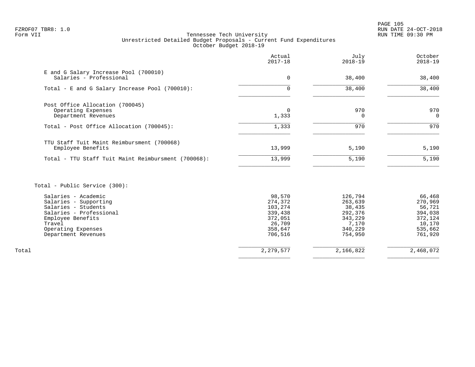PAGE 105 FZROF07 TBR8: 1.0 RUN DATE 24-OCT-2018

# Form VII Tennessee Tech University RUN TIME 09:30 PM Unrestricted Detailed Budget Proposals - Current Fund Expenditures October Budget 2018-19

|                                                                                                                                                                            | Actual<br>$2017 - 18$                                                              | July<br>$2018 - 19$                                                               | October<br>$2018 - 19$                                                            |
|----------------------------------------------------------------------------------------------------------------------------------------------------------------------------|------------------------------------------------------------------------------------|-----------------------------------------------------------------------------------|-----------------------------------------------------------------------------------|
| E and G Salary Increase Pool (700010)<br>Salaries - Professional                                                                                                           | 0                                                                                  | 38,400                                                                            | 38,400                                                                            |
| Total - E and G Salary Increase Pool (700010):                                                                                                                             | $\Omega$                                                                           | 38,400                                                                            | 38,400                                                                            |
| Post Office Allocation (700045)<br>Operating Expenses<br>Department Revenues                                                                                               | $\Omega$<br>1,333                                                                  | 970<br>0                                                                          | 970<br>$\Omega$                                                                   |
| Total - Post Office Allocation (700045):                                                                                                                                   | 1,333                                                                              | 970                                                                               | 970                                                                               |
| TTU Staff Tuit Maint Reimbursment (700068)<br>Employee Benefits<br>Total - TTU Staff Tuit Maint Reimbursment (700068):                                                     | 13,999<br>13,999                                                                   | 5,190<br>5,190                                                                    | 5,190<br>5,190                                                                    |
|                                                                                                                                                                            |                                                                                    |                                                                                   |                                                                                   |
| Total - Public Service (300):                                                                                                                                              |                                                                                    |                                                                                   |                                                                                   |
| Salaries - Academic<br>Salaries - Supporting<br>Salaries - Students<br>Salaries - Professional<br>Employee Benefits<br>Travel<br>Operating Expenses<br>Department Revenues | 98,570<br>274,372<br>103,274<br>339,438<br>372,051<br>26,709<br>358,647<br>706,516 | 126,794<br>263,639<br>38,435<br>292,376<br>343,229<br>7,170<br>340,229<br>754,950 | 66,468<br>270,969<br>56,721<br>394,038<br>372,124<br>10,170<br>535,662<br>761,920 |
| Total                                                                                                                                                                      | 2, 279, 577                                                                        | 2,166,822                                                                         | 2,468,072                                                                         |

 $\overline{\phantom{a}}$  , and the contract of the contract of the contract of the contract of the contract of the contract of the contract of the contract of the contract of the contract of the contract of the contract of the contrac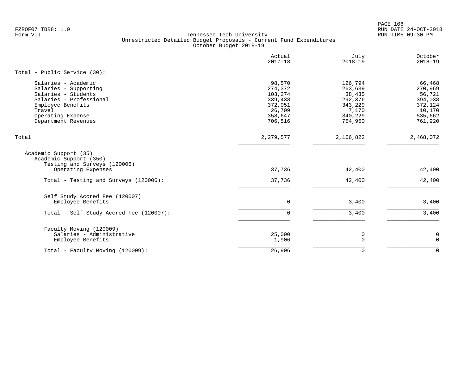PAGE 106 FZROF07 TBR8: 1.0 RUN DATE 24-OCT-2018

|                                                                                                                                                                           | Actual<br>$2017 - 18$                                                              | July<br>$2018 - 19$                                                               | October<br>$2018 - 19$                                                            |
|---------------------------------------------------------------------------------------------------------------------------------------------------------------------------|------------------------------------------------------------------------------------|-----------------------------------------------------------------------------------|-----------------------------------------------------------------------------------|
| Total - Public Service (30):                                                                                                                                              |                                                                                    |                                                                                   |                                                                                   |
| Salaries - Academic<br>Salaries - Supporting<br>Salaries - Students<br>Salaries - Professional<br>Employee Benefits<br>Travel<br>Operating Expense<br>Department Revenues | 98,570<br>274,372<br>103,274<br>339,438<br>372,051<br>26,709<br>358,647<br>706,516 | 126,794<br>263,639<br>38,435<br>292,376<br>343,229<br>7,170<br>340,229<br>754,950 | 66,468<br>270,969<br>56,721<br>394,038<br>372,124<br>10,170<br>535,662<br>761,920 |
| Total                                                                                                                                                                     | 2, 279, 577                                                                        | 2,166,822                                                                         | 2,468,072                                                                         |
| Academic Support (35)<br>Academic Support (350)<br>Testing and Surveys (120006)<br>Operating Expenses                                                                     | 37,736                                                                             | 42,400                                                                            | 42,400                                                                            |
| Total - Testing and Surveys (120006):                                                                                                                                     | 37,736                                                                             | 42,400                                                                            | 42,400                                                                            |
| Self Study Accred Fee (120007)<br>Employee Benefits<br>Total - Self Study Accred Fee (120007):                                                                            | $\mathbf 0$<br>$\Omega$                                                            | 3,400<br>3,400                                                                    | 3,400<br>3,400                                                                    |
| Faculty Moving (120009)<br>Salaries - Administrative<br>Employee Benefits                                                                                                 | 25,000<br>1,906                                                                    | 0<br>$\mathbf 0$                                                                  | 0<br>$\mathbf 0$                                                                  |
| Total - Faculty Moving (120009):                                                                                                                                          | 26,906                                                                             | $\mathbf 0$                                                                       | $\Omega$                                                                          |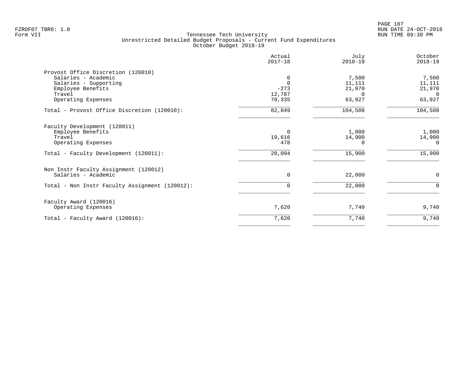|                                                                                                                                         | Actual<br>$2017 - 18$                       | July<br>$2018 - 19$                             | October<br>$2018 - 19$                          |
|-----------------------------------------------------------------------------------------------------------------------------------------|---------------------------------------------|-------------------------------------------------|-------------------------------------------------|
| Provost Office Discretion (120010)<br>Salaries - Academic<br>Salaries - Supporting<br>Employee Benefits<br>Travel<br>Operating Expenses | 0<br>$\Omega$<br>$-273$<br>12,787<br>70,335 | 7,500<br>11,111<br>21,970<br>$\Omega$<br>63,927 | 7,500<br>11,111<br>21,970<br>$\Omega$<br>63,927 |
| Total - Provost Office Discretion (120010):                                                                                             | 82,849                                      | 104,508                                         | 104,508                                         |
| Faculty Development (120011)<br>Employee Benefits<br>Travel<br>Operating Expenses                                                       | 0<br>19,616<br>478                          | 1,000<br>14,900<br><sup>0</sup>                 | 1,000<br>14,900<br>$\Omega$                     |
| Total - Faculty Development (120011):                                                                                                   | 20,094                                      | 15,900                                          | 15,900                                          |
| Non Instr Faculty Assignment (120012)<br>Salaries - Academic                                                                            | $\Omega$<br>$\Omega$                        | 22,000                                          | $\mathbf 0$<br>$\mathbf 0$                      |
| Total - Non Instr Faculty Assignment (120012):                                                                                          |                                             | 22,000                                          |                                                 |
| Faculty Award (120016)<br>Operating Expenses                                                                                            | 7,620                                       | 7,740                                           | 9,740                                           |
| Total - Faculty Award (120016):                                                                                                         | 7,620                                       | 7,740                                           | 9,740                                           |
|                                                                                                                                         |                                             |                                                 |                                                 |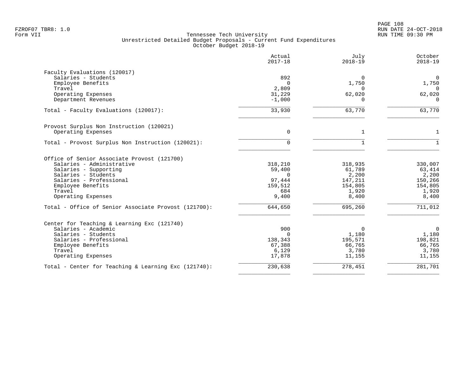PAGE 108 FZROF07 TBR8: 1.0 RUN DATE 24-OCT-2018

|                                                      | Actual<br>$2017 - 18$ | July<br>$2018 - 19$ | October<br>$2018 - 19$ |
|------------------------------------------------------|-----------------------|---------------------|------------------------|
| Faculty Evaluations (120017)                         |                       |                     |                        |
| Salaries - Students                                  | 892                   | $\Omega$            | $\overline{0}$         |
| Employee Benefits<br>Travel                          | $\Omega$<br>2,809     | 1,750<br>$\Omega$   | 1,750                  |
| Operating Expenses                                   | 31,229                | 62,020              | $\mathbf 0$<br>62,020  |
| Department Revenues                                  | $-1,000$              | $\Omega$            | $\mathbf 0$            |
| Total - Faculty Evaluations (120017):                | 33,930                | 63,770              | 63,770                 |
| Provost Surplus Non Instruction (120021)             |                       |                     |                        |
| Operating Expenses                                   | 0                     | $\mathbf{1}$        | $\mathbf{1}$           |
| Total - Provost Surplus Non Instruction (120021):    | $\Omega$              |                     | $\mathbf{1}$           |
| Office of Senior Associate Provost (121700)          |                       |                     |                        |
| Salaries - Administrative                            | 318,210               | 318,935             | 330,007                |
| Salaries - Supporting                                | 59,400                | 61,789              | 63,414                 |
| Salaries - Students                                  | $\cap$                | 2,200               | 2,200                  |
| Salaries - Professional                              | 97,444                | 147,211             | 150,266                |
| Employee Benefits                                    | 159,512               | 154,805             | 154,805                |
| Travel<br>Operating Expenses                         | 684<br>9,400          | 1,920<br>8,400      | 1,920<br>8,400         |
| Total - Office of Senior Associate Provost (121700): | 644, 650              | 695,260             | 711,012                |
| Center for Teaching & Learning Exc (121740)          |                       |                     |                        |
| Salaries - Academic                                  | 900                   | 0                   | $\overline{0}$         |
| Salaries - Students                                  | $\cap$                | 1,180               | 1,180                  |
| Salaries - Professional                              | 138,343               | 195,571             | 198,821                |
| Employee Benefits                                    | 67,388                | 66,765              | 66,765                 |
| Travel<br>Operating Expenses                         | 6,129<br>17,878       | 3,780<br>11,155     | 3,780<br>11,155        |
| Total - Center for Teaching & Learning Exc (121740): | 230,638               | 278,451             | 281,701                |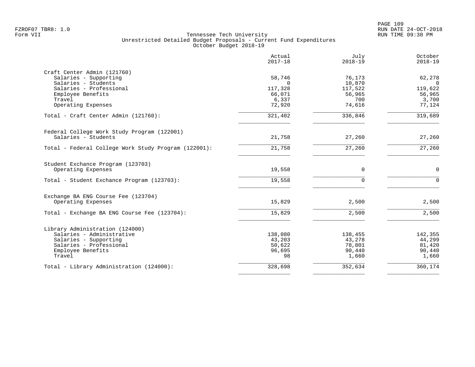|                                                      | Actual<br>$2017 - 18$ | July<br>$2018 - 19$ | October<br>$2018 - 19$ |
|------------------------------------------------------|-----------------------|---------------------|------------------------|
| Craft Center Admin (121760)                          |                       |                     |                        |
| Salaries - Supporting                                | 58,746                | 76,173              | 62,278                 |
| Salaries - Students                                  | $\Omega$              | 10,870              | $\mathbf 0$            |
| Salaries - Professional                              | 117,328               | 117,522             | 119,622                |
| Employee Benefits                                    | 66,071                | 56,965              | 56,965                 |
| Travel                                               | 6,337                 | 700                 | 3,700                  |
| Operating Expenses                                   | 72,920                | 74,616              | 77,124                 |
| Total - Craft Center Admin (121760):                 | 321,402               | 336,846             | 319,689                |
| Federal College Work Study Program (122001)          |                       |                     |                        |
| Salaries - Students                                  | 21,758                | 27,260              | 27,260                 |
| Total - Federal College Work Study Program (122001): | 21,758                | 27,260              | 27,260                 |
| Student Exchance Program (123703)                    |                       |                     |                        |
| Operating Expenses                                   | 19,558                | 0                   | $\mathbf 0$            |
| Total - Student Exchance Program (123703):           | 19,558                | $\Omega$            | $\Omega$               |
| Exchange BA ENG Course Fee (123704)                  |                       |                     |                        |
| Operating Expenses                                   | 15,829                | 2,500               | 2,500                  |
| Total - Exchange BA ENG Course Fee (123704):         | 15,829                | 2,500               | 2,500                  |
| Library Administration (124000)                      |                       |                     |                        |
| Salaries - Administrative                            | 138,080               | 138,455             | 142,355                |
| Salaries - Supporting                                | 43,203                | 43,278              | 44,299                 |
| Salaries - Professional                              | 50,622                | 78,801              | 81,420                 |
| Employee Benefits                                    | 96,695                | 90,440              | 90,440                 |
| Travel                                               | 98                    | 1,660               | 1,660                  |
| Total - Library Administration (124000):             | 328,698               | 352,634             | 360,174                |
|                                                      |                       |                     |                        |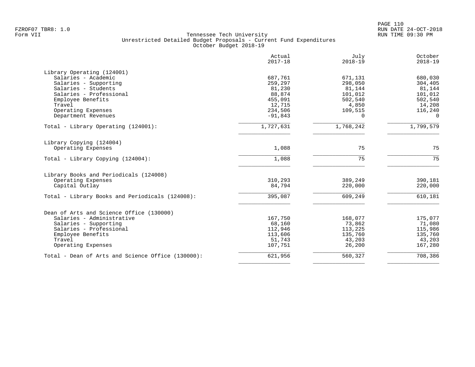| Actual<br>$2017 - 18$ | July<br>$2018 - 19$                                                                                                                                 | October<br>$2018 - 19$                                                                                                                             |
|-----------------------|-----------------------------------------------------------------------------------------------------------------------------------------------------|----------------------------------------------------------------------------------------------------------------------------------------------------|
|                       |                                                                                                                                                     |                                                                                                                                                    |
|                       |                                                                                                                                                     | 680,030                                                                                                                                            |
|                       |                                                                                                                                                     | 304,405                                                                                                                                            |
|                       |                                                                                                                                                     | 81,144                                                                                                                                             |
|                       |                                                                                                                                                     | 101,012                                                                                                                                            |
|                       |                                                                                                                                                     | 502,540                                                                                                                                            |
|                       |                                                                                                                                                     | 14,208                                                                                                                                             |
|                       |                                                                                                                                                     | 116,240                                                                                                                                            |
|                       |                                                                                                                                                     | $\Omega$                                                                                                                                           |
| 1,727,631             | 1,768,242                                                                                                                                           | 1,799,579                                                                                                                                          |
|                       |                                                                                                                                                     |                                                                                                                                                    |
| 1,088                 | 75                                                                                                                                                  | 75                                                                                                                                                 |
| 1,088                 | 75                                                                                                                                                  | 75                                                                                                                                                 |
|                       |                                                                                                                                                     |                                                                                                                                                    |
|                       |                                                                                                                                                     | 390,181                                                                                                                                            |
| 84,794                | 220,000                                                                                                                                             | 220,000                                                                                                                                            |
| 395,087               | 609,249                                                                                                                                             | 610,181                                                                                                                                            |
|                       |                                                                                                                                                     |                                                                                                                                                    |
|                       |                                                                                                                                                     | 175,077                                                                                                                                            |
|                       |                                                                                                                                                     | 71,080                                                                                                                                             |
|                       |                                                                                                                                                     | 115,986                                                                                                                                            |
|                       |                                                                                                                                                     | 135,760                                                                                                                                            |
|                       |                                                                                                                                                     | 43,203                                                                                                                                             |
| 107,751               | 26,200                                                                                                                                              | 167,280                                                                                                                                            |
|                       |                                                                                                                                                     |                                                                                                                                                    |
|                       | 687,761<br>259,297<br>81,230<br>88,874<br>455,091<br>12,715<br>234,506<br>$-91,843$<br>310,293<br>167,750<br>68,160<br>112,946<br>113,606<br>51,743 | 671,131<br>298,050<br>81,144<br>101,012<br>502,540<br>4,850<br>109,515<br>$\Omega$<br>389,249<br>168,077<br>73,862<br>113,225<br>135,760<br>43,203 |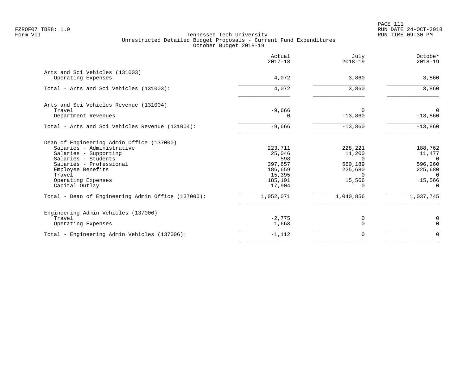PAGE 111 FZROF07 TBR8: 1.0 RUN DATE 24-OCT-2018

|                                                                                                                                                                                                                                                                                | Actual<br>$2017 - 18$                                                                      | July<br>$2018 - 19$                                                                    | October<br>$2018 - 19$                                                                                 |
|--------------------------------------------------------------------------------------------------------------------------------------------------------------------------------------------------------------------------------------------------------------------------------|--------------------------------------------------------------------------------------------|----------------------------------------------------------------------------------------|--------------------------------------------------------------------------------------------------------|
| Arts and Sci Vehicles (131003)<br>Operating Expenses                                                                                                                                                                                                                           | 4,072                                                                                      | 3,860                                                                                  | 3,860                                                                                                  |
| Total - Arts and Sci Vehicles (131003):                                                                                                                                                                                                                                        | 4,072                                                                                      | 3,860                                                                                  | 3,860                                                                                                  |
| Arts and Sci Vehicles Revenue (131004)<br>Travel<br>Department Revenues                                                                                                                                                                                                        | $-9,666$<br>$\Omega$                                                                       | $\Omega$<br>$-13,860$                                                                  | $\Omega$<br>$-13,860$                                                                                  |
| Total - Arts and Sci Vehicles Revenue (131004):                                                                                                                                                                                                                                | $-9,666$                                                                                   | $-13,860$                                                                              | $-13,860$                                                                                              |
| Dean of Engineering Admin Office (137000)<br>Salaries - Administrative<br>Salaries - Supporting<br>Salaries - Students<br>Salaries - Professional<br>Employee Benefits<br>Travel<br>Operating Expenses<br>Capital Outlay<br>Total - Dean of Engineering Admin Office (137000): | 223,711<br>25,046<br>598<br>397,657<br>186,659<br>15,395<br>185,101<br>17,904<br>1,052,071 | 228,221<br>11,200<br>$\Omega$<br>560,189<br>225,680<br>$\Omega$<br>15,566<br>1,040,856 | 188,762<br>11,477<br>$\overline{0}$<br>596,260<br>225,680<br>$\Omega$<br>15,566<br>$\cap$<br>1,037,745 |
|                                                                                                                                                                                                                                                                                |                                                                                            |                                                                                        |                                                                                                        |
| Engineering Admin Vehicles (137006)<br>Travel<br>Operating Expenses                                                                                                                                                                                                            | $-2,775$<br>1,663                                                                          | 0<br>$\Omega$                                                                          | 0<br>$\Omega$                                                                                          |
| Total - Engineering Admin Vehicles (137006):                                                                                                                                                                                                                                   | $-1,112$                                                                                   | 0                                                                                      | $\overline{0}$                                                                                         |
|                                                                                                                                                                                                                                                                                |                                                                                            |                                                                                        |                                                                                                        |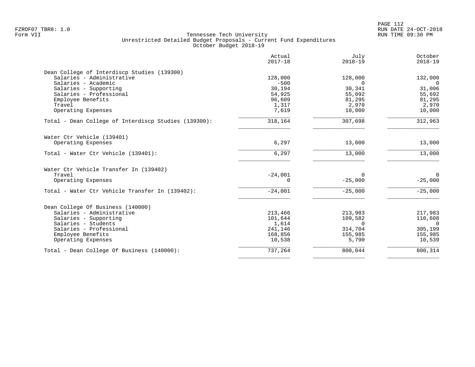|                                                      | Actual<br>$2017 - 18$ | July<br>$2018 - 19$ | October<br>$2018 - 19$ |
|------------------------------------------------------|-----------------------|---------------------|------------------------|
| Dean College of Interdiscp Studies (139300)          |                       |                     |                        |
| Salaries - Administrative                            | 128,000               | 128,000             | 132,000                |
| Salaries - Academic                                  | $-500$                | $\Omega$            | $\Omega$               |
| Salaries - Supporting                                | 30,194                | 30,341              | 31,006                 |
| Salaries - Professional                              | 54,925                | 55,092              | 55,692                 |
| Employee Benefits                                    | 96,609                | 81,295              | 81,295                 |
| Travel                                               | 1,317                 | 2,970               | 2,970                  |
| Operating Expenses                                   | 7,619                 | 10,000              | 10,000                 |
| Total - Dean College of Interdiscp Studies (139300): | 318,164               | 307,698             | 312,963                |
| Water Ctr Vehicle (139401)                           |                       |                     |                        |
| Operating Expenses                                   | 6,297                 | 13,000              | 13,000                 |
| Total - Water Ctr Vehicle (139401):                  | 6,297                 | 13,000              | 13,000                 |
| Water Ctr Vehicle Transfer In (139402)               |                       |                     |                        |
| Travel                                               | $-24,001$             | $\Omega$            | $\Omega$               |
| Operating Expenses                                   | $\Omega$              | $-25,000$           | $-25,000$              |
| Total - Water Ctr Vehicle Transfer In (139402):      | $-24,001$             | $-25,000$           | $-25,000$              |
| Dean College Of Business (140000)                    |                       |                     |                        |
| Salaries - Administrative                            | 213,466               | 213,983             | 217,983                |
| Salaries - Supporting                                | 101,644               | 109,582             | 110,608                |
| Salaries - Students                                  | 1,614                 | $\Omega$            | $\overline{0}$         |
| Salaries - Professional                              | 241,146               | 314,704             | 305,199                |
| Employee Benefits                                    | 168,856               | 155,985             | 155,985                |
| Operating Expenses                                   | 10,538                | 5,790               | 10,539                 |
| Total - Dean College Of Business (140000):           | 737,264               | 800,044             | 800,314                |
|                                                      |                       |                     |                        |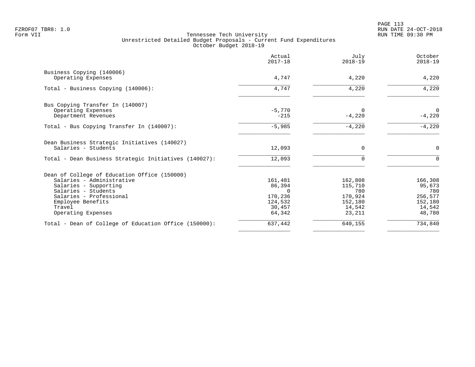|                                                       | Actual<br>$2017 - 18$ | July<br>$2018 - 19$ | October<br>$2018 - 19$ |
|-------------------------------------------------------|-----------------------|---------------------|------------------------|
| Business Copying (140006)                             |                       |                     |                        |
| Operating Expenses                                    | 4,747                 | 4,220               | 4,220                  |
| Total - Business Copying (140006):                    | 4,747                 | 4,220               | 4,220                  |
| Bus Copying Transfer In (140007)                      |                       |                     |                        |
| Operating Expenses                                    | $-5,770$              | $\Omega$            | $\mathbf 0$            |
| Department Revenues                                   | $-215$                | $-4,220$            | $-4,220$               |
| Total - Bus Copying Transfer In (140007):             | $-5,985$              | $-4,220$            | $-4,220$               |
| Dean Business Strategic Initiatives (140027)          |                       |                     |                        |
| Salaries - Students                                   | 12,093                | $\Omega$            | $\mathbf 0$            |
| Total - Dean Business Strategic Initiatives (140027): | 12,093                | $\Omega$            | $\Omega$               |
| Dean of College of Education Office (150000)          |                       |                     |                        |
| Salaries - Administrative                             | 161,481               | 162,808             | 166,308                |
| Salaries - Supporting                                 | 86,394                | 115,710             | 95,673                 |
| Salaries - Students                                   | $\Omega$              | 780                 | 780                    |
| Salaries - Professional                               | 170,236               | 170,924             | 256,577                |
| Employee Benefits                                     | 124,532               | 152,180             | 152,180                |
| Travel                                                | 30,457                | 14,542              | 14,542                 |
| Operating Expenses                                    | 64,342                | 23,211              | 48,780                 |
| Total - Dean of College of Education Office (150000): | 637,442               | 640,155             | 734,840                |
|                                                       |                       |                     |                        |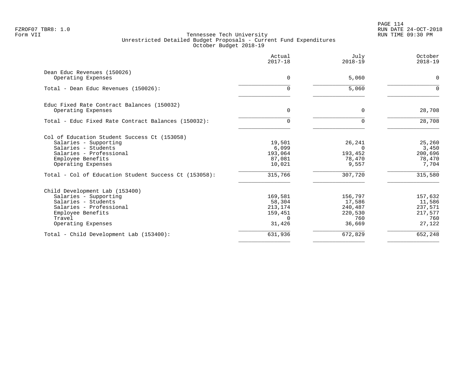PAGE 114 FZROF07 TBR8: 1.0 RUN DATE 24-OCT-2018

| July<br>$2018 - 19$ | Actual<br>$2017 - 18$                                            |                                                                               |
|---------------------|------------------------------------------------------------------|-------------------------------------------------------------------------------|
|                     |                                                                  | Dean Educ Revenues (150026)                                                   |
|                     |                                                                  | Operating Expenses                                                            |
| 5,060               | $\Omega$                                                         | Total - Dean Educ Revenues (150026):                                          |
|                     |                                                                  | Educ Fixed Rate Contract Balances (150032)                                    |
|                     |                                                                  | Operating Expenses                                                            |
| $\Omega$            | $\Omega$                                                         | Total - Educ Fixed Rate Contract Balances (150032):                           |
|                     |                                                                  | Col of Education Student Success Ct (153058)                                  |
| 26,241              | 19,501                                                           | Salaries - Supporting                                                         |
|                     |                                                                  | Salaries - Students<br>Salaries - Professional                                |
|                     |                                                                  | Employee Benefits                                                             |
| 9,557               | 10,021                                                           | Operating Expenses                                                            |
| 307,720             | 315,766                                                          | Total - Col of Education Student Success Ct (153058):                         |
|                     |                                                                  | Child Development Lab (153400)                                                |
| 156,797             | 169,581                                                          | Salaries - Supporting                                                         |
|                     |                                                                  | Salaries - Students                                                           |
|                     |                                                                  | Salaries - Professional                                                       |
|                     |                                                                  |                                                                               |
| 36,669              | 31,426                                                           | Operating Expenses                                                            |
| 672,829             | 631,936                                                          | Total - Child Development Lab (153400):                                       |
| 220,530<br>760      | 159,451<br><sup>n</sup>                                          | Employee Benefits<br>Travel                                                   |
|                     | 5,060<br>0<br>$\Omega$<br>193,452<br>78,470<br>17,586<br>240,487 | $\mathbf 0$<br>$\mathbf 0$<br>6,099<br>193,064<br>87,081<br>58,304<br>213,174 |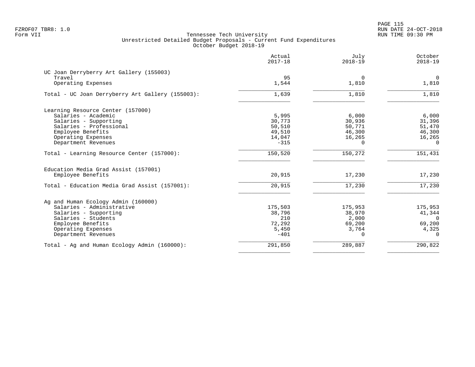PAGE 115 FZROF07 TBR8: 1.0 RUN DATE 24-OCT-2018

|                                                  | Actual<br>$2017 - 18$ | July<br>$2018 - 19$ | October<br>$2018 - 19$ |
|--------------------------------------------------|-----------------------|---------------------|------------------------|
| UC Joan Derryberry Art Gallery (155003)          |                       |                     |                        |
| Travel                                           | 95                    | $\Omega$            | $\overline{0}$         |
| Operating Expenses                               | 1,544                 | 1,810               | 1,810                  |
| Total - UC Joan Derryberry Art Gallery (155003): | 1,639                 | 1,810               | 1,810                  |
| Learning Resource Center (157000)                |                       |                     |                        |
| Salaries - Academic                              | 5,995                 | 6,000               | 6,000                  |
| Salaries - Supporting                            | 30,773                | 30,936              | 31,396                 |
| Salaries - Professional                          | 50,510                | 50,771              | 51,470                 |
| Employee Benefits                                | 49,510                | 46,300              | 46,300                 |
| Operating Expenses                               | 14,047                | 16,265              | 16,265                 |
| Department Revenues                              | $-315$                | 0                   | $\overline{0}$         |
| Total - Learning Resource Center (157000):       | 150,520               | 150,272             | 151,431                |
| Education Media Grad Assist (157001)             |                       |                     |                        |
| Employee Benefits                                | 20,915                | 17,230              | 17,230                 |
| Total - Education Media Grad Assist (157001):    | 20,915                | 17,230              | 17,230                 |
| Ag and Human Ecology Admin (160000)              |                       |                     |                        |
| Salaries - Administrative                        | 175,503               | 175,953             | 175,953                |
| Salaries - Supporting                            | 38,796                | 38,970              | 41,344                 |
| Salaries - Students                              | 210                   | 2,000               | $\overline{0}$         |
| Employee Benefits                                | 72,292                | 69,200              | 69,200                 |
| Operating Expenses                               | 5,450                 | 3,764               | 4,325                  |
| Department Revenues                              | $-401$                | $\Omega$            | $\Omega$               |
| Total - Ag and Human Ecology Admin (160000):     | 291,850               | 289,887             | 290,822                |
|                                                  |                       |                     |                        |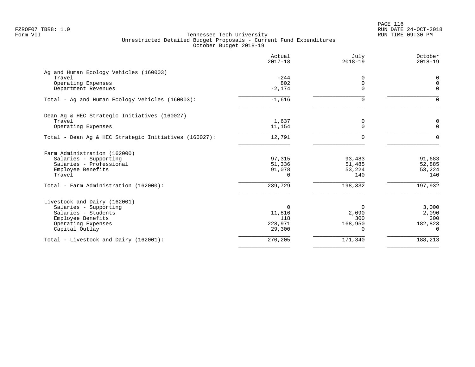PAGE 116 FZROF07 TBR8: 1.0 RUN DATE 24-OCT-2018

|                                                       | Actual<br>$2017 - 18$ | July<br>$2018 - 19$ | October<br>$2018 - 19$ |
|-------------------------------------------------------|-----------------------|---------------------|------------------------|
| Ag and Human Ecology Vehicles (160003)                |                       |                     |                        |
| Travel                                                | $-244$                | $\Omega$            | 0                      |
| Operating Expenses                                    | 802                   | $\mathbf 0$         | $\mathbf 0$            |
| Department Revenues                                   | $-2,174$              | $\Omega$            | $\Omega$               |
| Total - Ag and Human Ecology Vehicles (160003):       | $-1,616$              | 0                   | $\Omega$               |
| Dean Ag & HEC Strategic Initiatives (160027)          |                       |                     |                        |
| Travel                                                | 1,637                 | 0                   | 0                      |
| Operating Expenses                                    | 11,154                | $\Omega$            | $\Omega$               |
| Total - Dean Aq & HEC Strategic Initiatives (160027): | 12,791                | $\Omega$            | $\Omega$               |
| Farm Administration (162000)                          |                       |                     |                        |
| Salaries - Supporting                                 | 97,315                | 93,483              | 91,683                 |
| Salaries - Professional                               | 51,336                | 51,485              | 52,885                 |
| Employee Benefits                                     | 91,078                | 53,224              | 53,224                 |
| Travel                                                | 0                     | 140                 | 140                    |
| Total - Farm Administration (162000):                 | 239,729               | 198,332             | 197,932                |
| Livestock and Dairy (162001)                          |                       |                     |                        |
| Salaries - Supporting                                 | $\Omega$              | 0                   | 3,000                  |
| Salaries - Students                                   | 11,816                | 2,090               | 2,090                  |
| Employee Benefits                                     | 118                   | 300                 | 300                    |
| Operating Expenses                                    | 228,971               | 168,950             | 182,823                |
| Capital Outlay                                        | 29,300                | $\Omega$            | $\Omega$               |
| Total - Livestock and Dairy (162001):                 | 270,205               | 171,340             | 188,213                |
|                                                       |                       |                     |                        |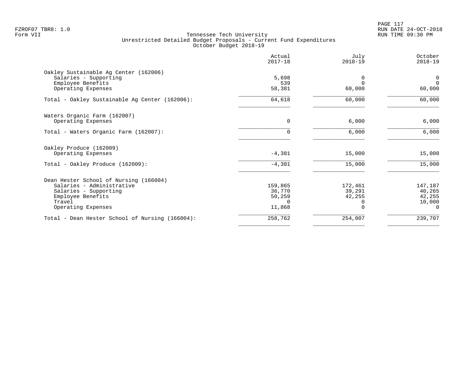PAGE 117 FZROF07 TBR8: 1.0 RUN DATE 24-OCT-2018

|                                                 | Actual<br>$2017 - 18$ | July<br>$2018 - 19$ | October<br>$2018 - 19$ |
|-------------------------------------------------|-----------------------|---------------------|------------------------|
| Oakley Sustainable Aq Center (162006)           |                       |                     |                        |
| Salaries - Supporting                           | 5,698                 | <sup>0</sup>        | $\mathbf 0$            |
| Employee Benefits                               | 539                   | $\Omega$            | $\Omega$               |
| Operating Expenses                              | 58,381                | 60,000              | 60,000                 |
| Total - Oakley Sustainable Ag Center (162006):  | 64,618                | 60,000              | 60,000                 |
| Waters Organic Farm (162007)                    |                       |                     |                        |
| Operating Expenses                              | $\mathbf 0$           | 6,000               | 6,000                  |
| Total - Waters Organic Farm (162007):           | $\Omega$              | 6,000               | 6,000                  |
| Oakley Produce (162009)                         |                       |                     |                        |
| Operating Expenses                              | $-4,381$              | 15,000              | 15,000                 |
| Total - Oakley Produce (162009):                | $-4,381$              | 15,000              | 15,000                 |
| Dean Hester School of Nursing (166004)          |                       |                     |                        |
| Salaries - Administrative                       | 159,865               | 172,461             | 147,187                |
| Salaries - Supporting                           | 36,770                | 39,291              | 40,265                 |
| Employee Benefits                               | 50,259                | 42,255              | 42,255                 |
| Travel                                          | $\Omega$              |                     | 10,000                 |
| Operating Expenses                              | 11,868                | $\Omega$            | $\Omega$               |
| Total - Dean Hester School of Nursing (166004): | 258,762               | 254,007             | 239,707                |
|                                                 |                       |                     |                        |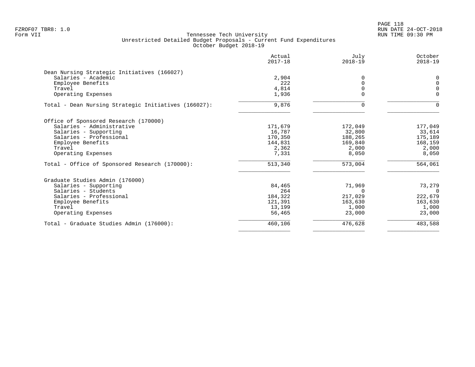PAGE 118 FZROF07 TBR8: 1.0 RUN DATE 24-OCT-2018

|                                                      | Actual<br>$2017 - 18$ | July<br>$2018 - 19$ | October<br>$2018 - 19$ |
|------------------------------------------------------|-----------------------|---------------------|------------------------|
| Dean Nursing Strategic Initiatives (166027)          |                       |                     |                        |
| Salaries - Academic                                  | 2,904                 |                     | $\Omega$               |
| Employee Benefits                                    | 222                   | $\Omega$            | $\Omega$               |
| Travel                                               | 4,814                 |                     | $\Omega$               |
| Operating Expenses                                   | 1,936                 | $\Omega$            | $\mathbf 0$            |
| Total - Dean Nursing Strategic Initiatives (166027): | 9,876                 | $\Omega$            | $\Omega$               |
| Office of Sponsored Research (170000)                |                       |                     |                        |
| Salaries - Administrative                            | 171,679               | 172,049             | 177,049                |
| Salaries - Supporting                                | 16,787                | 32,800              | 33,614                 |
| Salaries - Professional                              | 170,350               | 188,265             | 175,189                |
| Employee Benefits                                    | 144,831               | 169,840             | 168,159                |
| Travel                                               | 2,362                 | 2,000               | 2,000                  |
| Operating Expenses                                   | 7,331                 | 8,050               | 8,050                  |
| Total - Office of Sponsored Research (170000):       | 513,340               | 573,004             | 564,061                |
| Graduate Studies Admin (176000)                      |                       |                     |                        |
| Salaries - Supporting                                | 84,465                | 71,969              | 73,279                 |
| Salaries - Students                                  | 264                   | $\Omega$            | $\Omega$               |
| Salaries - Professional                              | 184,322               | 217,029             | 222,679                |
| Employee Benefits                                    | 121,391               | 163,630             | 163,630                |
| Travel                                               | 13,199                | 1,000               | 1,000                  |
| Operating Expenses                                   | 56,465                | 23,000              | 23,000                 |
| Total - Graduate Studies Admin (176000):             | 460,106               | 476,628             | 483,588                |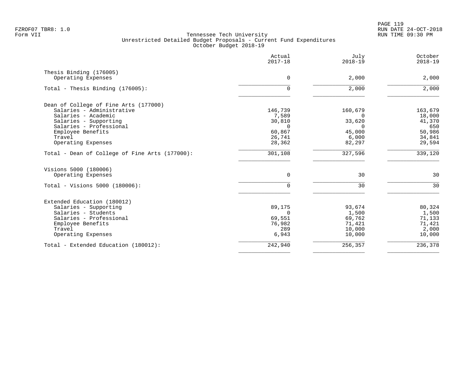|                                                | Actual<br>$2017 - 18$ | July<br>$2018 - 19$ | October<br>$2018 - 19$ |
|------------------------------------------------|-----------------------|---------------------|------------------------|
| Thesis Binding (176005)<br>Operating Expenses  | 0                     | 2,000               | 2,000                  |
|                                                |                       |                     |                        |
| Total - Thesis Binding (176005):               | 0                     | 2,000               | 2,000                  |
| Dean of College of Fine Arts (177000)          |                       |                     |                        |
| Salaries - Administrative                      | 146,739               | 160,679             | 163,679                |
| Salaries - Academic                            | 7,589                 | $\Omega$            | 18,000                 |
| Salaries - Supporting                          | 30,810                | 33,620              | 41,370                 |
| Salaries - Professional                        | $\Omega$              | $\Omega$            | 650                    |
| Employee Benefits                              | 60,867                | 45,000              | 50,986                 |
| Travel                                         | 26,741                | 6,000               | 34,841                 |
| Operating Expenses                             | 28,362                | 82,297              | 29,594                 |
| Total - Dean of College of Fine Arts (177000): | 301,108               | 327,596             | 339,120                |
| Visions 5000 (180006)                          |                       |                     |                        |
| Operating Expenses                             | 0                     | 30                  | 30                     |
| Total - Visions 5000 (180006):                 | $\Omega$              | 30                  | 30                     |
| Extended Education (180012)                    |                       |                     |                        |
| Salaries - Supporting                          | 89,175                | 93,674              | 80,324                 |
| Salaries - Students                            | $\Omega$              | 1,500               | 1,500                  |
| Salaries - Professional                        | 69,551                | 69,762              | 71,133                 |
| Employee Benefits                              | 76,982                | 71,421              | 71,421                 |
| Travel                                         | 289                   | 10,000              | 2,000                  |
| Operating Expenses                             | 6,943                 | 10,000              | 10,000                 |
| Total - Extended Education (180012):           | 242,940               | 256,357             | 236,378                |
|                                                |                       |                     |                        |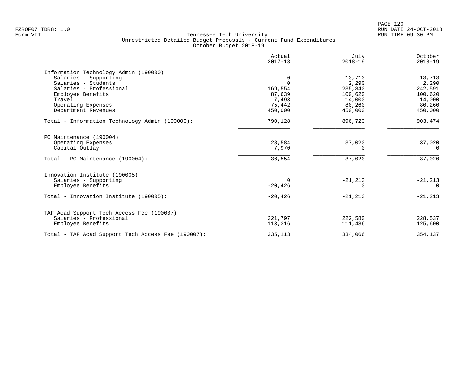|                                                    | Actual<br>$2017 - 18$ | July<br>$2018 - 19$ | October<br>$2018 - 19$ |
|----------------------------------------------------|-----------------------|---------------------|------------------------|
| Information Technology Admin (190000)              |                       |                     |                        |
| Salaries - Supporting                              | 0                     | 13,713              | 13,713                 |
| Salaries - Students                                | $\cap$                | 2,290               | 2,290                  |
| Salaries - Professional                            | 169,554               | 235,840             | 242,591                |
| Employee Benefits                                  | 87,639                | 100,620             | 100,620                |
| Travel                                             | 7,493                 | 14,000              | 14,000                 |
| Operating Expenses                                 | 75,442                | 80,260              | 80,260                 |
| Department Revenues                                | 450,000               | 450,000             | 450,000                |
| Total - Information Technology Admin (190000):     | 790,128               | 896,723             | 903,474                |
| PC Maintenance (190004)                            |                       |                     |                        |
| Operating Expenses                                 | 28,584                | 37,020              | 37,020                 |
| Capital Outlay                                     | 7,970                 | 0                   | 0                      |
| Total - PC Maintenance (190004):                   | 36,554                | 37,020              | 37,020                 |
| Innovation Institute (190005)                      |                       |                     |                        |
| Salaries - Supporting                              | $\Omega$              | $-21, 213$          | $-21, 213$             |
| Employee Benefits                                  | $-20,426$             | ∩                   | $\Omega$               |
| Total - Innovation Institute (190005):             | $-20,426$             | $-21, 213$          | $-21, 213$             |
| TAF Acad Support Tech Access Fee (190007)          |                       |                     |                        |
| Salaries - Professional                            | 221,797               | 222,580             | 228,537                |
| Employee Benefits                                  | 113,316               | 111,486             | 125,600                |
| Total - TAF Acad Support Tech Access Fee (190007): | 335,113               | 334,066             | 354,137                |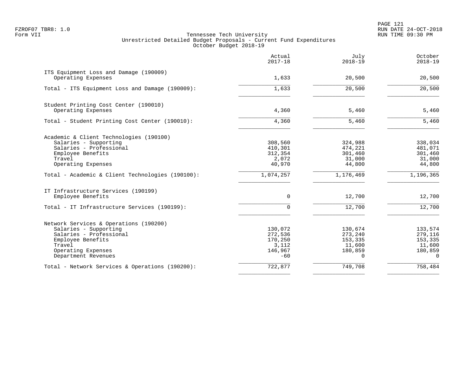PAGE 121 FZROF07 TBR8: 1.0 RUN DATE 24-OCT-2018

|                                                              | Actual<br>$2017 - 18$ | July<br>$2018 - 19$ | October<br>$2018 - 19$ |
|--------------------------------------------------------------|-----------------------|---------------------|------------------------|
| ITS Equipment Loss and Damage (190009)<br>Operating Expenses | 1,633                 | 20,500              | 20,500                 |
|                                                              |                       |                     |                        |
| Total - ITS Equipment Loss and Damage (190009):              | 1,633                 | 20,500              | 20,500                 |
| Student Printing Cost Center (190010)                        |                       |                     |                        |
| Operating Expenses                                           | 4,360                 | 5,460               | 5,460                  |
| Total - Student Printing Cost Center (190010):               | 4,360                 | 5,460               | 5,460                  |
| Academic & Client Technologies (190100)                      |                       |                     |                        |
| Salaries - Supporting                                        | 308,560               | 324,988             | 338,034                |
| Salaries - Professional                                      | 410,301               | 474,221             | 481,071                |
| Employee Benefits                                            | 312,354               | 301,460             | 301,460                |
| Travel                                                       | 2,072                 | 31,000              | 31,000                 |
| Operating Expenses                                           | 40,970                | 44,800              | 44,800                 |
| Total - Academic & Client Technologies (190100):             | 1,074,257             | 1,176,469           | 1,196,365              |
| IT Infrastructure Services (190199)                          |                       |                     |                        |
| Employee Benefits                                            | $\Omega$              | 12,700              | 12,700                 |
| Total - IT Infrastructure Services (190199):                 | $\Omega$              | 12,700              | 12,700                 |
| Network Services & Operations (190200)                       |                       |                     |                        |
| Salaries - Supporting                                        | 130,072               | 130,674             | 133,574                |
| Salaries - Professional                                      | 272,536               | 273,240             | 279,116                |
| Employee Benefits                                            | 170,250               | 153,335             | 153,335                |
| Travel                                                       | 3,112                 | 11,600              | 11,600                 |
| Operating Expenses                                           | 146,967               | 180,859             | 180,859                |
| Department Revenues                                          | $-60$                 | $\Omega$            | $\Omega$               |
| Total - Network Services & Operations (190200):              | 722,877               | 749,708             | 758,484                |
|                                                              |                       |                     |                        |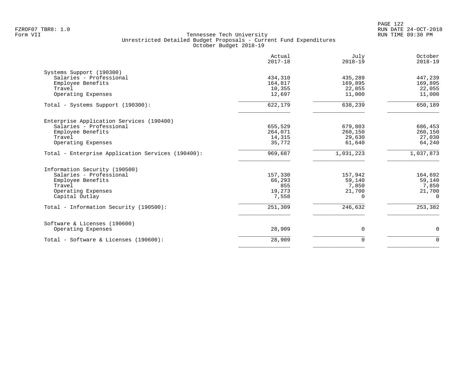|                                                   | Actual<br>$2017 - 18$ | July<br>$2018 - 19$ | October<br>$2018 - 19$ |
|---------------------------------------------------|-----------------------|---------------------|------------------------|
| Systems Support (190300)                          |                       |                     |                        |
| Salaries - Professional                           | 434,310               | 435,289             | 447,239                |
| Employee Benefits                                 | 164,817               | 169,895             | 169,895                |
| Travel                                            | 10,355                | 22,055              | 22,055                 |
| Operating Expenses                                | 12,697                | 11,000              | 11,000                 |
| Total - Systems Support (190300):                 | 622,179               | 638,239             | 650,189                |
| Enterprise Application Services (190400)          |                       |                     |                        |
| Salaries - Professional                           | 655,529               | 679,803             | 686,453                |
| Employee Benefits                                 | 264,071               | 260,150             | 260,150                |
| Travel                                            | 14,315                | 29,630              | 27,030                 |
| Operating Expenses                                | 35,772                | 61,640              | 64,240                 |
| Total - Enterprise Application Services (190400): | 969,687               | 1,031,223           | 1,037,873              |
| Information Security (190500)                     |                       |                     |                        |
| Salaries - Professional                           | 157,330               | 157,942             | 164,692                |
| Employee Benefits                                 | 66,293                | 59,140              | 59,140                 |
| Travel                                            | 855                   | 7,850               | 7,850                  |
| Operating Expenses                                | 19,273                | 21,700              | 21,700                 |
| Capital Outlay                                    | 7,558                 | $\Omega$            | $\Omega$               |
| Total - Information Security (190500):            | 251,309               | 246,632             | 253,382                |
| Software & Licenses (190600)                      |                       |                     |                        |
| Operating Expenses                                | 28,909                | $\mathbf 0$         | 0                      |
| Total - Software & Licenses (190600):             | 28,909                | $\Omega$            | $\Omega$               |
|                                                   |                       |                     |                        |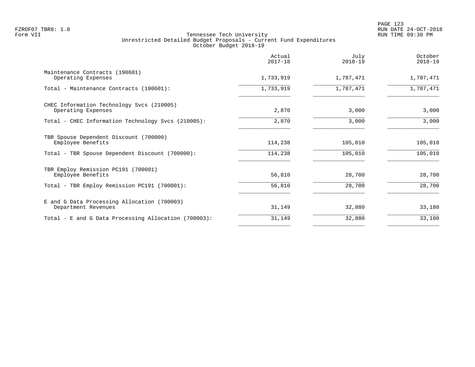|                                                                    | Actual<br>$2017 - 18$ | July<br>$2018 - 19$ | October<br>$2018 - 19$ |
|--------------------------------------------------------------------|-----------------------|---------------------|------------------------|
| Maintenance Contracts (190601)<br>Operating Expenses               | 1,733,919             | 1,787,471           | 1,787,471              |
| Total - Maintenance Contracts (190601):                            | 1,733,919             | 1,787,471           | 1,787,471              |
| CHEC Information Technology Svcs (210005)<br>Operating Expenses    | 2,870                 | 3,000               | 3,000                  |
| Total - CHEC Information Technology Svcs (210005):                 | 2,870                 | 3,000               | 3,000                  |
| TBR Spouse Dependent Discount (700000)<br>Employee Benefits        | 114,238               | 105,010             | 105,010                |
| Total - TBR Spouse Dependent Discount (700000):                    | 114,238               | 105,010             | 105,010                |
| TBR Employ Remission PC191 (700001)<br>Employee Benefits           | 56,810                | 28,700              | 28,700                 |
| Total - TBR Employ Remission PC191 (700001):                       | 56,810                | 28,700              | 28,700                 |
| E and G Data Processing Allocation (700003)<br>Department Revenues | 31,149                | 32,880              | 33,180                 |
| Total - E and G Data Processing Allocation (700003):               | 31,149                | 32,880              | 33,180                 |
|                                                                    |                       |                     |                        |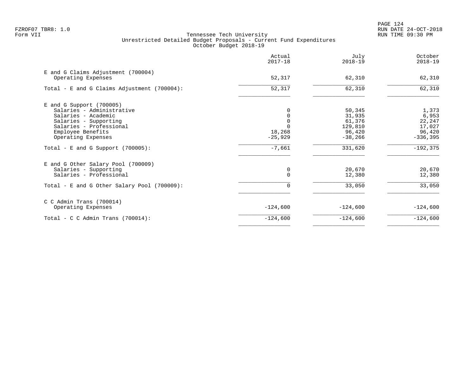PAGE 124 FZROF07 TBR8: 1.0 RUN DATE 24-OCT-2018

|                                                          | Actual<br>$2017 - 18$ | July<br>$2018 - 19$ | October<br>$2018 - 19$ |
|----------------------------------------------------------|-----------------------|---------------------|------------------------|
| E and G Claims Adjustment (700004)<br>Operating Expenses | 52,317                | 62,310              | 62,310                 |
| Total - E and G Claims Adjustment (700004):              | 52,317                | 62,310              | 62,310                 |
| $E$ and G Support (700005)                               |                       |                     |                        |
| Salaries - Administrative                                |                       | 50,345              | 1,373                  |
| Salaries - Academic                                      |                       | 31,935<br>61,376    | 6,953                  |
| Salaries - Supporting<br>Salaries - Professional         |                       | 129,810             | 22,247<br>17,027       |
| Employee Benefits                                        | 18,268                | 96,420              | 96,420                 |
| Operating Expenses                                       | $-25,929$             | $-38,266$           | $-336,395$             |
| Total - E and G Support $(700005)$ :                     | $-7,661$              | 331,620             | $-192, 375$            |
| E and G Other Salary Pool (700009)                       |                       |                     |                        |
| Salaries - Supporting                                    | 0                     | 20,670              | 20,670                 |
| Salaries - Professional                                  | $\Omega$              | 12,380              | 12,380                 |
| Total - E and G Other Salary Pool (700009):              | 0                     | 33,050              | 33,050                 |
| $C$ C Admin Trans (700014)                               |                       |                     |                        |
| Operating Expenses                                       | $-124,600$            | $-124,600$          | $-124,600$             |
| Total - C C Admin Trans $(700014)$ :                     | $-124,600$            | $-124,600$          | $-124,600$             |
|                                                          |                       |                     |                        |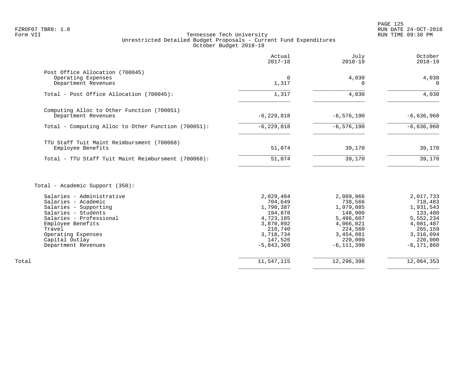|                                                                              | Actual<br>$2017 - 18$ | July<br>2018-19        | October<br>$2018 - 19$ |
|------------------------------------------------------------------------------|-----------------------|------------------------|------------------------|
| Post Office Allocation (700045)<br>Operating Expenses<br>Department Revenues | 0<br>1,317            | 4,030<br>0             | 4,030<br>$\Omega$      |
| Total - Post Office Allocation (700045):                                     | 1,317                 | 4,030                  | 4,030                  |
| Computing Alloc to Other Function (700051)<br>Department Revenues            | $-6, 229, 818$        | $-6,576,190$           | $-6,636,960$           |
| Total - Computing Alloc to Other Function (700051):                          | $-6, 229, 818$        | $-6, 576, 190$         | $-6,636,960$           |
| TTU Staff Tuit Maint Reimbursment (700068)<br>Employee Benefits              | 51,074                | 39,170                 | 39,170                 |
| Total - TTU Staff Tuit Maint Reimbursment (700068):                          | 51,074                | 39,170                 | 39,170                 |
| Total - Academic Support (350):                                              |                       |                        |                        |
| Salaries - Administrative<br>$C2$ larias - Laademia                          | 2,029,484<br>701610   | 2,089,966<br>$728 566$ | 2,017,733<br>719 192   |

|       | ---------               | 2,022,101    | 2,002,200    | 2, 0 1, 1 <i>, 1</i> 9 9 |
|-------|-------------------------|--------------|--------------|--------------------------|
|       | Salaries - Academic     | 704,649      | 738,566      | 718,483                  |
|       | Salaries - Supporting   | 1,790,387    | 1,979,085    | 1,931,543                |
|       | Salaries - Students     | 194,878      | 148,900      | 133,480                  |
|       | Salaries - Professional | 4,723,185    | 5,486,607    | 5,552,234                |
|       | Employee Benefits       | 3,870,892    | 4,066,021    | 4,081,487                |
|       | Travel                  | 210,740      | 224,560      | 265,159                  |
|       | Operating Expenses      | 3,718,734    | 3,454,081    | 3,316,094                |
|       | Capital Outlay          | 147,526      | 220,000      | 220,000                  |
|       | Department Revenues     | $-5,843,360$ | $-6,111,390$ | $-6, 171, 860$           |
|       |                         |              |              |                          |
| Total |                         | 11,547,115   | 12,296,396   | 12,064,353               |
|       |                         |              |              |                          |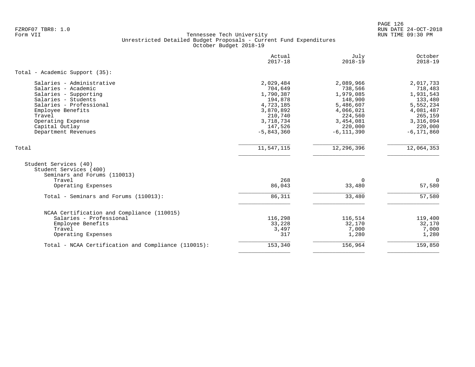PAGE 126 FZROF07 TBR8: 1.0 RUN DATE 24-OCT-2018

|                                                                                 | Actual<br>$2017 - 18$ | July<br>$2018 - 19$  | October<br>$2018 - 19$ |
|---------------------------------------------------------------------------------|-----------------------|----------------------|------------------------|
| Total - Academic Support (35):                                                  |                       |                      |                        |
| Salaries - Administrative                                                       | 2,029,484             | 2,089,966            | 2,017,733              |
| Salaries - Academic                                                             | 704,649               | 738,566              | 718,483                |
| Salaries - Supporting                                                           | 1,790,387             | 1,979,085            | 1,931,543              |
| Salaries - Students                                                             | 194,878               | 148,900              | 133,480                |
| Salaries - Professional                                                         | 4,723,185             | 5,486,607            | 5,552,234              |
| Employee Benefits<br>Travel                                                     | 3,870,892             | 4,066,021            | 4,081,487              |
| Operating Expense                                                               | 210,740<br>3,718,734  | 224,560              | 265,159<br>3,316,094   |
| Capital Outlay                                                                  | 147,526               | 3,454,081<br>220,000 | 220,000                |
| Department Revenues                                                             | $-5,843,360$          | $-6, 111, 390$       | $-6, 171, 860$         |
|                                                                                 |                       |                      |                        |
| Total                                                                           | 11,547,115            | 12, 296, 396         | 12,064,353             |
| Student Services (40)<br>Student Services (400)<br>Seminars and Forums (110013) |                       |                      |                        |
| Travel                                                                          | 268                   | $\Omega$             | 0                      |
| Operating Expenses                                                              | 86,043                | 33,480               | 57,580                 |
| Total - Seminars and Forums (110013):                                           | 86,311                | 33,480               | 57,580                 |
| NCAA Certification and Compliance (110015)                                      |                       |                      |                        |
| Salaries - Professional                                                         | 116,298               | 116,514              | 119,400                |
| Employee Benefits                                                               | 33,228                | 32,170               | 32,170                 |
| Travel                                                                          | 3,497                 | 7,000                | 7,000                  |
| Operating Expenses                                                              | 317                   | 1,280                | 1,280                  |
| Total - NCAA Certification and Compliance (110015):                             | 153,340               | 156,964              | 159,850                |
|                                                                                 |                       |                      |                        |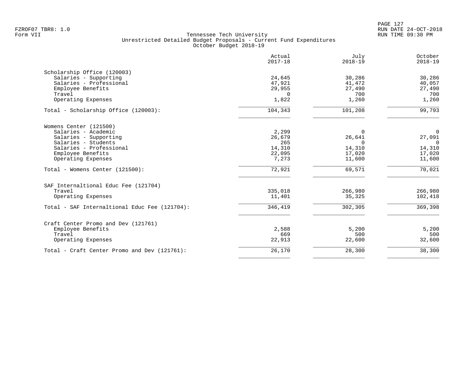|                                               | Actual<br>$2017 - 18$ | July<br>$2018 - 19$ | October<br>$2018 - 19$ |
|-----------------------------------------------|-----------------------|---------------------|------------------------|
| Scholarship Office (120003)                   |                       |                     |                        |
| Salaries - Supporting                         | 24,645                | 30,286              | 30,286                 |
| Salaries - Professional                       | 47,921                | 41,472              | 40,057                 |
| Employee Benefits                             | 29,955                | 27,490              | 27,490                 |
| Travel                                        | $\Omega$              | 700                 | 700                    |
| Operating Expenses                            | 1,822                 | 1,260               | 1,260                  |
| Total - Scholarship Office (120003):          | 104,343               | 101,208             | 99,793                 |
| Womens Center (121500)                        |                       |                     |                        |
| Salaries - Academic                           | 2,299                 | $\Omega$            | $\overline{0}$         |
| Salaries - Supporting                         | 26,679                | 26,641              | 27,091                 |
| Salaries - Students                           | 265                   | $\Omega$            | $\Omega$               |
| Salaries - Professional                       | 14,310                | 14,310              | 14,310                 |
| Employee Benefits                             | 22,095                | 17,020              | 17,020                 |
| Operating Expenses                            | 7,273                 | 11,600              | 11,600                 |
| Total - Womens Center (121500):               | 72,921                | 69,571              | 70,021                 |
| SAF Internaltional Educ Fee (121704)          |                       |                     |                        |
| Travel                                        | 335,018               | 266,980             | 266,980                |
| Operating Expenses                            | 11,401                | 35,325              | 102,418                |
| Total - SAF Internaltional Educ Fee (121704): | 346,419               | 302,305             | 369,398                |
| Craft Center Promo and Dev (121761)           |                       |                     |                        |
| Employee Benefits                             | 2,588                 | 5,200               | 5,200                  |
| Travel                                        | 669                   | 500                 | 500                    |
| Operating Expenses                            | 22,913                | 22,600              | 32,600                 |
| Total - Craft Center Promo and Dev (121761):  | 26,170                | 28,300              | 38,300                 |
|                                               |                       |                     |                        |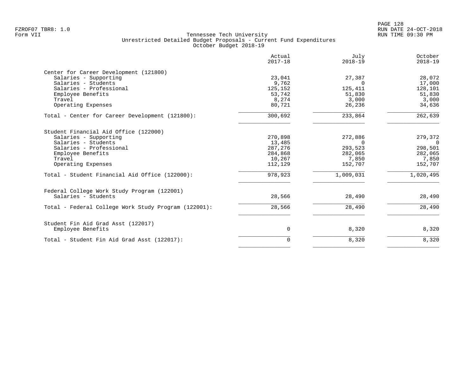|                                                      | Actual<br>$2017 - 18$ | July<br>$2018 - 19$ | October<br>$2018 - 19$ |
|------------------------------------------------------|-----------------------|---------------------|------------------------|
| Center for Career Development (121800)               |                       |                     |                        |
| Salaries - Supporting                                | 23,041                | 27,387              | 28,072                 |
| Salaries - Students                                  | 9,762                 | $\Omega$            | 17,000                 |
| Salaries - Professional                              | 125,152               | 125,411             | 128,101                |
| Employee Benefits                                    | 53,742                | 51,830              | 51,830                 |
| Travel                                               | 8,274                 | 3,000               | 3,000                  |
| Operating Expenses                                   | 80,721                | 26,236              | 34,636                 |
| Total - Center for Career Development (121800):      | 300,692               | 233,864             | 262,639                |
| Student Financial Aid Office (122000)                |                       |                     |                        |
| Salaries - Supporting                                | 270,898               | 272,886             | 279,372                |
| Salaries - Students                                  | 13,485                | $\Omega$            | $\Omega$               |
| Salaries - Professional                              | 287,276               | 293,523             | 298,501                |
| Employee Benefits                                    | 284,868               | 282,065             | 282,065                |
| Travel                                               | 10,267                | 7,850               | 7,850                  |
| Operating Expenses                                   | 112,129               | 152,707             | 152,707                |
| Total - Student Financial Aid Office (122000):       | 978,923               | 1,009,031           | 1,020,495              |
| Federal College Work Study Program (122001)          |                       |                     |                        |
| Salaries - Students                                  | 28,566                | 28,490              | 28,490                 |
| Total - Federal College Work Study Program (122001): | 28,566                | 28,490              | 28,490                 |
| Student Fin Aid Grad Asst (122017)                   |                       |                     |                        |
| Employee Benefits                                    | 0                     | 8,320               | 8,320                  |
| Total - Student Fin Aid Grad Asst (122017):          | 0                     | 8,320               | 8,320                  |
|                                                      |                       |                     |                        |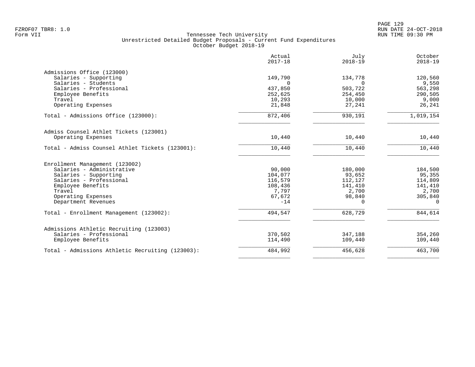| 149,790<br>$\cap$<br>437,850<br>252,625<br>10,293<br>21,848<br>872,406 | 134,778<br>$\Omega$<br>503,722<br>254,450<br>10,000<br>27,241         | 120,560<br>9,550<br>563,298<br>290,505<br>9,000<br>26,241  |
|------------------------------------------------------------------------|-----------------------------------------------------------------------|------------------------------------------------------------|
|                                                                        |                                                                       |                                                            |
|                                                                        |                                                                       |                                                            |
|                                                                        |                                                                       |                                                            |
|                                                                        |                                                                       |                                                            |
|                                                                        |                                                                       |                                                            |
|                                                                        |                                                                       |                                                            |
|                                                                        |                                                                       |                                                            |
|                                                                        | 930,191                                                               | 1,019,154                                                  |
|                                                                        |                                                                       |                                                            |
| 10,440                                                                 | 10,440                                                                | 10,440                                                     |
| 10,440                                                                 | 10,440                                                                | 10,440                                                     |
|                                                                        |                                                                       |                                                            |
|                                                                        |                                                                       | 184,500                                                    |
|                                                                        |                                                                       | 95,355                                                     |
|                                                                        |                                                                       | 114,809                                                    |
|                                                                        |                                                                       | 141,410                                                    |
|                                                                        |                                                                       | 2,700                                                      |
|                                                                        |                                                                       | 305,840                                                    |
| $-14$                                                                  | $\Omega$                                                              | $\Omega$                                                   |
| 494,547                                                                | 628,729                                                               | 844,614                                                    |
|                                                                        |                                                                       |                                                            |
| 370,502                                                                | 347,188                                                               | 354,260                                                    |
|                                                                        | 109,440                                                               | 109,440                                                    |
|                                                                        |                                                                       |                                                            |
|                                                                        | 90,000<br>104,077<br>116,579<br>108,436<br>7,797<br>67,672<br>114,490 | 180,000<br>93,652<br>112,127<br>141,410<br>2,700<br>98,840 |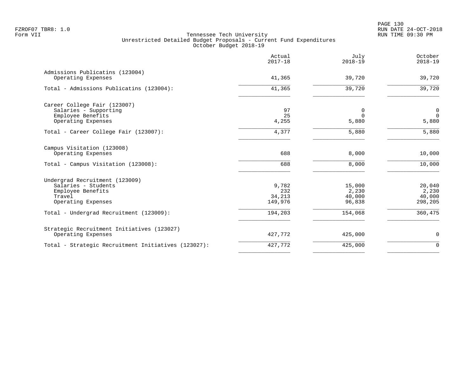PAGE 130 FZROF07 TBR8: 1.0 RUN DATE 24-OCT-2018

|                                                                                                            | Actual<br>$2017 - 18$             | July<br>$2018 - 19$                 | October<br>$2018 - 19$               |
|------------------------------------------------------------------------------------------------------------|-----------------------------------|-------------------------------------|--------------------------------------|
| Admissions Publicatins (123004)<br>Operating Expenses                                                      | 41,365                            | 39,720                              | 39,720                               |
| Total - Admissions Publicatins (123004):                                                                   | 41,365                            | 39,720                              | 39,720                               |
| Career College Fair (123007)<br>Salaries - Supporting<br>Employee Benefits<br>Operating Expenses           | 97<br>25<br>4,255                 | 0<br>$\Omega$<br>5,880              | 0<br>$\Omega$<br>5,880               |
| Total - Career College Fair (123007):                                                                      | 4,377                             | 5,880                               | 5,880                                |
| Campus Visitation (123008)<br>Operating Expenses                                                           | 688                               | 8,000                               | 10,000                               |
| Total - Campus Visitation (123008):                                                                        | 688                               | 8,000                               | 10,000                               |
| Undergrad Recruitment (123009)<br>Salaries - Students<br>Employee Benefits<br>Travel<br>Operating Expenses | 9,782<br>232<br>34,213<br>149,976 | 15,000<br>2,230<br>40,000<br>96,838 | 20,040<br>2,230<br>40,000<br>298,205 |
| Total - Undergrad Recruitment (123009):                                                                    | 194,203                           | 154,068                             | 360,475                              |
| Strategic Recruitment Initiatives (123027)<br>Operating Expenses                                           | 427,772                           | 425,000                             | $\mathbf 0$                          |
| Total - Strategic Recruitment Initiatives (123027):                                                        | 427,772                           | 425,000                             | $\mathbf 0$                          |
|                                                                                                            |                                   |                                     |                                      |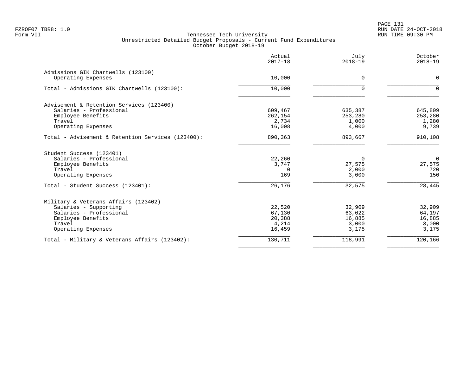|                                                   | Actual<br>$2017 - 18$ | July<br>$2018 - 19$ | October<br>$2018 - 19$ |
|---------------------------------------------------|-----------------------|---------------------|------------------------|
| Admissions GIK Chartwells (123100)                |                       |                     |                        |
| Operating Expenses                                | 10,000                | 0                   | $\mathbf 0$            |
| Total - Admissions GIK Chartwells (123100):       | 10,000                | $\Omega$            | $\Omega$               |
| Advisement & Retention Services (123400)          |                       |                     |                        |
| Salaries - Professional                           | 609,467               | 635,387             | 645,809                |
| Employee Benefits                                 | 262,154               | 253,280             | 253,280                |
| Travel                                            | 2,734<br>16,008       | 1,000<br>4,000      | 1,280<br>9,739         |
| Operating Expenses                                |                       |                     |                        |
| Total - Advisement & Retention Services (123400): | 890,363               | 893,667             | 910,108                |
| Student Success (123401)                          |                       |                     |                        |
| Salaries - Professional                           | 22,260                | $\Omega$            | $\overline{0}$         |
| Employee Benefits                                 | 3,747                 | 27,575              | 27,575                 |
| Travel                                            | $\Omega$              | 2,000               | 720                    |
| Operating Expenses                                | 169                   | 3,000               | 150                    |
| Total - Student Success (123401):                 | 26,176                | 32,575              | 28,445                 |
| Military & Veterans Affairs (123402)              |                       |                     |                        |
| Salaries - Supporting                             | 22,520                | 32,909              | 32,909                 |
| Salaries - Professional                           | 67,130                | 63,022              | 64,197                 |
| Employee Benefits                                 | 20,388                | 16,885              | 16,885                 |
| Travel                                            | 4,214                 | 3,000               | 3,000                  |
| Operating Expenses                                | 16,459                | 3,175               | 3,175                  |
| Total - Military & Veterans Affairs (123402):     | 130,711               | 118,991             | 120,166                |
|                                                   |                       |                     |                        |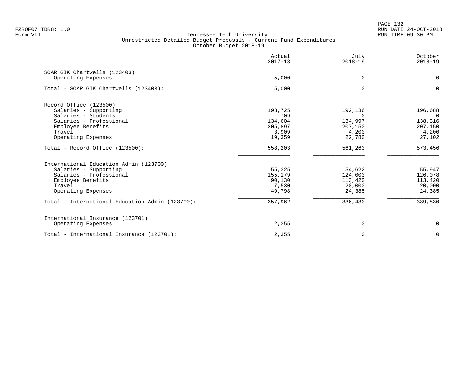PAGE 132 FZROF07 TBR8: 1.0 RUN DATE 24-OCT-2018

|                                                    | Actual<br>$2017 - 18$ | July<br>$2018 - 19$ | October<br>$2018 - 19$ |
|----------------------------------------------------|-----------------------|---------------------|------------------------|
| SOAR GIK Chartwells (123403)<br>Operating Expenses | 5,000                 | $\Omega$            | $\Omega$               |
| Total - SOAR GIK Chartwells (123403):              | 5,000                 | $\Omega$            | $\Omega$               |
| Record Office (123500)                             |                       |                     |                        |
| Salaries - Supporting<br>Salaries - Students       | 193,725<br>709        | 192,136<br>$\Omega$ | 196,688<br>$\Omega$    |
| Salaries - Professional                            | 134,604               | 134,997             | 138,316                |
| Employee Benefits                                  | 205,897               | 207,150             | 207,150                |
| Travel                                             | 3,909                 | 4,200               | 4,200                  |
| Operating Expenses                                 | 19,359                | 22,780              | 27,102                 |
| Total - Record Office (123500):                    | 558,203               | 561,263             | 573,456                |
| International Education Admin (123700)             |                       |                     |                        |
| Salaries - Supporting                              | 55,325                | 54,622              | 55,947                 |
| Salaries - Professional                            | 155,179               | 124,003             | 126,078                |
| Employee Benefits                                  | 90,130                | 113,420             | 113,420                |
| Travel                                             | 7,530                 | 20,000              | 20,000                 |
| Operating Expenses                                 | 49,798                | 24,385              | 24,385                 |
| Total - International Education Admin (123700):    | 357,962               | 336,430             | 339,830                |
| International Insurance (123701)                   |                       |                     |                        |
| Operating Expenses                                 | 2,355                 | 0                   | 0                      |
| Total - International Insurance (123701):          | 2,355                 | $\Omega$            | $\overline{0}$         |
|                                                    |                       |                     |                        |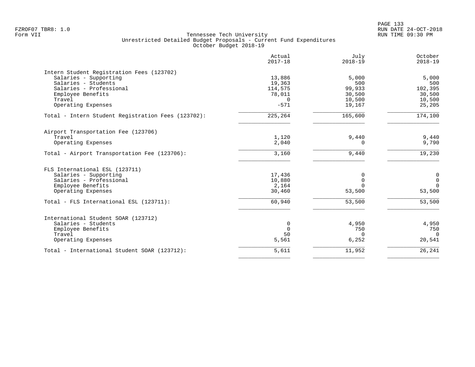| $2017 - 18$ | July<br>$2018 - 19$                                 | October<br>$2018 - 19$                    |
|-------------|-----------------------------------------------------|-------------------------------------------|
|             |                                                     |                                           |
| 13,886      | 5,000                                               | 5,000                                     |
| 19,363      | 500                                                 | 500                                       |
| 114,575     | 99,933                                              | 102,395                                   |
| 78,011      | 30,500                                              | 30,500                                    |
| $\Omega$    | 10,500                                              | 10,500                                    |
| $-571$      | 19,167                                              | 25,205                                    |
| 225,264     | 165,600                                             | 174,100                                   |
|             |                                                     |                                           |
| 1,120       | 9,440                                               | 9,440                                     |
| 2,040       | $\Omega$                                            | 9,790                                     |
| 3,160       | 9,440                                               | 19,230                                    |
|             |                                                     |                                           |
|             |                                                     | $\mathbf 0$                               |
|             |                                                     | $\mathbf 0$                               |
|             | $\Omega$                                            | $\Omega$                                  |
| 30,460      | 53,500                                              | 53,500                                    |
| 60,940      | 53,500                                              | 53,500                                    |
|             |                                                     |                                           |
|             |                                                     | 4,950                                     |
|             |                                                     | 750                                       |
|             |                                                     | $\Omega$                                  |
| 5,561       | 6,252                                               | 20,541                                    |
| 5,611       | 11,952                                              | 26,241                                    |
|             | 17,436<br>10,880<br>2,164<br>0<br>$\mathbf 0$<br>50 | 0<br>$\Omega$<br>4,950<br>750<br>$\Omega$ |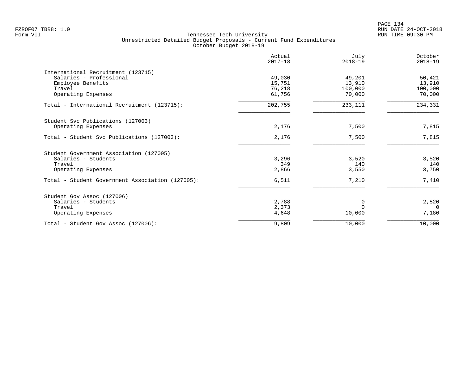| Actual<br>$2017 - 18$ | July<br>$2018 - 19$            | October<br>$2018 - 19$ |
|-----------------------|--------------------------------|------------------------|
|                       |                                |                        |
| 49,030                | 49,201                         | 50,421                 |
| 15,751                | 13,910                         | 13,910                 |
| 76,218                | 100,000                        | 100,000                |
| 61,756                | 70,000                         | 70,000                 |
| 202,755               | 233,111                        | 234,331                |
|                       |                                |                        |
| 2,176                 | 7,500                          | 7,815                  |
| 2,176                 | 7,500                          | 7,815                  |
|                       |                                |                        |
|                       |                                | 3,520                  |
|                       |                                | 140                    |
| 2,866                 | 3,550                          | 3,750                  |
| 6,511                 | 7,210                          | 7,410                  |
|                       |                                |                        |
|                       |                                | 2,820                  |
|                       | $\Omega$                       | $\Omega$               |
| 4,648                 | 10,000                         | 7,180                  |
| 9,809                 | 10,000                         | 10,000                 |
|                       | 3,296<br>349<br>2,788<br>2,373 | 3,520<br>140<br>0      |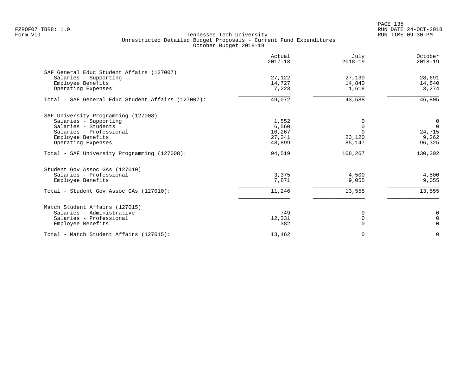PAGE 135 FZROF07 TBR8: 1.0 RUN DATE 24-OCT-2018

|                                                    | Actual<br>$2017 - 18$ | July<br>$2018 - 19$ | October<br>$2018 - 19$ |
|----------------------------------------------------|-----------------------|---------------------|------------------------|
| SAF General Educ Student Affairs (127007)          |                       |                     |                        |
| Salaries - Supporting                              | 27,122                | 27,130              | 28,691                 |
| Employee Benefits                                  | 14,727                | 14,840              | 14,840                 |
| Operating Expenses                                 | 7,223                 | 1,618               | 3,274                  |
| Total - SAF General Educ Student Affairs (127007): | 49,072                | 43,588              | 46,805                 |
| SAF University Programming (127008)                |                       |                     |                        |
| Salaries - Supporting                              | 1,552                 | $\Omega$            | 0                      |
| Salaries - Students                                | 6,560                 | $\Omega$            | $\mathbf 0$            |
| Salaries - Professional                            | 10,267                | $\Omega$            | 24,715                 |
| Employee Benefits                                  | 27,241                | 23,120              | 9,262                  |
| Operating Expenses                                 | 48,899                | 85,147              | 96,325                 |
| Total - SAF University Programming (127008):       | 94,519                | 108,267             | 130,302                |
| Student Gov Assoc GAs (127010)                     |                       |                     |                        |
| Salaries - Professional                            | 3,375                 | 4,500               | 4,500                  |
| Employee Benefits                                  | 7,871                 | 9,055               | 9,055                  |
| Total - Student Gov Assoc GAs (127010):            | 11,246                | 13,555              | 13,555                 |
| Match Student Affairs (127015)                     |                       |                     |                        |
| Salaries - Administrative                          | 749                   | 0                   | 0                      |
| Salaries - Professional                            | 12,331                | $\mathbf 0$         | $\Omega$               |
| Employee Benefits                                  | 382                   | $\Omega$            | $\Omega$               |
| Total - Match Student Affairs (127015):            | 13,462                | $\Omega$            | $\Omega$               |
|                                                    |                       |                     |                        |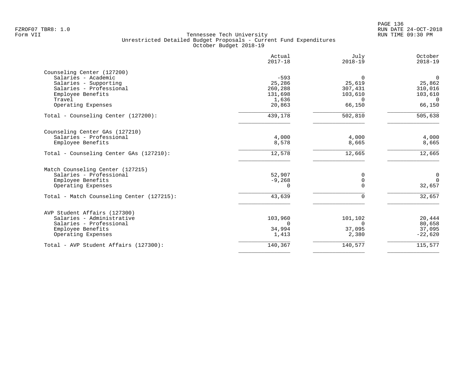| Actual<br>$2017 - 18$ | July<br>$2018 - 19$                                                                              | October<br>$2018 - 19$                                                                                |
|-----------------------|--------------------------------------------------------------------------------------------------|-------------------------------------------------------------------------------------------------------|
|                       |                                                                                                  |                                                                                                       |
|                       | $\Omega$                                                                                         | $\mathbf 0$                                                                                           |
|                       |                                                                                                  | 25,862                                                                                                |
|                       |                                                                                                  | 310,016                                                                                               |
|                       |                                                                                                  | 103,610                                                                                               |
|                       |                                                                                                  | $\Omega$                                                                                              |
|                       |                                                                                                  | 66,150                                                                                                |
| 439,178               | 502,810                                                                                          | 505,638                                                                                               |
|                       |                                                                                                  |                                                                                                       |
|                       |                                                                                                  | 4,000                                                                                                 |
|                       |                                                                                                  | 8,665                                                                                                 |
| 12,578                | 12,665                                                                                           | 12,665                                                                                                |
|                       |                                                                                                  |                                                                                                       |
| 52,907                | 0                                                                                                | 0                                                                                                     |
| $-9,268$              | $\mathbf 0$                                                                                      | $\mathbf 0$                                                                                           |
| 0                     | $\Omega$                                                                                         | 32,657                                                                                                |
| 43,639                | 0                                                                                                | 32,657                                                                                                |
|                       |                                                                                                  |                                                                                                       |
|                       |                                                                                                  | 20,444                                                                                                |
| $\Omega$              |                                                                                                  | 80,658                                                                                                |
|                       |                                                                                                  | 37,095                                                                                                |
| 1,413                 | 2,380                                                                                            | $-22,620$                                                                                             |
| 140,367               | 140,577                                                                                          | 115,577                                                                                               |
|                       | $-593$<br>25,286<br>260,288<br>131,698<br>1,636<br>20,863<br>4,000<br>8,578<br>103,960<br>34,994 | 25,619<br>307,431<br>103,610<br>$\Omega$<br>66,150<br>4,000<br>8,665<br>101,102<br>$\Omega$<br>37,095 |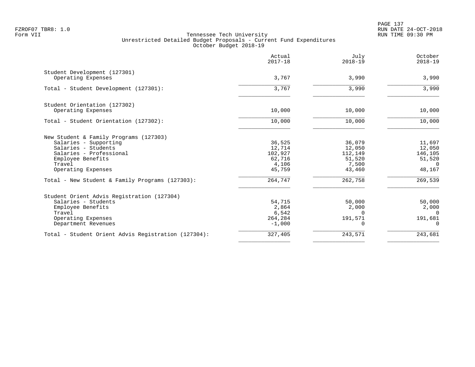PAGE 137 FZROF07 TBR8: 1.0 RUN DATE 24-OCT-2018

|                                                     | Actual<br>$2017 - 18$ | July<br>$2018 - 19$ | October<br>$2018 - 19$ |
|-----------------------------------------------------|-----------------------|---------------------|------------------------|
| Student Development (127301)<br>Operating Expenses  | 3,767                 | 3,990               | 3,990                  |
|                                                     |                       |                     |                        |
| Total - Student Development (127301):               | 3,767                 | 3,990               | 3,990                  |
| Student Orientation (127302)                        |                       |                     |                        |
| Operating Expenses                                  | 10,000                | 10,000              | 10,000                 |
| Total - Student Orientation (127302):               | 10,000                | 10,000              | 10,000                 |
| New Student & Family Programs (127303)              |                       |                     |                        |
| Salaries - Supporting                               | 36,525                | 36,079              | 11,697                 |
| Salaries - Students                                 | 12,714                | 12,050              | 12,050                 |
| Salaries - Professional                             | 102,927               | 112,149             | 146,105                |
| Employee Benefits<br>Travel                         | 62,716<br>4,106       | 51,520<br>7,500     | 51,520<br>$\Omega$     |
| Operating Expenses                                  | 45,759                | 43,460              | 48,167                 |
| Total - New Student & Family Programs (127303):     | 264,747               | 262,758             | 269,539                |
| Student Orient Advis Registration (127304)          |                       |                     |                        |
| Salaries - Students                                 | 54,715                | 50,000              | 50,000                 |
| Employee Benefits                                   | 2,864                 | 2,000               | 2,000                  |
| Travel                                              | 6,542                 | $\Omega$            | $\Omega$               |
| Operating Expenses                                  | 264,284               | 191,571             | 191,681                |
| Department Revenues                                 | $-1,000$              | $\Omega$            | $\Omega$               |
| Total - Student Orient Advis Registration (127304): | 327,405               | 243,571             | 243,681                |
|                                                     |                       |                     |                        |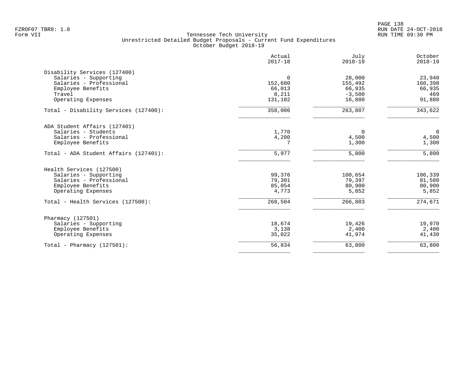PAGE 138 FZROF07 TBR8: 1.0 RUN DATE 24-OCT-2018

|                                       | Actual<br>$2017 - 18$ | July<br>$2018 - 19$ | October<br>$2018 - 19$ |
|---------------------------------------|-----------------------|---------------------|------------------------|
| Disability Services (127400)          |                       |                     |                        |
| Salaries - Supporting                 | $\Omega$              | 28,000              | 23,940                 |
| Salaries - Professional               | 152,680               | 155,492             | 160,398                |
| Employee Benefits                     | 66,013                | 66,935              | 66,935                 |
| Travel                                | 8,211                 | $-3,500$            | 469                    |
| Operating Expenses                    | 131,102               | 16,880              | 91,880                 |
| Total - Disability Services (127400): | 358,006               | 263,807             | 343,622                |
| ADA Student Affairs (127401)          |                       |                     |                        |
| Salaries - Students                   | 1,770                 | $\Omega$            | $\overline{0}$         |
| Salaries - Professional               | 4,200                 | 4,500               | 4,500                  |
| Employee Benefits                     |                       | 1,300               | 1,300                  |
| Total - ADA Student Affairs (127401): | 5,977                 | 5,800               | 5,800                  |
| Health Services (127500)              |                       |                     |                        |
| Salaries - Supporting                 | 99,376                | 100,654             | 106,339                |
| Salaries - Professional               | 79,301                | 79,397              | 81,580                 |
| Employee Benefits                     | 85,054                | 80,900              | 80,900                 |
| Operating Expenses                    | 4,773                 | 5,852               | 5,852                  |
| Total - Health Services (127500):     | 268,504               | 266,803             | $\frac{274,671}{ }$    |
| Pharmacy (127501)                     |                       |                     |                        |
| Salaries - Supporting                 | 18,674                | 19,426              | 19,970                 |
| Employee Benefits                     | 3,138                 | 2,400               | 2,400                  |
| Operating Expenses                    | 35,022                | 41,974              | 41,430                 |
| Total - Pharmacy $(127501)$ :         | 56,834                | 63,800              | 63,800                 |
|                                       |                       |                     |                        |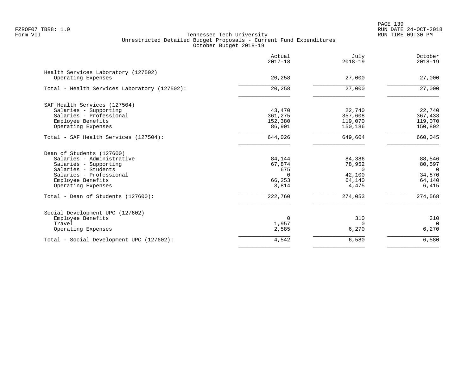PAGE 139 FZROF07 TBR8: 1.0 RUN DATE 24-OCT-2018

|                                                           | Actual<br>$2017 - 18$ | July<br>$2018 - 19$ | October<br>$2018 - 19$ |
|-----------------------------------------------------------|-----------------------|---------------------|------------------------|
| Health Services Laboratory (127502)<br>Operating Expenses | 20,258                | 27,000              | 27,000                 |
|                                                           |                       |                     |                        |
| Total - Health Services Laboratory (127502):              | 20,258                | 27,000              | 27,000                 |
| SAF Health Services (127504)                              |                       |                     |                        |
| Salaries - Supporting                                     | 43,470                | 22,740              | 22,740                 |
| Salaries - Professional                                   | 361,275               | 357,608             | 367,433                |
| Employee Benefits                                         | 152,380               | 119,070             | 119,070                |
| Operating Expenses                                        | 86,901                | 150,186             | 150,802                |
| Total - SAF Health Services (127504):                     | 644,026               | 649,604             | 660,045                |
| Dean of Students (127600)                                 |                       |                     |                        |
| Salaries - Administrative                                 | 84,144                | 84,386              | 88,546                 |
| Salaries - Supporting                                     | 67,874                | 78,952              | 80,597                 |
| Salaries - Students                                       | 675                   | $\Omega$            | $\overline{0}$         |
| Salaries - Professional                                   | $\Omega$              | 42,100              | 34,870                 |
| Employee Benefits                                         | 66,253                | 64,140              | 64,140                 |
| Operating Expenses                                        | 3,814                 | 4,475               | 6,415                  |
| Total - Dean of Students (127600):                        | 222,760               | 274,053             | 274,568                |
| Social Development UPC (127602)                           |                       |                     |                        |
| Employee Benefits                                         | $\Omega$              | 310                 | 310                    |
| Travel                                                    | 1,957                 | $\Omega$            | $\Omega$               |
| Operating Expenses                                        | 2,585                 | 6,270               | 6,270                  |
| Total - Social Development UPC (127602):                  | 4,542                 | 6,580               | 6,580                  |
|                                                           |                       |                     |                        |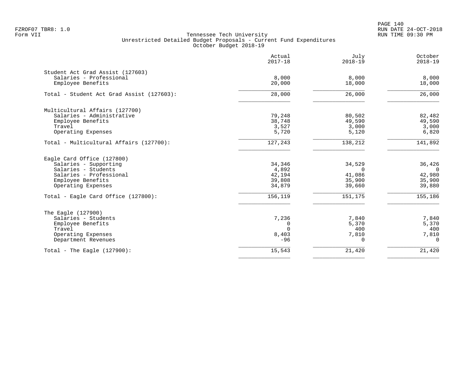PAGE 140 FZROF07 TBR8: 1.0 RUN DATE 24-OCT-2018

|                                                             | Actual<br>$2017 - 18$ | July<br>$2018 - 19$ | October<br>$2018 - 19$ |
|-------------------------------------------------------------|-----------------------|---------------------|------------------------|
| Student Act Grad Assist (127603)<br>Salaries - Professional | 8,000                 | 8,000               | 8,000                  |
| Employee Benefits                                           | 20,000                | 18,000              | 18,000                 |
| Total - Student Act Grad Assist (127603):                   | 28,000                | 26,000              | 26,000                 |
| Multicultural Affairs (127700)                              |                       |                     |                        |
| Salaries - Administrative                                   | 79,248                | 80,502              | 82,482                 |
| Employee Benefits                                           | 38,748                | 49,590              | 49,590                 |
| Travel                                                      | 3,527                 | 3,000               | 3,000                  |
| Operating Expenses                                          | 5,720                 | 5,120               | 6,820                  |
| Total - Multicultural Affairs (127700):                     | 127,243               | 138,212             | 141,892                |
| Eagle Card Office (127800)                                  |                       |                     |                        |
| Salaries - Supporting                                       | 34,346                | 34,529              | 36,426                 |
| Salaries - Students                                         | 4,892                 | $\Omega$            | $\Omega$               |
| Salaries - Professional                                     | 42,194                | 41,086              | 42,980                 |
| Employee Benefits                                           | 39,808                | 35,900              | 35,900                 |
| Operating Expenses                                          | 34,879                | 39,660              | 39,880                 |
| Total - Eagle Card Office (127800):                         | 156,119               | 151,175             | 155,186                |
| The Eagle (127900)                                          |                       |                     |                        |
| Salaries - Students                                         | 7,236                 | 7,840               | 7,840                  |
| Employee Benefits                                           | 0                     | 5,370               | 5,370                  |
| Travel                                                      | $\Omega$              | 400                 | 400                    |
| Operating Expenses                                          | 8,403                 | 7,810               | 7,810                  |
| Department Revenues                                         | $-96$                 | $\Omega$            | $\Omega$               |
| Total - The Eagle $(127900)$ :                              | 15,543                | 21,420              | 21,420                 |
|                                                             |                       |                     |                        |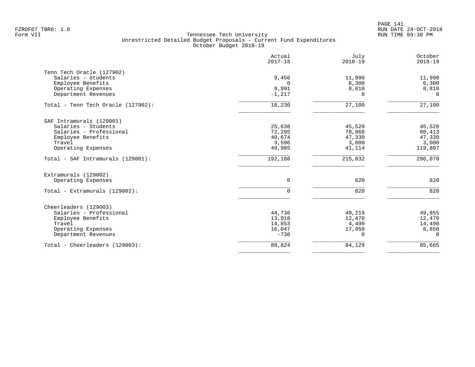PAGE 141 FZROF07 TBR8: 1.0 RUN DATE 24-OCT-2018

|                                                  | Actual<br>$2017 - 18$ | July<br>$2018 - 19$ | October<br>$2018 - 19$ |
|--------------------------------------------------|-----------------------|---------------------|------------------------|
| Tenn Tech Oracle (127902)<br>Salaries - Students | 9,456                 | 11,990              | 11,990                 |
| Employee Benefits                                | $\Omega$              | 6,300               | 6,300                  |
| Operating Expenses                               | 9,991                 | 8,810               | 8,810                  |
| Department Revenues                              | $-1,217$              | 0                   | $\Omega$               |
| Total - Tenn Tech Oracle (127902):               | 18,230                | 27,100              | $\overline{27}$ , 100  |
| SAF Intramurals (129001)                         |                       |                     |                        |
| Salaries - Students                              | 25,638                | 45,520              | 45,520                 |
| Salaries - Professional                          | 72,295                | 78,868              | 80,413                 |
| Employee Benefits                                | 40,674                | 47,330              | 47,330                 |
| Travel                                           | 3,596                 | 3,000               | 3,000                  |
| Operating Expenses                               | 49,985                | 41,114              | 119,807                |
| Total - SAF Intramurals (129001):                | 192,188               | 215,832             | 296,070                |
| Extramurals (129002)                             |                       |                     |                        |
| Operating Expenses                               | $\mathbf 0$           | 820                 | 820                    |
| Total - Extramurals (129002):                    | 0                     | 820                 | 820                    |
| Cheerleaders (129003)                            |                       |                     |                        |
| Salaries - Professional                          | 44,736                | 49,219              | 49,855                 |
| Employee Benefits                                | 13,918                | 12,470              | 12,470                 |
| Travel                                           | 14,853                | 4,490               | 14,490                 |
| Operating Expenses                               | 16,047                | 17,950              | 8,850                  |
| Department Revenues                              | $-730$                | $\Omega$            | $\Omega$               |
| Total - Cheerleaders (129003):                   | 88,824                | 84,129              | 85,665                 |
|                                                  |                       |                     |                        |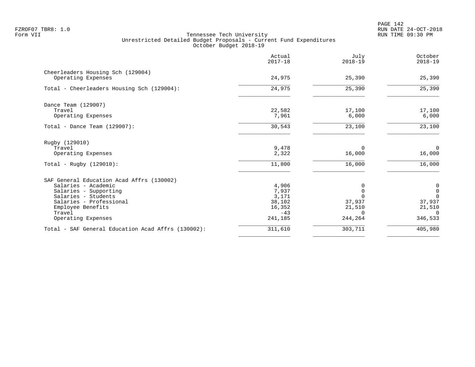PAGE 142 FZROF07 TBR8: 1.0 RUN DATE 24-OCT-2018

|                                                         | Actual<br>$2017 - 18$ | July<br>$2018 - 19$ | October<br>$2018 - 19$ |
|---------------------------------------------------------|-----------------------|---------------------|------------------------|
| Cheerleaders Housing Sch (129004)<br>Operating Expenses | 24,975                | 25,390              | 25,390                 |
|                                                         |                       |                     |                        |
| Total - Cheerleaders Housing Sch (129004):              | 24,975                | 25,390              | 25,390                 |
| Dance Team (129007)                                     |                       |                     |                        |
| Travel                                                  | 22,582                | 17,100              | 17,100                 |
| Operating Expenses                                      | 7,961                 | 6,000               | 6,000                  |
| Total - Dance Team $(129007)$ :                         | 30,543                | 23,100              | 23,100                 |
| Rugby (129010)                                          |                       |                     |                        |
| Travel                                                  | 9,478                 | 0                   | $\overline{0}$         |
| Operating Expenses                                      | 2,322                 | 16,000              | 16,000                 |
| Total - Rugby (129010):                                 | 11,800                | 16,000              | 16,000                 |
| SAF General Education Acad Affrs (130002)               |                       |                     |                        |
| Salaries - Academic                                     | 4,906                 |                     | $\boldsymbol{0}$       |
| Salaries - Supporting                                   | 7,937                 | $\Omega$            | $\mathsf{O}\xspace$    |
| Salaries - Students                                     | 3,171                 |                     | $\Omega$               |
| Salaries - Professional                                 | 38,102<br>16,352      | 37,937              | 37,937                 |
| Employee Benefits<br>Travel                             | $-43$                 | 21,510              | 21,510<br>$\Omega$     |
| Operating Expenses                                      | 241,185               | 244,264             | 346,533                |
| Total - SAF General Education Acad Affrs (130002):      | 311,610               | 303,711             | 405,980                |
|                                                         |                       |                     |                        |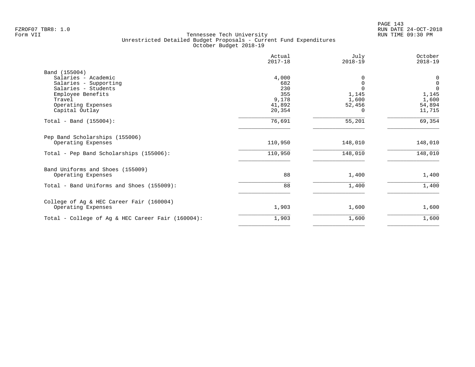|                                                   | Actual<br>$2017 - 18$ | July<br>$2018 - 19$ | October<br>$2018 - 19$ |
|---------------------------------------------------|-----------------------|---------------------|------------------------|
| Band (155004)                                     |                       |                     |                        |
| Salaries - Academic                               | 4,000                 | $\Omega$            | $\mathbf 0$            |
| Salaries - Supporting                             | 682                   | $\Omega$            | $\mathsf 0$            |
| Salaries - Students                               | 230                   |                     | $\mathbf 0$            |
| Employee Benefits                                 | 355                   | 1,145               | 1,145                  |
| Travel                                            | 9,178                 | 1,600               | 1,600                  |
| Operating Expenses                                | 41,892                | 52,456              | 54,894                 |
| Capital Outlay                                    | 20,354                | $\Omega$            | 11,715                 |
| Total - Band $(155004)$ :                         | 76,691                | 55,201              | 69,354                 |
| Pep Band Scholarships (155006)                    |                       |                     |                        |
| Operating Expenses                                | 110,950               | 148,010             | 148,010                |
| Total - Pep Band Scholarships (155006):           | 110,950               | 148,010             | 148,010                |
| Band Uniforms and Shoes (155009)                  |                       |                     |                        |
| Operating Expenses                                | 88                    | 1,400               | 1,400                  |
| Total - Band Uniforms and Shoes (155009):         | 88                    | 1,400               | 1,400                  |
| College of Ag & HEC Career Fair (160004)          |                       |                     |                        |
| Operating Expenses                                | 1,903                 | 1,600               | 1,600                  |
| Total - College of Ag & HEC Career Fair (160004): | 1,903                 | 1,600               | 1,600                  |
|                                                   |                       |                     |                        |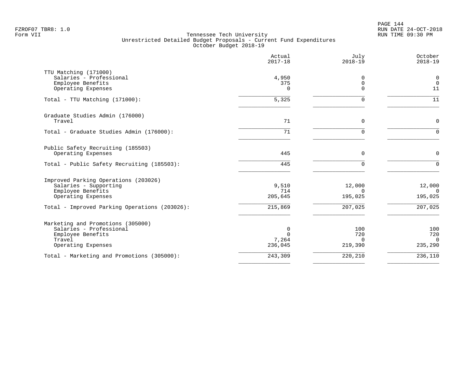PAGE 144 FZROF07 TBR8: 1.0 RUN DATE 24-OCT-2018

|                                                                                                                   | Actual<br>$2017 - 18$             | July<br>$2018 - 19$               | October<br>$2018 - 19$            |
|-------------------------------------------------------------------------------------------------------------------|-----------------------------------|-----------------------------------|-----------------------------------|
| TTU Matching (171000)<br>Salaries - Professional<br>Employee Benefits<br>Operating Expenses                       | 4,950<br>375<br>$\Omega$          | 0<br>$\mathbf 0$<br>$\Omega$      | $\mathbf 0$<br>$\mathbf 0$<br>11  |
| Total - TTU Matching (171000):                                                                                    | $\overline{5,325}$                | $\Omega$                          | 11                                |
| Graduate Studies Admin (176000)<br>Travel                                                                         | 71                                | $\Omega$                          | $\Omega$                          |
| Total - Graduate Studies Admin (176000):                                                                          | 71                                | $\Omega$                          | $\Omega$                          |
| Public Safety Recruiting (185503)<br>Operating Expenses                                                           | 445                               | $\mathbf 0$                       | $\mathbf 0$                       |
| Total - Public Safety Recruiting (185503):                                                                        | 445                               | $\Omega$                          | $\Omega$                          |
| Improved Parking Operations (203026)<br>Salaries - Supporting<br>Employee Benefits<br>Operating Expenses          | 9,510<br>714<br>205,645           | 12,000<br>$\Omega$<br>195,025     | 12,000<br>$\Omega$<br>195,025     |
| Total - Improved Parking Operations (203026):                                                                     | 215,869                           | 207,025                           | $\frac{207}{025}$                 |
| Marketing and Promotions (305000)<br>Salaries - Professional<br>Employee Benefits<br>Travel<br>Operating Expenses | 0<br>$\Omega$<br>7,264<br>236,045 | 100<br>720<br>$\Omega$<br>219,390 | 100<br>720<br>$\Omega$<br>235,290 |
| Total - Marketing and Promotions (305000):                                                                        | 243,309                           | 220,210                           | 236,110                           |
|                                                                                                                   |                                   |                                   |                                   |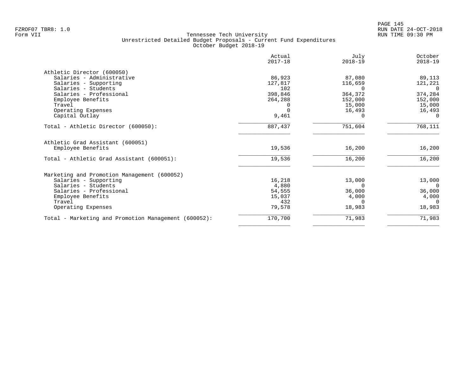|                                                       | Actual<br>$2017 - 18$ | July<br>$2018 - 19$ | October<br>$2018 - 19$ |
|-------------------------------------------------------|-----------------------|---------------------|------------------------|
| Athletic Director (600050)                            |                       |                     |                        |
| Salaries - Administrative                             | 86,923                | 87,080              | 89,113                 |
| Salaries - Supporting                                 | 127,817               | 116,659             | 121,221                |
| Salaries - Students                                   | 102                   |                     | $\Omega$               |
| Salaries - Professional                               | 398,846               | 364,372             | 374,284                |
| Employee Benefits                                     | 264,288               | 152,000             | 152,000                |
| Travel                                                |                       | 15,000              | 15,000                 |
| Operating Expenses                                    |                       | 16,493              | 16,493                 |
| Capital Outlay                                        | 9,461                 |                     | $\Omega$               |
| Total - Athletic Director (600050):                   | 887,437               | 751,604             | 768,111                |
| Athletic Grad Assistant (600051)<br>Employee Benefits | 19,536                | 16,200              | 16,200                 |
| Total - Athletic Grad Assistant (600051):             | 19,536                | 16,200              | 16,200                 |
| Marketing and Promotion Management (600052)           |                       |                     |                        |
| Salaries - Supporting                                 | 16,218                | 13,000              | 13,000                 |
| Salaries - Students                                   | 4,880                 | 0                   | $\Omega$               |
| Salaries - Professional                               | 54,555                | 36,000              | 36,000                 |
| Employee Benefits                                     | 15,037                | 4,000               | 4,000                  |
| Travel                                                | 432                   | $\Omega$            | $\Omega$               |
| Operating Expenses                                    | 79,578                | 18,983              | 18,983                 |
| Total - Marketing and Promotion Management (600052):  | 170,700               | 71,983              | 71,983                 |
|                                                       |                       |                     |                        |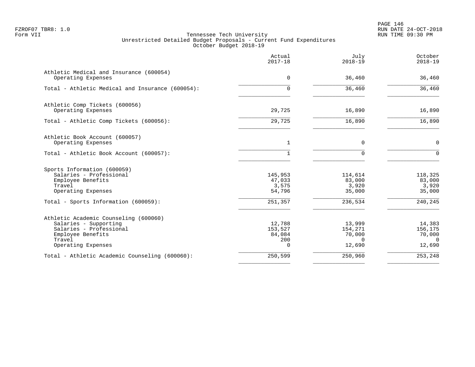PAGE 146 FZROF07 TBR8: 1.0 RUN DATE 24-OCT-2018

|                                                               | Actual<br>$2017 - 18$ | July<br>$2018 - 19$ | October<br>$2018 - 19$ |
|---------------------------------------------------------------|-----------------------|---------------------|------------------------|
| Athletic Medical and Insurance (600054)<br>Operating Expenses | 0                     | 36,460              | 36,460                 |
|                                                               |                       |                     |                        |
| Total - Athletic Medical and Insurance (600054):              | $\Omega$              | 36,460              | 36,460                 |
| Athletic Comp Tickets (600056)                                |                       |                     |                        |
| Operating Expenses                                            | 29,725                | 16,890              | 16,890                 |
| Total - Athletic Comp Tickets (600056):                       | 29,725                | 16,890              | 16,890                 |
| Athletic Book Account (600057)                                |                       |                     |                        |
| Operating Expenses                                            | $\mathbf{1}$          | $\mathbf 0$         | $\mathsf{O}$           |
| Total - Athletic Book Account (600057):                       |                       | $\Omega$            | $\Omega$               |
| Sports Information (600059)                                   |                       |                     |                        |
| Salaries - Professional                                       | 145,953               | 114,614             | 118,325                |
| Employee Benefits                                             | 47,033                | 83,000              | 83,000                 |
| Travel                                                        | 3,575                 | 3,920               | 3,920                  |
| Operating Expenses                                            | 54,796                | 35,000              | 35,000                 |
| Total - Sports Information (600059):                          | 251,357               | 236,534             | 240,245                |
| Athletic Academic Counseling (600060)                         |                       |                     |                        |
| Salaries - Supporting                                         | 12,788                | 13,999              | 14,383                 |
| Salaries - Professional                                       | 153,527               | 154,271             | 156,175                |
| Employee Benefits                                             | 84,084                | 70,000              | 70,000                 |
| Travel                                                        | 200                   | $\Omega$            | $\Omega$               |
| Operating Expenses                                            | <sup>n</sup>          | 12,690              | 12,690                 |
| Total - Athletic Academic Counseling (600060):                | 250,599               | 250,960             | 253,248                |
|                                                               |                       |                     |                        |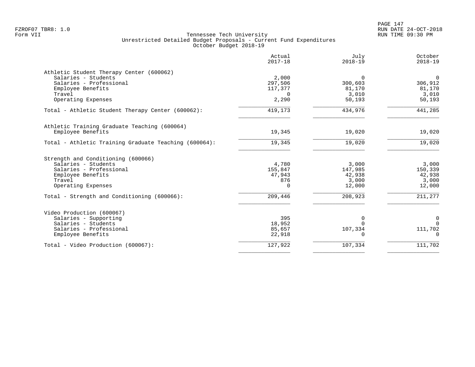PAGE 147 FZROF07 TBR8: 1.0 RUN DATE 24-OCT-2018

|                                                       | Actual<br>$2017 - 18$ | July<br>$2018 - 19$ | October<br>$2018 - 19$ |
|-------------------------------------------------------|-----------------------|---------------------|------------------------|
| Athletic Student Therapy Center (600062)              |                       |                     |                        |
| Salaries - Students                                   | 2,000                 | $\Omega$            | $\overline{0}$         |
| Salaries - Professional                               | 297,506               | 300,603             | 306,912                |
| Employee Benefits                                     | 117,377               | 81,170              | 81,170                 |
| Travel                                                | $\Omega$              | 3,010               | 3,010                  |
| Operating Expenses                                    | 2,290                 | 50,193              | 50,193                 |
| Total - Athletic Student Therapy Center (600062):     | 419,173               | 434,976             | 441,285                |
| Athletic Training Graduate Teaching (600064)          |                       |                     |                        |
| Employee Benefits                                     | 19,345                | 19,020              | 19,020                 |
| Total - Athletic Training Graduate Teaching (600064): | 19,345                | 19,020              | 19,020                 |
| Strength and Conditioning (600066)                    |                       |                     |                        |
| Salaries - Students                                   | 4,780                 | 3,000               | 3,000                  |
| Salaries - Professional                               | 155,847               | 147,985             | 150,339                |
| Employee Benefits                                     | 47,943                | 42,938              | 42,938                 |
| Travel                                                | 876                   | 3,000               | 3,000                  |
| Operating Expenses                                    | $\Omega$              | 12,000              | 12,000                 |
| Total - Strength and Conditioning (600066):           | 209,446               | 208,923             | 211,277                |
| Video Production (600067)                             |                       |                     |                        |
| Salaries - Supporting                                 | 395                   | 0                   | $\mathbf 0$            |
| Salaries - Students                                   | 18,952                | $\Omega$            | $\Omega$               |
| Salaries - Professional                               | 85,657                | 107,334             | 111,702                |
| Employee Benefits                                     | 22,918                | 0                   | $\mathbf 0$            |
|                                                       |                       |                     |                        |
| Total - Video Production (600067):                    | 127,922               | 107,334             | 111,702                |
|                                                       |                       |                     |                        |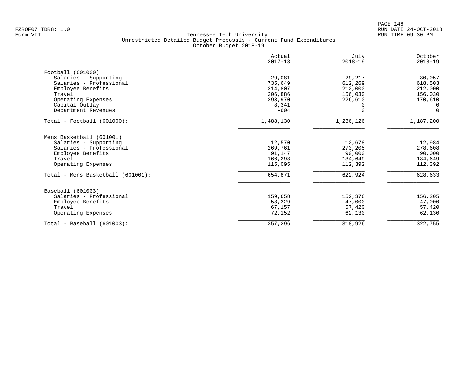| Actual<br>$2017 - 18$ | July<br>$2018 - 19$        | October<br>$2018 - 19$ |
|-----------------------|----------------------------|------------------------|
|                       |                            |                        |
| 29,081                | 29,217                     | 30,057                 |
| 735,649               | 612,269                    | 618,503                |
| 214,807               | 212,000                    | 212,000                |
|                       | 156,030                    | 156,030                |
| 293,970               | 226,610                    | 170,610                |
|                       |                            | 0                      |
|                       | $\Omega$                   | $\Omega$               |
| 1,488,130             | 1,236,126                  | 1,187,200              |
|                       |                            |                        |
| 12,570                | 12,678                     | 12,984                 |
| 269,761               |                            | 278,608                |
| 91,147                | 90,000                     | 90,000                 |
| 166,298               | 134,649                    | 134,649                |
| 115,095               | 112,392                    | 112,392                |
| 654,871               | 622,924                    | 628,633                |
|                       |                            |                        |
| 159,658               | 152,376                    | 156,205                |
| 58,329                | 47,000                     | 47,000                 |
| 67,157                | 57,420                     | 57,420                 |
| 72,152                | 62,130                     | 62,130                 |
| 357,296               | 318,926                    | 322,755                |
|                       | 206,886<br>8,341<br>$-604$ | 273,205                |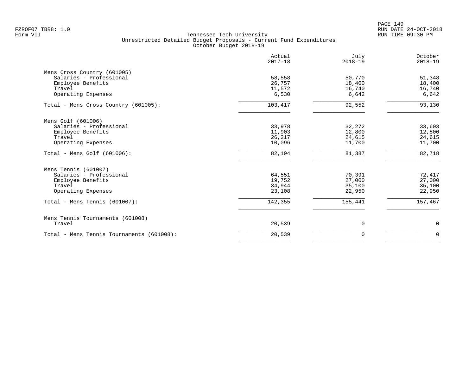|                                           | Actual<br>$2017 - 18$ | July<br>$2018 - 19$ | October<br>$2018 - 19$ |
|-------------------------------------------|-----------------------|---------------------|------------------------|
| Mens Cross Country (601005)               |                       |                     |                        |
| Salaries - Professional                   | 58,558                | 50,770              | 51,348                 |
| Employee Benefits                         | 26,757                | 18,400              | 18,400                 |
| Travel                                    | 11,572                | 16,740              | 16,740                 |
| Operating Expenses                        | 6,530                 | 6,642               | 6,642                  |
| Total - Mens Cross Country (601005):      | 103,417               | 92,552              | 93,130                 |
| Mens Golf (601006)                        |                       |                     |                        |
| Salaries - Professional                   | 33,978                | 32,272              | 33,603                 |
| Employee Benefits                         | 11,903                | 12,800              | 12,800                 |
| Travel                                    | 26,217                | 24,615              | 24,615                 |
| Operating Expenses                        | 10,096                | 11,700              | 11,700                 |
| Total - Mens Golf $(601006)$ :            | 82,194                | 81,387              | 82,718                 |
| Mens Tennis (601007)                      |                       |                     |                        |
| Salaries - Professional                   | 64,551                | 70,391              | 72,417                 |
| Employee Benefits                         | 19,752                | 27,000              | 27,000                 |
| Travel                                    | 34,944                | 35,100              | 35,100                 |
| Operating Expenses                        | 23,108                | 22,950              | 22,950                 |
| Total - Mens Tennis $(601007)$ :          | 142,355               | 155,441             | 157,467                |
| Mens Tennis Tournaments (601008)          |                       |                     |                        |
| Travel                                    | 20,539                | 0                   | 0                      |
| Total - Mens Tennis Tournaments (601008): | 20,539                | $\Omega$            | $\Omega$               |
|                                           |                       |                     |                        |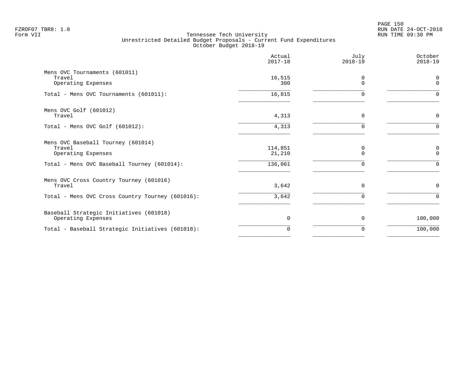|                                                                    | Actual<br>$2017 - 18$ | July<br>$2018 - 19$ | October<br>$2018 - 19$  |
|--------------------------------------------------------------------|-----------------------|---------------------|-------------------------|
| Mens OVC Tournaments (601011)<br>Travel<br>Operating Expenses      | 16,515<br>300         | 0<br>$\Omega$       | $\Omega$<br>$\mathbf 0$ |
| Total - Mens OVC Tournaments (601011):                             | 16,815                | $\Omega$            | $\cap$                  |
| Mens OVC Golf (601012)<br>Travel                                   | 4,313                 | $\mathbf 0$         | $\mathbf 0$             |
| Total - Mens OVC Golf (601012):                                    | 4,313                 | $\Omega$            | $\Omega$                |
| Mens OVC Baseball Tourney (601014)<br>Travel<br>Operating Expenses | 114,851<br>21,210     | 0<br>$\Omega$       | $\Omega$                |
| Total - Mens OVC Baseball Tourney (601014):                        | 136,061               | $\Omega$            | $\Omega$                |
| Mens OVC Cross Country Tourney (601016)<br>Travel                  | 3,642                 | $\mathbf 0$         | $\mathbf 0$             |
| Total - Mens OVC Cross Country Tourney (601016):                   | 3,642                 | $\Omega$            | $\Omega$                |
| Baseball Strategic Initiatives (601018)<br>Operating Expenses      | 0                     | $\mathbf 0$         | 100,000                 |
| Total - Baseball Strategic Initiatives (601018):                   | 0                     | 0                   | 100,000                 |
|                                                                    |                       |                     |                         |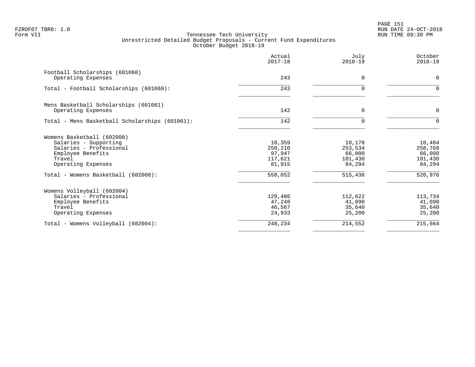PAGE 151 FZROF07 TBR8: 1.0 RUN DATE 24-OCT-2018

|                                                | Actual<br>$2017 - 18$ | July<br>$2018 - 19$ | October<br>$2018 - 19$ |
|------------------------------------------------|-----------------------|---------------------|------------------------|
| Football Scholarships (601060)                 |                       |                     |                        |
| Operating Expenses                             | 243                   | $\Omega$            | $\mathbf 0$            |
| Total - Football Scholarships (601060):        | 243                   | U                   | $\Omega$               |
| Mens Basketball Scholarships (601061)          |                       |                     |                        |
| Operating Expenses                             | 142                   | $\Omega$            | $\mathbf 0$            |
| Total - Mens Basketball Scholarships (601061): | 142                   | $\Omega$            | $\Omega$               |
| Womens Basketball (602000)                     |                       |                     |                        |
| Salaries - Supporting                          | 10,359                | 10,178              | 10,484                 |
| Salaries - Professional                        | 250,210               | 253,534             | 258,768                |
| Employee Benefits<br>Travel                    | 97,947                | 66,000              | 66,000                 |
| Operating Expenses                             | 117,621<br>81,915     | 101,430<br>84,294   | 101,430<br>84,294      |
| Total - Womens Basketball (602000):            | 558,052               | 515,436             | 520,976                |
| Womens Volleyball (602004)                     |                       |                     |                        |
| Salaries - Professional                        | 129,486               | 112,622             | 113,734                |
| Employee Benefits                              | 47,248                | 41,090              | 41,090                 |
| Travel                                         | 46,567                | 35,640              | 35,640                 |
| Operating Expenses                             | 24,933                | 25,200              | 25,200                 |
| Total - Womens Volleyball (602004):            | 248,234               | 214,552             | 215,664                |
|                                                |                       |                     |                        |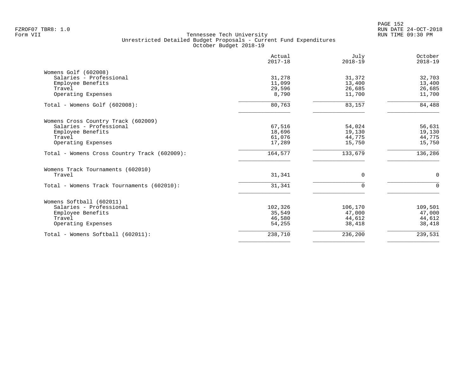| Actual<br>$2017 - 18$ | July<br>$2018 - 19$                                                                    | October<br>$2018 - 19$                                                        |
|-----------------------|----------------------------------------------------------------------------------------|-------------------------------------------------------------------------------|
|                       |                                                                                        |                                                                               |
|                       | 31,372                                                                                 | 32,703                                                                        |
|                       |                                                                                        | 13,400                                                                        |
|                       |                                                                                        | 26,685                                                                        |
|                       |                                                                                        | 11,700                                                                        |
| 80,763                | 83,157                                                                                 | 84,488                                                                        |
|                       |                                                                                        |                                                                               |
| 67,516                | 54,024                                                                                 | 56,631                                                                        |
| 18,696                | 19,130                                                                                 | 19,130                                                                        |
|                       |                                                                                        | 44,775                                                                        |
|                       |                                                                                        | 15,750                                                                        |
| 164,577               | 133,679                                                                                | 136,286                                                                       |
|                       |                                                                                        |                                                                               |
| 31,341                | 0                                                                                      | $\mathbf 0$                                                                   |
| 31,341                | $\Omega$                                                                               | $\Omega$                                                                      |
|                       |                                                                                        |                                                                               |
|                       |                                                                                        | 109,501                                                                       |
|                       |                                                                                        | 47,000                                                                        |
|                       |                                                                                        | 44,612                                                                        |
| 54,255                | 38,418                                                                                 | 38,418                                                                        |
| 238,710               | 236,200                                                                                | 239,531                                                                       |
|                       | 31,278<br>11,099<br>29,596<br>8,790<br>61,076<br>17,289<br>102,326<br>35,549<br>46,580 | 13,400<br>26,685<br>11,700<br>44,775<br>15,750<br>106,170<br>47,000<br>44,612 |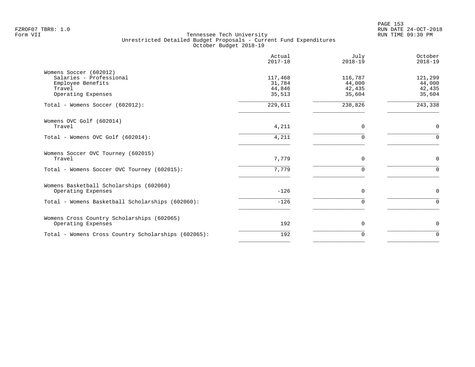|                                                                                                        | Actual<br>$2017 - 18$                 | July<br>$2018 - 19$                   | October<br>$2018 - 19$                |
|--------------------------------------------------------------------------------------------------------|---------------------------------------|---------------------------------------|---------------------------------------|
| Womens Soccer (602012)<br>Salaries - Professional<br>Employee Benefits<br>Travel<br>Operating Expenses | 117,468<br>31,784<br>44,846<br>35,513 | 116,787<br>44,000<br>42,435<br>35,604 | 121,299<br>44,000<br>42,435<br>35,604 |
| Total - Womens Soccer (602012):                                                                        | 229,611                               | 238,826                               | 243,338                               |
| Womens OVC Golf (602014)<br>Travel                                                                     | 4,211                                 | 0                                     | $\mathbf 0$                           |
| Total - Womens OVC Golf (602014):                                                                      | 4,211                                 | $\Omega$                              | $\Omega$                              |
| Womens Soccer OVC Tourney (602015)<br>Travel                                                           | 7,779                                 | $\mathbf 0$                           | $\mathbf 0$                           |
| Total - Womens Soccer OVC Tourney (602015):                                                            | 7,779                                 | $\Omega$                              | $\Omega$                              |
| Womens Basketball Scholarships (602060)<br>Operating Expenses                                          | $-126$                                | $\Omega$                              | 0                                     |
| Total - Womens Basketball Scholarships (602060):                                                       | $-126$                                | $\Omega$                              | $\Omega$                              |
| Womens Cross Country Scholarships (602065)<br>Operating Expenses                                       | 192                                   | 0                                     | 0                                     |
| Total - Womens Cross Country Scholarships (602065):                                                    | 192                                   | $\Omega$                              | $\Omega$                              |
|                                                                                                        |                                       |                                       |                                       |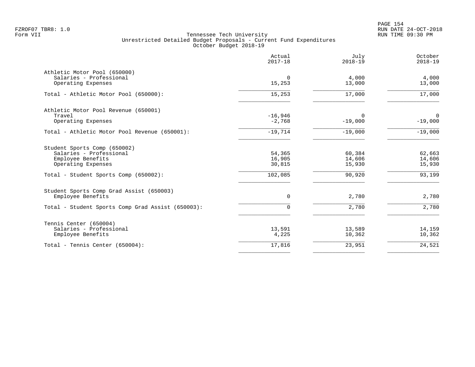PAGE 154 FZROF07 TBR8: 1.0 RUN DATE 24-OCT-2018

|                                                                                                                                             | Actual<br>$2017 - 18$                 | July<br>$2018 - 19$                  | October<br>$2018 - 19$               |
|---------------------------------------------------------------------------------------------------------------------------------------------|---------------------------------------|--------------------------------------|--------------------------------------|
| Athletic Motor Pool (650000)<br>Salaries - Professional<br>Operating Expenses                                                               | $\Omega$<br>15,253                    | 4,000<br>13,000                      | 4,000<br>13,000                      |
| Total - Athletic Motor Pool (650000):                                                                                                       | 15,253                                | 17,000                               | 17,000                               |
| Athletic Motor Pool Revenue (650001)<br>Travel<br>Operating Expenses                                                                        | $-16,946$<br>$-2,768$                 | $\Omega$<br>$-19,000$                | $\overline{0}$<br>$-19,000$          |
| Total - Athletic Motor Pool Revenue (650001):                                                                                               | $-19,714$                             | $-19,000$                            | $-19,000$                            |
| Student Sports Comp (650002)<br>Salaries - Professional<br>Employee Benefits<br>Operating Expenses<br>Total - Student Sports Comp (650002): | 54,365<br>16,905<br>30,815<br>102,085 | 60,384<br>14,606<br>15,930<br>90,920 | 62,663<br>14,606<br>15,930<br>93,199 |
| Student Sports Comp Grad Assist (650003)<br>Employee Benefits                                                                               | $\mathbf 0$                           | 2,780                                | 2,780                                |
| Total - Student Sports Comp Grad Assist (650003):                                                                                           | $\mathbf 0$                           | 2,780                                | 2,780                                |
| Tennis Center (650004)<br>Salaries - Professional<br>Employee Benefits                                                                      | 13,591<br>4,225                       | 13,589<br>10,362                     | 14,159<br>10,362                     |
| Total - Tennis Center $(650004)$ :                                                                                                          | 17,816                                | 23,951                               | 24,521                               |
|                                                                                                                                             |                                       |                                      |                                      |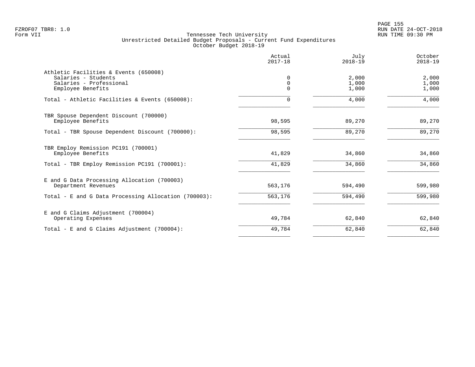|                                                              | Actual<br>$2017 - 18$ | July<br>$2018 - 19$ | October<br>$2018 - 19$ |
|--------------------------------------------------------------|-----------------------|---------------------|------------------------|
| Athletic Facilities & Events (650008)<br>Salaries - Students | $\Omega$              | 2,000               | 2,000                  |
| Salaries - Professional<br>Employee Benefits                 | 0<br>$\Omega$         | 1,000<br>1,000      | 1,000<br>1,000         |
| Total - Athletic Facilities & Events (650008):               | 0                     | 4,000               | 4,000                  |
| TBR Spouse Dependent Discount (700000)<br>Employee Benefits  | 98,595                | 89,270              | 89,270                 |
| Total - TBR Spouse Dependent Discount (700000):              | 98,595                | 89,270              | 89,270                 |
| TBR Employ Remission PC191 (700001)<br>Employee Benefits     | 41,829                | 34,860              | 34,860                 |
| Total - TBR Employ Remission PC191 (700001):                 | 41,829                | 34,860              | 34,860                 |
| E and G Data Processing Allocation (700003)                  |                       |                     |                        |
| Department Revenues                                          | 563,176               | 594,490             | 599,980                |
| Total - E and G Data Processing Allocation (700003):         | 563,176               | 594,490             | 599,980                |
| E and G Claims Adjustment (700004)<br>Operating Expenses     | 49,784                | 62,840              | 62,840                 |
| Total - E and G Claims Adjustment (700004):                  | 49,784                | 62,840              | 62,840                 |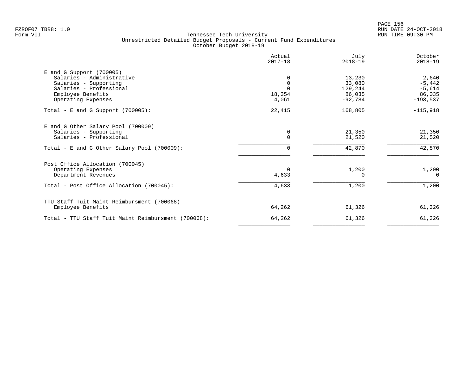en and the set of the set of the set of the set of the set of the set of the set of the set of the set of the set of the set of the set of the set of the set of the set of the set of the set of the set of the set of the se FZROF07 TBR8: 1.0 RUN DATE 24-OCT-2018

|                                                     | Actual<br>$2017 - 18$ | July<br>$2018 - 19$ | October<br>$2018 - 19$ |
|-----------------------------------------------------|-----------------------|---------------------|------------------------|
| $E$ and G Support (700005)                          |                       |                     |                        |
| Salaries - Administrative                           |                       | 13,230              | 2,640                  |
| Salaries - Supporting                               |                       | 33,080              | $-5,442$               |
| Salaries - Professional                             |                       | 129,244             | $-5,614$               |
| Employee Benefits                                   | 18,354                | 86,035              | 86,035                 |
| Operating Expenses                                  | 4,061                 | $-92,784$           | $-193,537$             |
| Total - E and G Support $(700005)$ :                | 22,415                | 168,805             | $-115,918$             |
| E and G Other Salary Pool (700009)                  |                       |                     |                        |
| Salaries - Supporting                               | 0                     | 21,350              | 21,350                 |
| Salaries - Professional                             | $\Omega$              | 21,520              | 21,520                 |
| Total - E and G Other Salary Pool (700009):         |                       | 42,870              | 42,870                 |
| Post Office Allocation (700045)                     |                       |                     |                        |
| Operating Expenses                                  | $\Omega$              | 1,200               | 1,200                  |
| Department Revenues                                 | 4,633                 |                     | $\Omega$               |
| Total - Post Office Allocation (700045):            | 4,633                 | 1,200               | 1,200                  |
| TTU Staff Tuit Maint Reimbursment (700068)          |                       |                     |                        |
| Employee Benefits                                   | 64,262                | 61,326              | 61,326                 |
| Total - TTU Staff Tuit Maint Reimbursment (700068): | 64,262                | 61,326              | 61,326                 |
|                                                     |                       |                     |                        |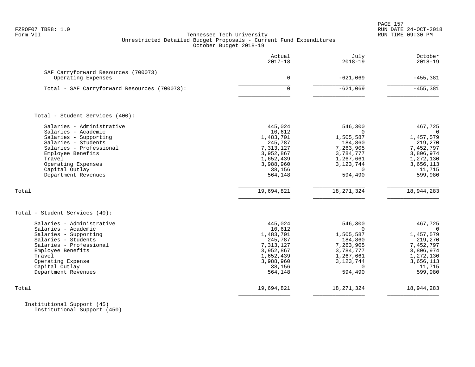| FZROF07 TBR8: 1.0<br>Form VII                                                                                                                                                                                                      | Tennessee Tech University<br>Unrestricted Detailed Budget Proposals - Current Fund Expenditures<br>October Budget 2018-19        |                                                                                                                                          | PAGE 157<br>RUN DATE 24-OCT-2018<br>RUN TIME 09:30 PM                                                                              |
|------------------------------------------------------------------------------------------------------------------------------------------------------------------------------------------------------------------------------------|----------------------------------------------------------------------------------------------------------------------------------|------------------------------------------------------------------------------------------------------------------------------------------|------------------------------------------------------------------------------------------------------------------------------------|
|                                                                                                                                                                                                                                    | Actual<br>$2017 - 18$                                                                                                            | July<br>$2018 - 19$                                                                                                                      | October<br>$2018 - 19$                                                                                                             |
| SAF Carryforward Resources (700073)<br>Operating Expenses                                                                                                                                                                          | $\Omega$                                                                                                                         | $-621,069$                                                                                                                               | $-455,381$                                                                                                                         |
| Total - SAF Carryforward Resources (700073):                                                                                                                                                                                       | $\Omega$                                                                                                                         | $-621,069$                                                                                                                               | $-455,381$                                                                                                                         |
| Total - Student Services (400):                                                                                                                                                                                                    |                                                                                                                                  |                                                                                                                                          |                                                                                                                                    |
| Salaries - Administrative<br>Salaries - Academic<br>Salaries - Supporting<br>Salaries - Students<br>Salaries - Professional<br>Employee Benefits<br>Travel<br>Operating Expenses<br>Capital Outlay<br>Department Revenues<br>Total | 445,024<br>10,612<br>1,483,701<br>245,787<br>7,313,127<br>3,952,867<br>1,652,439<br>3,988,960<br>38,156<br>564,148<br>19,694,821 | 546,300<br>$\Omega$<br>1,505,587<br>184,860<br>7,263,905<br>3,784,777<br>1,267,661<br>3, 123, 744<br>$\Omega$<br>594,490<br>18, 271, 324 | 467,725<br>$\Omega$<br>1,457,579<br>219,270<br>7,452,797<br>3,806,974<br>1,272,130<br>3,656,113<br>11,715<br>599,980<br>18,944,283 |
| Total - Student Services (40):                                                                                                                                                                                                     |                                                                                                                                  |                                                                                                                                          |                                                                                                                                    |
| Salaries - Administrative<br>Salaries - Academic<br>Salaries - Supporting<br>Salaries - Students<br>Salaries - Professional<br>Employee Benefits<br>Travel<br>Operating Expense<br>Capital Outlay<br>Department Revenues           | 445,024<br>10,612<br>1,483,701<br>245,787<br>7,313,127<br>3,952,867<br>1,652,439<br>3,988,960<br>38,156<br>564,148               | 546,300<br>$\Omega$<br>1,505,587<br>184,860<br>7,263,905<br>3,784,777<br>1,267,661<br>3, 123, 744<br>$\Omega$<br>594,490                 | 467,725<br>$\overline{0}$<br>1,457,579<br>219,270<br>7,452,797<br>3,806,974<br>1,272,130<br>3,656,113<br>11,715<br>599,980         |
| Total                                                                                                                                                                                                                              | 19,694,821                                                                                                                       | 18, 271, 324                                                                                                                             | 18,944,283                                                                                                                         |
|                                                                                                                                                                                                                                    |                                                                                                                                  |                                                                                                                                          |                                                                                                                                    |

 Institutional Support (45) Institutional Support (450)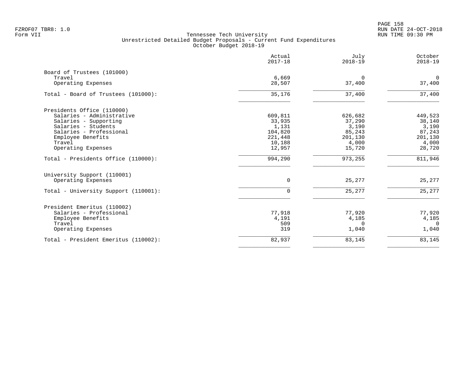PAGE 158 FZROF07 TBR8: 1.0 RUN DATE 24-OCT-2018

|                                      | Actual<br>$2017 - 18$ | July<br>$2018 - 19$   | October<br>$2018 - 19$ |
|--------------------------------------|-----------------------|-----------------------|------------------------|
| Board of Trustees (101000)           |                       |                       |                        |
| Travel<br>Operating Expenses         | 6,669<br>28,507       | $\mathbf 0$<br>37,400 | $\mathbf 0$<br>37,400  |
| Total - Board of Trustees (101000):  | 35,176                | 37,400                | 37,400                 |
| Presidents Office (110000)           |                       |                       |                        |
| Salaries - Administrative            | 609,811               | 626,682               | 449,523                |
| Salaries - Supporting                | 33,935                | 37,290                | 38,140                 |
| Salaries - Students                  | 1,131                 | 3,190                 | 3,190                  |
| Salaries - Professional              | 104,820               | 85,243                | 87,243                 |
| Employee Benefits                    | 221,448               | 201,130               | 201,130                |
| Travel                               | 10,188                | 4,000                 | 4,000                  |
| Operating Expenses                   | 12,957                | 15,720                | 28,720                 |
| Total - Presidents Office (110000):  | 994,290               | 973,255               | 811,946                |
| University Support (110001)          |                       |                       |                        |
| Operating Expenses                   | 0                     | 25,277                | 25,277                 |
| Total - University Support (110001): | $\Omega$              | 25,277                | 25,277                 |
| President Emeritus (110002)          |                       |                       |                        |
| Salaries - Professional              | 77,918                | 77,920                | 77,920                 |
| Employee Benefits                    | 4,191                 | 4,185                 | 4,185                  |
| Travel                               | 509                   | $\Omega$              | $\Omega$               |
| Operating Expenses                   | 319                   | 1,040                 | 1,040                  |
| Total - President Emeritus (110002): | 82,937                | 83,145                | 83,145                 |
|                                      |                       |                       |                        |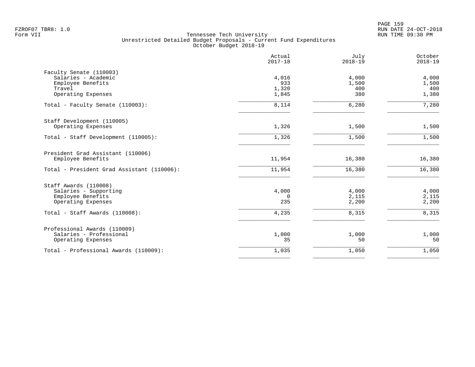PAGE 159 FZROF07 TBR8: 1.0 RUN DATE 24-OCT-2018

|                                            | Actual<br>$2017 - 18$ | July<br>$2018 - 19$ | October<br>$2018 - 19$ |
|--------------------------------------------|-----------------------|---------------------|------------------------|
| Faculty Senate (110003)                    |                       |                     |                        |
| Salaries - Academic                        | 4,016                 | 4,000               | 4,000                  |
| Employee Benefits                          | 933                   | 1,500               | 1,500                  |
| Travel                                     | 1,320                 | 400<br>380          | 400                    |
| Operating Expenses                         | 1,845                 |                     | 1,380                  |
| Total - Faculty Senate (110003):           | 8,114                 | 6,280               | $\overline{7,}$ 280    |
| Staff Development (110005)                 |                       |                     |                        |
| Operating Expenses                         | 1,326                 | 1,500               | 1,500                  |
| Total - Staff Development (110005):        | 1,326                 | 1,500               | 1,500                  |
| President Grad Assistant (110006)          |                       |                     |                        |
| Employee Benefits                          | 11,954                | 16,380              | 16,380                 |
| Total - President Grad Assistant (110006): | 11,954                | 16,380              | 16,380                 |
| Staff Awards (110008)                      |                       |                     |                        |
| Salaries - Supporting                      | 4,000                 | 4,000               | 4,000                  |
| Employee Benefits                          | $\mathbf 0$           | 2,115               | 2,115                  |
| Operating Expenses                         | 235                   | 2,200               | 2,200                  |
| Total - Staff Awards (110008):             | 4,235                 | 8,315               | 8,315                  |
| Professional Awards (110009)               |                       |                     |                        |
| Salaries - Professional                    | 1,000                 | 1,000               | 1,000                  |
| Operating Expenses                         | 35                    | 50                  | 50                     |
| Total - Professional Awards (110009):      | 1,035                 | 1,050               | 1,050                  |
|                                            |                       |                     |                        |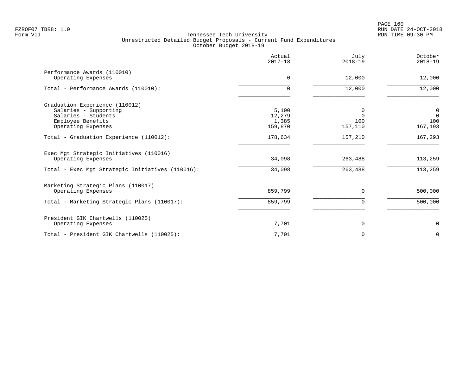|                                                               | Actual<br>$2017 - 18$ | July<br>$2018 - 19$ | October<br>$2018 - 19$        |
|---------------------------------------------------------------|-----------------------|---------------------|-------------------------------|
| Performance Awards (110010)<br>Operating Expenses             | 0                     | 12,000              | 12,000                        |
| Total - Performance Awards (110010):                          | $\Omega$              | 12,000              | 12,000                        |
| Graduation Experience (110012)                                |                       |                     |                               |
| Salaries - Supporting<br>Salaries - Students                  | 5,100<br>12,279       | 0<br>$\Omega$       | $\mathbf 0$<br>$\overline{0}$ |
| Employee Benefits                                             | 1,385                 | 100                 | 100                           |
| Operating Expenses                                            | 159,870               | 157,110             | 167,193                       |
| Total - Graduation Experience (110012):                       | 178,634               | 157,210             | 167,293                       |
| Exec Mgt Strategic Initiatives (110016)<br>Operating Expenses | 34,098                | 263,488             | 113,259                       |
| Total - Exec Mgt Strategic Initiatives (110016):              | 34,098                | 263,488             | 113,259                       |
| Marketing Strategic Plans (110017)                            |                       |                     |                               |
| Operating Expenses                                            | 859,799               | $\Omega$            | 500,000                       |
| Total - Marketing Strategic Plans (110017):                   | 859,799               | $\Omega$            | 500,000                       |
| President GIK Chartwells (110025)                             |                       |                     |                               |
| Operating Expenses                                            | 7,701                 | 0                   | $\mathbf 0$                   |
| Total - President GIK Chartwells (110025):                    | 7,701                 | $\Omega$            | $\Omega$                      |
|                                                               |                       |                     |                               |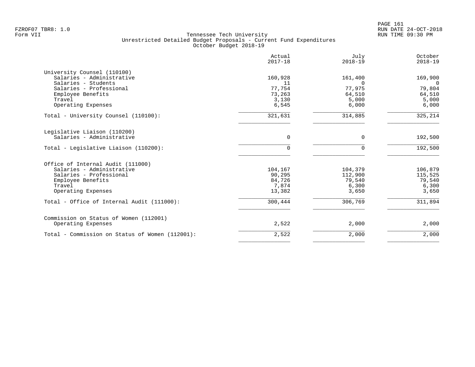|                                                  | Actual<br>$2017 - 18$ | July<br>$2018 - 19$ | October<br>$2018 - 19$ |
|--------------------------------------------------|-----------------------|---------------------|------------------------|
| University Counsel (110100)                      |                       |                     |                        |
| Salaries - Administrative<br>Salaries - Students | 160,928<br>11         | 161,400<br>$\Omega$ | 169,900<br>$\Omega$    |
| Salaries - Professional                          | 77,754                | 77,975              | 79,804                 |
| Employee Benefits                                | 73,263                | 64,510              | 64,510                 |
| Travel                                           | 3,130                 | 5,000               | 5,000                  |
| Operating Expenses                               | 6,545                 | 6,000               | 6,000                  |
| Total - University Counsel (110100):             | 321,631               | 314,885             | 325,214                |
| Legislative Liaison (110200)                     |                       |                     |                        |
| Salaries - Administrative                        | 0                     | 0                   | 192,500                |
| Total - Legislative Liaison (110200):            | $\Omega$              | $\mathbf 0$         | 192,500                |
| Office of Internal Audit (111000)                |                       |                     |                        |
| Salaries - Administrative                        | 104,167               | 104,379             | 106,879                |
| Salaries - Professional                          | 90,295                | 112,900             | 115,525                |
| Employee Benefits                                | 84,726                | 79,540              | 79,540                 |
| Travel                                           | 7,874                 | 6,300               | 6,300                  |
| Operating Expenses                               | 13,382                | 3,650               | 3,650                  |
| Total - Office of Internal Audit (111000):       | 300,444               | 306,769             | 311,894                |
| Commission on Status of Women (112001)           |                       |                     |                        |
| Operating Expenses                               | 2,522                 | 2,000               | 2,000                  |
| Total - Commission on Status of Women (112001):  | 2,522                 | 2,000               | 2,000                  |
|                                                  |                       |                     |                        |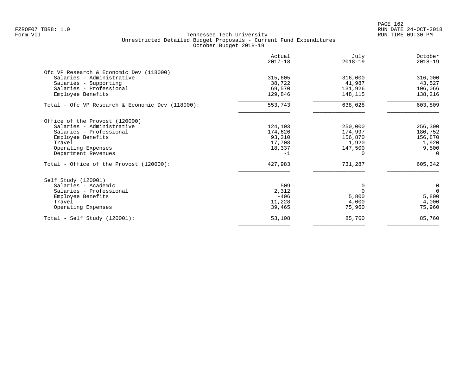PAGE 162 FZROF07 TBR8: 1.0 RUN DATE 24-OCT-2018

|                                                                                                                                                                    | Actual<br>$2017 - 18$                                    | July<br>$2018 - 19$                                    | October<br>$2018 - 19$                                      |
|--------------------------------------------------------------------------------------------------------------------------------------------------------------------|----------------------------------------------------------|--------------------------------------------------------|-------------------------------------------------------------|
| Ofc VP Research & Economic Dev (118000)<br>Salaries - Administrative<br>Salaries - Supporting<br>Salaries - Professional                                           | 315,605<br>38,722<br>69,570                              | 316,000<br>41,987<br>131,926                           | 316,000<br>43,527<br>106,066                                |
| Employee Benefits<br>Total - Ofc VP Research & Economic Dev (118000):                                                                                              | 129,846<br>553,743                                       | 148,115<br>638,028                                     | 138,216<br>603,809                                          |
| Office of the Provost (120000)<br>Salaries - Administrative<br>Salaries - Professional<br>Employee Benefits<br>Travel<br>Operating Expenses<br>Department Revenues | 124,103<br>174,626<br>93,210<br>17,708<br>18,337<br>$-1$ | 250,000<br>174,997<br>156,870<br>1,920<br>147,500<br>0 | 256,300<br>180,752<br>156,870<br>1,920<br>9,500<br>$\Omega$ |
| Total - Office of the Provost (120000):                                                                                                                            | 427,983                                                  | 731,287                                                | 605,342                                                     |
| Self Study (120001)<br>Salaries - Academic<br>Salaries - Professional<br>Employee Benefits<br>Travel<br>Operating Expenses                                         | 509<br>2,312<br>$-406$<br>11,228<br>39,465               | 0<br>5,800<br>4,000<br>75,960                          | $\mathbf 0$<br>$\Omega$<br>5,800<br>4,000<br>75,960         |
| $Total - Self Study (120001):$                                                                                                                                     | 53,108                                                   | 85,760                                                 | 85,760                                                      |
|                                                                                                                                                                    |                                                          |                                                        |                                                             |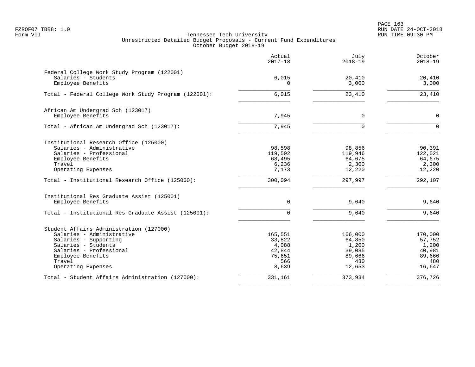PAGE 163 FZROF07 TBR8: 1.0 RUN DATE 24-OCT-2018

|                                                                                                                                                                                                      | Actual<br>$2017 - 18$                                          | July<br>$2018 - 19$                                             | October<br>$2018 - 19$                                          |
|------------------------------------------------------------------------------------------------------------------------------------------------------------------------------------------------------|----------------------------------------------------------------|-----------------------------------------------------------------|-----------------------------------------------------------------|
| Federal College Work Study Program (122001)<br>Salaries - Students<br>Employee Benefits                                                                                                              | 6,015<br>$\Omega$                                              | 20,410<br>3,000                                                 | 20,410<br>3,000                                                 |
| Total - Federal College Work Study Program (122001):                                                                                                                                                 | 6,015                                                          | 23,410                                                          | 23,410                                                          |
| African Am Undergrad Sch (123017)<br>Employee Benefits                                                                                                                                               | 7,945                                                          | 0                                                               | $\Omega$                                                        |
| Total - African Am Undergrad Sch (123017):                                                                                                                                                           | 7,945                                                          | $\mathbf 0$                                                     | $\Omega$                                                        |
| Institutional Research Office (125000)<br>Salaries - Administrative<br>Salaries - Professional<br>Employee Benefits<br>Travel<br>Operating Expenses                                                  | 98,598<br>119,592<br>68,495<br>6,236<br>7,173                  | 98,856<br>119,946<br>64,675<br>2,300<br>12,220                  | 90,391<br>122,521<br>64,675<br>2,300<br>12,220                  |
| Total - Institutional Research Office (125000):                                                                                                                                                      | 300,094                                                        | 297,997                                                         | 292,107                                                         |
| Institutional Res Graduate Assist (125001)<br>Employee Benefits<br>Total - Institutional Res Graduate Assist (125001):                                                                               | 0<br>$\Omega$                                                  | 9,640<br>9,640                                                  | 9,640<br>9,640                                                  |
| Student Affairs Administration (127000)<br>Salaries - Administrative<br>Salaries - Supporting<br>Salaries - Students<br>Salaries - Professional<br>Employee Benefits<br>Travel<br>Operating Expenses | 165,551<br>33,822<br>4,088<br>42,844<br>75,651<br>566<br>8,639 | 166,000<br>64,850<br>1,200<br>39,085<br>89,666<br>480<br>12,653 | 170,000<br>57,752<br>1,200<br>40,981<br>89,666<br>480<br>16,647 |
| Total - Student Affairs Administration (127000):                                                                                                                                                     | 331,161                                                        | 373,934                                                         | 376,726                                                         |
|                                                                                                                                                                                                      |                                                                |                                                                 |                                                                 |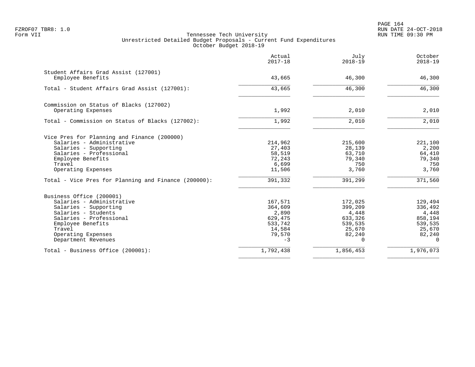PAGE 164 FZROF07 TBR8: 1.0 RUN DATE 24-OCT-2018

|                                                           | Actual<br>$2017 - 18$ | July<br>$2018 - 19$ | October<br>$2018 - 19$ |
|-----------------------------------------------------------|-----------------------|---------------------|------------------------|
| Student Affairs Grad Assist (127001)<br>Employee Benefits |                       | 46,300              | 46,300                 |
|                                                           | 43,665                |                     |                        |
| Total - Student Affairs Grad Assist (127001):             | 43,665                | 46,300              | 46,300                 |
| Commission on Status of Blacks (127002)                   |                       |                     |                        |
| Operating Expenses                                        | 1,992                 | 2,010               | 2,010                  |
| Total - Commission on Status of Blacks (127002):          | 1,992                 | 2,010               | 2,010                  |
| Vice Pres for Planning and Finance (200000)               |                       |                     |                        |
| Salaries - Administrative                                 | 214,962               | 215,600             | 221,100                |
| Salaries - Supporting                                     | 27,403                | 28,139              | 2,200                  |
| Salaries - Professional                                   | 58,519                | 63,710              | 64,410                 |
| Employee Benefits                                         | 72,243                | 79,340              | 79,340                 |
| Travel                                                    | 6,699                 | 750                 | 750                    |
| Operating Expenses                                        | 11,506                | 3,760               | 3,760                  |
| Total - Vice Pres for Planning and Finance (200000):      | 391,332               | 391,299             | 371,560                |
| Business Office (200001)                                  |                       |                     |                        |
| Salaries - Administrative                                 | 167,571               | 172,025             | 129,494                |
| Salaries - Supporting                                     | 364,609               | 399,209             | 336,492                |
| Salaries - Students                                       | 2,890                 | 4,448               | 4,448                  |
| Salaries - Professional                                   | 629,475               | 633,326             | 858,194                |
| Employee Benefits                                         | 533,742               | 539,535             | 539,535                |
| Travel                                                    | 14,584                | 25,670              | 25,670                 |
| Operating Expenses<br>Department Revenues                 | 79,570<br>$-3$        | 82,240<br>$\Omega$  | 82,240<br>$\Omega$     |
| Total - Business Office (200001):                         | 1,792,438             | 1,856,453           | 1,976,073              |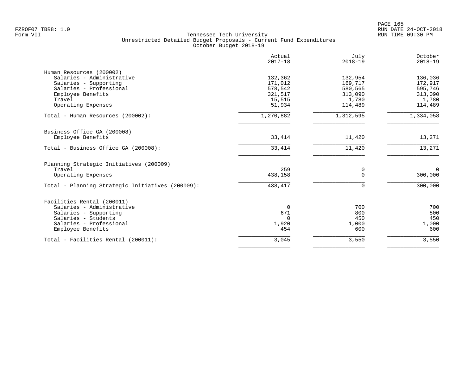|                                                  | Actual<br>$2017 - 18$ | July<br>$2018 - 19$ | October<br>$2018 - 19$ |
|--------------------------------------------------|-----------------------|---------------------|------------------------|
| Human Resources (200002)                         |                       |                     |                        |
| Salaries - Administrative                        | 132,362               | 132,954             | 136,036                |
| Salaries - Supporting                            | 171,012               | 169,717             | 172,917                |
| Salaries - Professional                          | 578,542               | 580,565             | 595,746                |
| Employee Benefits<br>Travel                      | 321,517<br>15,515     | 313,090<br>1,780    | 313,090<br>1,780       |
| Operating Expenses                               | 51,934                | 114,489             | 114,489                |
|                                                  |                       |                     |                        |
| Total - Human Resources (200002):                | 1,270,882             | 1,312,595           | 1,334,058              |
| Business Office GA (200008)                      |                       |                     |                        |
| Employee Benefits                                | 33,414                | 11,420              | 13,271                 |
| Total - Business Office GA (200008):             | 33,414                | 11,420              | 13,271                 |
| Planning Strategic Initiatives (200009)          |                       |                     |                        |
| Travel                                           | 259                   | 0                   | $\Omega$               |
| Operating Expenses                               | 438,158               | $\Omega$            | 300,000                |
| Total - Planning Strategic Initiatives (200009): | 438,417               | ∩                   | 300,000                |
| Facilities Rental (200011)                       |                       |                     |                        |
| Salaries - Administrative                        | $\Omega$              | 700                 | 700                    |
| Salaries - Supporting                            | 671                   | 800                 | 800                    |
| Salaries - Students                              | $\Omega$              | 450                 | 450                    |
| Salaries - Professional                          | 1,920                 | 1,000               | 1,000                  |
| Employee Benefits                                | 454                   | 600                 | 600                    |
| Total - Facilities Rental (200011):              | 3,045                 | 3,550               | 3,550                  |
|                                                  |                       |                     |                        |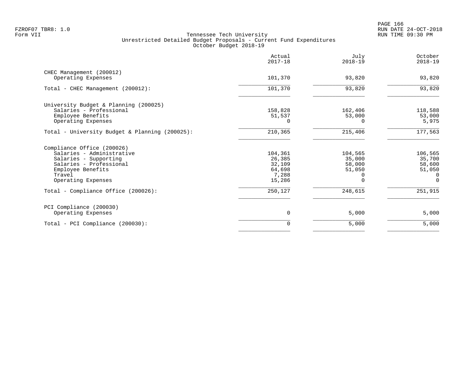|                                                | Actual<br>$2017 - 18$ | July<br>$2018 - 19$ | October<br>$2018 - 19$ |
|------------------------------------------------|-----------------------|---------------------|------------------------|
| CHEC Management (200012)                       |                       |                     |                        |
| Operating Expenses                             | 101,370               | 93,820              | 93,820                 |
| Total - CHEC Management (200012):              | 101,370               | 93,820              | 93,820                 |
| University Budget & Planning (200025)          |                       |                     |                        |
| Salaries - Professional                        | 158,828               | 162,406             | 118,588                |
| Employee Benefits                              | 51,537                | 53,000              | 53,000                 |
| Operating Expenses                             | $\Omega$              | U                   | 5,975                  |
| Total - University Budget & Planning (200025): | 210,365               | 215,406             | 177,563                |
| Compliance Office (200026)                     |                       |                     |                        |
| Salaries - Administrative                      | 104,361               | 104,565             | 106,565                |
| Salaries - Supporting                          | 26,385                | 35,000              | 35,700                 |
| Salaries - Professional                        | 32,109                | 58,000              | 58,600                 |
| Employee Benefits                              | 64,698                | 51,050              | 51,050                 |
| Travel                                         | 7,288                 | 0                   | 0                      |
| Operating Expenses                             | 15,286                |                     | $\Omega$               |
| Total - Compliance Office (200026):            | 250,127               | 248,615             | 251,915                |
| PCI Compliance (200030)                        |                       |                     |                        |
| Operating Expenses                             | $\overline{0}$        | 5,000               | 5,000                  |
| Total - PCI Compliance (200030):               | $\mathbf 0$           | 5,000               | 5,000                  |
|                                                |                       |                     |                        |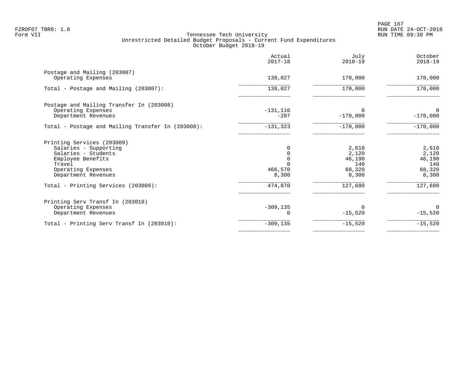|                                                    | Actual<br>$2017 - 18$ | July<br>$2018 - 19$ | October<br>$2018 - 19$ |
|----------------------------------------------------|-----------------------|---------------------|------------------------|
| Postage and Mailing (203007)<br>Operating Expenses | 138,027               | 170,000             | 170,000                |
|                                                    |                       |                     |                        |
| Total - Postage and Mailing (203007):              | 138,027               | 170,000             | 170,000                |
| Postage and Mailing Transfer In (203008)           |                       |                     |                        |
| Operating Expenses                                 | $-131, 116$           | $\Omega$            | $\Omega$               |
| Department Revenues                                | $-207$                | $-170,000$          | $-170,000$             |
| Total - Postage and Mailing Transfer In (203008):  | $-131, 323$           | $-170,000$          | $-170,000$             |
| Printing Services (203009)                         |                       |                     |                        |
| Salaries - Supporting                              | 0                     | 2,610               | 2,610                  |
| Salaries - Students                                | 0                     | 2,120               | 2,120                  |
| Employee Benefits                                  |                       | 46,190              | 46,190                 |
| Travel                                             |                       | 140                 | 140                    |
| Operating Expenses                                 | 466,570               | 68,320              | 68,320                 |
| Department Revenues                                | 8,300                 | 8,300               | 8,300                  |
| Total - Printing Services (203009):                | 474,870               | 127,680             | 127,680                |
| Printing Serv Transf In (203010)                   |                       |                     |                        |
| Operating Expenses                                 | $-309, 135$           | $\Omega$            | $\Omega$               |
| Department Revenues                                |                       | $-15,520$           | $-15,520$              |
| Total - Printing Serv Transf In (203010):          | $-309, 135$           | $-15,520$           | $-15,520$              |
|                                                    |                       |                     |                        |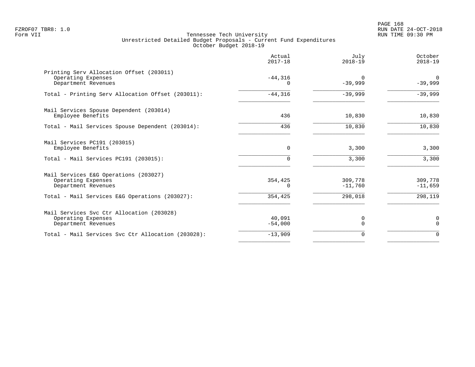PAGE 168 FZROF07 TBR8: 1.0 RUN DATE 24-OCT-2018

|                                                                                                                                      | Actual<br>$2017 - 18$              | July<br>$2018 - 19$             | October<br>$2018 - 19$          |
|--------------------------------------------------------------------------------------------------------------------------------------|------------------------------------|---------------------------------|---------------------------------|
| Printing Serv Allocation Offset (203011)<br>Operating Expenses<br>Department Revenues                                                | $-44,316$<br>0                     | $\Omega$<br>$-39,999$           | $\overline{0}$<br>$-39,999$     |
| Total - Printing Serv Allocation Offset (203011):                                                                                    | $-44,316$                          | $-39,999$                       | $-39,999$                       |
| Mail Services Spouse Dependent (203014)<br>Employee Benefits                                                                         | 436                                | 10,830                          | 10,830                          |
| Total - Mail Services Spouse Dependent (203014):                                                                                     | 436                                | 10,830                          | 10,830                          |
| Mail Services PC191 (203015)<br>Employee Benefits                                                                                    | 0                                  | 3,300                           | 3,300                           |
| Total - Mail Services PC191 (203015):                                                                                                | $\Omega$                           | 3,300                           | 3,300                           |
| Mail Services E&G Operations (203027)<br>Operating Expenses<br>Department Revenues<br>Total - Mail Services E&G Operations (203027): | 354,425<br><sup>n</sup><br>354,425 | 309,778<br>$-11,760$<br>298,018 | 309,778<br>$-11,659$<br>298,119 |
|                                                                                                                                      |                                    |                                 |                                 |
| Mail Services Svc Ctr Allocation (203028)<br>Operating Expenses<br>Department Revenues                                               | 40,091<br>$-54,000$                | 0<br>$\Omega$                   | 0<br>$\Omega$                   |
| Total - Mail Services Svc Ctr Allocation (203028):                                                                                   | $-13,909$                          | $\Omega$                        | $\Omega$                        |
|                                                                                                                                      |                                    |                                 |                                 |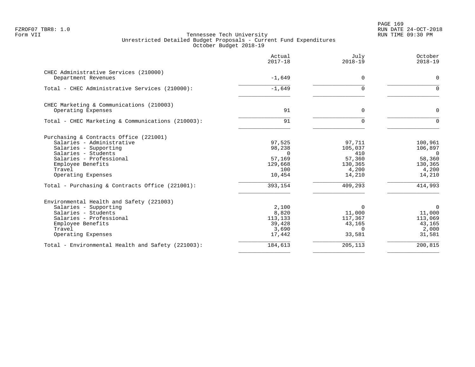# PAGE 169 FZROF07 TBR8: 1.0 RUN DATE 24-OCT-2018

|                                                                                                                                                                                                     | Actual<br>$2017 - 18$                                              | July<br>$2018 - 19$                                              | October<br>$2018 - 19$                                                       |
|-----------------------------------------------------------------------------------------------------------------------------------------------------------------------------------------------------|--------------------------------------------------------------------|------------------------------------------------------------------|------------------------------------------------------------------------------|
| CHEC Administrative Services (210000)<br>Department Revenues                                                                                                                                        | $-1,649$                                                           | $\Omega$                                                         | $\mathbf 0$                                                                  |
| Total - CHEC Administrative Services (210000):                                                                                                                                                      | $-1,649$                                                           | $\Omega$                                                         | $\Omega$                                                                     |
| CHEC Marketing & Communications (210003)<br>Operating Expenses                                                                                                                                      | 91                                                                 | 0                                                                | $\mathbf 0$                                                                  |
| Total - CHEC Marketing & Communications (210003):                                                                                                                                                   | 91                                                                 | $\Omega$                                                         | $\Omega$                                                                     |
| Purchasing & Contracts Office (221001)<br>Salaries - Administrative<br>Salaries - Supporting<br>Salaries - Students<br>Salaries - Professional<br>Employee Benefits<br>Travel<br>Operating Expenses | 97,525<br>98,238<br>$\Omega$<br>57,169<br>129,668<br>100<br>10,454 | 97,711<br>105,037<br>410<br>57,360<br>130,365<br>4,200<br>14,210 | 100,961<br>106,897<br>$\overline{0}$<br>58,360<br>130,365<br>4,200<br>14,210 |
| Total - Purchasing & Contracts Office (221001):                                                                                                                                                     | 393,154                                                            | 409,293                                                          | 414,993                                                                      |
| Environmental Health and Safety (221003)<br>Salaries - Supporting<br>Salaries - Students<br>Salaries - Professional<br>Employee Benefits<br>Travel<br>Operating Expenses                            | 2,100<br>8,820<br>113,133<br>39,428<br>3,690<br>17,442             | $\Omega$<br>11,000<br>117,367<br>43,165<br>$\Omega$<br>33,581    | $\Omega$<br>11,000<br>113,069<br>43,165<br>2,000<br>31,581                   |
| Total - Environmental Health and Safety (221003):                                                                                                                                                   | 184,613                                                            | 205,113                                                          | 200, 815                                                                     |
|                                                                                                                                                                                                     |                                                                    |                                                                  |                                                                              |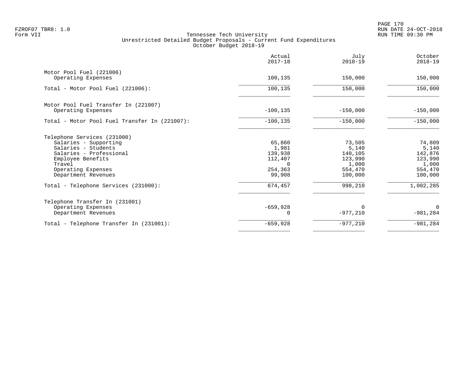PAGE 170 FZROF07 TBR8: 1.0 RUN DATE 24-OCT-2018

|                                               | Actual<br>$2017 - 18$ | July<br>$2018 - 19$ | October<br>$2018 - 19$ |
|-----------------------------------------------|-----------------------|---------------------|------------------------|
| Motor Pool Fuel (221006)                      |                       |                     |                        |
| Operating Expenses                            | 100,135               | 150,000             | 150,000                |
| Total - Motor Pool Fuel (221006):             | 100,135               | 150,000             | 150,000                |
| Motor Pool Fuel Transfer In (221007)          |                       |                     |                        |
| Operating Expenses                            | $-100, 135$           | $-150,000$          | $-150,000$             |
| Total - Motor Pool Fuel Transfer In (221007): | $-100, 135$           | $-150,000$          | $-150,000$             |
| Telephone Services (231000)                   |                       |                     |                        |
| Salaries - Supporting                         | 65,860                | 73,505              | 74,809                 |
| Salaries - Students                           | 1,981                 | 5,140               | 5,140                  |
| Salaries - Professional<br>Employee Benefits  | 139,938<br>112,407    | 140,105<br>123,990  | 142,876<br>123,990     |
| Travel                                        | $\Omega$              | 1,000               | 1,000                  |
| Operating Expenses                            | 254,363               | 554,470             | 554,470                |
| Department Revenues                           | 99,908                | 100,000             | 100,000                |
| Total - Telephone Services (231000):          | 674,457               | 998,210             | 1,002,285              |
| Telephone Transfer In (231001)                |                       |                     |                        |
| Operating Expenses                            | $-659,928$            | $\Omega$            | 0                      |
| Department Revenues                           |                       | $-977,210$          | $-981, 284$            |
| Total - Telephone Transfer In (231001):       | $-659,928$            | $-977,210$          | $-981, 284$            |
|                                               |                       |                     |                        |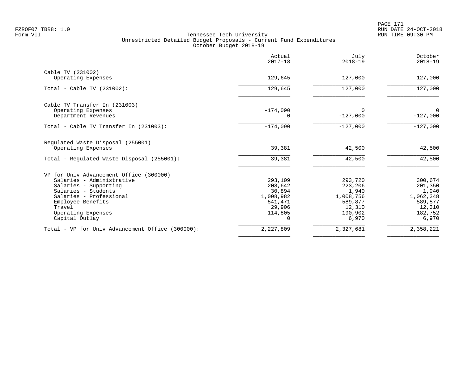PAGE 171 FZROF07 TBR8: 1.0 RUN DATE 24-OCT-2018

|                                                         | Actual<br>$2017 - 18$ | July<br>$2018 - 19$  | October<br>$2018 - 19$ |
|---------------------------------------------------------|-----------------------|----------------------|------------------------|
| Cable TV (231002)                                       |                       |                      |                        |
| Operating Expenses                                      | 129,645               | 127,000              | 127,000                |
| Total - Cable TV $(231002)$ :                           | 129,645               | 127,000              | 127,000                |
| Cable TV Transfer In (231003)                           |                       |                      |                        |
| Operating Expenses<br>Department Revenues               | $-174,090$<br>0       | 0<br>$-127,000$      | 0<br>$-127,000$        |
| Total - Cable TV Transfer In (231003):                  | $-174,090$            | $-127,000$           | $-127,000$             |
| Regulated Waste Disposal (255001)<br>Operating Expenses | 39,381                | 42,500               | 42,500                 |
|                                                         |                       |                      |                        |
| Total - Regulated Waste Disposal (255001):              | 39,381                | 42,500               | 42,500                 |
| VP for Univ Advancement Office (300000)                 |                       |                      |                        |
| Salaries - Administrative                               | 293,109               | 293,720              | 300,674                |
| Salaries - Supporting                                   | 208,642               | 223,206              | 201,350                |
| Salaries - Students                                     | 30,894                | 1,940                | 1,940                  |
| Salaries - Professional                                 | 1,008,982<br>541,471  | 1,008,756<br>589,877 | 1,062,348              |
| Employee Benefits<br>Travel                             | 29,906                | 12,310               | 589,877                |
| Operating Expenses                                      | 114,805               | 190,902              | 12,310<br>182,752      |
| Capital Outlay                                          | $\Omega$              | 6,970                | 6,970                  |
| Total - VP for Univ Advancement Office (300000):        | 2,227,809             | 2,327,681            | 2,358,221              |
|                                                         |                       |                      |                        |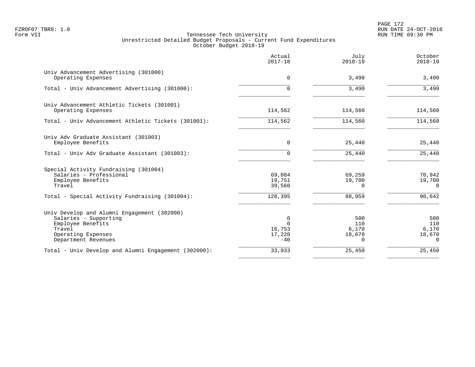PAGE 172 FZROF07 TBR8: 1.0 RUN DATE 24-OCT-2018

|                                                             | Actual<br>$2017 - 18$ | July<br>$2018 - 19$ | October<br>$2018 - 19$ |
|-------------------------------------------------------------|-----------------------|---------------------|------------------------|
| Univ Advancement Advertising (301000)<br>Operating Expenses | $\Omega$              | 3,490               | 3,490                  |
| Total - Univ Advancement Advertising (301000):              | 0                     | 3,490               | 3,490                  |
| Univ Advancement Athletic Tickets (301001)                  |                       |                     |                        |
| Operating Expenses                                          | 114,562               | 114,560             | 114,560                |
| Total - Univ Advancement Athletic Tickets (301001):         | 114,562               | 114,560             | 114,560                |
| Univ Adv Graduate Assistant (301003)                        |                       |                     |                        |
| Employee Benefits                                           | 0                     | 25,440              | 25,440                 |
| Total - Univ Adv Graduate Assistant (301003):               | $\cap$                | 25,440              | 25,440                 |
| Special Activity Fundraising (301004)                       |                       |                     |                        |
| Salaries - Professional<br>Employee Benefits                | 69,084<br>19,751      | 69,259<br>19,700    | 70,942<br>19,700       |
| Travel                                                      | 39,560                | $\Omega$            | $\Omega$               |
| Total - Special Activity Fundraising (301004):              | 128,395               | 88,959              | 90,642                 |
| Univ Develop and Alumni Engagement (302000)                 |                       |                     |                        |
| Salaries - Supporting                                       | 0                     | 500                 | 500                    |
| Employee Benefits<br>Travel                                 | $\Omega$<br>16,753    | 110<br>6,170        | 110<br>6,170           |
| Operating Expenses                                          | 17,220                | 18,670              | 18,670                 |
| Department Revenues                                         | $-40$                 | $\Omega$            | $\Omega$               |
| Total - Univ Develop and Alumni Engagement (302000):        | 33,933                | 25,450              | 25,450                 |
|                                                             |                       |                     |                        |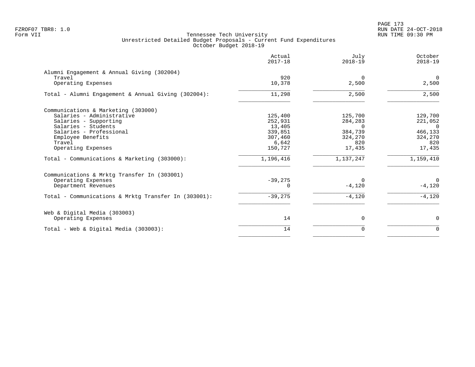PAGE 173 FZROF07 TBR8: 1.0 RUN DATE 24-OCT-2018

|                                                      | Actual<br>$2017 - 18$ | July<br>$2018 - 19$ | October<br>$2018 - 19$ |
|------------------------------------------------------|-----------------------|---------------------|------------------------|
| Alumni Engagement & Annual Giving (302004)<br>Travel | 920                   | $\Omega$            | $\overline{0}$         |
| Operating Expenses                                   | 10,378                | 2,500               | 2,500                  |
| Total - Alumni Engagement & Annual Giving (302004):  | 11,298                | 2,500               | 2,500                  |
| Communications & Marketing (303000)                  |                       |                     |                        |
| Salaries - Administrative                            | 125,400               | 125,700             | 129,700                |
| Salaries - Supporting                                | 252,931               | 284,283             | 221,052                |
| Salaries - Students                                  | 13,405                | $\Omega$            | $\Omega$               |
| Salaries - Professional                              | 339,851               | 384,739             | 466,133                |
| Employee Benefits                                    | 307,460               | 324,270             | 324,270                |
| Travel                                               | 6,642                 | 820                 | 820                    |
| Operating Expenses                                   | 150,727               | 17,435              | 17,435                 |
| Total - Communications & Marketing (303000):         | 1,196,416             | 1,137,247           | 1,159,410              |
| Communications & Mrktg Transfer In (303001)          |                       |                     |                        |
| Operating Expenses                                   | $-39,275$             | $\Omega$            | $\mathbf 0$            |
| Department Revenues                                  | $\Omega$              | $-4,120$            | $-4,120$               |
| Total - Communications & Mrktq Transfer In (303001): | $-39,275$             | $-4,120$            | $-4,120$               |
| Web & Digital Media (303003)                         |                       |                     |                        |
| Operating Expenses                                   | 14                    | 0                   | $\mathbf 0$            |
| Total - Web & Digital Media (303003):                | 14                    | $\Omega$            | $\Omega$               |
|                                                      |                       |                     |                        |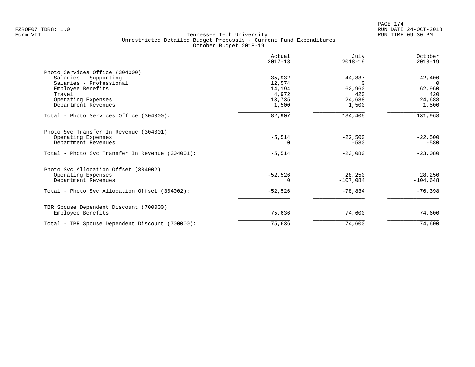|                                                 | Actual<br>$2017 - 18$ | July<br>$2018 - 19$ | October<br>$2018 - 19$ |
|-------------------------------------------------|-----------------------|---------------------|------------------------|
| Photo Services Office (304000)                  |                       |                     |                        |
| Salaries - Supporting                           | 35,932                | 44,837              | 42,400                 |
| Salaries - Professional                         | 12,574                | $\Omega$            | $\Omega$               |
| Employee Benefits                               | 14,194                | 62,960              | 62,960                 |
| Travel                                          | 4,972                 | 420                 | 420                    |
| Operating Expenses                              | 13,735                | 24,688              | 24,688                 |
| Department Revenues                             | 1,500                 | 1,500               | 1,500                  |
| Total - Photo Services Office (304000):         | 82,907                | 134,405             | 131,968                |
| Photo Svc Transfer In Revenue (304001)          |                       |                     |                        |
| Operating Expenses                              | $-5,514$              | $-22,500$           | $-22,500$              |
| Department Revenues                             | 0                     | $-580$              | $-580$                 |
| Total - Photo Svc Transfer In Revenue (304001): | $-5,514$              | $-23,080$           | $-23,080$              |
| Photo Svc Allocation Offset (304002)            |                       |                     |                        |
| Operating Expenses                              | $-52,526$             | 28,250              | 28,250                 |
| Department Revenues                             | 0                     | $-107,084$          | $-104,648$             |
| Total - Photo Svc Allocation Offset (304002):   | $-52,526$             | $-78,834$           | $-76,398$              |
| TBR Spouse Dependent Discount (700000)          |                       |                     |                        |
| Employee Benefits                               | 75,636                | 74,600              | 74,600                 |
| Total - TBR Spouse Dependent Discount (700000): | 75,636                | 74,600              | 74,600                 |
|                                                 |                       |                     |                        |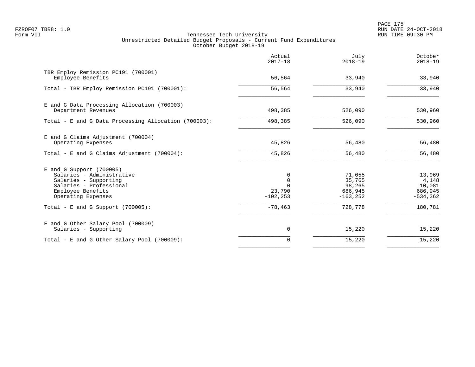PAGE 175 FZROF07 TBR8: 1.0 RUN DATE 24-OCT-2018

|                                                                                                                                                        | Actual<br>$2017 - 18$                               | July<br>$2018 - 19$                                  | October<br>$2018 - 19$                              |
|--------------------------------------------------------------------------------------------------------------------------------------------------------|-----------------------------------------------------|------------------------------------------------------|-----------------------------------------------------|
| TBR Employ Remission PC191 (700001)<br>Employee Benefits                                                                                               | 56,564                                              | 33,940                                               | 33,940                                              |
| Total - TBR Employ Remission PC191 (700001):                                                                                                           | 56,564                                              | 33,940                                               | 33,940                                              |
| E and G Data Processing Allocation (700003)<br>Department Revenues                                                                                     | 498,385                                             | 526,090                                              | 530,960                                             |
| Total - E and G Data Processing Allocation (700003):                                                                                                   | 498,385                                             | 526,090                                              | 530,960                                             |
| E and G Claims Adjustment (700004)<br>Operating Expenses<br>Total - E and G Claims Adjustment $(700004)$ :                                             | 45,826<br>45,826                                    | 56,480<br>56,480                                     | 56,480<br>56,480                                    |
|                                                                                                                                                        |                                                     |                                                      |                                                     |
| $E$ and G Support (700005)<br>Salaries - Administrative<br>Salaries - Supporting<br>Salaries - Professional<br>Employee Benefits<br>Operating Expenses | 0<br>$\mathbf 0$<br>$\cap$<br>23,790<br>$-102, 253$ | 71,055<br>35,765<br>98,265<br>686,945<br>$-163, 252$ | 13,969<br>4,148<br>10,081<br>686,945<br>$-534, 362$ |
| Total - E and G Support $(700005)$ :                                                                                                                   | $-78,463$                                           | 728,778                                              | 180,781                                             |
| E and G Other Salary Pool (700009)<br>Salaries - Supporting                                                                                            | $\mathbf 0$                                         | 15,220                                               | 15,220                                              |
| Total - E and G Other Salary Pool (700009):                                                                                                            | $\Omega$                                            | 15,220                                               | 15,220                                              |
|                                                                                                                                                        |                                                     |                                                      |                                                     |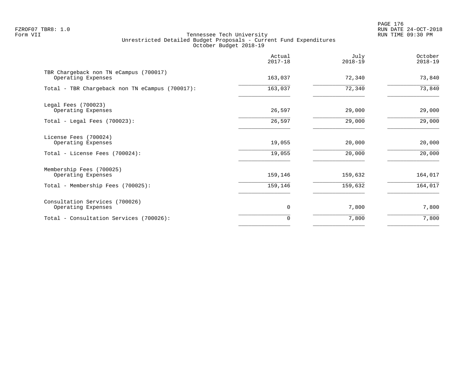|                                                              | Actual<br>$2017 - 18$ | July<br>$2018 - 19$ | October<br>$2018 - 19$ |
|--------------------------------------------------------------|-----------------------|---------------------|------------------------|
| TBR Chargeback non TN eCampus (700017)<br>Operating Expenses | 163,037               | 72,340              | 73,840                 |
| Total - TBR Chargeback non TN eCampus (700017):              | 163,037               | 72,340              | 73,840                 |
| Legal Fees (700023)<br>Operating Expenses                    | 26,597                | 29,000              | 29,000                 |
| Total - Legal Fees (700023):                                 | 26,597                | 29,000              | 29,000                 |
| License Fees (700024)<br>Operating Expenses                  | 19,055                | 20,000              | 20,000                 |
| Total - License Fees (700024):                               | 19,055                | 20,000              | 20,000                 |
| Membership Fees (700025)<br>Operating Expenses               | 159,146               | 159,632             | 164,017                |
| Total - Membership Fees (700025):                            | 159,146               | 159,632             | 164,017                |
| Consultation Services (700026)<br>Operating Expenses         | 0                     | 7,800               | 7,800                  |
| Total - Consultation Services (700026):                      | $\Omega$              | 7,800               | 7,800                  |
|                                                              |                       |                     |                        |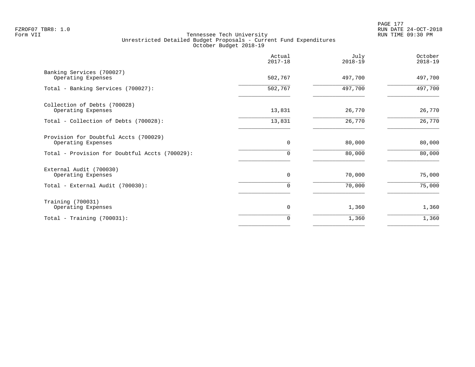|                                                             | Actual<br>$2017 - 18$ | July<br>$2018 - 19$ | October<br>$2018 - 19$ |
|-------------------------------------------------------------|-----------------------|---------------------|------------------------|
| Banking Services (700027)<br>Operating Expenses             | 502,767               | 497,700             | 497,700                |
| Total - Banking Services (700027):                          | 502,767               | 497,700             | 497,700                |
| Collection of Debts (700028)<br>Operating Expenses          | 13,831                | 26,770              | 26,770                 |
| Total - Collection of Debts (700028):                       | 13,831                | 26,770              | 26,770                 |
| Provision for Doubtful Accts (700029)<br>Operating Expenses | $\overline{0}$        | 80,000              | 80,000                 |
| Total - Provision for Doubtful Accts (700029):              | 0                     | 80,000              | 80,000                 |
| External Audit (700030)<br>Operating Expenses               | $\mathbf 0$           | 70,000              | 75,000                 |
| Total - External Audit (700030):                            | $\Omega$              | 70,000              | 75,000                 |
| Training (700031)<br>Operating Expenses                     | 0                     | 1,360               | 1,360                  |
| Total - Training $(700031)$ :                               | 0                     | 1,360               | 1,360                  |
|                                                             |                       |                     |                        |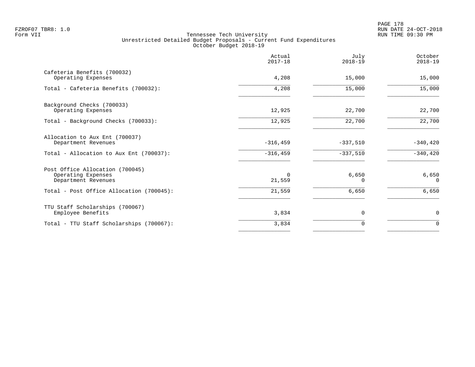|                                                                              | Actual<br>$2017 - 18$ | July<br>$2018 - 19$ | October<br>$2018 - 19$ |
|------------------------------------------------------------------------------|-----------------------|---------------------|------------------------|
| Cafeteria Benefits (700032)<br>Operating Expenses                            | 4,208                 | 15,000              | 15,000                 |
| Total - Cafeteria Benefits (700032):                                         | 4,208                 | 15,000              | 15,000                 |
| Background Checks (700033)<br>Operating Expenses                             | 12,925                | 22,700              | 22,700                 |
| Total - Background Checks (700033):                                          | 12,925                | 22,700              | $\overline{22,700}$    |
| Allocation to Aux Ent (700037)<br>Department Revenues                        | $-316, 459$           | $-337,510$          | $-340, 420$            |
| Total - Allocation to Aux Ent (700037):                                      | $-316, 459$           | $-337,510$          | $-340, 420$            |
| Post Office Allocation (700045)<br>Operating Expenses<br>Department Revenues | $\Omega$<br>21,559    | 6,650<br>$\Omega$   | 6,650<br>$\Omega$      |
| Total - Post Office Allocation (700045):                                     | 21,559                | 6,650               | 6,650                  |
| TTU Staff Scholarships (700067)<br>Employee Benefits                         | 3,834                 | $\mathbf 0$         | 0                      |
| Total - TTU Staff Scholarships (700067):                                     | 3,834                 | 0                   | $\mathbf 0$            |
|                                                                              |                       |                     |                        |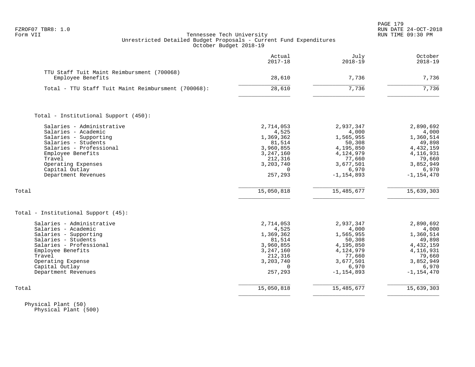| FZROF07 | TBR8: |  |
|---------|-------|--|
|---------|-------|--|

|                                                                 | Actual<br>$2017 - 18$  | July<br>$2018 - 19$    | October<br>$2018 - 19$ |
|-----------------------------------------------------------------|------------------------|------------------------|------------------------|
| TTU Staff Tuit Maint Reimbursment (700068)<br>Employee Benefits | 28,610                 | 7,736                  | 7,736                  |
|                                                                 |                        |                        |                        |
| Total - TTU Staff Tuit Maint Reimbursment (700068):             | 28,610                 | 7,736                  | 7,736                  |
| Total - Institutional Support (450):                            |                        |                        |                        |
| Salaries - Administrative                                       | 2,714,053              | 2,937,347              | 2,890,692              |
| Salaries - Academic                                             | 4,525                  | 4,000                  | 4,000                  |
| Salaries - Supporting                                           | 1,369,362              | 1,565,955              | 1,360,514              |
| Salaries - Students                                             | 81,514                 | 50,308                 | 49,898                 |
| Salaries - Professional<br>Employee Benefits                    | 3,960,855<br>3,247,160 | 4,195,850<br>4,124,979 | 4, 432, 159            |
| Travel                                                          | 212,316                | 77,660                 | 4, 116, 931<br>79,660  |
| Operating Expenses                                              | 3,203,740              | 3,677,501              | 3,852,949              |
| Capital Outlay                                                  | $\Omega$               | 6,970                  | 6,970                  |
| Department Revenues                                             | 257,293                | $-1, 154, 893$         | $-1, 154, 470$         |
| Total                                                           | 15,050,818             | 15,485,677             | 15,639,303             |
| Total - Institutional Support (45):                             |                        |                        |                        |
| Salaries - Administrative                                       | 2,714,053              | 2,937,347              | 2,890,692              |
| Salaries - Academic                                             | 4,525                  | 4,000                  | 4,000                  |
| Salaries - Supporting                                           | 1,369,362              | 1,565,955              | 1,360,514              |
| Salaries - Students                                             | 81,514                 | 50,308                 | 49,898                 |
| Salaries - Professional                                         | 3,960,855              | 4,195,850              | 4,432,159              |
| Employee Benefits                                               | 3, 247, 160            | 4,124,979              | 4,116,931              |
| Travel<br>Operating Expense                                     | 212,316<br>3,203,740   | 77,660<br>3,677,501    | 79,660<br>3,852,949    |
| Capital Outlay                                                  | $\Omega$               | 6,970                  | 6,970                  |
| Department Revenues                                             | 257,293                | $-1, 154, 893$         | $-1, 154, 470$         |
| Total                                                           | 15,050,818             | 15, 485, 677           | 15,639,303             |
|                                                                 |                        |                        |                        |

 Physical Plant (50) Physical Plant (500)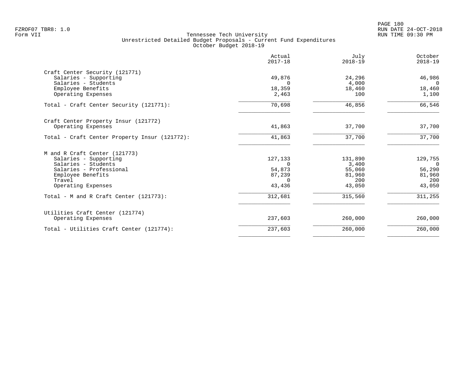PAGE 180 FZROF07 TBR8: 1.0 RUN DATE 24-OCT-2018

|                                               | Actual<br>$2017 - 18$ | July<br>$2018 - 19$ | October<br>$2018 - 19$ |
|-----------------------------------------------|-----------------------|---------------------|------------------------|
| Craft Center Security (121771)                |                       |                     |                        |
| Salaries - Supporting                         | 49,876                | 24,296              | 46,986                 |
| Salaries - Students                           | $\Omega$              | 4,000               | $\Omega$               |
| Employee Benefits                             | 18,359                | 18,460              | 18,460                 |
| Operating Expenses                            | 2,463                 | 100                 | 1,100                  |
| Total - Craft Center Security (121771):       | 70,698                | 46,856              | 66,546                 |
| Craft Center Property Insur (121772)          |                       |                     |                        |
| Operating Expenses                            | 41,863                | 37,700              | 37,700                 |
| Total - Craft Center Property Insur (121772): | 41,863                | 37,700              | 37,700                 |
| M and R Craft Center (121773)                 |                       |                     |                        |
| Salaries - Supporting                         | 127,133               | 131,890             | 129,755                |
| Salaries - Students                           |                       | 3,400               | $\Omega$               |
| Salaries - Professional                       | 54,873                | 55,060              | 56,290                 |
| Employee Benefits                             | 87,239                | 81,960              | 81,960                 |
| Travel                                        | $\Omega$              | 200                 | 200                    |
| Operating Expenses                            | 43,436                | 43,050              | 43,050                 |
| Total - M and R Craft Center (121773):        | 312,681               | 315,560             | 311,255                |
| Utilities Craft Center (121774)               |                       |                     |                        |
| Operating Expenses                            | 237,603               | 260,000             | 260,000                |
| Total - Utilities Craft Center (121774):      | 237,603               | 260,000             | 260,000                |
|                                               |                       |                     |                        |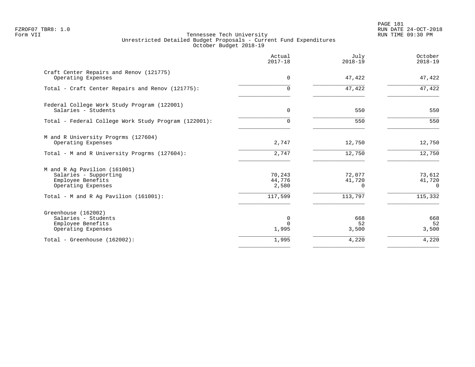PAGE 181 FZROF07 TBR8: 1.0 RUN DATE 24-OCT-2018

|                                                                                                  | Actual<br>$2017 - 18$     | July<br>$2018 - 19$          | October<br>$2018 - 19$       |
|--------------------------------------------------------------------------------------------------|---------------------------|------------------------------|------------------------------|
| Craft Center Repairs and Renov (121775)<br>Operating Expenses                                    | $\mathbf 0$               | 47,422                       | 47,422                       |
| Total - Craft Center Repairs and Renov (121775):                                                 | $\Omega$                  | 47,422                       | 47,422                       |
| Federal College Work Study Program (122001)<br>Salaries - Students                               | $\mathbf 0$               | 550                          | 550                          |
| Total - Federal College Work Study Program (122001):                                             | $\Omega$                  | 550                          | 550                          |
| M and R University Progrms (127604)<br>Operating Expenses                                        | 2,747                     | 12,750                       | 12,750                       |
| Total - M and R University Progrms (127604):                                                     | 2,747                     | 12,750                       | 12,750                       |
| M and R Ag Pavilion (161001)<br>Salaries - Supporting<br>Employee Benefits<br>Operating Expenses | 70,243<br>44,776<br>2,580 | 72,077<br>41,720<br>$\Omega$ | 73,612<br>41,720<br>$\Omega$ |
| Total - M and R Aq Pavilion $(161001)$ :                                                         | 117,599                   | 113,797                      | 115,332                      |
| Greenhouse (162002)<br>Salaries - Students<br>Employee Benefits<br>Operating Expenses            | 0<br>$\Omega$<br>1,995    | 668<br>52<br>3,500           | 668<br>52<br>3,500           |
| Total - Greenhouse (162002):                                                                     | 1,995                     | 4,220                        | 4,220                        |
|                                                                                                  |                           |                              |                              |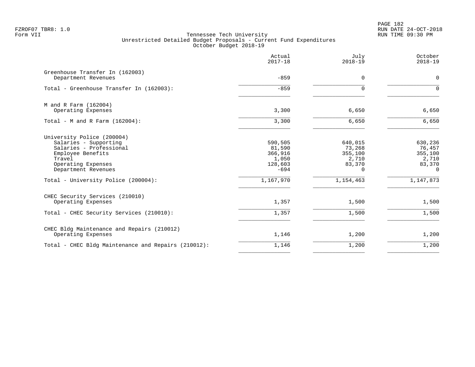PAGE 182 FZROF07 TBR8: 1.0 RUN DATE 24-OCT-2018

|                                                                                                                                                                                                   | Actual<br>$2017 - 18$                                                   | July<br>$2018 - 19$                                                      | October<br>$2018 - 19$                                                   |
|---------------------------------------------------------------------------------------------------------------------------------------------------------------------------------------------------|-------------------------------------------------------------------------|--------------------------------------------------------------------------|--------------------------------------------------------------------------|
| Greenhouse Transfer In (162003)<br>Department Revenues                                                                                                                                            | $-859$                                                                  | $\Omega$                                                                 | $\Omega$                                                                 |
| Total - Greenhouse Transfer In (162003):                                                                                                                                                          | $-859$                                                                  | $\Omega$                                                                 | $\Omega$                                                                 |
| M and R Farm (162004)<br>Operating Expenses                                                                                                                                                       | 3,300                                                                   | 6,650                                                                    | 6,650                                                                    |
| Total - M and R Farm $(162004)$ :                                                                                                                                                                 | 3,300                                                                   | 6,650                                                                    | 6,650                                                                    |
| University Police (200004)<br>Salaries - Supporting<br>Salaries - Professional<br>Employee Benefits<br>Travel<br>Operating Expenses<br>Department Revenues<br>Total - University Police (200004): | 590,505<br>81,590<br>366,916<br>1,050<br>128,603<br>$-694$<br>1,167,970 | 640,015<br>73,268<br>355,100<br>2,710<br>83,370<br>$\Omega$<br>1,154,463 | 630,236<br>76,457<br>355,100<br>2,710<br>83,370<br>$\Omega$<br>1,147,873 |
|                                                                                                                                                                                                   |                                                                         |                                                                          |                                                                          |
| CHEC Security Services (210010)<br>Operating Expenses                                                                                                                                             | 1,357                                                                   | 1,500                                                                    | 1,500                                                                    |
| Total - CHEC Security Services (210010):                                                                                                                                                          | 1,357                                                                   | 1,500                                                                    | 1,500                                                                    |
| CHEC Bldg Maintenance and Repairs (210012)<br>Operating Expenses                                                                                                                                  | 1,146                                                                   | 1,200                                                                    | 1,200                                                                    |
| Total - CHEC Bldg Maintenance and Repairs (210012):                                                                                                                                               | 1,146                                                                   | 1,200                                                                    | 1,200                                                                    |
|                                                                                                                                                                                                   |                                                                         |                                                                          |                                                                          |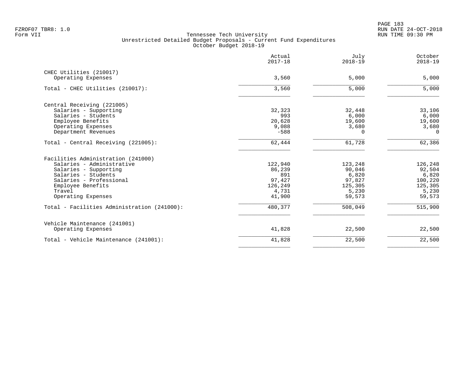|                                             | Actual<br>$2017 - 18$ | July<br>$2018 - 19$ | October<br>$2018 - 19$ |
|---------------------------------------------|-----------------------|---------------------|------------------------|
| CHEC Utilities (210017)                     |                       |                     |                        |
| Operating Expenses                          | 3,560                 | 5,000               | 5,000                  |
| Total - CHEC Utilities (210017):            | 3,560                 | 5,000               | 5,000                  |
| Central Receiving (221005)                  |                       |                     |                        |
| Salaries - Supporting                       | 32,323                | 32,448              | 33,106                 |
| Salaries - Students                         | 993                   | 6,000               | 6,000                  |
| Employee Benefits                           | 20,628                | 19,600              | 19,600                 |
| Operating Expenses                          | 9,088                 | 3,680               | 3,680                  |
| Department Revenues                         | $-588$                | $\Omega$            | $\Omega$               |
| Total - Central Receiving (221005):         | 62,444                | 61,728              | 62,386                 |
| Facilities Administration (241000)          |                       |                     |                        |
| Salaries - Administrative                   | 122,940               | 123,248             | 126,248                |
| Salaries - Supporting                       | 86,239                | 90,046              | 92,504                 |
| Salaries - Students                         | 891                   | 6,820               | 6,820                  |
| Salaries - Professional                     | 97,427                | 97,827              | 100,220                |
| Employee Benefits                           | 126,249               | 125,305             | 125,305                |
| Travel                                      | 4,731                 | 5,230               | 5,230                  |
| Operating Expenses                          | 41,900                | 59,573              | 59,573                 |
| Total - Facilities Administration (241000): | 480,377               | 508,049             | 515,900                |
| Vehicle Maintenance (241001)                |                       |                     |                        |
| Operating Expenses                          | 41,828                | 22,500              | 22,500                 |
| Total - Vehicle Maintenance (241001):       | 41,828                | 22,500              | 22,500                 |
|                                             |                       |                     |                        |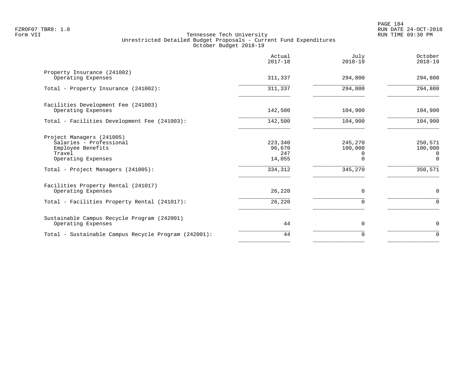PAGE 184 FZROF07 TBR8: 1.0 RUN DATE 24-OCT-2018

|                                                                                                                                                 | Actual<br>$2017 - 18$                         | July<br>$2018 - 19$                                   | October<br>$2018 - 19$                               |
|-------------------------------------------------------------------------------------------------------------------------------------------------|-----------------------------------------------|-------------------------------------------------------|------------------------------------------------------|
| Property Insurance (241002)<br>Operating Expenses                                                                                               | 311,337                                       | 294,800                                               | 294,800                                              |
| Total - Property Insurance (241002):                                                                                                            | 311,337                                       | 294,800                                               | 294,800                                              |
| Facilities Development Fee (241003)<br>Operating Expenses                                                                                       | 142,500                                       | 104,900                                               | 104,900                                              |
| Total - Facilities Development Fee (241003):                                                                                                    | 142,500                                       | 104,900                                               | 104,900                                              |
| Project Managers (241005)<br>Salaries - Professional<br>Employee Benefits<br>Travel<br>Operating Expenses<br>Total - Project Managers (241005): | 223,340<br>96,670<br>247<br>14,055<br>334,312 | 245,270<br>100,000<br>$\Omega$<br>$\Omega$<br>345,270 | 250,571<br>100,000<br>0<br>$\overline{0}$<br>350,571 |
| Facilities Property Rental (241017)<br>Operating Expenses<br>Total - Facilities Property Rental (241017):                                       | 26,220<br>26,220                              | $\Omega$<br>$\Omega$                                  | $\mathbf 0$<br>$\Omega$                              |
| Sustainable Campus Recycle Program (242001)<br>Operating Expenses                                                                               | 44                                            | 0                                                     | 0                                                    |
| Total - Sustainable Campus Recycle Program (242001):                                                                                            | 44                                            | $\Omega$                                              | $\Omega$                                             |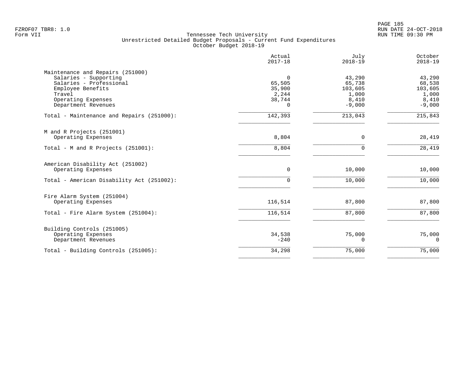|                                                                                                                                                                  | Actual<br>$2017 - 18$                                       | July<br>$2018 - 19$                                       | October<br>$2018 - 19$                                    |
|------------------------------------------------------------------------------------------------------------------------------------------------------------------|-------------------------------------------------------------|-----------------------------------------------------------|-----------------------------------------------------------|
| Maintenance and Repairs (251000)<br>Salaries - Supporting<br>Salaries - Professional<br>Employee Benefits<br>Travel<br>Operating Expenses<br>Department Revenues | $\Omega$<br>65,505<br>35,900<br>2,244<br>38,744<br>$\Omega$ | 43,290<br>65,738<br>103,605<br>1,000<br>8,410<br>$-9,000$ | 43,290<br>68,538<br>103,605<br>1,000<br>8,410<br>$-9,000$ |
| Total - Maintenance and Repairs (251000):                                                                                                                        | 142,393                                                     | 213,043                                                   | 215,843                                                   |
| M and R Projects (251001)<br>Operating Expenses<br>Total - M and R Projects (251001):                                                                            | 8,804<br>8,804                                              | $\mathbf 0$<br>$\Omega$                                   | 28,419<br>28,419                                          |
| American Disability Act (251002)<br>Operating Expenses                                                                                                           | 0                                                           | 10,000                                                    | 10,000                                                    |
| Total - American Disability Act (251002):                                                                                                                        | 0                                                           | 10,000                                                    | 10,000                                                    |
| Fire Alarm System (251004)<br>Operating Expenses                                                                                                                 | 116,514                                                     | 87,800                                                    | 87,800                                                    |
| Total - Fire Alarm System (251004):                                                                                                                              | 116,514                                                     | 87,800                                                    | 87,800                                                    |
| Building Controls (251005)<br>Operating Expenses<br>Department Revenues                                                                                          | 34,538<br>$-240$                                            | 75,000<br>$\Omega$                                        | 75,000<br>$\Omega$                                        |
| Total - Building Controls (251005):                                                                                                                              | 34,298                                                      | 75,000                                                    | 75,000                                                    |
|                                                                                                                                                                  |                                                             |                                                           |                                                           |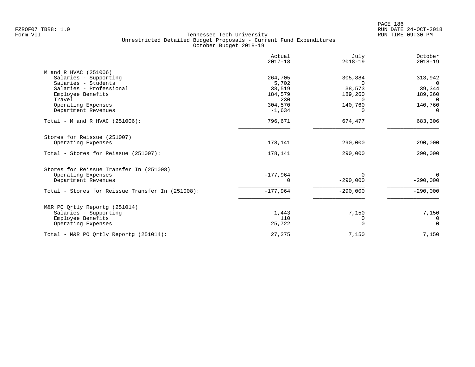|                                                                               | Actual<br>$2017 - 18$             | July<br>$2018 - 19$                       | October<br>$2018 - 19$                |
|-------------------------------------------------------------------------------|-----------------------------------|-------------------------------------------|---------------------------------------|
| M and R HVAC (251006)<br>Salaries - Supporting                                | 264,705                           | 305,884                                   | 313,942                               |
| Salaries - Students<br>Salaries - Professional<br>Employee Benefits<br>Travel | 5,702<br>38,519<br>184,579<br>230 | $\Omega$<br>38,573<br>189,260<br>$\Omega$ | $\Omega$<br>39,344<br>189,260         |
| Operating Expenses<br>Department Revenues                                     | 304,570<br>$-1,634$               | 140,760<br>$\Omega$                       | $\overline{0}$<br>140,760<br>$\Omega$ |
| Total - M and R HVAC (251006):                                                | 796,671                           | 674,477                                   | 683,306                               |
| Stores for Reissue (251007)<br>Operating Expenses                             | 178,141                           | 290,000                                   | 290,000                               |
| Total - Stores for Reissue (251007):                                          | 178,141                           | 290,000                                   | 290,000                               |
| Stores for Reissue Transfer In (251008)                                       |                                   |                                           |                                       |
| Operating Expenses<br>Department Revenues                                     | $-177,964$<br>0                   | $\Omega$<br>$-290,000$                    | $\Omega$<br>$-290,000$                |
| Total - Stores for Reissue Transfer In (251008):                              | $-177,964$                        | $-290,000$                                | $-290,000$                            |
| M&R PO Ortly Reportq (251014)                                                 |                                   |                                           |                                       |
| Salaries - Supporting<br>Employee Benefits<br>Operating Expenses              | 1,443<br>110<br>25,722            | 7,150<br>0<br>$\Omega$                    | 7,150<br>0<br>$\Omega$                |
| Total - M&R PO Ortly Reportq (251014):                                        | 27,275                            | 7,150                                     | 7,150                                 |
|                                                                               |                                   |                                           |                                       |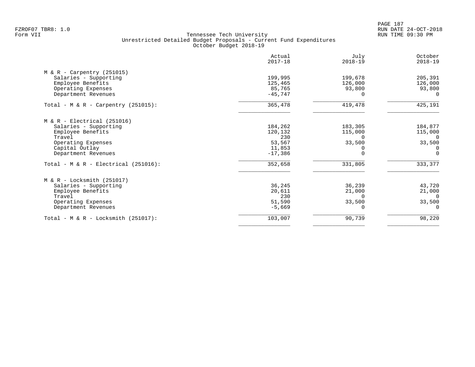PAGE 187 FZROF07 TBR8: 1.0 RUN DATE 24-OCT-2018

|                                                                                                                                                      | Actual<br>$2017 - 18$                                      | July<br>$2018 - 19$                                              | October<br>$2018 - 19$                                           |
|------------------------------------------------------------------------------------------------------------------------------------------------------|------------------------------------------------------------|------------------------------------------------------------------|------------------------------------------------------------------|
| $M & R - Carpentry (251015)$<br>Salaries - Supporting<br>Employee Benefits<br>Operating Expenses<br>Department Revenues                              | 199,995<br>125,465<br>85,765<br>$-45,747$                  | 199,678<br>126,000<br>93,800<br>$\Omega$                         | 205,391<br>126,000<br>93,800<br>$\Omega$                         |
| Total - M & R - Carpentry (251015):                                                                                                                  | 365,478                                                    | 419,478                                                          | 425,191                                                          |
| $M & R - Electrical (251016)$<br>Salaries - Supporting<br>Employee Benefits<br>Travel<br>Operating Expenses<br>Capital Outlay<br>Department Revenues | 184,262<br>120,132<br>230<br>53,567<br>11,853<br>$-17,386$ | 183,305<br>115,000<br>$\Omega$<br>33,500<br>$\Omega$<br>$\Omega$ | 184,877<br>115,000<br>$\Omega$<br>33,500<br>$\Omega$<br>$\Omega$ |
| Total - $M & R - Electrical (251016)$ :                                                                                                              | 352,658                                                    | 331,805                                                          | 333,377                                                          |
| $M & R - Locksmith (251017)$<br>Salaries - Supporting<br>Employee Benefits<br>Travel<br>Operating Expenses<br>Department Revenues                    | 36,245<br>20,611<br>230<br>51,590<br>$-5,669$              | 36,239<br>21,000<br>$\Omega$<br>33,500                           | 43,720<br>21,000<br>$\Omega$<br>33,500<br>$\Omega$               |
| Total - M & R - Locksmith $(251017)$ :                                                                                                               | 103,007                                                    | 90,739                                                           | 98,220                                                           |
|                                                                                                                                                      |                                                            |                                                                  |                                                                  |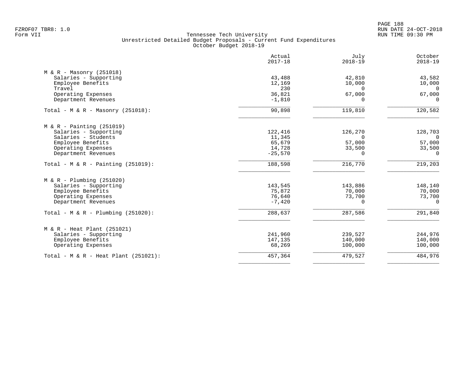|                                       | Actual<br>$2017 - 18$ | July<br>$2018 - 19$ | October<br>$2018 - 19$ |
|---------------------------------------|-----------------------|---------------------|------------------------|
| $M & R - Massonry (251018)$           |                       |                     |                        |
| Salaries - Supporting                 | 43,488                | 42,810              | 43,582                 |
| Employee Benefits                     | 12,169                | 10,000              | 10,000                 |
| Travel                                | 230                   | $\Omega$            | $\Omega$               |
| Operating Expenses                    | 36,821                | 67,000              | 67,000                 |
| Department Revenues                   | $-1,810$              | $\Omega$            | $\Omega$               |
| Total - M & R - Masonry $(251018)$ :  | 90,898                | 119,810             | 120,582                |
| $M & R - \text{Pairting} (251019)$    |                       |                     |                        |
| Salaries - Supporting                 | 122,416               | 126,270             | 128,703                |
| Salaries - Students                   | 11,345                | $\Omega$            | $\overline{0}$         |
| Employee Benefits                     | 65,679                | 57,000              | 57,000                 |
| Operating Expenses                    | 14,728                | 33,500              | 33,500                 |
| Department Revenues                   | $-25,570$             | $\Omega$            | $\Omega$               |
| Total - M & R - Painting $(251019)$ : | 188,598               | 216,770             | 219,203                |
| $M & R - Plumbing (251020)$           |                       |                     |                        |
| Salaries - Supporting                 | 143,545               | 143,886             | 148,140                |
| Employee Benefits                     | 75,872                | 70,000              | 70,000                 |
| Operating Expenses                    | 76,640                | 73,700              | 73,700                 |
| Department Revenues                   | $-7,420$              | $\Omega$            | $\Omega$               |
| Total - M & R - Plumbing $(251020)$ : | 288,637               | 287,586             | 291,840                |
| $M & R - Heat Plant (251021)$         |                       |                     |                        |
| Salaries - Supporting                 | 241,960               | 239,527             | 244,976                |
| Employee Benefits                     | 147,135               | 140,000             | 140,000                |
| Operating Expenses                    | 68,269                | 100,000             | 100,000                |
| Total - M & R - Heat Plant (251021):  | 457,364               | 479,527             | 484,976                |
|                                       |                       |                     |                        |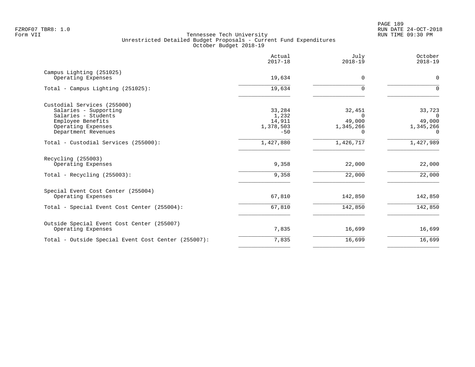PAGE 189 FZROF07 TBR8: 1.0 RUN DATE 24-OCT-2018

|                                                     | Actual<br>$2017 - 18$ | July<br>$2018 - 19$ | October<br>$2018 - 19$ |
|-----------------------------------------------------|-----------------------|---------------------|------------------------|
| Campus Lighting (251025)<br>Operating Expenses      | 19,634                | 0                   | $\mathbf 0$            |
|                                                     |                       |                     |                        |
| Total - Campus Lighting (251025):                   | 19,634                | $\Omega$            | $\Omega$               |
| Custodial Services (255000)                         |                       |                     |                        |
| Salaries - Supporting                               | 33,284                | 32,451              | 33,723                 |
| Salaries - Students                                 | 1,232                 | $\Omega$            | $\Omega$               |
| Employee Benefits                                   | 14,911                | 49,000              | 49,000                 |
| Operating Expenses                                  | 1,378,503             | 1,345,266           | 1,345,266              |
| Department Revenues                                 | $-50$                 | O.                  | $\Omega$               |
| Total - Custodial Services (255000):                | 1,427,880             | 1,426,717           | 1,427,989              |
| Recycling (255003)                                  |                       |                     |                        |
| Operating Expenses                                  | 9,358                 | 22,000              | 22,000                 |
| Total - Recycling $(255003)$ :                      | 9,358                 | 22,000              | 22,000                 |
| Special Event Cost Center (255004)                  |                       |                     |                        |
| Operating Expenses                                  | 67,810                | 142,850             | 142,850                |
| Total - Special Event Cost Center (255004):         | 67,810                | 142,850             | 142,850                |
| Outside Special Event Cost Center (255007)          |                       |                     |                        |
| Operating Expenses                                  | 7,835                 | 16,699              | 16,699                 |
| Total - Outside Special Event Cost Center (255007): | 7,835                 | 16,699              | 16,699                 |
|                                                     |                       |                     |                        |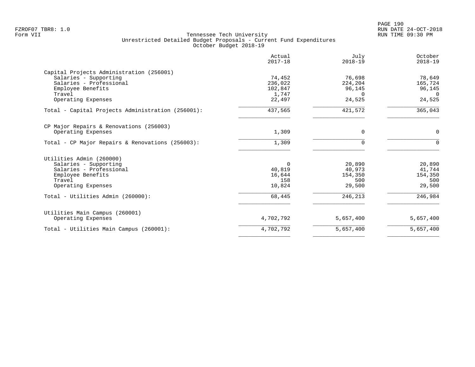|                                                   | Actual<br>$2017 - 18$ | July<br>$2018 - 19$ | October<br>$2018 - 19$ |
|---------------------------------------------------|-----------------------|---------------------|------------------------|
| Capital Projects Administration (256001)          |                       |                     |                        |
| Salaries - Supporting                             | 74,452                | 76,698              | 78,649                 |
| Salaries - Professional                           | 236,022               | 224,204             | 165,724                |
| Employee Benefits                                 | 102,847               | 96,145              | 96,145                 |
| Travel                                            | 1,747                 | $\Omega$            | $\Omega$               |
| Operating Expenses                                | 22,497                | 24,525              | 24,525                 |
| Total - Capital Projects Administration (256001): | 437,565               | 421,572             | 365,043                |
| CP Major Repairs & Renovations (256003)           |                       |                     |                        |
| Operating Expenses                                | 1,309                 | 0                   | 0                      |
| Total - CP Major Repairs & Renovations (256003):  | 1,309                 | $\Omega$            | $\Omega$               |
| Utilities Admin (260000)                          |                       |                     |                        |
| Salaries - Supporting                             | 0                     | 20,890              | 20,890                 |
| Salaries - Professional                           | 40,819                | 40,973              | 41,744                 |
| Employee Benefits                                 | 16,644                | 154,350             | 154,350                |
| Travel                                            | 158                   | 500                 | 500                    |
| Operating Expenses                                | 10,824                | 29,500              | 29,500                 |
| Total - Utilities Admin (260000):                 | 68,445                | 246,213             | 246,984                |
| Utilities Main Campus (260001)                    |                       |                     |                        |
| Operating Expenses                                | 4,702,792             | 5,657,400           | 5,657,400              |
| Total - Utilities Main Campus (260001):           | 4,702,792             | 5,657,400           | 5,657,400              |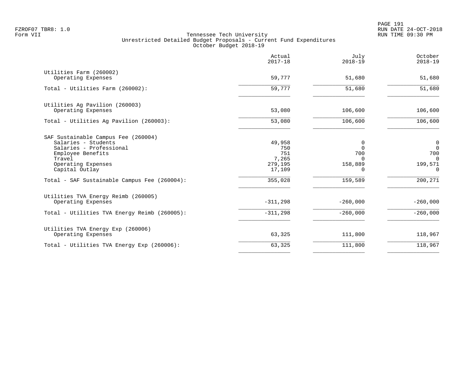PAGE 191 FZROF07 TBR8: 1.0 RUN DATE 24-OCT-2018

|                                                                                                                                                                                                              | Actual<br>$2017 - 18$                                         | July<br>$2018 - 19$                                         | October<br>$2018 - 19$                                         |
|--------------------------------------------------------------------------------------------------------------------------------------------------------------------------------------------------------------|---------------------------------------------------------------|-------------------------------------------------------------|----------------------------------------------------------------|
| Utilities Farm (260002)<br>Operating Expenses                                                                                                                                                                | 59,777                                                        | 51,680                                                      | 51,680                                                         |
| Total - Utilities Farm (260002):                                                                                                                                                                             | 59,777                                                        | 51,680                                                      | 51,680                                                         |
| Utilities Ag Pavilion (260003)<br>Operating Expenses                                                                                                                                                         | 53,080                                                        | 106,600                                                     | 106,600                                                        |
| Total - Utilities Aq Pavilion (260003):                                                                                                                                                                      | 53,080                                                        | 106,600                                                     | 106,600                                                        |
| SAF Sustainable Campus Fee (260004)<br>Salaries - Students<br>Salaries - Professional<br>Employee Benefits<br>Travel<br>Operating Expenses<br>Capital Outlay<br>Total - SAF Sustainable Campus Fee (260004): | 49,958<br>750<br>751<br>7,265<br>279,195<br>17,109<br>355,028 | 0<br>$\Omega$<br>700<br>$\Omega$<br>158,889<br>0<br>159,589 | 0<br>$\mathbf 0$<br>700<br>$\Omega$<br>199,571<br>0<br>200,271 |
| Utilities TVA Energy Reimb (260005)<br>Operating Expenses<br>Total - Utilities TVA Energy Reimb (260005):                                                                                                    | $-311,298$<br>$-311,298$                                      | $-260,000$<br>$-260,000$                                    | $-260,000$<br>$-260,000$                                       |
| Utilities TVA Energy Exp (260006)<br>Operating Expenses                                                                                                                                                      | 63,325                                                        | 111,800                                                     | 118,967                                                        |
| Total - Utilities TVA Energy Exp (260006):                                                                                                                                                                   | 63,325                                                        | 111,800                                                     | 118,967                                                        |
|                                                                                                                                                                                                              |                                                               |                                                             |                                                                |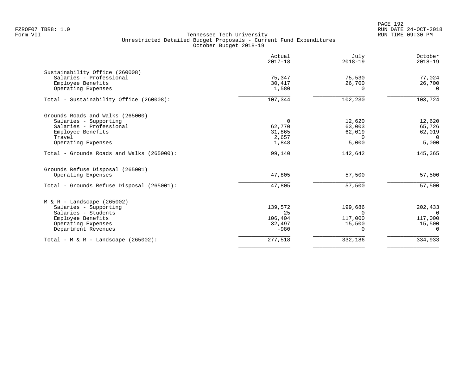PAGE 192 FZROF07 TBR8: 1.0 RUN DATE 24-OCT-2018

|                                                                                                                                                | Actual<br>$2017 - 18$                        | July<br>$2018 - 19$                                      | October<br>$2018 - 19$                               |
|------------------------------------------------------------------------------------------------------------------------------------------------|----------------------------------------------|----------------------------------------------------------|------------------------------------------------------|
| Sustainability Office (260008)<br>Salaries - Professional<br>Employee Benefits<br>Operating Expenses                                           | 75,347<br>30,417<br>1,580                    | 75,530<br>26,700<br>$\Omega$                             | 77,024<br>26,700<br>$\Omega$                         |
| Total - Sustainability Office (260008):                                                                                                        | 107,344                                      | 102,230                                                  | 103,724                                              |
| Grounds Roads and Walks (265000)<br>Salaries - Supporting<br>Salaries - Professional<br>Employee Benefits<br>Travel<br>Operating Expenses      | 0<br>62,770<br>31,865<br>2,657<br>1,848      | 12,620<br>63,003<br>62,019<br>$\Omega$<br>5,000          | 12,620<br>65,726<br>62,019<br>$\Omega$<br>5,000      |
| Total - Grounds Roads and Walks (265000):                                                                                                      | 99,140                                       | 142,642                                                  | 145,365                                              |
| Grounds Refuse Disposal (265001)<br>Operating Expenses<br>Total - Grounds Refuse Disposal (265001):                                            | 47,805<br>47,805                             | 57,500<br>57,500                                         | 57,500<br>57,500                                     |
| $M & R -$ Landscape (265002)<br>Salaries - Supporting<br>Salaries - Students<br>Employee Benefits<br>Operating Expenses<br>Department Revenues | 139,572<br>25<br>106,404<br>32,497<br>$-980$ | 199,686<br><sup>n</sup><br>117,000<br>15,500<br>$\Omega$ | 202,433<br>$\Omega$<br>117,000<br>15,500<br>$\Omega$ |
| Total - $M & R -$ Landscape (265002):                                                                                                          | 277,518                                      | 332,186                                                  | 334,933                                              |
|                                                                                                                                                |                                              |                                                          |                                                      |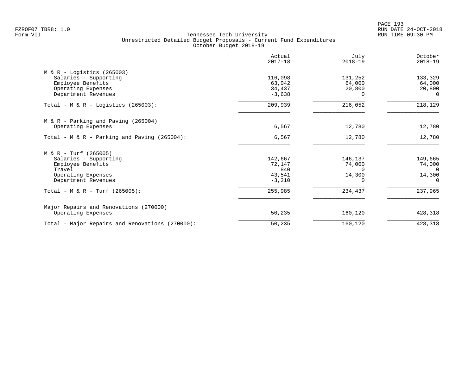PAGE 193 FZROF07 TBR8: 1.0 RUN DATE 24-OCT-2018

|                                                 | Actual<br>$2017 - 18$ | July<br>$2018 - 19$ | October<br>$2018 - 19$ |
|-------------------------------------------------|-----------------------|---------------------|------------------------|
| $M & R -$ Logistics (265003)                    |                       |                     |                        |
| Salaries - Supporting                           | 116,098               | 131,252             | 133,329                |
| Employee Benefits                               | 63,042                | 64,000              | 64,000                 |
| Operating Expenses                              | 34,437                | 20,800              | 20,800                 |
| Department Revenues                             | $-3,638$              | $\Omega$            | $\Omega$               |
| Total - M & R - Logistics (265003):             | 209,939               | 216,052             | 218,129                |
| $M & R$ - Parking and Paving (265004)           |                       |                     |                        |
| Operating Expenses                              | 6,567                 | 12,780              | 12,780                 |
| Total - M & R - Parking and Paving (265004):    | 6,567                 | 12,780              | 12,780                 |
| $M & R - Turf (265005)$                         |                       |                     |                        |
| Salaries - Supporting                           | 142,667               | 146,137             | 149,665                |
| Employee Benefits                               | 72,147                | 74,000              | 74,000                 |
| Travel                                          | 840                   | $\Omega$            | $\Omega$               |
| Operating Expenses                              | 43,541                | 14,300              | 14,300                 |
| Department Revenues                             | $-3,210$              | $\Omega$            | 0                      |
| Total - M & R - Turf (265005):                  | 255,985               | 234,437             | 237,965                |
| Major Repairs and Renovations (270000)          |                       |                     |                        |
| Operating Expenses                              | 50,235                | 160,120             | 428,318                |
| Total - Major Repairs and Renovations (270000): | 50,235                | 160,120             | 428,318                |
|                                                 |                       |                     |                        |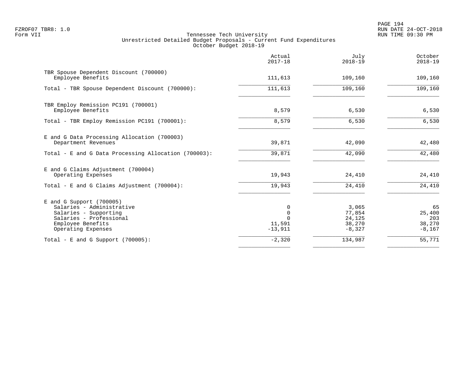PAGE 194 FZROF07 TBR8: 1.0 RUN DATE 24-OCT-2018

|                                                                                                                                                        | Actual<br>$2017 - 18$                   | July<br>$2018 - 19$                             | October<br>$2018 - 19$                    |
|--------------------------------------------------------------------------------------------------------------------------------------------------------|-----------------------------------------|-------------------------------------------------|-------------------------------------------|
| TBR Spouse Dependent Discount (700000)<br>Employee Benefits                                                                                            | 111,613                                 | 109,160                                         | 109,160                                   |
| Total - TBR Spouse Dependent Discount (700000):                                                                                                        | 111,613                                 | 109,160                                         | 109,160                                   |
| TBR Employ Remission PC191 (700001)<br>Employee Benefits                                                                                               | 8,579                                   | 6,530                                           | 6,530                                     |
| Total - TBR Employ Remission PC191 (700001):                                                                                                           | 8,579                                   | 6,530                                           | 6,530                                     |
| E and G Data Processing Allocation (700003)<br>Department Revenues                                                                                     | 39,871                                  | 42,090                                          | 42,480                                    |
| Total - E and G Data Processing Allocation (700003):                                                                                                   | 39,871                                  | 42,090                                          | 42,480                                    |
| E and G Claims Adjustment (700004)<br>Operating Expenses                                                                                               | 19,943                                  | 24,410                                          | 24,410                                    |
| Total - E and G Claims Adjustment $(700004)$ :                                                                                                         | 19,943                                  | 24,410                                          | 24,410                                    |
| $E$ and G Support (700005)<br>Salaries - Administrative<br>Salaries - Supporting<br>Salaries - Professional<br>Employee Benefits<br>Operating Expenses | 0<br>$\mathbf 0$<br>11,591<br>$-13,911$ | 3,065<br>77,854<br>24,125<br>38,270<br>$-8,327$ | 65<br>25,400<br>203<br>38,270<br>$-8,167$ |
| Total - E and G Support $(700005)$ :                                                                                                                   | $-2,320$                                | 134,987                                         | $\overline{55,771}$                       |
|                                                                                                                                                        |                                         |                                                 |                                           |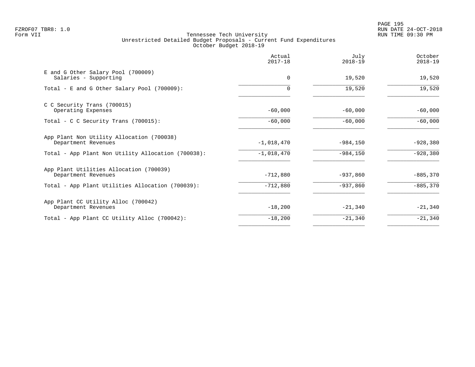|                                                                  | Actual<br>$2017 - 18$ | July<br>$2018 - 19$ | October<br>$2018 - 19$ |
|------------------------------------------------------------------|-----------------------|---------------------|------------------------|
| E and G Other Salary Pool (700009)<br>Salaries - Supporting      | 0                     | 19,520              | 19,520                 |
| Total - E and G Other Salary Pool (700009):                      | $\Omega$              | 19,520              | 19,520                 |
| C C Security Trans (700015)<br>Operating Expenses                | $-60,000$             | $-60,000$           | $-60,000$              |
| Total - C C Security Trans $(700015)$ :                          | $-60,000$             | $-60,000$           | $-60,000$              |
| App Plant Non Utility Allocation (700038)<br>Department Revenues | $-1,018,470$          | $-984,150$          | $-928,380$             |
| Total - App Plant Non Utility Allocation (700038):               | $-1,018,470$          | $-984, 150$         | $-928,380$             |
| App Plant Utilities Allocation (700039)<br>Department Revenues   | $-712,880$            | $-937,860$          | $-885,370$             |
| Total - App Plant Utilities Allocation (700039):                 | $-712,880$            | $-937,860$          | $-885,370$             |
| App Plant CC Utility Alloc (700042)<br>Department Revenues       | $-18,200$             | $-21,340$           | $-21,340$              |
| Total - App Plant CC Utility Alloc (700042):                     | $-18,200$             | $-21,340$           | $-21,340$              |
|                                                                  |                       |                     |                        |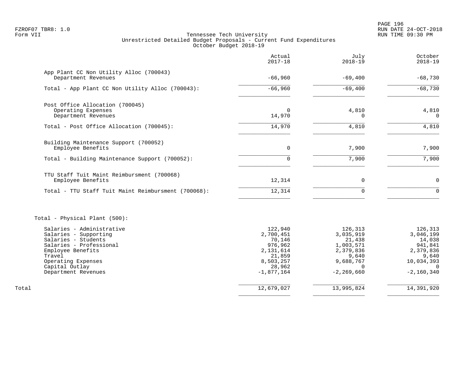PAGE 196 FZROF07 TBR8: 1.0 RUN DATE 24-OCT-2018

|                                                     | Actual<br>$2017 - 18$  | July<br>$2018 - 19$        | October<br>$2018 - 19$   |
|-----------------------------------------------------|------------------------|----------------------------|--------------------------|
| App Plant CC Non Utility Alloc (700043)             |                        |                            |                          |
| Department Revenues                                 | $-66,960$              | $-69,400$                  | $-68,730$                |
| Total - App Plant CC Non Utility Alloc (700043):    | $-66,960$              | $-69,400$                  | $-68,730$                |
| Post Office Allocation (700045)                     |                        |                            |                          |
| Operating Expenses<br>Department Revenues           | 0<br>14,970            | 4,810<br>$\Omega$          | 4,810<br>$\Omega$        |
|                                                     |                        |                            |                          |
| Total - Post Office Allocation (700045):            | 14,970                 | 4,810                      | 4,810                    |
| Building Maintenance Support (700052)               |                        |                            |                          |
| Employee Benefits                                   | $\mathbf 0$            | 7,900                      | 7,900                    |
| Total - Building Maintenance Support (700052):      | $\Omega$               | 7,900                      | 7,900                    |
| TTU Staff Tuit Maint Reimbursment (700068)          |                        |                            |                          |
| Employee Benefits                                   | 12,314                 | 0                          | $\mathbf 0$              |
| Total - TTU Staff Tuit Maint Reimbursment (700068): | 12,314                 | $\Omega$                   | $\Omega$                 |
| Total - Physical Plant (500):                       |                        |                            |                          |
| Salaries - Administrative                           | 122,940                | 126,313                    | 126,313                  |
| Salaries - Supporting                               | 2,700,451              | 3,035,919                  | 3,046,199                |
| Salaries - Students<br>Salaries - Professional      | 70,146<br>976,962      | 21,438<br>1,003,571        | 14,038<br>941,841        |
| Employee Benefits                                   | 2,131,614              | 2,379,836                  | 2,379,836                |
| Travel                                              | 21,859                 | 9,640                      | 9,640                    |
| Operating Expenses                                  | 8,503,257              | 9,688,767                  | 10,034,393               |
| Capital Outlay<br>Department Revenues               | 28,962<br>$-1,877,164$ | $\Omega$<br>$-2, 269, 660$ | $\Omega$<br>$-2,160,340$ |
| Total                                               | 12,679,027             | 13,995,824                 | 14,391,920               |
|                                                     |                        |                            |                          |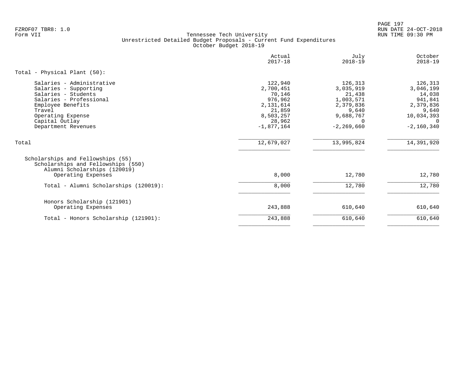PAGE 197 FZROF07 TBR8: 1.0 RUN DATE 24-OCT-2018

|                                                                                                                                                                                                   | Actual<br>$2017 - 18$                                                                                   | July<br>$2018 - 19$                                                                                          | October<br>$2018 - 19$                                                                             |
|---------------------------------------------------------------------------------------------------------------------------------------------------------------------------------------------------|---------------------------------------------------------------------------------------------------------|--------------------------------------------------------------------------------------------------------------|----------------------------------------------------------------------------------------------------|
| Total - Physical Plant (50):                                                                                                                                                                      |                                                                                                         |                                                                                                              |                                                                                                    |
| Salaries - Administrative<br>Salaries - Supporting<br>Salaries - Students<br>Salaries - Professional<br>Employee Benefits<br>Travel<br>Operating Expense<br>Capital Outlay<br>Department Revenues | 122,940<br>2,700,451<br>70,146<br>976,962<br>2,131,614<br>21,859<br>8,503,257<br>28,962<br>$-1,877,164$ | 126,313<br>3,035,919<br>21,438<br>1,003,571<br>2,379,836<br>9,640<br>9,688,767<br>$\Omega$<br>$-2, 269, 660$ | 126,313<br>3,046,199<br>14,038<br>941,841<br>2,379,836<br>9,640<br>10,034,393<br>0<br>$-2,160,340$ |
| Total                                                                                                                                                                                             | 12,679,027                                                                                              | 13,995,824                                                                                                   | 14,391,920                                                                                         |
| Scholarships and Fellowships (55)<br>Scholarships and Fellowships (550)<br>Alumni Scholarships (120019)<br>Operating Expenses                                                                     | 8,000                                                                                                   | 12,780                                                                                                       | 12,780                                                                                             |
| Total - Alumni Scholarships (120019):                                                                                                                                                             | 8,000                                                                                                   | 12,780                                                                                                       | 12,780                                                                                             |
| Honors Scholarship (121901)<br>Operating Expenses                                                                                                                                                 | 243,888                                                                                                 | 610,640                                                                                                      | 610,640                                                                                            |
| Total - Honors Scholarship (121901):                                                                                                                                                              | 243,888                                                                                                 | 610,640                                                                                                      | 610,640                                                                                            |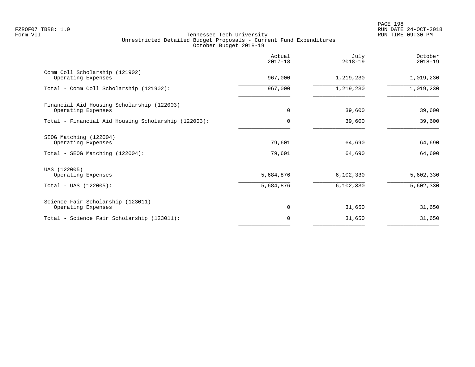PAGE 198 FZROF07 TBR8: 1.0 RUN DATE 24-OCT-2018

|                                                                                 | Actual<br>$2017 - 18$ | July<br>$2018 - 19$ | October<br>$2018 - 19$ |
|---------------------------------------------------------------------------------|-----------------------|---------------------|------------------------|
| Comm Coll Scholarship (121902)<br>Operating Expenses                            | 967,000               | 1,219,230           | 1,019,230              |
| Total - Comm Coll Scholarship (121902):                                         | 967,000               | 1,219,230           | 1,019,230              |
| Financial Aid Housing Scholarship (122003)<br>Operating Expenses                | $\mathbf 0$           | 39,600              | 39,600                 |
| Total - Financial Aid Housing Scholarship (122003):                             | $\Omega$              | 39,600              | 39,600                 |
| SEOG Matching (122004)<br>Operating Expenses<br>Total - SEOG Matching (122004): | 79,601<br>79,601      | 64,690<br>64,690    | 64,690<br>64,690       |
| UAS (122005)<br>Operating Expenses                                              | 5,684,876             | 6,102,330           | 5,602,330              |
| $Total - UAS (122005):$                                                         | 5,684,876             | 6,102,330           | 5,602,330              |
| Science Fair Scholarship (123011)<br>Operating Expenses                         | $\mathbf 0$           | 31,650              | 31,650                 |
| Total - Science Fair Scholarship (123011):                                      | 0                     | 31,650              | 31,650                 |
|                                                                                 |                       |                     |                        |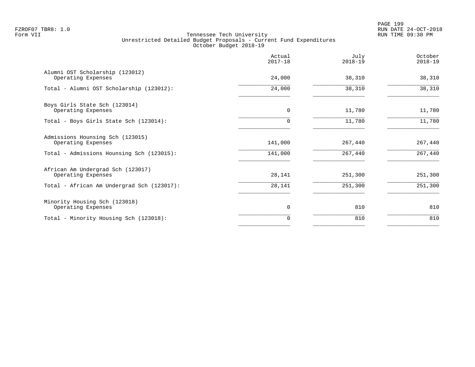PAGE 199 FZROF07 TBR8: 1.0 RUN DATE 24-OCT-2018

|                                                         | Actual<br>$2017 - 18$ | July<br>$2018 - 19$ | October<br>$2018 - 19$ |
|---------------------------------------------------------|-----------------------|---------------------|------------------------|
| Alumni OST Scholarship (123012)<br>Operating Expenses   | 24,000                | 38,310              | 38,310                 |
| Total - Alumni OST Scholarship (123012):                | 24,000                | 38,310              | 38,310                 |
| Boys Girls State Sch (123014)<br>Operating Expenses     | 0                     | 11,780              | 11,780                 |
| Total - Boys Girls State Sch (123014):                  | 0                     | 11,780              | 11,780                 |
| Admissions Hounsing Sch (123015)<br>Operating Expenses  | 141,000               | 267,440             | 267,440                |
| Total - Admissions Hounsing Sch (123015):               | 141,000               | 267,440             | 267,440                |
| African Am Undergrad Sch (123017)<br>Operating Expenses | 28,141                | 251,300             | 251,300                |
| Total - African Am Undergrad Sch (123017):              | 28,141                | 251,300             | 251,300                |
| Minority Housing Sch (123018)<br>Operating Expenses     | 0                     | 810                 | 810                    |
| Total - Minority Housing Sch (123018):                  | 0                     | 810                 | 810                    |
|                                                         |                       |                     |                        |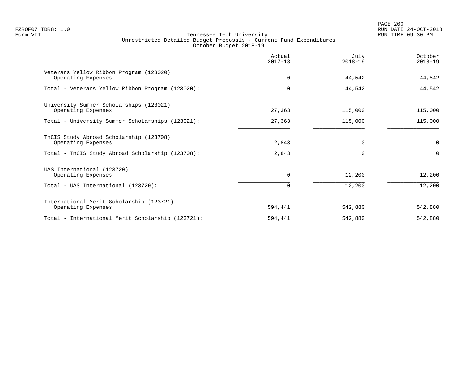PAGE 200 FZROF07 TBR8: 1.0 RUN DATE 24-OCT-2018

|                                                                | Actual<br>$2017 - 18$ | July<br>$2018 - 19$ | October<br>$2018 - 19$ |
|----------------------------------------------------------------|-----------------------|---------------------|------------------------|
| Veterans Yellow Ribbon Program (123020)<br>Operating Expenses  | $\Omega$              | 44,542              | 44,542                 |
| Total - Veterans Yellow Ribbon Program (123020):               |                       | 44,542              | 44,542                 |
| University Summer Scholarships (123021)<br>Operating Expenses  | 27,363                | 115,000             | 115,000                |
| Total - University Summer Scholarships (123021):               | 27,363                | 115,000             | 115,000                |
| TnCIS Study Abroad Scholarship (123708)<br>Operating Expenses  | 2,843                 | $\Omega$            | $\mathbf 0$            |
| Total - TnCIS Study Abroad Scholarship (123708):               | 2,843                 |                     | $\Omega$               |
| UAS International (123720)<br>Operating Expenses               | $\Omega$              | 12,200              | 12,200                 |
| Total - UAS International (123720):                            |                       | 12,200              | 12,200                 |
| International Merit Scholarship (123721)<br>Operating Expenses | 594,441               | 542,880             | 542,880                |
| Total - International Merit Scholarship (123721):              | 594,441               | 542,880             | 542,880                |
|                                                                |                       |                     |                        |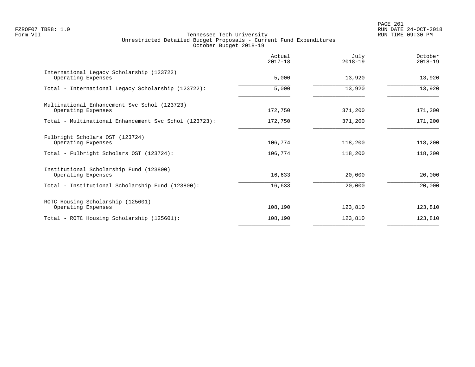PAGE 201 FZROF07 TBR8: 1.0 RUN DATE 24-OCT-2018

|                                                                    | Actual<br>$2017 - 18$ | July<br>$2018 - 19$ | October<br>$2018 - 19$ |
|--------------------------------------------------------------------|-----------------------|---------------------|------------------------|
| International Legacy Scholarship (123722)<br>Operating Expenses    | 5,000                 | 13,920              | 13,920                 |
| Total - International Legacy Scholarship (123722):                 | 5,000                 | 13,920              | 13,920                 |
| Multinational Enhancement Svc Schol (123723)<br>Operating Expenses | 172,750               | 371,200             | 171,200                |
| Total - Multinational Enhancement Svc Schol (123723):              | 172,750               | 371,200             | 171,200                |
| Fulbright Scholars OST (123724)<br>Operating Expenses              | 106,774               | 118,200             | 118,200                |
| Total - Fulbright Scholars OST (123724):                           | 106,774               | 118,200             | 118,200                |
| Institutional Scholarship Fund (123800)<br>Operating Expenses      | 16,633                | 20,000              | 20,000                 |
| Total - Institutional Scholarship Fund (123800):                   | 16,633                | 20,000              | 20,000                 |
| ROTC Housing Scholarship (125601)<br>Operating Expenses            | 108,190               | 123,810             | 123,810                |
| Total - ROTC Housing Scholarship (125601):                         | 108,190               | 123,810             | 123,810                |
|                                                                    |                       |                     |                        |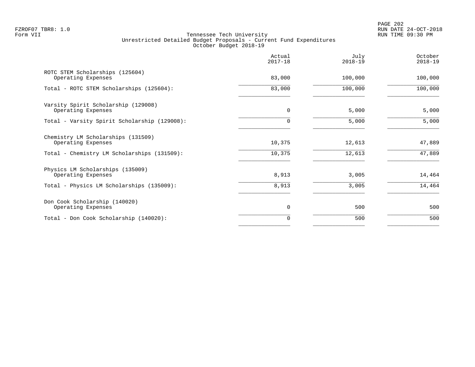|                                                           | Actual<br>$2017 - 18$ | July<br>$2018 - 19$ | October<br>$2018 - 19$ |
|-----------------------------------------------------------|-----------------------|---------------------|------------------------|
| ROTC STEM Scholarships (125604)<br>Operating Expenses     | 83,000                | 100,000             | 100,000                |
| Total - ROTC STEM Scholarships (125604):                  | 83,000                | 100,000             | 100,000                |
| Varsity Spirit Scholarship (129008)<br>Operating Expenses | 0                     | 5,000               | 5,000                  |
| Total - Varsity Spirit Scholarship (129008):              | 0                     | 5,000               | 5,000                  |
| Chemistry LM Scholarships (131509)<br>Operating Expenses  | 10,375                | 12,613              | 47,889                 |
| Total - Chemistry LM Scholarships (131509):               | 10,375                | 12,613              | 47,889                 |
| Physics LM Scholarships (135009)<br>Operating Expenses    | 8,913                 | 3,005               | 14,464                 |
| Total - Physics LM Scholarships (135009):                 | 8,913                 | 3,005               | 14,464                 |
| Don Cook Scholarship (140020)<br>Operating Expenses       | 0                     | 500                 | 500                    |
| Total - Don Cook Scholarship (140020):                    | 0                     | 500                 | 500                    |
|                                                           |                       |                     |                        |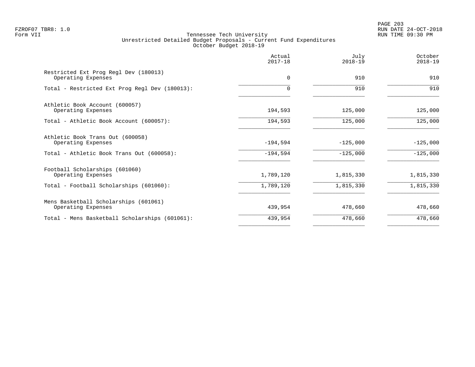PAGE 203 FZROF07 TBR8: 1.0 RUN DATE 24-OCT-2018

|                                                             | Actual<br>$2017 - 18$ | July<br>$2018 - 19$ | October<br>$2018 - 19$ |
|-------------------------------------------------------------|-----------------------|---------------------|------------------------|
| Restricted Ext Prog Regl Dev (180013)<br>Operating Expenses | $\mathbf 0$           | 910                 | 910                    |
| Total - Restricted Ext Prog Regl Dev (180013):              | O                     | 910                 | 910                    |
| Athletic Book Account (600057)<br>Operating Expenses        | 194,593               | 125,000             | 125,000                |
| Total - Athletic Book Account (600057):                     | 194,593               | 125,000             | 125,000                |
| Athletic Book Trans Out (600058)<br>Operating Expenses      | $-194,594$            | $-125,000$          | $-125,000$             |
| Total - Athletic Book Trans Out (600058):                   | $-194,594$            | $-125,000$          | $-125,000$             |
| Football Scholarships (601060)<br>Operating Expenses        | 1,789,120             | 1,815,330           | 1,815,330              |
| Total - Football Scholarships (601060):                     | 1,789,120             | 1,815,330           | 1,815,330              |
| Mens Basketball Scholarships (601061)<br>Operating Expenses | 439,954               | 478,660             | 478,660                |
| Total - Mens Basketball Scholarships (601061):              | 439,954               | 478,660             | 478,660                |
|                                                             |                       |                     |                        |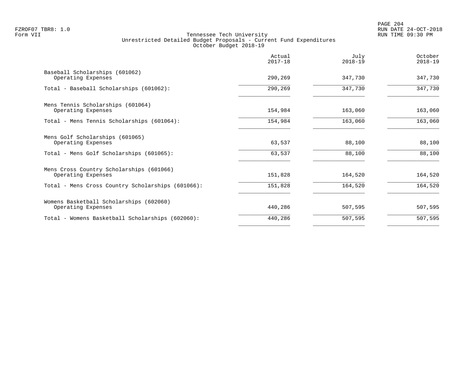|                                                                | Actual<br>$2017 - 18$ | July<br>$2018 - 19$ | October<br>$2018 - 19$ |
|----------------------------------------------------------------|-----------------------|---------------------|------------------------|
| Baseball Scholarships (601062)<br>Operating Expenses           | 290,269               | 347,730             | 347,730                |
| Total - Baseball Scholarships (601062):                        | 290,269               | 347,730             | 347,730                |
| Mens Tennis Scholarships (601064)<br>Operating Expenses        | 154,984               | 163,060             | 163,060                |
| Total - Mens Tennis Scholarships (601064):                     | 154,984               | 163,060             | 163,060                |
| Mens Golf Scholarships (601065)<br>Operating Expenses          | 63,537                | 88,100              | 88,100                 |
| Total - Mens Golf Scholarships (601065):                       | 63,537                | 88,100              | 88,100                 |
| Mens Cross Country Scholarships (601066)<br>Operating Expenses | 151,828               | 164,520             | 164,520                |
| Total - Mens Cross Country Scholarships (601066):              | 151,828               | 164,520             | 164,520                |
| Womens Basketball Scholarships (602060)<br>Operating Expenses  | 440,286               | 507,595             | 507,595                |
| Total - Womens Basketball Scholarships (602060):               | 440,286               | 507,595             | 507,595                |
|                                                                |                       |                     |                        |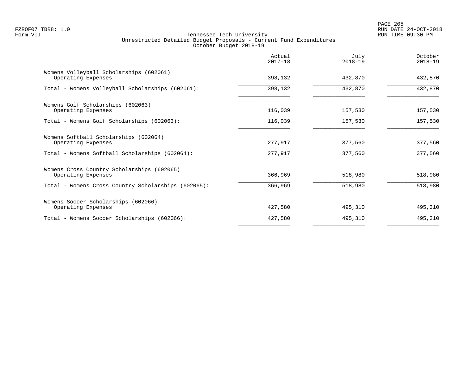PAGE 205 FZROF07 TBR8: 1.0 RUN DATE 24-OCT-2018

|                                                                  | Actual<br>$2017 - 18$ | July<br>$2018 - 19$ | October<br>$2018 - 19$ |
|------------------------------------------------------------------|-----------------------|---------------------|------------------------|
| Womens Volleyball Scholarships (602061)<br>Operating Expenses    | 398,132               | 432,870             | 432,870                |
| Total - Womens Volleyball Scholarships (602061):                 | 398,132               | 432,870             | 432,870                |
| Womens Golf Scholarships (602063)<br>Operating Expenses          | 116,039               | 157,530             | 157,530                |
| Total - Womens Golf Scholarships (602063):                       | 116,039               | 157,530             | 157,530                |
| Womens Softball Scholarships (602064)<br>Operating Expenses      | 277,917               | 377,560             | 377,560                |
| Total - Womens Softball Scholarships (602064):                   | 277,917               | 377,560             | 377,560                |
| Womens Cross Country Scholarships (602065)<br>Operating Expenses | 366,969               | 518,980             | 518,980                |
| Total - Womens Cross Country Scholarships (602065):              | 366,969               | 518,980             | 518,980                |
| Womens Soccer Scholarships (602066)<br>Operating Expenses        | 427,580               | 495,310             | 495,310                |
| Total - Womens Soccer Scholarships (602066):                     | 427,580               | 495,310             | 495,310                |
|                                                                  |                       |                     |                        |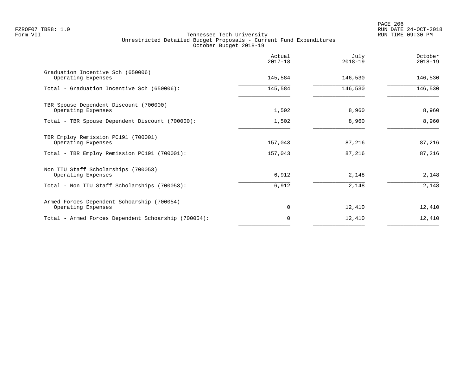|                                                                  | Actual<br>$2017 - 18$ | July<br>$2018 - 19$ | October<br>$2018 - 19$ |
|------------------------------------------------------------------|-----------------------|---------------------|------------------------|
| Graduation Incentive Sch (650006)<br>Operating Expenses          | 145,584               | 146,530             | 146,530                |
| Total - Graduation Incentive Sch (650006):                       | 145,584               | 146,530             | 146,530                |
| TBR Spouse Dependent Discount (700000)<br>Operating Expenses     | 1,502                 | 8,960               | 8,960                  |
| Total - TBR Spouse Dependent Discount (700000):                  | 1,502                 | 8,960               | 8,960                  |
| TBR Employ Remission PC191 (700001)<br>Operating Expenses        | 157,043               | 87,216              | 87,216                 |
| Total - TBR Employ Remission PC191 (700001):                     | 157,043               | 87,216              | 87,216                 |
| Non TTU Staff Scholarships (700053)<br>Operating Expenses        | 6,912                 | 2,148               | 2,148                  |
| Total - Non TTU Staff Scholarships (700053):                     | 6,912                 | 2,148               | 2,148                  |
| Armed Forces Dependent Schoarship (700054)<br>Operating Expenses | $\Omega$              | 12,410              | 12,410                 |
| Total - Armed Forces Dependent Schoarship (700054):              |                       | 12,410              | 12,410                 |
|                                                                  |                       |                     |                        |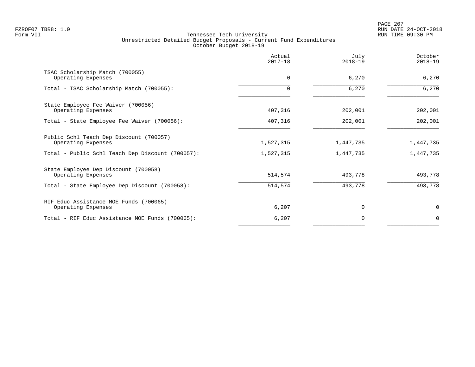PAGE 207 FZROF07 TBR8: 1.0 RUN DATE 24-OCT-2018

|                                                               | Actual<br>$2017 - 18$ | July<br>$2018 - 19$ | October<br>$2018 - 19$ |
|---------------------------------------------------------------|-----------------------|---------------------|------------------------|
| TSAC Scholarship Match (700055)<br>Operating Expenses         | $\mathbf 0$           | 6,270               | 6,270                  |
| Total - TSAC Scholarship Match (700055):                      |                       | 6,270               | 6,270                  |
| State Employee Fee Waiver (700056)<br>Operating Expenses      | 407,316               | 202,001             | 202,001                |
| Total - State Employee Fee Waiver (700056):                   | 407,316               | 202,001             | 202,001                |
| Public Schl Teach Dep Discount (700057)<br>Operating Expenses | 1,527,315             | 1,447,735           | 1,447,735              |
| Total - Public Schl Teach Dep Discount (700057):              | 1,527,315             | 1,447,735           | 1,447,735              |
| State Employee Dep Discount (700058)<br>Operating Expenses    | 514,574               | 493,778             | 493,778                |
| Total - State Employee Dep Discount (700058):                 | 514,574               | 493,778             | 493,778                |
| RIF Educ Assistance MOE Funds (700065)<br>Operating Expenses  | 6,207                 | $\Omega$            | 0                      |
| Total - RIF Educ Assistance MOE Funds (700065):               | 6,207                 | 0                   | $\Omega$               |
|                                                               |                       |                     |                        |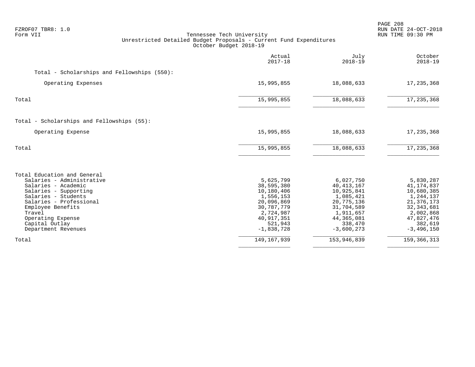| FZROF07 TBR8: 1.0<br>Form VII<br>Tennessee Tech University<br>Unrestricted Detailed Budget Proposals - Current Fund Expenditures<br>October Budget 2018-19                                                                                              |                                                                                                                                        |                                                                                                                                          | PAGE 208<br>RUN DATE 24-OCT-2018<br>RUN TIME 09:30 PM                                                                                    |  |
|---------------------------------------------------------------------------------------------------------------------------------------------------------------------------------------------------------------------------------------------------------|----------------------------------------------------------------------------------------------------------------------------------------|------------------------------------------------------------------------------------------------------------------------------------------|------------------------------------------------------------------------------------------------------------------------------------------|--|
|                                                                                                                                                                                                                                                         | Actual<br>$2017 - 18$                                                                                                                  | July<br>$2018 - 19$                                                                                                                      | October<br>$2018 - 19$                                                                                                                   |  |
| Total - Scholarships and Fellowships (550):                                                                                                                                                                                                             |                                                                                                                                        |                                                                                                                                          |                                                                                                                                          |  |
| Operating Expenses                                                                                                                                                                                                                                      | 15,995,855                                                                                                                             | 18,088,633                                                                                                                               | 17, 235, 368                                                                                                                             |  |
| Total                                                                                                                                                                                                                                                   | 15,995,855                                                                                                                             | 18,088,633                                                                                                                               | 17, 235, 368                                                                                                                             |  |
| Total - Scholarships and Fellowships (55):                                                                                                                                                                                                              |                                                                                                                                        |                                                                                                                                          |                                                                                                                                          |  |
| Operating Expense                                                                                                                                                                                                                                       | 15,995,855                                                                                                                             | 18,088,633                                                                                                                               | 17, 235, 368                                                                                                                             |  |
| Total                                                                                                                                                                                                                                                   | 15,995,855                                                                                                                             | 18,088,633                                                                                                                               | 17,235,368                                                                                                                               |  |
| Total Education and General<br>Salaries - Administrative<br>Salaries - Academic<br>Salaries - Supporting<br>Salaries - Students<br>Salaries - Professional<br>Employee Benefits<br>Travel<br>Operating Expense<br>Capital Outlay<br>Department Revenues | 5,625,799<br>38,595,380<br>10,180,406<br>1,556,153<br>20,096,869<br>30,787,779<br>2,724,987<br>40, 917, 351<br>521,943<br>$-1,838,728$ | 6,027,750<br>40, 413, 167<br>10,925,841<br>1,085,421<br>20,775,136<br>31,704,589<br>1,911,657<br>44, 365, 081<br>338,470<br>$-3,600,273$ | 5,830,287<br>41,174,837<br>10,680,385<br>1,244,137<br>21, 376, 173<br>32, 343, 681<br>2,002,868<br>47,827,476<br>382,619<br>$-3,496,150$ |  |
| Total                                                                                                                                                                                                                                                   | 149, 167, 939                                                                                                                          | 153,946,839                                                                                                                              | 159, 366, 313                                                                                                                            |  |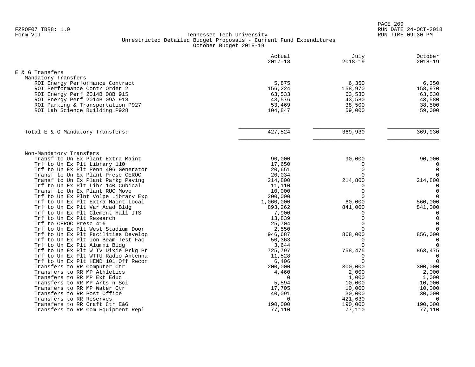| E & G Transfers<br>Mandatory Transfers<br>5,875<br>6,350<br>6,350<br>ROI Energy Performance Contract<br>156,224<br>158,970<br>158,970<br>ROI Performance Contr Order 2<br>63,533<br>63,530<br>63,530<br>ROI Energy Perf 2014B 08B 915<br>ROI Energy Perf 2014B 09A 918<br>43,576<br>43,580<br>43,580<br>ROI Parking & Transportation P927<br>53,469<br>38,500<br>38,500<br>ROI Lab Science Building P928<br>104,847<br>59,000<br>59,000<br>427,524<br>369,930<br>Total E & G Mandatory Transfers:<br>369,930<br>Non-Mandatory Transfers<br>Transf to Un Ex Plant Extra Maint<br>90,000<br>90,000<br>90,000<br>17,650<br>Trf to Un Ex Plt Library 110<br>$\mathbf 0$<br>0<br>$\Omega$<br>$\mathbf 0$<br>Trf to Un Ex Plt Penn 406 Generator<br>20,651<br>Transf to Un Ex Plant Presc CEROC<br>$\Omega$<br>20,034<br>$\Omega$<br>Transf to Un Ex Plant Parkg Paving<br>214,800<br>214,800<br>214,800<br>Trf to Un Ex Plt Libr 140 Cubical<br>11,110<br>$\Omega$<br>$\Omega$<br>$\Omega$<br>$\overline{0}$<br>Transf to Un Ex Plant RUC Move<br>10,000<br>200,000<br>Trf to Un Ex Plnt Volpe Library Exp<br>$\Omega$<br>$\overline{0}$<br>60,000<br>560,000<br>Trf to Un Ex Plt Extra Maint Local<br>1,060,000<br>Trf to Un Ex Plt Var Acad Bldg<br>893,262<br>841,000<br>841,000<br>Trf to Un Ex Plt Clement Hall ITS<br>7,900<br>$\mathbf 0$<br>0<br>$\mathbf 0$<br>Trf to Un Ex Plt Research<br>13,839<br>$\Omega$<br>$\Omega$<br>$\Omega$<br>Trf to CEROC Presc 416<br>25,704<br>$\Omega$<br>Trf to Un Ex Plt West Stadium Door<br>2,550<br>$\Omega$<br>856,000<br>868,000<br>Trf to Un Ex Plt Facilities Develop<br>946,687<br>Trf to Un Ex Plt Ion Beam Test Fac<br>50,363<br>$\mathbf 0$<br>$\mathbf 0$<br>Trf to Un Ex Plt Alumni Bldg<br>3,644<br>$\Omega$<br>$\Omega$<br>Trf to Un Ex Plt W TV Dixie Prkg Pr<br>725,797<br>863,475<br>758,475<br>Trf to Un Ex Plt WTTU Radio Antenna<br>11,528<br>$\mathbf 0$<br>$\Omega$<br>$\overline{0}$<br>$\Omega$<br>Trf to Un Ex Plt HEND 101 Off Recon<br>6,406<br>Transfers to RR Computer Ctr<br>200,000<br>300,000<br>300,000<br>Transfers to RR MP Athletics<br>4,460<br>2,000<br>2,000<br>Transfers to RR MP Ext Educ<br>$\Omega$<br>1,000<br>1,000<br>Transfers to RR MP Arts n Sci<br>5,594<br>10,000<br>10,000<br>Transfers to RR MP Water Ctr<br>17,705<br>10,000<br>10,000<br>40,091<br>30,000<br>Transfers to RR Post Office<br>30,000<br>Transfers to RR Reserves<br>$\Omega$<br>421,630<br>$\Omega$<br>Transfers to RR Craft Ctr E&G<br>190,000<br>190,000<br>190,000<br>Transfers to RR Com Equipment Repl<br>77,110<br>77,110<br>77,110 | Actual<br>$2017 - 18$ | July<br>$2018 - 19$ | October<br>$2018 - 19$ |
|-------------------------------------------------------------------------------------------------------------------------------------------------------------------------------------------------------------------------------------------------------------------------------------------------------------------------------------------------------------------------------------------------------------------------------------------------------------------------------------------------------------------------------------------------------------------------------------------------------------------------------------------------------------------------------------------------------------------------------------------------------------------------------------------------------------------------------------------------------------------------------------------------------------------------------------------------------------------------------------------------------------------------------------------------------------------------------------------------------------------------------------------------------------------------------------------------------------------------------------------------------------------------------------------------------------------------------------------------------------------------------------------------------------------------------------------------------------------------------------------------------------------------------------------------------------------------------------------------------------------------------------------------------------------------------------------------------------------------------------------------------------------------------------------------------------------------------------------------------------------------------------------------------------------------------------------------------------------------------------------------------------------------------------------------------------------------------------------------------------------------------------------------------------------------------------------------------------------------------------------------------------------------------------------------------------------------------------------------------------------------------------------------------------------------------------------------------------------------------------------------------------------------------------------------------------------------------------------------------|-----------------------|---------------------|------------------------|
|                                                                                                                                                                                                                                                                                                                                                                                                                                                                                                                                                                                                                                                                                                                                                                                                                                                                                                                                                                                                                                                                                                                                                                                                                                                                                                                                                                                                                                                                                                                                                                                                                                                                                                                                                                                                                                                                                                                                                                                                                                                                                                                                                                                                                                                                                                                                                                                                                                                                                                                                                                                                       |                       |                     |                        |
|                                                                                                                                                                                                                                                                                                                                                                                                                                                                                                                                                                                                                                                                                                                                                                                                                                                                                                                                                                                                                                                                                                                                                                                                                                                                                                                                                                                                                                                                                                                                                                                                                                                                                                                                                                                                                                                                                                                                                                                                                                                                                                                                                                                                                                                                                                                                                                                                                                                                                                                                                                                                       |                       |                     |                        |
|                                                                                                                                                                                                                                                                                                                                                                                                                                                                                                                                                                                                                                                                                                                                                                                                                                                                                                                                                                                                                                                                                                                                                                                                                                                                                                                                                                                                                                                                                                                                                                                                                                                                                                                                                                                                                                                                                                                                                                                                                                                                                                                                                                                                                                                                                                                                                                                                                                                                                                                                                                                                       |                       |                     |                        |
|                                                                                                                                                                                                                                                                                                                                                                                                                                                                                                                                                                                                                                                                                                                                                                                                                                                                                                                                                                                                                                                                                                                                                                                                                                                                                                                                                                                                                                                                                                                                                                                                                                                                                                                                                                                                                                                                                                                                                                                                                                                                                                                                                                                                                                                                                                                                                                                                                                                                                                                                                                                                       |                       |                     |                        |
|                                                                                                                                                                                                                                                                                                                                                                                                                                                                                                                                                                                                                                                                                                                                                                                                                                                                                                                                                                                                                                                                                                                                                                                                                                                                                                                                                                                                                                                                                                                                                                                                                                                                                                                                                                                                                                                                                                                                                                                                                                                                                                                                                                                                                                                                                                                                                                                                                                                                                                                                                                                                       |                       |                     |                        |
|                                                                                                                                                                                                                                                                                                                                                                                                                                                                                                                                                                                                                                                                                                                                                                                                                                                                                                                                                                                                                                                                                                                                                                                                                                                                                                                                                                                                                                                                                                                                                                                                                                                                                                                                                                                                                                                                                                                                                                                                                                                                                                                                                                                                                                                                                                                                                                                                                                                                                                                                                                                                       |                       |                     |                        |
|                                                                                                                                                                                                                                                                                                                                                                                                                                                                                                                                                                                                                                                                                                                                                                                                                                                                                                                                                                                                                                                                                                                                                                                                                                                                                                                                                                                                                                                                                                                                                                                                                                                                                                                                                                                                                                                                                                                                                                                                                                                                                                                                                                                                                                                                                                                                                                                                                                                                                                                                                                                                       |                       |                     |                        |
|                                                                                                                                                                                                                                                                                                                                                                                                                                                                                                                                                                                                                                                                                                                                                                                                                                                                                                                                                                                                                                                                                                                                                                                                                                                                                                                                                                                                                                                                                                                                                                                                                                                                                                                                                                                                                                                                                                                                                                                                                                                                                                                                                                                                                                                                                                                                                                                                                                                                                                                                                                                                       |                       |                     |                        |
|                                                                                                                                                                                                                                                                                                                                                                                                                                                                                                                                                                                                                                                                                                                                                                                                                                                                                                                                                                                                                                                                                                                                                                                                                                                                                                                                                                                                                                                                                                                                                                                                                                                                                                                                                                                                                                                                                                                                                                                                                                                                                                                                                                                                                                                                                                                                                                                                                                                                                                                                                                                                       |                       |                     |                        |
|                                                                                                                                                                                                                                                                                                                                                                                                                                                                                                                                                                                                                                                                                                                                                                                                                                                                                                                                                                                                                                                                                                                                                                                                                                                                                                                                                                                                                                                                                                                                                                                                                                                                                                                                                                                                                                                                                                                                                                                                                                                                                                                                                                                                                                                                                                                                                                                                                                                                                                                                                                                                       |                       |                     |                        |
|                                                                                                                                                                                                                                                                                                                                                                                                                                                                                                                                                                                                                                                                                                                                                                                                                                                                                                                                                                                                                                                                                                                                                                                                                                                                                                                                                                                                                                                                                                                                                                                                                                                                                                                                                                                                                                                                                                                                                                                                                                                                                                                                                                                                                                                                                                                                                                                                                                                                                                                                                                                                       |                       |                     |                        |
|                                                                                                                                                                                                                                                                                                                                                                                                                                                                                                                                                                                                                                                                                                                                                                                                                                                                                                                                                                                                                                                                                                                                                                                                                                                                                                                                                                                                                                                                                                                                                                                                                                                                                                                                                                                                                                                                                                                                                                                                                                                                                                                                                                                                                                                                                                                                                                                                                                                                                                                                                                                                       |                       |                     |                        |
|                                                                                                                                                                                                                                                                                                                                                                                                                                                                                                                                                                                                                                                                                                                                                                                                                                                                                                                                                                                                                                                                                                                                                                                                                                                                                                                                                                                                                                                                                                                                                                                                                                                                                                                                                                                                                                                                                                                                                                                                                                                                                                                                                                                                                                                                                                                                                                                                                                                                                                                                                                                                       |                       |                     |                        |
|                                                                                                                                                                                                                                                                                                                                                                                                                                                                                                                                                                                                                                                                                                                                                                                                                                                                                                                                                                                                                                                                                                                                                                                                                                                                                                                                                                                                                                                                                                                                                                                                                                                                                                                                                                                                                                                                                                                                                                                                                                                                                                                                                                                                                                                                                                                                                                                                                                                                                                                                                                                                       |                       |                     |                        |
|                                                                                                                                                                                                                                                                                                                                                                                                                                                                                                                                                                                                                                                                                                                                                                                                                                                                                                                                                                                                                                                                                                                                                                                                                                                                                                                                                                                                                                                                                                                                                                                                                                                                                                                                                                                                                                                                                                                                                                                                                                                                                                                                                                                                                                                                                                                                                                                                                                                                                                                                                                                                       |                       |                     |                        |
|                                                                                                                                                                                                                                                                                                                                                                                                                                                                                                                                                                                                                                                                                                                                                                                                                                                                                                                                                                                                                                                                                                                                                                                                                                                                                                                                                                                                                                                                                                                                                                                                                                                                                                                                                                                                                                                                                                                                                                                                                                                                                                                                                                                                                                                                                                                                                                                                                                                                                                                                                                                                       |                       |                     |                        |
|                                                                                                                                                                                                                                                                                                                                                                                                                                                                                                                                                                                                                                                                                                                                                                                                                                                                                                                                                                                                                                                                                                                                                                                                                                                                                                                                                                                                                                                                                                                                                                                                                                                                                                                                                                                                                                                                                                                                                                                                                                                                                                                                                                                                                                                                                                                                                                                                                                                                                                                                                                                                       |                       |                     |                        |
|                                                                                                                                                                                                                                                                                                                                                                                                                                                                                                                                                                                                                                                                                                                                                                                                                                                                                                                                                                                                                                                                                                                                                                                                                                                                                                                                                                                                                                                                                                                                                                                                                                                                                                                                                                                                                                                                                                                                                                                                                                                                                                                                                                                                                                                                                                                                                                                                                                                                                                                                                                                                       |                       |                     |                        |
|                                                                                                                                                                                                                                                                                                                                                                                                                                                                                                                                                                                                                                                                                                                                                                                                                                                                                                                                                                                                                                                                                                                                                                                                                                                                                                                                                                                                                                                                                                                                                                                                                                                                                                                                                                                                                                                                                                                                                                                                                                                                                                                                                                                                                                                                                                                                                                                                                                                                                                                                                                                                       |                       |                     |                        |
|                                                                                                                                                                                                                                                                                                                                                                                                                                                                                                                                                                                                                                                                                                                                                                                                                                                                                                                                                                                                                                                                                                                                                                                                                                                                                                                                                                                                                                                                                                                                                                                                                                                                                                                                                                                                                                                                                                                                                                                                                                                                                                                                                                                                                                                                                                                                                                                                                                                                                                                                                                                                       |                       |                     |                        |
|                                                                                                                                                                                                                                                                                                                                                                                                                                                                                                                                                                                                                                                                                                                                                                                                                                                                                                                                                                                                                                                                                                                                                                                                                                                                                                                                                                                                                                                                                                                                                                                                                                                                                                                                                                                                                                                                                                                                                                                                                                                                                                                                                                                                                                                                                                                                                                                                                                                                                                                                                                                                       |                       |                     |                        |
|                                                                                                                                                                                                                                                                                                                                                                                                                                                                                                                                                                                                                                                                                                                                                                                                                                                                                                                                                                                                                                                                                                                                                                                                                                                                                                                                                                                                                                                                                                                                                                                                                                                                                                                                                                                                                                                                                                                                                                                                                                                                                                                                                                                                                                                                                                                                                                                                                                                                                                                                                                                                       |                       |                     |                        |
|                                                                                                                                                                                                                                                                                                                                                                                                                                                                                                                                                                                                                                                                                                                                                                                                                                                                                                                                                                                                                                                                                                                                                                                                                                                                                                                                                                                                                                                                                                                                                                                                                                                                                                                                                                                                                                                                                                                                                                                                                                                                                                                                                                                                                                                                                                                                                                                                                                                                                                                                                                                                       |                       |                     |                        |
|                                                                                                                                                                                                                                                                                                                                                                                                                                                                                                                                                                                                                                                                                                                                                                                                                                                                                                                                                                                                                                                                                                                                                                                                                                                                                                                                                                                                                                                                                                                                                                                                                                                                                                                                                                                                                                                                                                                                                                                                                                                                                                                                                                                                                                                                                                                                                                                                                                                                                                                                                                                                       |                       |                     |                        |
|                                                                                                                                                                                                                                                                                                                                                                                                                                                                                                                                                                                                                                                                                                                                                                                                                                                                                                                                                                                                                                                                                                                                                                                                                                                                                                                                                                                                                                                                                                                                                                                                                                                                                                                                                                                                                                                                                                                                                                                                                                                                                                                                                                                                                                                                                                                                                                                                                                                                                                                                                                                                       |                       |                     |                        |
|                                                                                                                                                                                                                                                                                                                                                                                                                                                                                                                                                                                                                                                                                                                                                                                                                                                                                                                                                                                                                                                                                                                                                                                                                                                                                                                                                                                                                                                                                                                                                                                                                                                                                                                                                                                                                                                                                                                                                                                                                                                                                                                                                                                                                                                                                                                                                                                                                                                                                                                                                                                                       |                       |                     |                        |
|                                                                                                                                                                                                                                                                                                                                                                                                                                                                                                                                                                                                                                                                                                                                                                                                                                                                                                                                                                                                                                                                                                                                                                                                                                                                                                                                                                                                                                                                                                                                                                                                                                                                                                                                                                                                                                                                                                                                                                                                                                                                                                                                                                                                                                                                                                                                                                                                                                                                                                                                                                                                       |                       |                     |                        |
|                                                                                                                                                                                                                                                                                                                                                                                                                                                                                                                                                                                                                                                                                                                                                                                                                                                                                                                                                                                                                                                                                                                                                                                                                                                                                                                                                                                                                                                                                                                                                                                                                                                                                                                                                                                                                                                                                                                                                                                                                                                                                                                                                                                                                                                                                                                                                                                                                                                                                                                                                                                                       |                       |                     |                        |
|                                                                                                                                                                                                                                                                                                                                                                                                                                                                                                                                                                                                                                                                                                                                                                                                                                                                                                                                                                                                                                                                                                                                                                                                                                                                                                                                                                                                                                                                                                                                                                                                                                                                                                                                                                                                                                                                                                                                                                                                                                                                                                                                                                                                                                                                                                                                                                                                                                                                                                                                                                                                       |                       |                     |                        |
|                                                                                                                                                                                                                                                                                                                                                                                                                                                                                                                                                                                                                                                                                                                                                                                                                                                                                                                                                                                                                                                                                                                                                                                                                                                                                                                                                                                                                                                                                                                                                                                                                                                                                                                                                                                                                                                                                                                                                                                                                                                                                                                                                                                                                                                                                                                                                                                                                                                                                                                                                                                                       |                       |                     |                        |
|                                                                                                                                                                                                                                                                                                                                                                                                                                                                                                                                                                                                                                                                                                                                                                                                                                                                                                                                                                                                                                                                                                                                                                                                                                                                                                                                                                                                                                                                                                                                                                                                                                                                                                                                                                                                                                                                                                                                                                                                                                                                                                                                                                                                                                                                                                                                                                                                                                                                                                                                                                                                       |                       |                     |                        |
|                                                                                                                                                                                                                                                                                                                                                                                                                                                                                                                                                                                                                                                                                                                                                                                                                                                                                                                                                                                                                                                                                                                                                                                                                                                                                                                                                                                                                                                                                                                                                                                                                                                                                                                                                                                                                                                                                                                                                                                                                                                                                                                                                                                                                                                                                                                                                                                                                                                                                                                                                                                                       |                       |                     |                        |
|                                                                                                                                                                                                                                                                                                                                                                                                                                                                                                                                                                                                                                                                                                                                                                                                                                                                                                                                                                                                                                                                                                                                                                                                                                                                                                                                                                                                                                                                                                                                                                                                                                                                                                                                                                                                                                                                                                                                                                                                                                                                                                                                                                                                                                                                                                                                                                                                                                                                                                                                                                                                       |                       |                     |                        |
|                                                                                                                                                                                                                                                                                                                                                                                                                                                                                                                                                                                                                                                                                                                                                                                                                                                                                                                                                                                                                                                                                                                                                                                                                                                                                                                                                                                                                                                                                                                                                                                                                                                                                                                                                                                                                                                                                                                                                                                                                                                                                                                                                                                                                                                                                                                                                                                                                                                                                                                                                                                                       |                       |                     |                        |
|                                                                                                                                                                                                                                                                                                                                                                                                                                                                                                                                                                                                                                                                                                                                                                                                                                                                                                                                                                                                                                                                                                                                                                                                                                                                                                                                                                                                                                                                                                                                                                                                                                                                                                                                                                                                                                                                                                                                                                                                                                                                                                                                                                                                                                                                                                                                                                                                                                                                                                                                                                                                       |                       |                     |                        |
|                                                                                                                                                                                                                                                                                                                                                                                                                                                                                                                                                                                                                                                                                                                                                                                                                                                                                                                                                                                                                                                                                                                                                                                                                                                                                                                                                                                                                                                                                                                                                                                                                                                                                                                                                                                                                                                                                                                                                                                                                                                                                                                                                                                                                                                                                                                                                                                                                                                                                                                                                                                                       |                       |                     |                        |
|                                                                                                                                                                                                                                                                                                                                                                                                                                                                                                                                                                                                                                                                                                                                                                                                                                                                                                                                                                                                                                                                                                                                                                                                                                                                                                                                                                                                                                                                                                                                                                                                                                                                                                                                                                                                                                                                                                                                                                                                                                                                                                                                                                                                                                                                                                                                                                                                                                                                                                                                                                                                       |                       |                     |                        |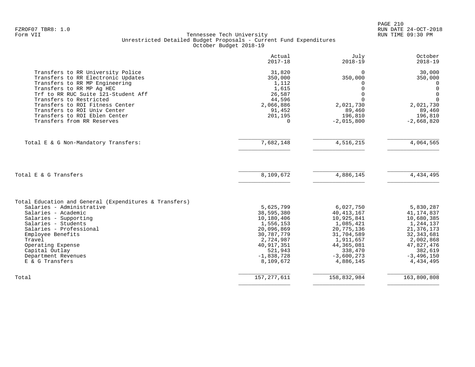PAGE 210 FZROF07 TBR8: 1.0 RUN DATE 24-OCT-2018

|                                                                                                                                        | Actual<br>$2017 - 18$               | July<br>$2018 - 19$       | October<br>$2018 - 19$                |
|----------------------------------------------------------------------------------------------------------------------------------------|-------------------------------------|---------------------------|---------------------------------------|
| Transfers to RR University Police<br>Transfers to RR Electronic Updates<br>Transfers to RR MP Engineering<br>Transfers to RR MP Aq HEC | 31,820<br>350,000<br>1,112<br>1,615 | $\Omega$<br>350,000<br>O  | 30,000<br>350,000<br>0<br>$\mathbf 0$ |
| Trf to RR RUC Suite 121-Student Aff                                                                                                    | 26,587                              | U                         | $\Omega$                              |
| Transfers to Restricted<br>Transfers to ROI Fitness Center                                                                             | 44,596                              |                           | $\Omega$                              |
| Transfers to ROI Univ Center                                                                                                           | 2,066,886<br>91,452                 | 2,021,730<br>89,460       | 2,021,730<br>89,460                   |
| Transfers to ROI Eblen Center                                                                                                          | 201,195                             | 196,810                   | 196,810                               |
| Transfers from RR Reserves                                                                                                             | $\Omega$                            | $-2,015,800$              | $-2,668,820$                          |
| Total E & G Non-Mandatory Transfers:                                                                                                   | 7,682,148                           | 4,516,215                 | 4,064,565                             |
|                                                                                                                                        |                                     |                           |                                       |
|                                                                                                                                        |                                     |                           |                                       |
| Total E & G Transfers                                                                                                                  | 8,109,672                           | 4,886,145                 | 4, 434, 495                           |
| Total Education and General (Expenditures & Transfers)                                                                                 |                                     |                           |                                       |
| Salaries - Administrative                                                                                                              | 5,625,799                           | 6,027,750                 | 5,830,287                             |
| Salaries - Academic                                                                                                                    | 38,595,380                          | 40, 413, 167              | 41, 174, 837                          |
| Salaries - Supporting                                                                                                                  | 10,180,406                          | 10,925,841                | 10,680,385                            |
| Salaries - Students                                                                                                                    | 1,556,153                           | 1,085,421                 | 1,244,137                             |
| Salaries - Professional                                                                                                                | 20,096,869                          | 20,775,136                | 21, 376, 173                          |
| Employee Benefits                                                                                                                      | 30,787,779                          | 31,704,589                | 32, 343, 681                          |
| Travel<br>Operating Expense                                                                                                            | 2,724,987<br>40, 917, 351           | 1,911,657<br>44, 365, 081 | 2,002,868<br>47,827,476               |
| Capital Outlay                                                                                                                         | 521,943                             | 338,470                   | 382,619                               |
| Department Revenues                                                                                                                    | $-1,838,728$                        | $-3,600,273$              | $-3,496,150$                          |
| E & G Transfers                                                                                                                        | 8,109,672                           | 4,886,145                 | 4,434,495                             |
| Total                                                                                                                                  | 157, 277, 611                       | 158,832,984               | 163,800,808                           |
|                                                                                                                                        |                                     |                           |                                       |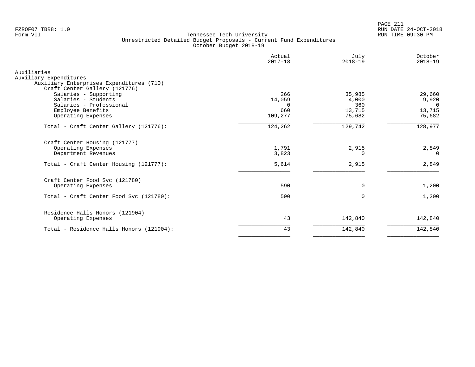PAGE 211 FZROF07 TBR8: 1.0 RUN DATE 24-OCT-2018

|                                                                                                                    | Actual<br>$2017 - 18$     | July<br>$2018 - 19$    | October<br>$2018 - 19$      |
|--------------------------------------------------------------------------------------------------------------------|---------------------------|------------------------|-----------------------------|
| Auxiliaries<br>Auxiliary Expenditures<br>Auxiliary Enterprises Expenditures (710)<br>Craft Center Gallery (121776) |                           |                        |                             |
| Salaries - Supporting<br>Salaries - Students<br>Salaries - Professional                                            | 266<br>14,059<br>$\Omega$ | 35,985<br>4,000<br>360 | 29,660<br>9,920<br>$\Omega$ |
| Employee Benefits<br>Operating Expenses                                                                            | 660<br>109,277            | 13,715<br>75,682       | 13,715<br>75,682            |
| Total - Craft Center Gallery (121776):                                                                             | 124,262                   | 129,742                | 128,977                     |
| Craft Center Housing (121777)<br>Operating Expenses<br>Department Revenues                                         | 1,791<br>3,823            | 2,915<br>O             | 2,849<br>$\Omega$           |
| Total - Craft Center Housing (121777):                                                                             | 5,614                     | 2,915                  | 2,849                       |
| Craft Center Food Svc (121780)<br>Operating Expenses                                                               | 590                       | 0                      | 1,200                       |
| Total - Craft Center Food Svc (121780):                                                                            | 590                       | $\Omega$               | 1,200                       |
| Residence Halls Honors (121904)<br>Operating Expenses                                                              | 43                        | 142,840                | 142,840                     |
| Total - Residence Halls Honors (121904):                                                                           | 43                        | 142,840                | 142,840                     |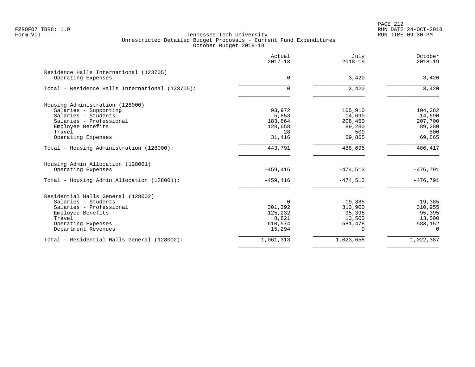PAGE 212 FZROF07 TBR8: 1.0 RUN DATE 24-OCT-2018

|                                                              | Actual<br>$2017 - 18$ | July<br>$2018 - 19$ | October<br>$2018 - 19$ |
|--------------------------------------------------------------|-----------------------|---------------------|------------------------|
| Residence Halls International (123705)<br>Operating Expenses | 0                     | 3,420               | 3,420                  |
| Total - Residence Halls International (123705):              | $\Omega$              | 3,420               | 3,420                  |
| Housing Administration (128000)                              |                       |                     |                        |
| Salaries - Supporting                                        | 93,972                | 105,910             | 104,382                |
| Salaries - Students                                          | 5,853                 | 14,690              | 14,690                 |
| Salaries - Professional                                      | 183,864               | 208,450             | 207,700                |
| Employee Benefits                                            | 128,658               | 89,280              | 89,280                 |
| Travel                                                       | 28                    | 500                 | 500                    |
| Operating Expenses                                           | 31,416                | 69,865              | 69,865                 |
| Total - Housing Administration (128000):                     | 443,791               | 488,695             | 486,417                |
| Housing Admin Allocation (128001)                            |                       |                     |                        |
| Operating Expenses                                           | $-459.416$            | $-474.513$          | $-476.791$             |
| Total - Housing Admin Allocation (128001):                   | $-459, 416$           | $-474,513$          | $-476,791$             |
| Residential Halls General (128002)                           |                       |                     |                        |
| Salaries - Students                                          | 0                     | 19,385              | 19,385                 |
| Salaries - Professional                                      | 301,392               | 313,900             | 310,955                |
| Employee Benefits                                            | 125,232               | 95,395              | 95,395                 |
| Travel                                                       | 8,821                 | 13,500              | 13,500                 |
| Operating Expenses                                           | 610,574               | 581,478             | 583,152                |
| Department Revenues                                          | 15,294                | $\Omega$            | $\mathbf 0$            |
| Total - Residential Halls General (128002):                  | 1,061,313             | 1,023,658           | 1,022,387              |
|                                                              |                       |                     |                        |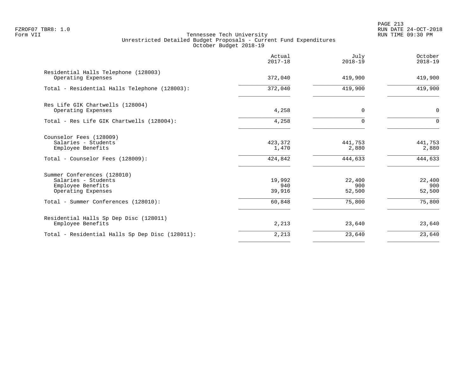PAGE 213 FZROF07 TBR8: 1.0 RUN DATE 24-OCT-2018

|                                                                                                         | Actual<br>$2017 - 18$       | July<br>$2018 - 19$         | October<br>$2018 - 19$      |
|---------------------------------------------------------------------------------------------------------|-----------------------------|-----------------------------|-----------------------------|
| Residential Halls Telephone (128003)<br>Operating Expenses                                              | 372,040                     | 419,900                     | 419,900                     |
| Total - Residential Halls Telephone (128003):                                                           | 372,040                     | 419,900                     | 419,900                     |
| Res Life GIK Chartwells (128004)<br>Operating Expenses                                                  | 4,258                       | 0                           | $\mathbf 0$                 |
| Total - Res Life GIK Chartwells (128004):                                                               | 4,258                       | U                           | $\Omega$                    |
| Counselor Fees (128009)<br>Salaries - Students<br>Employee Benefits<br>Total - Counselor Fees (128009): | 423,372<br>1,470<br>424,842 | 441,753<br>2,880<br>444,633 | 441,753<br>2,880<br>444,633 |
| Summer Conferences (128010)<br>Salaries - Students<br>Employee Benefits<br>Operating Expenses           | 19,992<br>940<br>39,916     | 22,400<br>900<br>52,500     | 22,400<br>900<br>52,500     |
| Total - Summer Conferences (128010):                                                                    | 60,848                      | 75,800                      | 75,800                      |
| Residential Halls Sp Dep Disc (128011)<br>Employee Benefits                                             | 2,213                       | 23,640                      | 23,640                      |
| Total - Residential Halls Sp Dep Disc (128011):                                                         | 2,213                       | 23,640                      | 23,640                      |
|                                                                                                         |                             |                             |                             |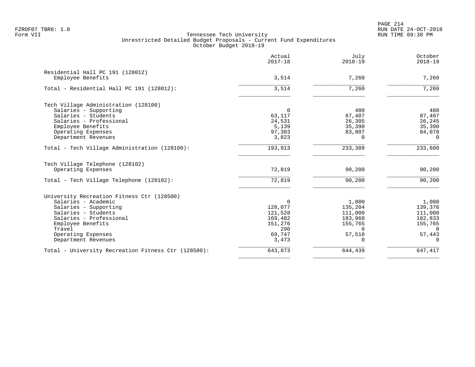PAGE 214 FZROF07 TBR8: 1.0 RUN DATE 24-OCT-2018

|                                                                                                                                                                            | Actual<br>$2017 - 18$                                                          | July<br>$2018 - 19$                                                                 | October<br>$2018 - 19$                                                              |
|----------------------------------------------------------------------------------------------------------------------------------------------------------------------------|--------------------------------------------------------------------------------|-------------------------------------------------------------------------------------|-------------------------------------------------------------------------------------|
| Residential Hall PC 191 (128012)<br>Employee Benefits                                                                                                                      | 3,514                                                                          | 7,260                                                                               | 7,260                                                                               |
| Total - Residential Hall PC 191 (128012):                                                                                                                                  | 3,514                                                                          | 7,260                                                                               | 7,260                                                                               |
| Tech Village Administration (128100)<br>Salaries - Supporting<br>Salaries - Students<br>Salaries - Professional                                                            | $\Omega$<br>63,117<br>24,531                                                   | 480<br>87,407<br>26,305                                                             | 480<br>87,407<br>26,245                                                             |
| Employee Benefits<br>Operating Expenses<br>Department Revenues                                                                                                             | 5,139<br>97,303<br>3,823                                                       | 35,390<br>83,807<br>$\Omega$                                                        | 35,390<br>84,078<br>$\Omega$                                                        |
| Total - Tech Village Administration (128100):                                                                                                                              | 193,913                                                                        | 233,389                                                                             | 233,600                                                                             |
| Tech Village Telephone (128102)<br>Operating Expenses                                                                                                                      | 72,819                                                                         | 90,200                                                                              | 90,200                                                                              |
| Total - Tech Village Telephone (128102):                                                                                                                                   | 72,819                                                                         | 90,200                                                                              | 90,200                                                                              |
| University Recreation Fitness Ctr (128500)                                                                                                                                 |                                                                                |                                                                                     |                                                                                     |
| Salaries - Academic<br>Salaries - Supporting<br>Salaries - Students<br>Salaries - Professional<br>Employee Benefits<br>Travel<br>Operating Expenses<br>Department Revenues | $\Omega$<br>128,077<br>121,528<br>169,482<br>151,276<br>290<br>69,747<br>3,473 | 1,000<br>135,204<br>111,000<br>183,960<br>155,765<br>$\Omega$<br>57,510<br>$\Omega$ | 1,000<br>139,376<br>111,000<br>182,833<br>155,765<br>$\Omega$<br>57,443<br>$\Omega$ |
| Total - University Recreation Fitness Ctr (128500):                                                                                                                        | 643,873                                                                        | 644,439                                                                             | 647,417                                                                             |
|                                                                                                                                                                            |                                                                                |                                                                                     |                                                                                     |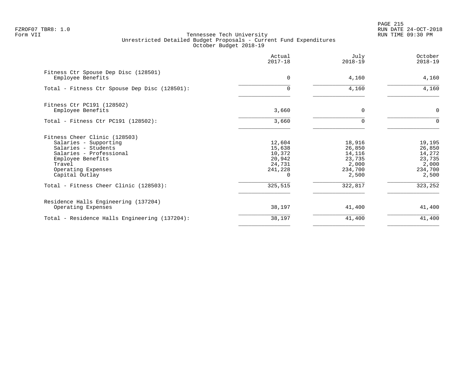|                                                                                                                                                                                 | Actual<br>$2017 - 18$                                     | July<br>$2018 - 19$                                               | October<br>$2018 - 19$                                            |
|---------------------------------------------------------------------------------------------------------------------------------------------------------------------------------|-----------------------------------------------------------|-------------------------------------------------------------------|-------------------------------------------------------------------|
| Fitness Ctr Spouse Dep Disc (128501)<br>Employee Benefits                                                                                                                       | 0                                                         | 4,160                                                             | 4,160                                                             |
| Total - Fitness Ctr Spouse Dep Disc (128501):                                                                                                                                   | $\Omega$                                                  | 4,160                                                             | 4,160                                                             |
| Fitness Ctr PC191 (128502)<br>Employee Benefits                                                                                                                                 | 3,660                                                     | $\Omega$                                                          | $\mathbf 0$                                                       |
| Total - Fitness Ctr PC191 $(128502)$ :                                                                                                                                          | 3,660                                                     | O                                                                 | $\Omega$                                                          |
| Fitness Cheer Clinic (128503)<br>Salaries - Supporting<br>Salaries - Students<br>Salaries - Professional<br>Employee Benefits<br>Travel<br>Operating Expenses<br>Capital Outlay | 12,604<br>15,638<br>10,372<br>20,942<br>24,731<br>241,228 | 18,916<br>26,850<br>14,116<br>23,735<br>2,000<br>234,700<br>2,500 | 19,195<br>26,850<br>14,272<br>23,735<br>2,000<br>234,700<br>2,500 |
| Total - Fitness Cheer Clinic (128503):                                                                                                                                          | 325,515                                                   | 322,817                                                           | 323,252                                                           |
| Residence Halls Engineering (137204)<br>Operating Expenses                                                                                                                      | 38,197                                                    | 41,400                                                            | 41,400                                                            |
| Total - Residence Halls Engineering (137204):                                                                                                                                   | 38,197                                                    | 41,400                                                            | 41,400                                                            |
|                                                                                                                                                                                 |                                                           |                                                                   |                                                                   |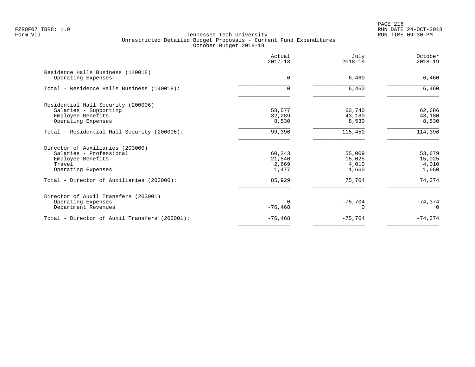PAGE 216 FZROF07 TBR8: 1.0 RUN DATE 24-OCT-2018

|                                                         | Actual<br>$2017 - 18$ | July<br>$2018 - 19$ | October<br>$2018 - 19$ |
|---------------------------------------------------------|-----------------------|---------------------|------------------------|
| Residence Halls Business (140018)<br>Operating Expenses | 0                     | 6,460               | 6,460                  |
| Total - Residence Halls Business (140018):              | $\Omega$              | 6,460               | 6,460                  |
| Residential Hall Security (200006)                      |                       |                     |                        |
| Salaries - Supporting                                   | 58,577                | 63,740              | 62,686                 |
| Employee Benefits                                       | 32,289                | 43,180              | 43,180                 |
| Operating Expenses                                      | 8,530                 | 8,530               | 8,530                  |
| Total - Residential Hall Security (200006):             | 99,396                | 115,450             | 114,396                |
| Director of Auxiliaries (203000)                        |                       |                     |                        |
| Salaries - Professional                                 | 60,243                | 55,009              | 53,679                 |
| Employee Benefits                                       | 21,540                | 15,025              | 15,025                 |
| Travel                                                  | 2,669                 | 4,010               | 4,010                  |
| Operating Expenses                                      | 1,477                 | 1,660               | 1,660                  |
| Total - Director of Auxiliaries (203000):               | 85,929                | 75,704              | 74,374                 |
| Director of Auxil Transfers (203001)                    |                       |                     |                        |
| Operating Expenses                                      | $\Omega$              | $-75,704$           | $-74,374$              |
| Department Revenues                                     | $-76,468$             |                     | $\Omega$               |
| Total - Director of Auxil Transfers (203001):           | $-76, 468$            | $-75,704$           | $-74, 374$             |
|                                                         |                       |                     |                        |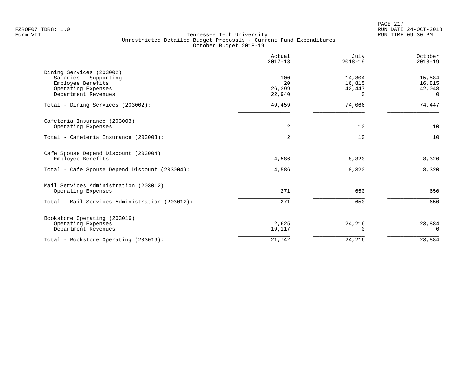PAGE 217 FZROF07 TBR8: 1.0 RUN DATE 24-OCT-2018

|                                                                                                                     | Actual<br>$2017 - 18$         | July<br>$2018 - 19$             | October<br>$2018 - 19$                 |
|---------------------------------------------------------------------------------------------------------------------|-------------------------------|---------------------------------|----------------------------------------|
| Dining Services (203002)<br>Salaries - Supporting<br>Employee Benefits<br>Operating Expenses<br>Department Revenues | 100<br>20<br>26,399<br>22,940 | 14,804<br>16,815<br>42,447<br>0 | 15,584<br>16,815<br>42,048<br>$\Omega$ |
| Total - Dining Services (203002):                                                                                   | 49,459                        | 74,066                          | 74,447                                 |
| Cafeteria Insurance (203003)<br>Operating Expenses                                                                  | 2                             | 10                              | 10                                     |
| Total - Cafeteria Insurance (203003):                                                                               | 2                             | 10                              | 10                                     |
| Cafe Spouse Depend Discount (203004)<br>Employee Benefits                                                           | 4,586                         | 8,320                           | 8,320                                  |
| Total - Cafe Spouse Depend Discount (203004):                                                                       | 4,586                         | 8,320                           | 8,320                                  |
| Mail Services Administration (203012)<br>Operating Expenses                                                         | 271                           | 650                             | 650                                    |
| Total - Mail Services Administration (203012):                                                                      | 271                           | 650                             | 650                                    |
| Bookstore Operating (203016)<br>Operating Expenses<br>Department Revenues                                           | 2,625<br>19,117               | 24,216<br>0                     | 23,884<br>$\Omega$                     |
| Total - Bookstore Operating (203016):                                                                               | 21,742                        | 24,216                          | 23,884                                 |
|                                                                                                                     |                               |                                 |                                        |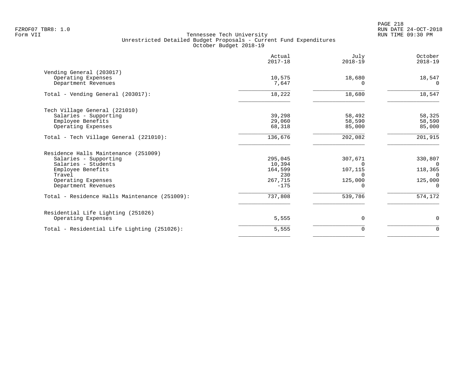PAGE 218 FZROF07 TBR8: 1.0 RUN DATE 24-OCT-2018

|                                               | Actual<br>$2017 - 18$ | July<br>$2018 - 19$ | October<br>$2018 - 19$ |
|-----------------------------------------------|-----------------------|---------------------|------------------------|
| Vending General (203017)                      |                       |                     |                        |
| Operating Expenses                            | 10,575                | 18,680              | 18,547                 |
| Department Revenues                           | 7,647                 | ∩                   | $\Omega$               |
| Total - Vending General (203017):             | 18,222                | 18,680              | 18,547                 |
| Tech Village General (221010)                 |                       |                     |                        |
| Salaries - Supporting                         | 39,298                | 58,492              | 58,325                 |
| Employee Benefits                             | 29,060                | 58,590              | 58,590                 |
| Operating Expenses                            | 68,318                | 85,000              | 85,000                 |
| Total - Tech Village General (221010):        | 136,676               | 202,082             | 201,915                |
| Residence Halls Maintenance (251009)          |                       |                     |                        |
| Salaries - Supporting                         | 295,045               | 307,671             | 330,807                |
| Salaries - Students                           | 10,394                | $\Omega$            | 0                      |
| Employee Benefits                             | 164,599               | 107,115             | 118,365                |
| Travel                                        | 230                   | $\Omega$            | 0                      |
| Operating Expenses                            | 267,715               | 125,000             | 125,000                |
| Department Revenues                           | $-175$                | $\Omega$            | $\Omega$               |
| Total - Residence Halls Maintenance (251009): | 737,808               | 539,786             | 574,172                |
| Residential Life Lighting (251026)            |                       |                     |                        |
| Operating Expenses                            | 5,555                 | 0                   | $\mathbf 0$            |
| Total - Residential Life Lighting (251026):   | 5,555                 | 0                   | $\mathbf 0$            |
|                                               |                       |                     |                        |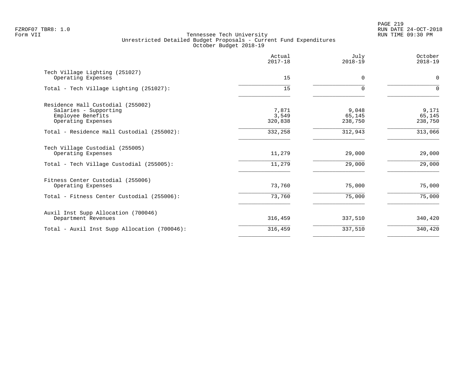PAGE 219 FZROF07 TBR8: 1.0 RUN DATE 24-OCT-2018

|                                                                                                       | Actual<br>$2017 - 18$     | July<br>$2018 - 19$        | October<br>$2018 - 19$     |
|-------------------------------------------------------------------------------------------------------|---------------------------|----------------------------|----------------------------|
| Tech Village Lighting (251027)<br>Operating Expenses                                                  | 15                        | 0                          | $\mathbf 0$                |
| Total - Tech Village Lighting (251027):                                                               | 15                        | $\Omega$                   | $\Omega$                   |
| Residence Hall Custodial (255002)<br>Salaries - Supporting<br>Employee Benefits<br>Operating Expenses | 7,871<br>3,549<br>320,838 | 9,048<br>65,145<br>238,750 | 9,171<br>65,145<br>238,750 |
| Total - Residence Hall Custodial (255002):                                                            | 332,258                   | 312,943                    | 313,066                    |
| Tech Village Custodial (255005)<br>Operating Expenses                                                 | 11,279                    | 29,000                     | 29,000                     |
| Total - Tech Village Custodial (255005):                                                              | 11,279                    | 29,000                     | 29,000                     |
| Fitness Center Custodial (255006)<br>Operating Expenses                                               | 73,760                    | 75,000                     | 75,000                     |
| Total - Fitness Center Custodial (255006):                                                            | 73,760                    | 75,000                     | 75,000                     |
| Auxil Inst Supp Allocation (700046)<br>Department Revenues                                            | 316,459                   | 337,510                    | 340,420                    |
| Total - Auxil Inst Supp Allocation (700046):                                                          | 316,459                   | 337,510                    | 340,420                    |
|                                                                                                       |                           |                            |                            |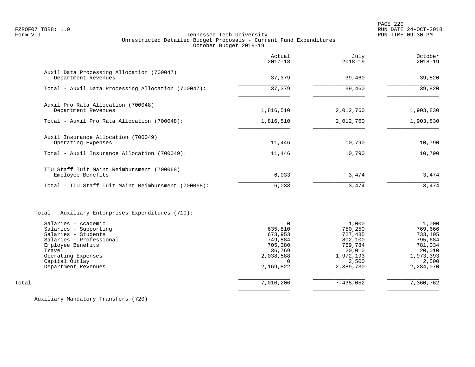PAGE 220 FZROF07 TBR8: 1.0 RUN DATE 24-OCT-2018

# Tennessee Tech University Unrestricted Detailed Budget Proposals - Current Fund Expenditures October Budget 2018-19

|                                                                                                                                                                                              | Actual<br>$2017 - 18$                                                             | July<br>$2018 - 19$                                                                            | October<br>$2018 - 19$                                                                         |
|----------------------------------------------------------------------------------------------------------------------------------------------------------------------------------------------|-----------------------------------------------------------------------------------|------------------------------------------------------------------------------------------------|------------------------------------------------------------------------------------------------|
| Auxil Data Processing Allocation (700047)<br>Department Revenues                                                                                                                             | 37,379                                                                            | 39,460                                                                                         | 39,820                                                                                         |
| Total - Auxil Data Processing Allocation (700047):                                                                                                                                           | 37,379                                                                            | 39,460                                                                                         | 39,820                                                                                         |
|                                                                                                                                                                                              |                                                                                   |                                                                                                |                                                                                                |
| Auxil Pro Rata Allocation (700048)<br>Department Revenues                                                                                                                                    | 1,816,510                                                                         | 2,012,760                                                                                      | 1,903,830                                                                                      |
| Total - Auxil Pro Rata Allocation (700048):                                                                                                                                                  | 1,816,510                                                                         | 2,012,760                                                                                      | 1,903,830                                                                                      |
| Auxil Insurance Allocation (700049)<br>Operating Expenses                                                                                                                                    | 11,446                                                                            | 10,790                                                                                         | 10,790                                                                                         |
| Total - Auxil Insurance Allocation (700049):                                                                                                                                                 | 11,446                                                                            | 10,790                                                                                         | 10,790                                                                                         |
| TTU Staff Tuit Maint Reimbursment (700068)                                                                                                                                                   |                                                                                   |                                                                                                |                                                                                                |
| Employee Benefits                                                                                                                                                                            | 6,033                                                                             | 3,474                                                                                          | 3,474                                                                                          |
| Total - TTU Staff Tuit Maint Reimbursment (700068):                                                                                                                                          | 6,033                                                                             | 3,474                                                                                          | 3,474                                                                                          |
| Total - Auxiliary Enterprises Expenditures (710):                                                                                                                                            |                                                                                   |                                                                                                |                                                                                                |
| Salaries - Academic<br>Salaries - Supporting<br>Salaries - Students<br>Salaries - Professional<br>Employee Benefits<br>Travel<br>Operating Expenses<br>Capital Outlay<br>Department Revenues | 0<br>635,810<br>673,953<br>749,884<br>705,380<br>36,769<br>2,038,588<br>2,169,822 | 1,000<br>750,250<br>727,485<br>802,100<br>769,784<br>20,010<br>1,972,193<br>2,500<br>2,389,730 | 1,000<br>769,666<br>733,405<br>795,684<br>781,034<br>20,010<br>1,973,393<br>2,500<br>2,284,070 |
| Total                                                                                                                                                                                        | 7,010,206                                                                         | 7,435,052                                                                                      | 7,360,762                                                                                      |
|                                                                                                                                                                                              |                                                                                   |                                                                                                |                                                                                                |

Auxiliary Mandatory Transfers (720)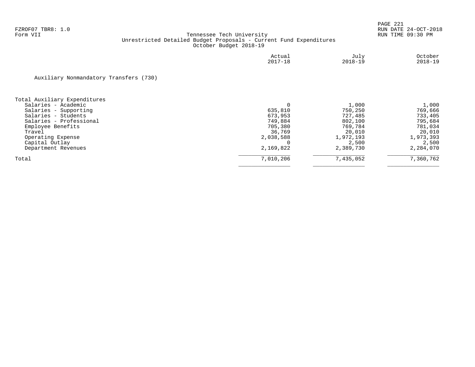|                                        | Actual<br>$2017 - 18$ | July<br>$2018 - 19$ | October<br>$2018 - 19$ |
|----------------------------------------|-----------------------|---------------------|------------------------|
| Auxiliary Nonmandatory Transfers (730) |                       |                     |                        |
| Total Auxiliary Expenditures           |                       |                     |                        |
| Salaries - Academic                    |                       | 1,000               | 1,000                  |
| Salaries - Supporting                  | 635,810               | 750,250             | 769,666                |
| Salaries - Students                    | 673,953               | 727,485             | 733,405                |
| Salaries - Professional                | 749,884               | 802,100             | 795,684                |
| Employee Benefits                      | 705,380               | 769,784             | 781,034                |
| Travel                                 | 36,769                | 20,010              | 20,010                 |
| Operating Expense                      | 2,038,588             | 1,972,193           | 1,973,393              |
| Capital Outlay                         |                       | 2,500               | 2,500                  |
| Department Revenues                    | 2,169,822             | 2,389,730           | 2,284,070              |
| Total                                  | 7,010,206             | 7,435,052           | 7,360,762              |
|                                        |                       |                     |                        |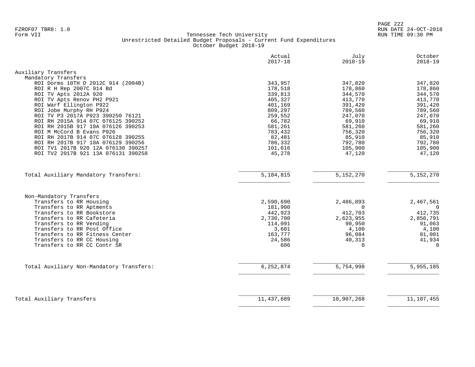PAGE 222 FZROF07 TBR8: 1.0 RUN DATE 24-OCT-2018

|                                          | Actual                 | July                   | October     |
|------------------------------------------|------------------------|------------------------|-------------|
|                                          | $2017 - 18$            | $2018 - 19$            | $2018 - 19$ |
| Auxiliary Transfers                      |                        |                        |             |
| Mandatory Transfers                      |                        |                        |             |
| ROI Dorms 10TH D 2012C 914 (2004B)       | 343,957                | 347,820                | 347,820     |
| ROI R H Rep 2007C 914 Bd                 | 178,518                | 178,860                | 178,860     |
| ROI TV Apts 2012A 920                    | 339,813                | 344,570                | 344,570     |
| ROI TV Apts Renov PH2 P921               | 405,327                | 413,770                | 413,770     |
| ROI Warf Ellington P922                  | 401,169                | 391,420                | 391,420     |
| ROI Jobe Murphy RH P924                  | 809,297                | 789,560                | 789,560     |
| ROI TV P3 2017A P923 390250 76121        | 259,552                | 247,070                | 247,070     |
| ROI RH 2015A 914 07C 076125 390252       | 66,782                 | 69,910                 | 69,910      |
| ROI RH 2015B 917 10A 076126 390253       | 581,261                | 581,260                | 581,260     |
| ROI M McCord B Evans P926                | 783,432                | 756,320                | 756,320     |
| ROI RH 2017B 914 07C 076128 390255       | 82,481                 | 85,910                 | 85,910      |
| ROI RH 2017B 917 10A 076129 390256       | 786,332                | 792,780                | 792,780     |
| ROI TV1 2017B 920 12A 076130 390257      | 101,616                | 105,900                | 105,900     |
| ROI TV2 2017B 921 13A 076131 390258      | 45,278                 | 47,120                 | 47,120      |
|                                          |                        |                        |             |
| Total Auxiliary Mandatory Transfers:     | $\overline{5,184,815}$ | $\overline{5,152,270}$ | 5,152,270   |
|                                          |                        |                        |             |
| Non-Mandatory Transfers                  |                        |                        |             |
| Transfers to RR Housing                  | 2,590,690              | 2,486,893              | 2,467,561   |
| Transfers to RR Aptments                 | 181,900                | $\Omega$               | $\Omega$    |
| Transfers to RR Bookstore                | 442,923                | 412,703                | 412,735     |
| Transfers to RR Cafeteria                | 2,730,700              | 2,623,955              | 2,856,791   |
| Transfers to RR Vending                  | 114,091                | 90,950                 | 91,063      |
| Transfers to RR Post Office              | 3,601                  | 4,100                  | 4,100       |
| Transfers to RR Fitness Center           | 163,777                | 96,084                 | 81,001      |
| Transfers to RR CC Housing               | 24,586                 | 40,313                 | 41,934      |
| Transfers to RR CC Contr SR              | 606                    | $\Omega$               | $\Omega$    |
|                                          |                        |                        |             |
| Total Auxiliary Non-Mandatory Transfers: | 6,252,874              | 5,754,998              | 5,955,185   |
|                                          |                        |                        |             |
| Total Auxiliary Transfers                | 11, 437, 689           | 10,907,268             | 11,107,455  |
|                                          |                        |                        |             |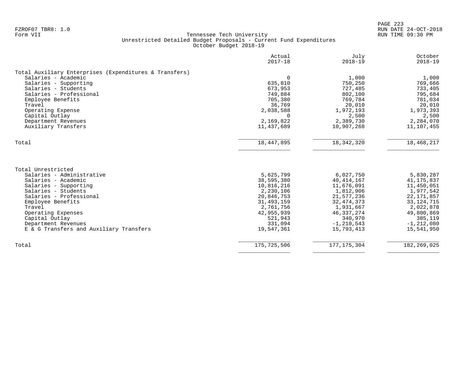| $2018 - 19$<br>1,000<br>750,250<br>727,485<br>802,100<br>769,784<br>20,010<br>1,972,193<br>2,500<br>2,389,730<br>10,907,268 | $2018 - 19$<br>1,000<br>769,666<br>733,405<br>795,684<br>781,034<br>20,010<br>1,973,393<br>2,500<br>2,284,070 |
|-----------------------------------------------------------------------------------------------------------------------------|---------------------------------------------------------------------------------------------------------------|
|                                                                                                                             |                                                                                                               |
|                                                                                                                             |                                                                                                               |
|                                                                                                                             |                                                                                                               |
|                                                                                                                             |                                                                                                               |
|                                                                                                                             |                                                                                                               |
|                                                                                                                             |                                                                                                               |
|                                                                                                                             |                                                                                                               |
|                                                                                                                             |                                                                                                               |
|                                                                                                                             |                                                                                                               |
|                                                                                                                             |                                                                                                               |
|                                                                                                                             |                                                                                                               |
|                                                                                                                             | 11,107,455                                                                                                    |
| 18, 342, 320                                                                                                                | 18,468,217                                                                                                    |
|                                                                                                                             |                                                                                                               |
|                                                                                                                             |                                                                                                               |
| 6,027,750                                                                                                                   | 5,830,287                                                                                                     |
| 40, 414, 167                                                                                                                | 41, 175, 837                                                                                                  |
| 11,676,091                                                                                                                  | 11,450,051                                                                                                    |
| 1,812,906                                                                                                                   | 1,977,542                                                                                                     |
| 21,577,236                                                                                                                  | 22, 171, 857                                                                                                  |
| 32, 474, 373                                                                                                                | 33, 124, 715                                                                                                  |
| 1,931,667                                                                                                                   | 2,022,878                                                                                                     |
|                                                                                                                             | 49,800,869                                                                                                    |
| 46, 337, 274                                                                                                                | 385,119                                                                                                       |
| 340,970                                                                                                                     | $-1, 212, 080$                                                                                                |
| $-1, 210, 543$                                                                                                              | 15,541,950                                                                                                    |
| 15,793,413                                                                                                                  |                                                                                                               |
|                                                                                                                             |                                                                                                               |